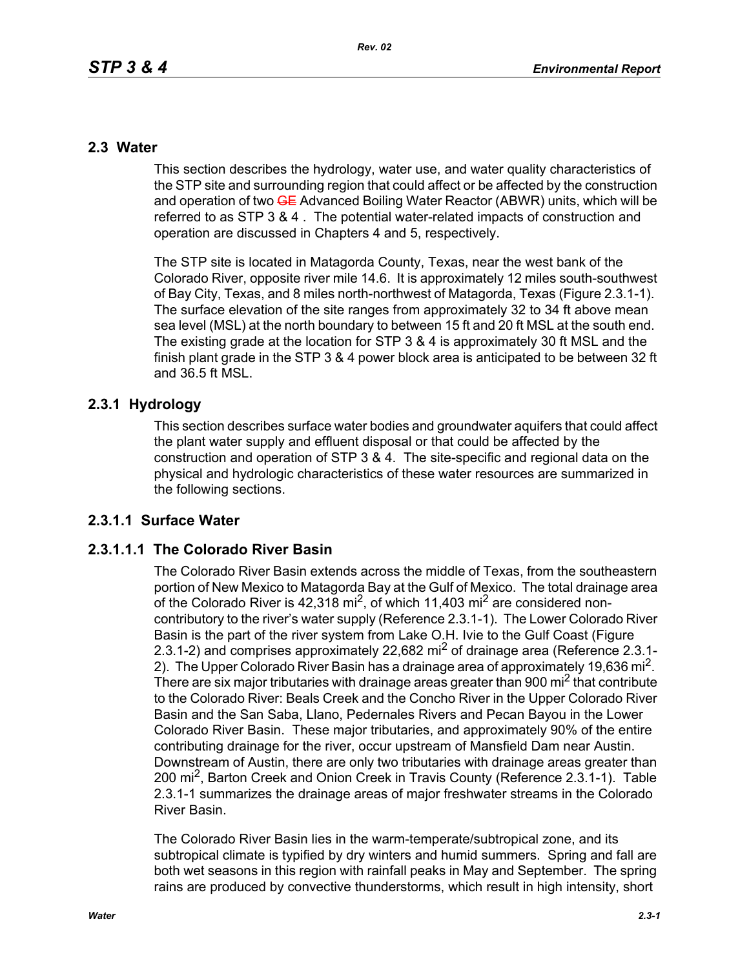## **2.3 Water**

This section describes the hydrology, water use, and water quality characteristics of the STP site and surrounding region that could affect or be affected by the construction and operation of two **GE** Advanced Boiling Water Reactor (ABWR) units, which will be referred to as STP 3 & 4 . The potential water-related impacts of construction and operation are discussed in Chapters 4 and 5, respectively.

The STP site is located in Matagorda County, Texas, near the west bank of the Colorado River, opposite river mile 14.6. It is approximately 12 miles south-southwest of Bay City, Texas, and 8 miles north-northwest of Matagorda, Texas (Figure 2.3.1-1). The surface elevation of the site ranges from approximately 32 to 34 ft above mean sea level (MSL) at the north boundary to between 15 ft and 20 ft MSL at the south end. The existing grade at the location for STP 3 & 4 is approximately 30 ft MSL and the finish plant grade in the STP 3 & 4 power block area is anticipated to be between 32 ft and 36.5 ft MSL.

## **2.3.1 Hydrology**

This section describes surface water bodies and groundwater aquifers that could affect the plant water supply and effluent disposal or that could be affected by the construction and operation of STP 3 & 4. The site-specific and regional data on the physical and hydrologic characteristics of these water resources are summarized in the following sections.

## **2.3.1.1 Surface Water**

## **2.3.1.1.1 The Colorado River Basin**

The Colorado River Basin extends across the middle of Texas, from the southeastern portion of New Mexico to Matagorda Bay at the Gulf of Mexico. The total drainage area of the Colorado River is  $42,318$  mi<sup>2</sup>, of which 11,403 mi<sup>2</sup> are considered noncontributory to the river's water supply (Reference 2.3.1-1). The Lower Colorado River Basin is the part of the river system from Lake O.H. Ivie to the Gulf Coast (Figure 2.3.1-2) and comprises approximately 22,682 mi<sup>2</sup> of drainage area (Reference 2.3.1-2). The Upper Colorado River Basin has a drainage area of approximately 19,636 mi<sup>2</sup>. There are six major tributaries with drainage areas greater than 900 mi<sup>2</sup> that contribute to the Colorado River: Beals Creek and the Concho River in the Upper Colorado River Basin and the San Saba, Llano, Pedernales Rivers and Pecan Bayou in the Lower Colorado River Basin. These major tributaries, and approximately 90% of the entire contributing drainage for the river, occur upstream of Mansfield Dam near Austin. Downstream of Austin, there are only two tributaries with drainage areas greater than 200 mi<sup>2</sup>, Barton Creek and Onion Creek in Travis County (Reference 2.3.1-1). Table 2.3.1-1 summarizes the drainage areas of major freshwater streams in the Colorado River Basin.

The Colorado River Basin lies in the warm-temperate/subtropical zone, and its subtropical climate is typified by dry winters and humid summers. Spring and fall are both wet seasons in this region with rainfall peaks in May and September. The spring rains are produced by convective thunderstorms, which result in high intensity, short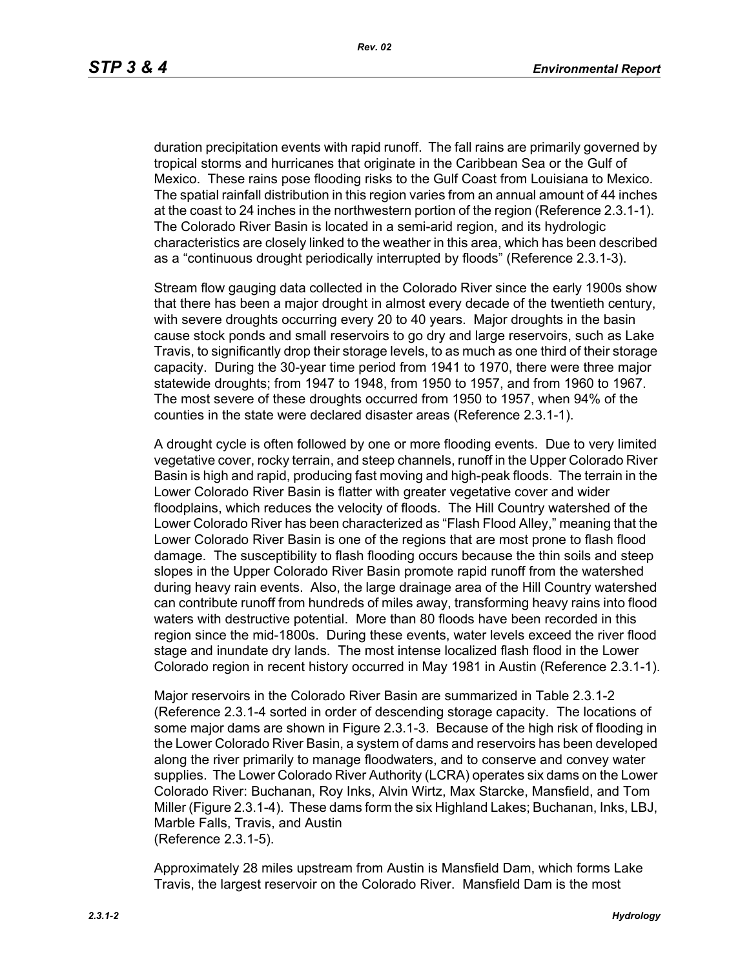duration precipitation events with rapid runoff. The fall rains are primarily governed by tropical storms and hurricanes that originate in the Caribbean Sea or the Gulf of Mexico. These rains pose flooding risks to the Gulf Coast from Louisiana to Mexico. The spatial rainfall distribution in this region varies from an annual amount of 44 inches at the coast to 24 inches in the northwestern portion of the region (Reference 2.3.1-1). The Colorado River Basin is located in a semi-arid region, and its hydrologic characteristics are closely linked to the weather in this area, which has been described as a "continuous drought periodically interrupted by floods" (Reference 2.3.1-3).

Stream flow gauging data collected in the Colorado River since the early 1900s show that there has been a major drought in almost every decade of the twentieth century, with severe droughts occurring every 20 to 40 years. Major droughts in the basin cause stock ponds and small reservoirs to go dry and large reservoirs, such as Lake Travis, to significantly drop their storage levels, to as much as one third of their storage capacity. During the 30-year time period from 1941 to 1970, there were three major statewide droughts; from 1947 to 1948, from 1950 to 1957, and from 1960 to 1967. The most severe of these droughts occurred from 1950 to 1957, when 94% of the counties in the state were declared disaster areas (Reference 2.3.1-1).

A drought cycle is often followed by one or more flooding events. Due to very limited vegetative cover, rocky terrain, and steep channels, runoff in the Upper Colorado River Basin is high and rapid, producing fast moving and high-peak floods. The terrain in the Lower Colorado River Basin is flatter with greater vegetative cover and wider floodplains, which reduces the velocity of floods. The Hill Country watershed of the Lower Colorado River has been characterized as "Flash Flood Alley," meaning that the Lower Colorado River Basin is one of the regions that are most prone to flash flood damage. The susceptibility to flash flooding occurs because the thin soils and steep slopes in the Upper Colorado River Basin promote rapid runoff from the watershed during heavy rain events. Also, the large drainage area of the Hill Country watershed can contribute runoff from hundreds of miles away, transforming heavy rains into flood waters with destructive potential. More than 80 floods have been recorded in this region since the mid-1800s. During these events, water levels exceed the river flood stage and inundate dry lands. The most intense localized flash flood in the Lower Colorado region in recent history occurred in May 1981 in Austin (Reference 2.3.1-1).

Major reservoirs in the Colorado River Basin are summarized in Table 2.3.1-2 (Reference 2.3.1-4 sorted in order of descending storage capacity. The locations of some major dams are shown in Figure 2.3.1-3. Because of the high risk of flooding in the Lower Colorado River Basin, a system of dams and reservoirs has been developed along the river primarily to manage floodwaters, and to conserve and convey water supplies. The Lower Colorado River Authority (LCRA) operates six dams on the Lower Colorado River: Buchanan, Roy Inks, Alvin Wirtz, Max Starcke, Mansfield, and Tom Miller (Figure 2.3.1-4). These dams form the six Highland Lakes; Buchanan, Inks, LBJ, Marble Falls, Travis, and Austin (Reference 2.3.1-5).

Approximately 28 miles upstream from Austin is Mansfield Dam, which forms Lake Travis, the largest reservoir on the Colorado River. Mansfield Dam is the most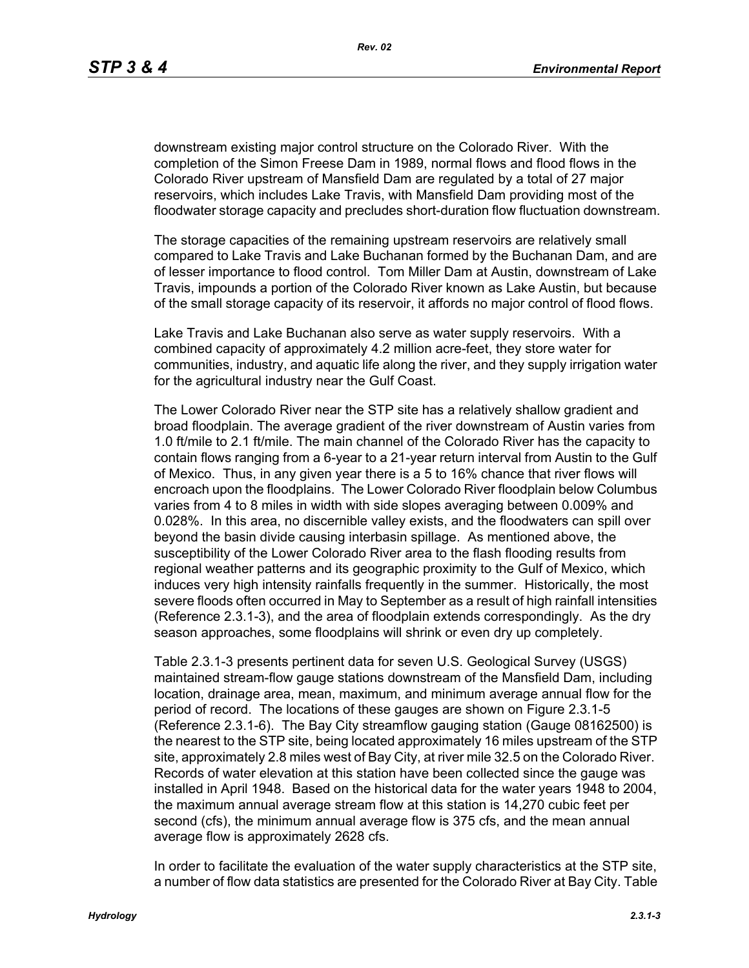downstream existing major control structure on the Colorado River. With the completion of the Simon Freese Dam in 1989, normal flows and flood flows in the Colorado River upstream of Mansfield Dam are regulated by a total of 27 major reservoirs, which includes Lake Travis, with Mansfield Dam providing most of the floodwater storage capacity and precludes short-duration flow fluctuation downstream.

The storage capacities of the remaining upstream reservoirs are relatively small compared to Lake Travis and Lake Buchanan formed by the Buchanan Dam, and are of lesser importance to flood control. Tom Miller Dam at Austin, downstream of Lake Travis, impounds a portion of the Colorado River known as Lake Austin, but because of the small storage capacity of its reservoir, it affords no major control of flood flows.

Lake Travis and Lake Buchanan also serve as water supply reservoirs. With a combined capacity of approximately 4.2 million acre-feet, they store water for communities, industry, and aquatic life along the river, and they supply irrigation water for the agricultural industry near the Gulf Coast.

The Lower Colorado River near the STP site has a relatively shallow gradient and broad floodplain. The average gradient of the river downstream of Austin varies from 1.0 ft/mile to 2.1 ft/mile. The main channel of the Colorado River has the capacity to contain flows ranging from a 6-year to a 21-year return interval from Austin to the Gulf of Mexico. Thus, in any given year there is a 5 to 16% chance that river flows will encroach upon the floodplains. The Lower Colorado River floodplain below Columbus varies from 4 to 8 miles in width with side slopes averaging between 0.009% and 0.028%. In this area, no discernible valley exists, and the floodwaters can spill over beyond the basin divide causing interbasin spillage. As mentioned above, the susceptibility of the Lower Colorado River area to the flash flooding results from regional weather patterns and its geographic proximity to the Gulf of Mexico, which induces very high intensity rainfalls frequently in the summer. Historically, the most severe floods often occurred in May to September as a result of high rainfall intensities (Reference 2.3.1-3), and the area of floodplain extends correspondingly. As the dry season approaches, some floodplains will shrink or even dry up completely.

Table 2.3.1-3 presents pertinent data for seven U.S. Geological Survey (USGS) maintained stream-flow gauge stations downstream of the Mansfield Dam, including location, drainage area, mean, maximum, and minimum average annual flow for the period of record. The locations of these gauges are shown on Figure 2.3.1-5 (Reference 2.3.1-6). The Bay City streamflow gauging station (Gauge 08162500) is the nearest to the STP site, being located approximately 16 miles upstream of the STP site, approximately 2.8 miles west of Bay City, at river mile 32.5 on the Colorado River. Records of water elevation at this station have been collected since the gauge was installed in April 1948. Based on the historical data for the water years 1948 to 2004, the maximum annual average stream flow at this station is 14,270 cubic feet per second (cfs), the minimum annual average flow is 375 cfs, and the mean annual average flow is approximately 2628 cfs.

In order to facilitate the evaluation of the water supply characteristics at the STP site, a number of flow data statistics are presented for the Colorado River at Bay City. Table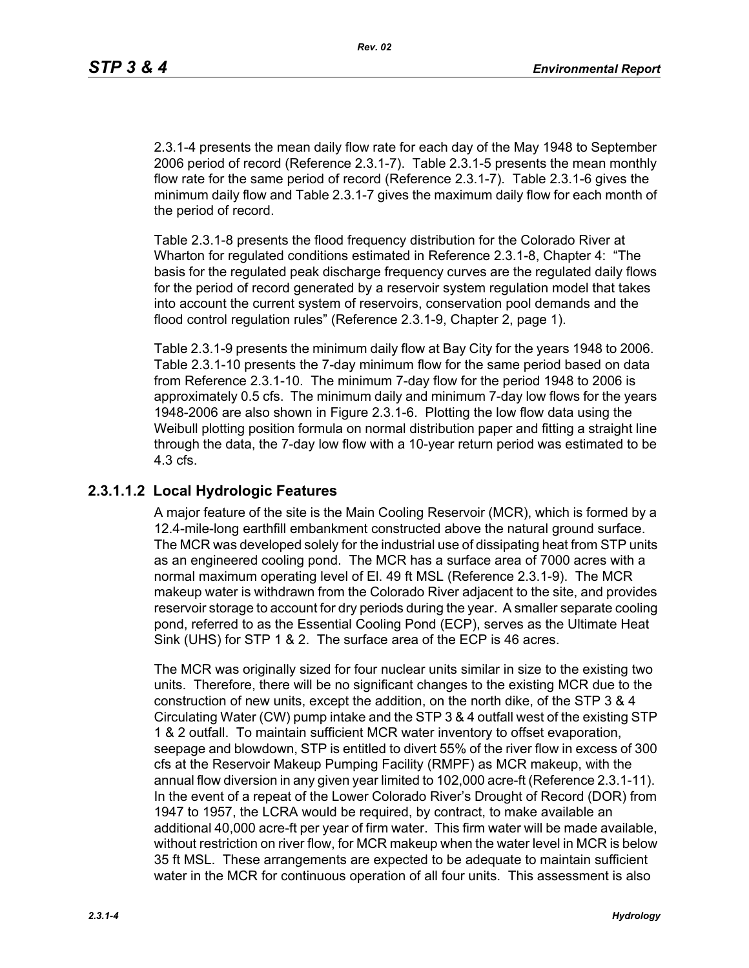2.3.1-4 presents the mean daily flow rate for each day of the May 1948 to September 2006 period of record (Reference 2.3.1-7). Table 2.3.1-5 presents the mean monthly flow rate for the same period of record (Reference 2.3.1-7). Table 2.3.1-6 gives the minimum daily flow and Table 2.3.1-7 gives the maximum daily flow for each month of the period of record.

Table 2.3.1-8 presents the flood frequency distribution for the Colorado River at Wharton for regulated conditions estimated in Reference 2.3.1-8, Chapter 4: "The basis for the regulated peak discharge frequency curves are the regulated daily flows for the period of record generated by a reservoir system regulation model that takes into account the current system of reservoirs, conservation pool demands and the flood control regulation rules" (Reference 2.3.1-9, Chapter 2, page 1).

Table 2.3.1-9 presents the minimum daily flow at Bay City for the years 1948 to 2006. Table 2.3.1-10 presents the 7-day minimum flow for the same period based on data from Reference 2.3.1-10. The minimum 7-day flow for the period 1948 to 2006 is approximately 0.5 cfs. The minimum daily and minimum 7-day low flows for the years 1948-2006 are also shown in Figure 2.3.1-6. Plotting the low flow data using the Weibull plotting position formula on normal distribution paper and fitting a straight line through the data, the 7-day low flow with a 10-year return period was estimated to be 4.3 cfs.

## **2.3.1.1.2 Local Hydrologic Features**

A major feature of the site is the Main Cooling Reservoir (MCR), which is formed by a 12.4-mile-long earthfill embankment constructed above the natural ground surface. The MCR was developed solely for the industrial use of dissipating heat from STP units as an engineered cooling pond. The MCR has a surface area of 7000 acres with a normal maximum operating level of El. 49 ft MSL (Reference 2.3.1-9). The MCR makeup water is withdrawn from the Colorado River adjacent to the site, and provides reservoir storage to account for dry periods during the year. A smaller separate cooling pond, referred to as the Essential Cooling Pond (ECP), serves as the Ultimate Heat Sink (UHS) for STP 1 & 2. The surface area of the ECP is 46 acres.

The MCR was originally sized for four nuclear units similar in size to the existing two units. Therefore, there will be no significant changes to the existing MCR due to the construction of new units, except the addition, on the north dike, of the STP 3 & 4 Circulating Water (CW) pump intake and the STP 3 & 4 outfall west of the existing STP 1 & 2 outfall. To maintain sufficient MCR water inventory to offset evaporation, seepage and blowdown, STP is entitled to divert 55% of the river flow in excess of 300 cfs at the Reservoir Makeup Pumping Facility (RMPF) as MCR makeup, with the annual flow diversion in any given year limited to 102,000 acre-ft (Reference 2.3.1-11). In the event of a repeat of the Lower Colorado River's Drought of Record (DOR) from 1947 to 1957, the LCRA would be required, by contract, to make available an additional 40,000 acre-ft per year of firm water. This firm water will be made available, without restriction on river flow, for MCR makeup when the water level in MCR is below 35 ft MSL. These arrangements are expected to be adequate to maintain sufficient water in the MCR for continuous operation of all four units. This assessment is also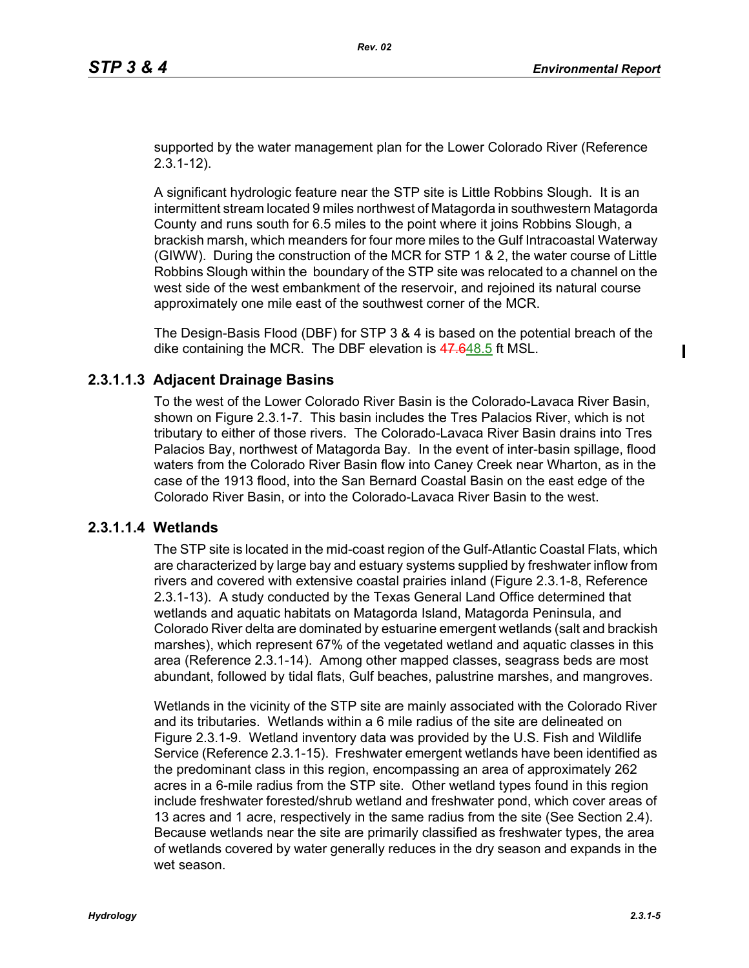$\mathbf I$ 

supported by the water management plan for the Lower Colorado River (Reference 2.3.1-12).

A significant hydrologic feature near the STP site is Little Robbins Slough. It is an intermittent stream located 9 miles northwest of Matagorda in southwestern Matagorda County and runs south for 6.5 miles to the point where it joins Robbins Slough, a brackish marsh, which meanders for four more miles to the Gulf Intracoastal Waterway (GIWW). During the construction of the MCR for STP 1 & 2, the water course of Little Robbins Slough within the boundary of the STP site was relocated to a channel on the west side of the west embankment of the reservoir, and rejoined its natural course approximately one mile east of the southwest corner of the MCR.

The Design-Basis Flood (DBF) for STP 3 & 4 is based on the potential breach of the dike containing the MCR. The DBF elevation is 47.648.5 ft MSL.

### **2.3.1.1.3 Adjacent Drainage Basins**

To the west of the Lower Colorado River Basin is the Colorado-Lavaca River Basin, shown on Figure 2.3.1-7. This basin includes the Tres Palacios River, which is not tributary to either of those rivers. The Colorado-Lavaca River Basin drains into Tres Palacios Bay, northwest of Matagorda Bay. In the event of inter-basin spillage, flood waters from the Colorado River Basin flow into Caney Creek near Wharton, as in the case of the 1913 flood, into the San Bernard Coastal Basin on the east edge of the Colorado River Basin, or into the Colorado-Lavaca River Basin to the west.

### **2.3.1.1.4 Wetlands**

The STP site is located in the mid-coast region of the Gulf-Atlantic Coastal Flats, which are characterized by large bay and estuary systems supplied by freshwater inflow from rivers and covered with extensive coastal prairies inland (Figure 2.3.1-8, Reference 2.3.1-13). A study conducted by the Texas General Land Office determined that wetlands and aquatic habitats on Matagorda Island, Matagorda Peninsula, and Colorado River delta are dominated by estuarine emergent wetlands (salt and brackish marshes), which represent 67% of the vegetated wetland and aquatic classes in this area (Reference 2.3.1-14). Among other mapped classes, seagrass beds are most abundant, followed by tidal flats, Gulf beaches, palustrine marshes, and mangroves.

Wetlands in the vicinity of the STP site are mainly associated with the Colorado River and its tributaries. Wetlands within a 6 mile radius of the site are delineated on Figure 2.3.1-9. Wetland inventory data was provided by the U.S. Fish and Wildlife Service (Reference 2.3.1-15). Freshwater emergent wetlands have been identified as the predominant class in this region, encompassing an area of approximately 262 acres in a 6-mile radius from the STP site. Other wetland types found in this region include freshwater forested/shrub wetland and freshwater pond, which cover areas of 13 acres and 1 acre, respectively in the same radius from the site (See Section 2.4). Because wetlands near the site are primarily classified as freshwater types, the area of wetlands covered by water generally reduces in the dry season and expands in the wet season.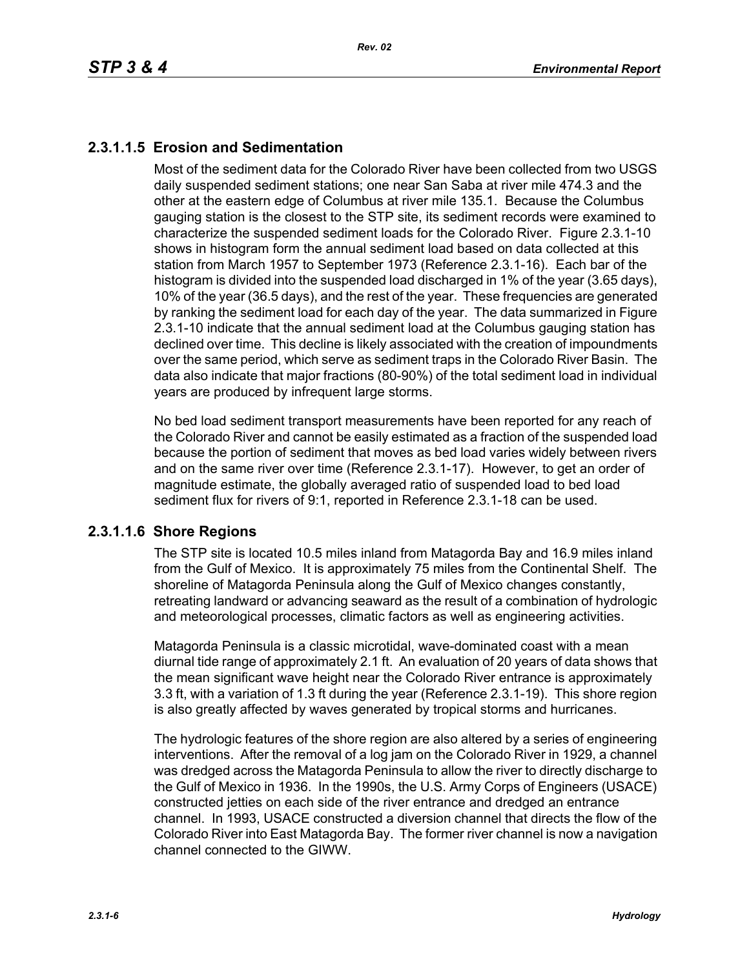# **2.3.1.1.5 Erosion and Sedimentation**

Most of the sediment data for the Colorado River have been collected from two USGS daily suspended sediment stations; one near San Saba at river mile 474.3 and the other at the eastern edge of Columbus at river mile 135.1. Because the Columbus gauging station is the closest to the STP site, its sediment records were examined to characterize the suspended sediment loads for the Colorado River. Figure 2.3.1-10 shows in histogram form the annual sediment load based on data collected at this station from March 1957 to September 1973 (Reference 2.3.1-16). Each bar of the histogram is divided into the suspended load discharged in 1% of the year (3.65 days), 10% of the year (36.5 days), and the rest of the year. These frequencies are generated by ranking the sediment load for each day of the year. The data summarized in Figure 2.3.1-10 indicate that the annual sediment load at the Columbus gauging station has declined over time. This decline is likely associated with the creation of impoundments over the same period, which serve as sediment traps in the Colorado River Basin. The data also indicate that major fractions (80-90%) of the total sediment load in individual years are produced by infrequent large storms.

No bed load sediment transport measurements have been reported for any reach of the Colorado River and cannot be easily estimated as a fraction of the suspended load because the portion of sediment that moves as bed load varies widely between rivers and on the same river over time (Reference 2.3.1-17). However, to get an order of magnitude estimate, the globally averaged ratio of suspended load to bed load sediment flux for rivers of 9:1, reported in Reference 2.3.1-18 can be used.

## **2.3.1.1.6 Shore Regions**

The STP site is located 10.5 miles inland from Matagorda Bay and 16.9 miles inland from the Gulf of Mexico. It is approximately 75 miles from the Continental Shelf. The shoreline of Matagorda Peninsula along the Gulf of Mexico changes constantly, retreating landward or advancing seaward as the result of a combination of hydrologic and meteorological processes, climatic factors as well as engineering activities.

Matagorda Peninsula is a classic microtidal, wave-dominated coast with a mean diurnal tide range of approximately 2.1 ft. An evaluation of 20 years of data shows that the mean significant wave height near the Colorado River entrance is approximately 3.3 ft, with a variation of 1.3 ft during the year (Reference 2.3.1-19). This shore region is also greatly affected by waves generated by tropical storms and hurricanes.

The hydrologic features of the shore region are also altered by a series of engineering interventions. After the removal of a log jam on the Colorado River in 1929, a channel was dredged across the Matagorda Peninsula to allow the river to directly discharge to the Gulf of Mexico in 1936. In the 1990s, the U.S. Army Corps of Engineers (USACE) constructed jetties on each side of the river entrance and dredged an entrance channel. In 1993, USACE constructed a diversion channel that directs the flow of the Colorado River into East Matagorda Bay. The former river channel is now a navigation channel connected to the GIWW.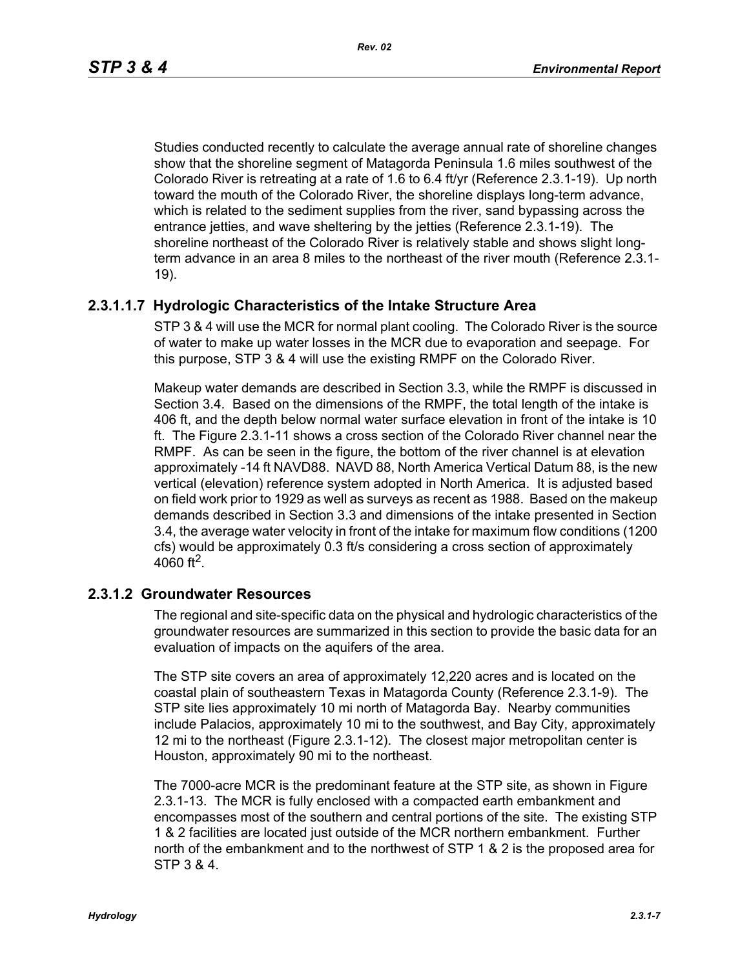*Rev. 02*

Studies conducted recently to calculate the average annual rate of shoreline changes show that the shoreline segment of Matagorda Peninsula 1.6 miles southwest of the Colorado River is retreating at a rate of 1.6 to 6.4 ft/yr (Reference 2.3.1-19). Up north toward the mouth of the Colorado River, the shoreline displays long-term advance, which is related to the sediment supplies from the river, sand bypassing across the entrance jetties, and wave sheltering by the jetties (Reference 2.3.1-19). The shoreline northeast of the Colorado River is relatively stable and shows slight longterm advance in an area 8 miles to the northeast of the river mouth (Reference 2.3.1- 19).

# **2.3.1.1.7 Hydrologic Characteristics of the Intake Structure Area**

STP 3 & 4 will use the MCR for normal plant cooling. The Colorado River is the source of water to make up water losses in the MCR due to evaporation and seepage. For this purpose, STP 3 & 4 will use the existing RMPF on the Colorado River.

Makeup water demands are described in Section 3.3, while the RMPF is discussed in Section 3.4. Based on the dimensions of the RMPF, the total length of the intake is 406 ft, and the depth below normal water surface elevation in front of the intake is 10 ft. The Figure 2.3.1-11 shows a cross section of the Colorado River channel near the RMPF. As can be seen in the figure, the bottom of the river channel is at elevation approximately -14 ft NAVD88. NAVD 88, North America Vertical Datum 88, is the new vertical (elevation) reference system adopted in North America. It is adjusted based on field work prior to 1929 as well as surveys as recent as 1988. Based on the makeup demands described in Section 3.3 and dimensions of the intake presented in Section 3.4, the average water velocity in front of the intake for maximum flow conditions (1200 cfs) would be approximately 0.3 ft/s considering a cross section of approximately 4060 ft<sup>2</sup>.

## **2.3.1.2 Groundwater Resources**

The regional and site-specific data on the physical and hydrologic characteristics of the groundwater resources are summarized in this section to provide the basic data for an evaluation of impacts on the aquifers of the area.

The STP site covers an area of approximately 12,220 acres and is located on the coastal plain of southeastern Texas in Matagorda County (Reference 2.3.1-9). The STP site lies approximately 10 mi north of Matagorda Bay. Nearby communities include Palacios, approximately 10 mi to the southwest, and Bay City, approximately 12 mi to the northeast (Figure 2.3.1-12). The closest major metropolitan center is Houston, approximately 90 mi to the northeast.

The 7000-acre MCR is the predominant feature at the STP site, as shown in Figure 2.3.1-13. The MCR is fully enclosed with a compacted earth embankment and encompasses most of the southern and central portions of the site. The existing STP 1 & 2 facilities are located just outside of the MCR northern embankment. Further north of the embankment and to the northwest of STP 1 & 2 is the proposed area for STP 3 & 4.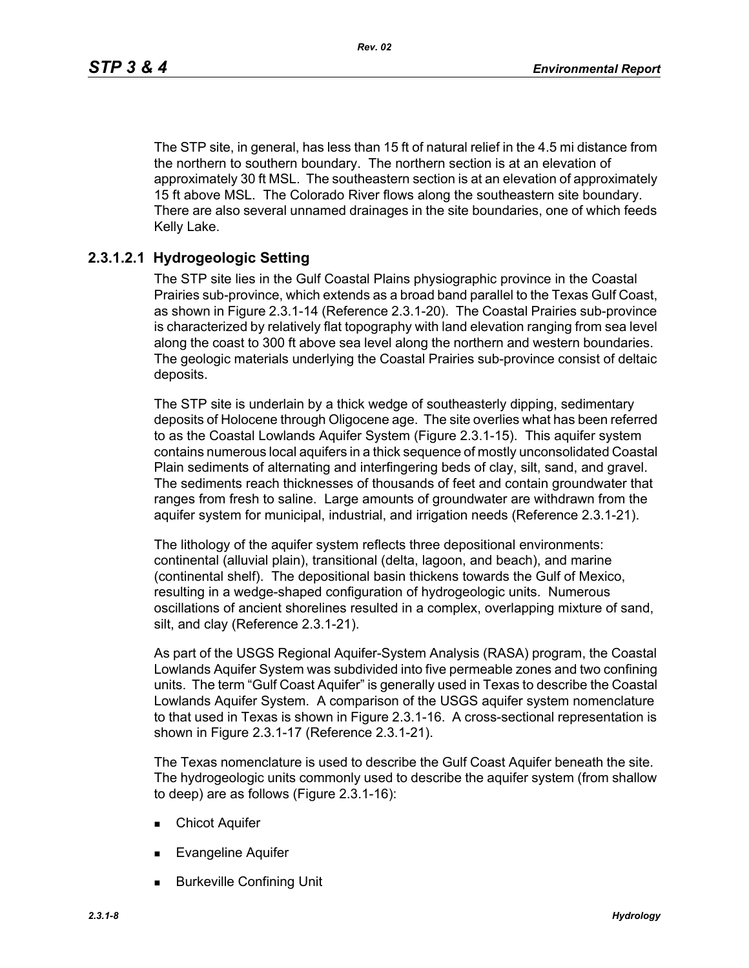The STP site, in general, has less than 15 ft of natural relief in the 4.5 mi distance from the northern to southern boundary. The northern section is at an elevation of approximately 30 ft MSL. The southeastern section is at an elevation of approximately 15 ft above MSL. The Colorado River flows along the southeastern site boundary. There are also several unnamed drainages in the site boundaries, one of which feeds Kelly Lake.

## **2.3.1.2.1 Hydrogeologic Setting**

The STP site lies in the Gulf Coastal Plains physiographic province in the Coastal Prairies sub-province, which extends as a broad band parallel to the Texas Gulf Coast, as shown in Figure 2.3.1-14 (Reference 2.3.1-20). The Coastal Prairies sub-province is characterized by relatively flat topography with land elevation ranging from sea level along the coast to 300 ft above sea level along the northern and western boundaries. The geologic materials underlying the Coastal Prairies sub-province consist of deltaic deposits.

The STP site is underlain by a thick wedge of southeasterly dipping, sedimentary deposits of Holocene through Oligocene age. The site overlies what has been referred to as the Coastal Lowlands Aquifer System (Figure 2.3.1-15). This aquifer system contains numerous local aquifers in a thick sequence of mostly unconsolidated Coastal Plain sediments of alternating and interfingering beds of clay, silt, sand, and gravel. The sediments reach thicknesses of thousands of feet and contain groundwater that ranges from fresh to saline. Large amounts of groundwater are withdrawn from the aquifer system for municipal, industrial, and irrigation needs (Reference 2.3.1-21).

The lithology of the aquifer system reflects three depositional environments: continental (alluvial plain), transitional (delta, lagoon, and beach), and marine (continental shelf). The depositional basin thickens towards the Gulf of Mexico, resulting in a wedge-shaped configuration of hydrogeologic units. Numerous oscillations of ancient shorelines resulted in a complex, overlapping mixture of sand, silt, and clay (Reference 2.3.1-21).

As part of the USGS Regional Aquifer-System Analysis (RASA) program, the Coastal Lowlands Aquifer System was subdivided into five permeable zones and two confining units. The term "Gulf Coast Aquifer" is generally used in Texas to describe the Coastal Lowlands Aquifer System. A comparison of the USGS aquifer system nomenclature to that used in Texas is shown in Figure 2.3.1-16. A cross-sectional representation is shown in Figure 2.3.1-17 (Reference 2.3.1-21).

The Texas nomenclature is used to describe the Gulf Coast Aquifer beneath the site. The hydrogeologic units commonly used to describe the aquifer system (from shallow to deep) are as follows (Figure 2.3.1-16):

- **Exercise Chicot Aquifer**
- **Evangeline Aquifer**
- Burkeville Confining Unit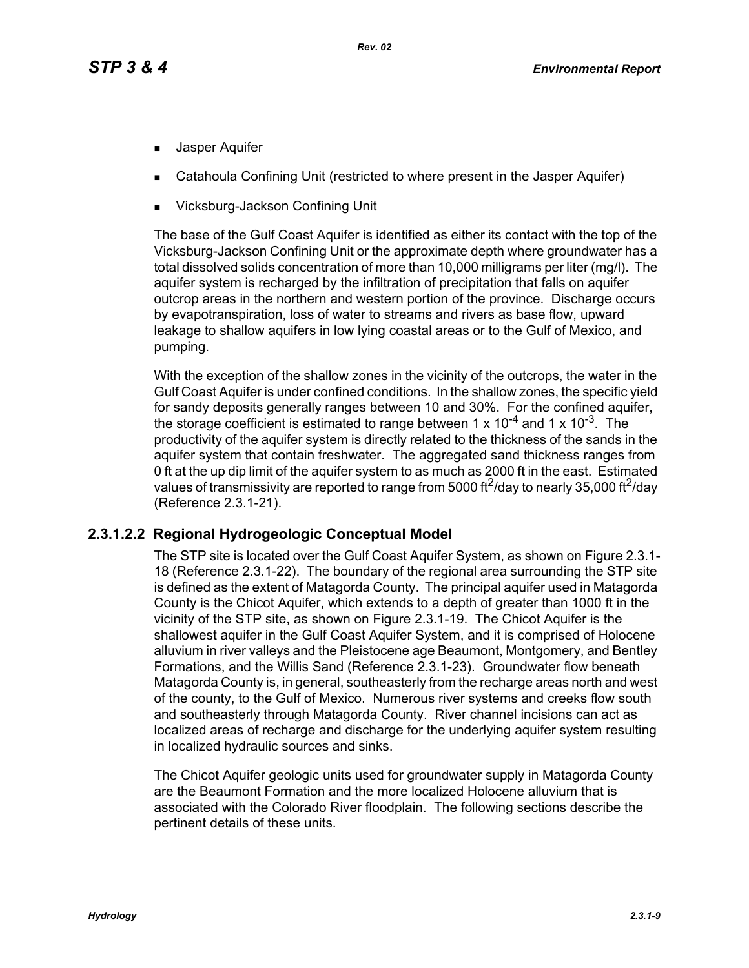- **Jasper Aquifer**
- Catahoula Confining Unit (restricted to where present in the Jasper Aquifer)
- Vicksburg-Jackson Confining Unit

The base of the Gulf Coast Aquifer is identified as either its contact with the top of the Vicksburg-Jackson Confining Unit or the approximate depth where groundwater has a total dissolved solids concentration of more than 10,000 milligrams per liter (mg/l). The aquifer system is recharged by the infiltration of precipitation that falls on aquifer outcrop areas in the northern and western portion of the province. Discharge occurs by evapotranspiration, loss of water to streams and rivers as base flow, upward leakage to shallow aquifers in low lying coastal areas or to the Gulf of Mexico, and pumping.

With the exception of the shallow zones in the vicinity of the outcrops, the water in the Gulf Coast Aquifer is under confined conditions. In the shallow zones, the specific yield for sandy deposits generally ranges between 10 and 30%. For the confined aquifer, the storage coefficient is estimated to range between 1 x  $10^{-4}$  and 1 x  $10^{-3}$ . The productivity of the aquifer system is directly related to the thickness of the sands in the aquifer system that contain freshwater. The aggregated sand thickness ranges from 0 ft at the up dip limit of the aquifer system to as much as 2000 ft in the east. Estimated values of transmissivity are reported to range from 5000 ft<sup>2</sup>/day to nearly 35,000 ft<sup>2</sup>/day (Reference 2.3.1-21).

## **2.3.1.2.2 Regional Hydrogeologic Conceptual Model**

The STP site is located over the Gulf Coast Aquifer System, as shown on Figure 2.3.1- 18 (Reference 2.3.1-22). The boundary of the regional area surrounding the STP site is defined as the extent of Matagorda County. The principal aquifer used in Matagorda County is the Chicot Aquifer, which extends to a depth of greater than 1000 ft in the vicinity of the STP site, as shown on Figure 2.3.1-19. The Chicot Aquifer is the shallowest aquifer in the Gulf Coast Aquifer System, and it is comprised of Holocene alluvium in river valleys and the Pleistocene age Beaumont, Montgomery, and Bentley Formations, and the Willis Sand (Reference 2.3.1-23). Groundwater flow beneath Matagorda County is, in general, southeasterly from the recharge areas north and west of the county, to the Gulf of Mexico. Numerous river systems and creeks flow south and southeasterly through Matagorda County. River channel incisions can act as localized areas of recharge and discharge for the underlying aquifer system resulting in localized hydraulic sources and sinks.

The Chicot Aquifer geologic units used for groundwater supply in Matagorda County are the Beaumont Formation and the more localized Holocene alluvium that is associated with the Colorado River floodplain. The following sections describe the pertinent details of these units.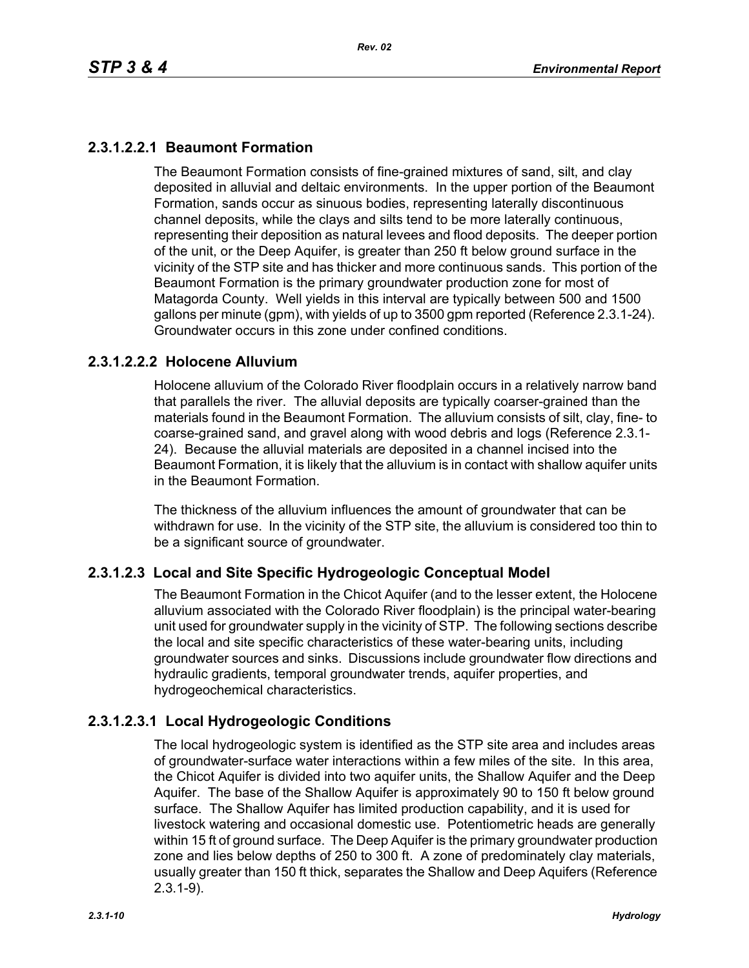# **2.3.1.2.2.1 Beaumont Formation**

The Beaumont Formation consists of fine-grained mixtures of sand, silt, and clay deposited in alluvial and deltaic environments. In the upper portion of the Beaumont Formation, sands occur as sinuous bodies, representing laterally discontinuous channel deposits, while the clays and silts tend to be more laterally continuous, representing their deposition as natural levees and flood deposits. The deeper portion of the unit, or the Deep Aquifer, is greater than 250 ft below ground surface in the vicinity of the STP site and has thicker and more continuous sands. This portion of the Beaumont Formation is the primary groundwater production zone for most of Matagorda County. Well yields in this interval are typically between 500 and 1500 gallons per minute (gpm), with yields of up to 3500 gpm reported (Reference 2.3.1-24). Groundwater occurs in this zone under confined conditions.

## **2.3.1.2.2.2 Holocene Alluvium**

Holocene alluvium of the Colorado River floodplain occurs in a relatively narrow band that parallels the river. The alluvial deposits are typically coarser-grained than the materials found in the Beaumont Formation. The alluvium consists of silt, clay, fine- to coarse-grained sand, and gravel along with wood debris and logs (Reference 2.3.1- 24). Because the alluvial materials are deposited in a channel incised into the Beaumont Formation, it is likely that the alluvium is in contact with shallow aquifer units in the Beaumont Formation.

The thickness of the alluvium influences the amount of groundwater that can be withdrawn for use. In the vicinity of the STP site, the alluvium is considered too thin to be a significant source of groundwater.

## **2.3.1.2.3 Local and Site Specific Hydrogeologic Conceptual Model**

The Beaumont Formation in the Chicot Aquifer (and to the lesser extent, the Holocene alluvium associated with the Colorado River floodplain) is the principal water-bearing unit used for groundwater supply in the vicinity of STP. The following sections describe the local and site specific characteristics of these water-bearing units, including groundwater sources and sinks. Discussions include groundwater flow directions and hydraulic gradients, temporal groundwater trends, aquifer properties, and hydrogeochemical characteristics.

## **2.3.1.2.3.1 Local Hydrogeologic Conditions**

The local hydrogeologic system is identified as the STP site area and includes areas of groundwater-surface water interactions within a few miles of the site. In this area, the Chicot Aquifer is divided into two aquifer units, the Shallow Aquifer and the Deep Aquifer. The base of the Shallow Aquifer is approximately 90 to 150 ft below ground surface. The Shallow Aquifer has limited production capability, and it is used for livestock watering and occasional domestic use. Potentiometric heads are generally within 15 ft of ground surface. The Deep Aquifer is the primary groundwater production zone and lies below depths of 250 to 300 ft. A zone of predominately clay materials, usually greater than 150 ft thick, separates the Shallow and Deep Aquifers (Reference 2.3.1-9).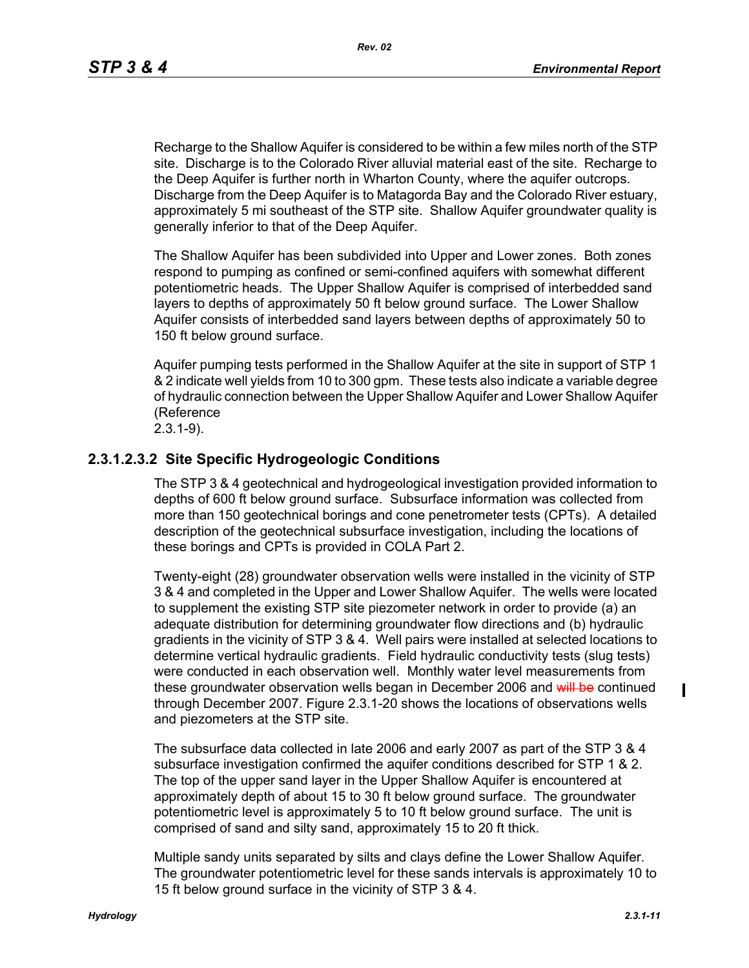*Rev. 02*

Recharge to the Shallow Aquifer is considered to be within a few miles north of the STP site. Discharge is to the Colorado River alluvial material east of the site. Recharge to the Deep Aquifer is further north in Wharton County, where the aquifer outcrops. Discharge from the Deep Aquifer is to Matagorda Bay and the Colorado River estuary, approximately 5 mi southeast of the STP site. Shallow Aquifer groundwater quality is generally inferior to that of the Deep Aquifer.

The Shallow Aquifer has been subdivided into Upper and Lower zones. Both zones respond to pumping as confined or semi-confined aquifers with somewhat different potentiometric heads. The Upper Shallow Aquifer is comprised of interbedded sand layers to depths of approximately 50 ft below ground surface. The Lower Shallow Aquifer consists of interbedded sand layers between depths of approximately 50 to 150 ft below ground surface.

Aquifer pumping tests performed in the Shallow Aquifer at the site in support of STP 1 & 2 indicate well yields from 10 to 300 gpm. These tests also indicate a variable degree of hydraulic connection between the Upper Shallow Aquifer and Lower Shallow Aquifer (Reference

2.3.1-9).

## **2.3.1.2.3.2 Site Specific Hydrogeologic Conditions**

The STP 3 & 4 geotechnical and hydrogeological investigation provided information to depths of 600 ft below ground surface. Subsurface information was collected from more than 150 geotechnical borings and cone penetrometer tests (CPTs). A detailed description of the geotechnical subsurface investigation, including the locations of these borings and CPTs is provided in COLA Part 2.

Twenty-eight (28) groundwater observation wells were installed in the vicinity of STP 3 & 4 and completed in the Upper and Lower Shallow Aquifer. The wells were located to supplement the existing STP site piezometer network in order to provide (a) an adequate distribution for determining groundwater flow directions and (b) hydraulic gradients in the vicinity of STP 3 & 4. Well pairs were installed at selected locations to determine vertical hydraulic gradients. Field hydraulic conductivity tests (slug tests) were conducted in each observation well. Monthly water level measurements from these groundwater observation wells began in December 2006 and will be continued through December 2007. Figure 2.3.1-20 shows the locations of observations wells and piezometers at the STP site.

The subsurface data collected in late 2006 and early 2007 as part of the STP 3 & 4 subsurface investigation confirmed the aquifer conditions described for STP 1 & 2. The top of the upper sand layer in the Upper Shallow Aquifer is encountered at approximately depth of about 15 to 30 ft below ground surface. The groundwater potentiometric level is approximately 5 to 10 ft below ground surface. The unit is comprised of sand and silty sand, approximately 15 to 20 ft thick.

Multiple sandy units separated by silts and clays define the Lower Shallow Aquifer. The groundwater potentiometric level for these sands intervals is approximately 10 to 15 ft below ground surface in the vicinity of STP 3 & 4.

П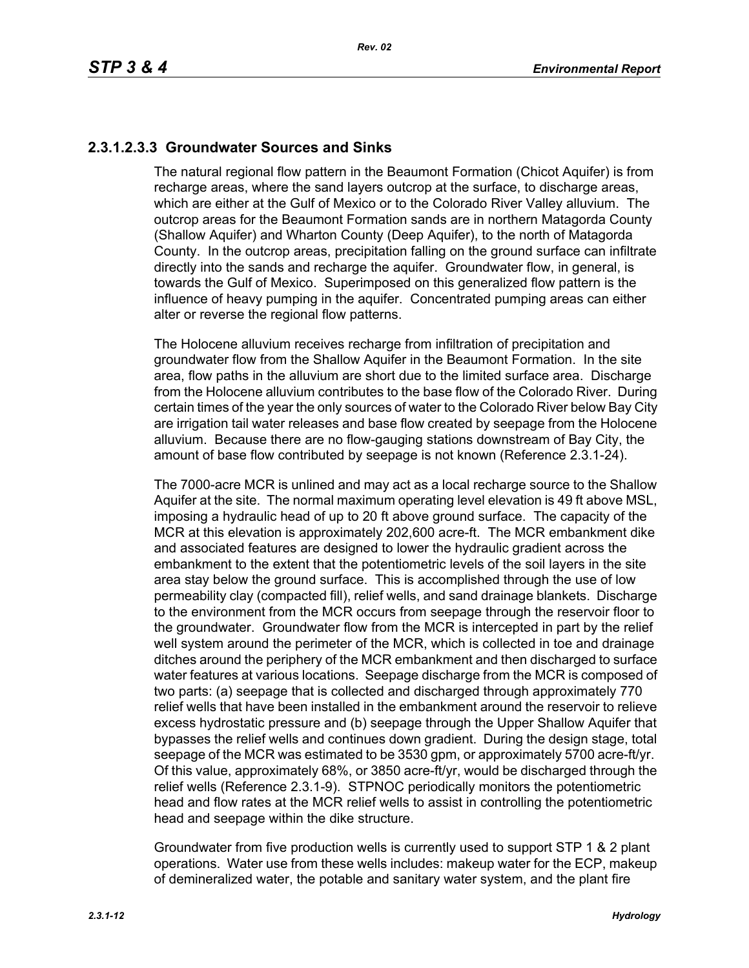# **2.3.1.2.3.3 Groundwater Sources and Sinks**

The natural regional flow pattern in the Beaumont Formation (Chicot Aquifer) is from recharge areas, where the sand layers outcrop at the surface, to discharge areas, which are either at the Gulf of Mexico or to the Colorado River Valley alluvium. The outcrop areas for the Beaumont Formation sands are in northern Matagorda County (Shallow Aquifer) and Wharton County (Deep Aquifer), to the north of Matagorda County. In the outcrop areas, precipitation falling on the ground surface can infiltrate directly into the sands and recharge the aquifer. Groundwater flow, in general, is towards the Gulf of Mexico. Superimposed on this generalized flow pattern is the influence of heavy pumping in the aquifer. Concentrated pumping areas can either alter or reverse the regional flow patterns.

The Holocene alluvium receives recharge from infiltration of precipitation and groundwater flow from the Shallow Aquifer in the Beaumont Formation. In the site area, flow paths in the alluvium are short due to the limited surface area. Discharge from the Holocene alluvium contributes to the base flow of the Colorado River. During certain times of the year the only sources of water to the Colorado River below Bay City are irrigation tail water releases and base flow created by seepage from the Holocene alluvium. Because there are no flow-gauging stations downstream of Bay City, the amount of base flow contributed by seepage is not known (Reference 2.3.1-24).

The 7000-acre MCR is unlined and may act as a local recharge source to the Shallow Aquifer at the site. The normal maximum operating level elevation is 49 ft above MSL, imposing a hydraulic head of up to 20 ft above ground surface. The capacity of the MCR at this elevation is approximately 202,600 acre-ft. The MCR embankment dike and associated features are designed to lower the hydraulic gradient across the embankment to the extent that the potentiometric levels of the soil layers in the site area stay below the ground surface. This is accomplished through the use of low permeability clay (compacted fill), relief wells, and sand drainage blankets. Discharge to the environment from the MCR occurs from seepage through the reservoir floor to the groundwater. Groundwater flow from the MCR is intercepted in part by the relief well system around the perimeter of the MCR, which is collected in toe and drainage ditches around the periphery of the MCR embankment and then discharged to surface water features at various locations. Seepage discharge from the MCR is composed of two parts: (a) seepage that is collected and discharged through approximately 770 relief wells that have been installed in the embankment around the reservoir to relieve excess hydrostatic pressure and (b) seepage through the Upper Shallow Aquifer that bypasses the relief wells and continues down gradient. During the design stage, total seepage of the MCR was estimated to be 3530 gpm, or approximately 5700 acre-ft/yr. Of this value, approximately 68%, or 3850 acre-ft/yr, would be discharged through the relief wells (Reference 2.3.1-9). STPNOC periodically monitors the potentiometric head and flow rates at the MCR relief wells to assist in controlling the potentiometric head and seepage within the dike structure.

Groundwater from five production wells is currently used to support STP 1 & 2 plant operations. Water use from these wells includes: makeup water for the ECP, makeup of demineralized water, the potable and sanitary water system, and the plant fire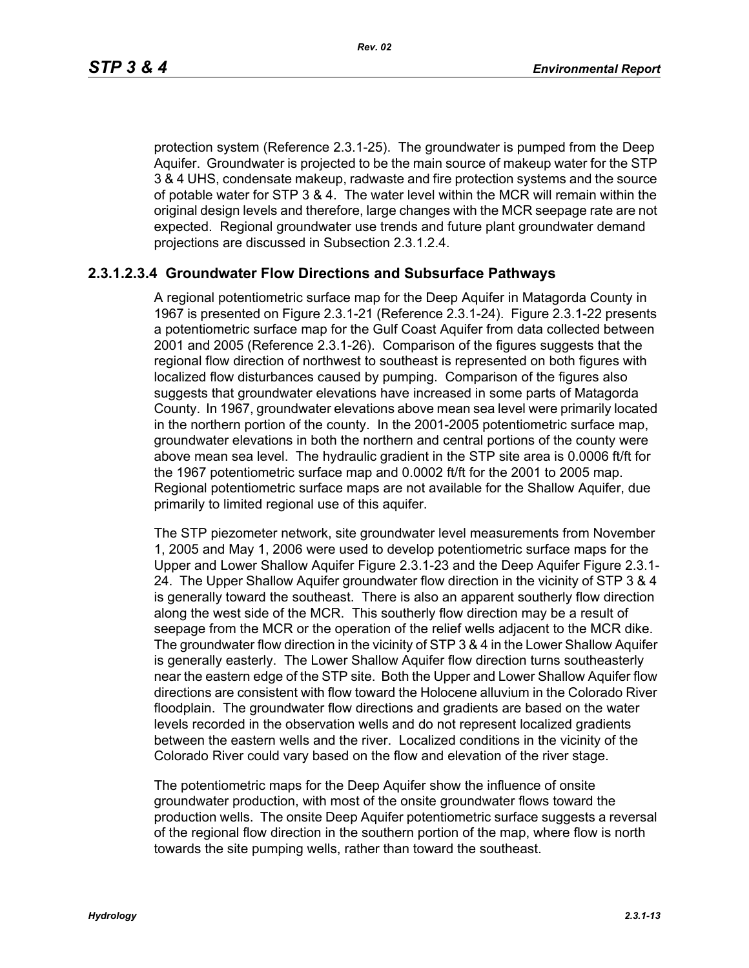protection system (Reference 2.3.1-25). The groundwater is pumped from the Deep Aquifer. Groundwater is projected to be the main source of makeup water for the STP 3 & 4 UHS, condensate makeup, radwaste and fire protection systems and the source of potable water for STP 3 & 4. The water level within the MCR will remain within the original design levels and therefore, large changes with the MCR seepage rate are not expected. Regional groundwater use trends and future plant groundwater demand projections are discussed in Subsection 2.3.1.2.4.

## **2.3.1.2.3.4 Groundwater Flow Directions and Subsurface Pathways**

A regional potentiometric surface map for the Deep Aquifer in Matagorda County in 1967 is presented on Figure 2.3.1-21 (Reference 2.3.1-24). Figure 2.3.1-22 presents a potentiometric surface map for the Gulf Coast Aquifer from data collected between 2001 and 2005 (Reference 2.3.1-26). Comparison of the figures suggests that the regional flow direction of northwest to southeast is represented on both figures with localized flow disturbances caused by pumping. Comparison of the figures also suggests that groundwater elevations have increased in some parts of Matagorda County. In 1967, groundwater elevations above mean sea level were primarily located in the northern portion of the county. In the 2001-2005 potentiometric surface map, groundwater elevations in both the northern and central portions of the county were above mean sea level. The hydraulic gradient in the STP site area is 0.0006 ft/ft for the 1967 potentiometric surface map and 0.0002 ft/ft for the 2001 to 2005 map. Regional potentiometric surface maps are not available for the Shallow Aquifer, due primarily to limited regional use of this aquifer.

The STP piezometer network, site groundwater level measurements from November 1, 2005 and May 1, 2006 were used to develop potentiometric surface maps for the Upper and Lower Shallow Aquifer Figure 2.3.1-23 and the Deep Aquifer Figure 2.3.1- 24. The Upper Shallow Aquifer groundwater flow direction in the vicinity of STP 3 & 4 is generally toward the southeast. There is also an apparent southerly flow direction along the west side of the MCR. This southerly flow direction may be a result of seepage from the MCR or the operation of the relief wells adjacent to the MCR dike. The groundwater flow direction in the vicinity of STP 3 & 4 in the Lower Shallow Aquifer is generally easterly. The Lower Shallow Aquifer flow direction turns southeasterly near the eastern edge of the STP site. Both the Upper and Lower Shallow Aquifer flow directions are consistent with flow toward the Holocene alluvium in the Colorado River floodplain. The groundwater flow directions and gradients are based on the water levels recorded in the observation wells and do not represent localized gradients between the eastern wells and the river. Localized conditions in the vicinity of the Colorado River could vary based on the flow and elevation of the river stage.

The potentiometric maps for the Deep Aquifer show the influence of onsite groundwater production, with most of the onsite groundwater flows toward the production wells. The onsite Deep Aquifer potentiometric surface suggests a reversal of the regional flow direction in the southern portion of the map, where flow is north towards the site pumping wells, rather than toward the southeast.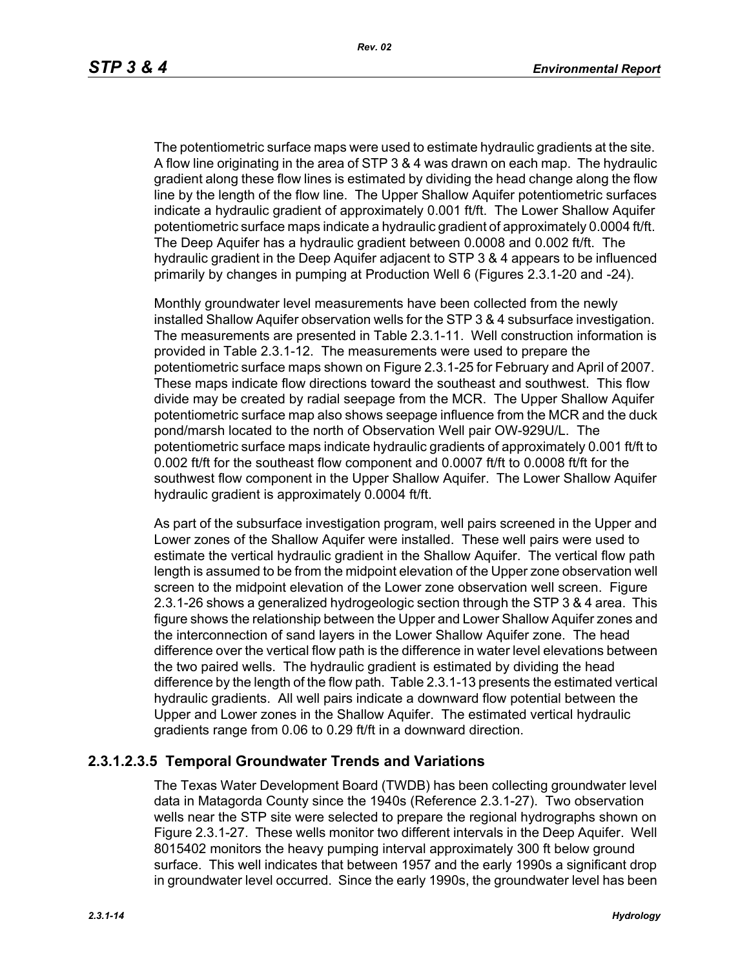The potentiometric surface maps were used to estimate hydraulic gradients at the site. A flow line originating in the area of STP 3 & 4 was drawn on each map. The hydraulic gradient along these flow lines is estimated by dividing the head change along the flow line by the length of the flow line. The Upper Shallow Aquifer potentiometric surfaces indicate a hydraulic gradient of approximately 0.001 ft/ft. The Lower Shallow Aquifer potentiometric surface maps indicate a hydraulic gradient of approximately 0.0004 ft/ft. The Deep Aquifer has a hydraulic gradient between 0.0008 and 0.002 ft/ft. The hydraulic gradient in the Deep Aquifer adjacent to STP 3 & 4 appears to be influenced primarily by changes in pumping at Production Well 6 (Figures 2.3.1-20 and -24).

Monthly groundwater level measurements have been collected from the newly installed Shallow Aquifer observation wells for the STP 3 & 4 subsurface investigation. The measurements are presented in Table 2.3.1-11. Well construction information is provided in Table 2.3.1-12. The measurements were used to prepare the potentiometric surface maps shown on Figure 2.3.1-25 for February and April of 2007. These maps indicate flow directions toward the southeast and southwest. This flow divide may be created by radial seepage from the MCR. The Upper Shallow Aquifer potentiometric surface map also shows seepage influence from the MCR and the duck pond/marsh located to the north of Observation Well pair OW-929U/L. The potentiometric surface maps indicate hydraulic gradients of approximately 0.001 ft/ft to 0.002 ft/ft for the southeast flow component and 0.0007 ft/ft to 0.0008 ft/ft for the southwest flow component in the Upper Shallow Aquifer. The Lower Shallow Aquifer hydraulic gradient is approximately 0.0004 ft/ft.

As part of the subsurface investigation program, well pairs screened in the Upper and Lower zones of the Shallow Aquifer were installed. These well pairs were used to estimate the vertical hydraulic gradient in the Shallow Aquifer. The vertical flow path length is assumed to be from the midpoint elevation of the Upper zone observation well screen to the midpoint elevation of the Lower zone observation well screen. Figure 2.3.1-26 shows a generalized hydrogeologic section through the STP 3 & 4 area. This figure shows the relationship between the Upper and Lower Shallow Aquifer zones and the interconnection of sand layers in the Lower Shallow Aquifer zone. The head difference over the vertical flow path is the difference in water level elevations between the two paired wells. The hydraulic gradient is estimated by dividing the head difference by the length of the flow path. Table 2.3.1-13 presents the estimated vertical hydraulic gradients. All well pairs indicate a downward flow potential between the Upper and Lower zones in the Shallow Aquifer. The estimated vertical hydraulic gradients range from 0.06 to 0.29 ft/ft in a downward direction.

## **2.3.1.2.3.5 Temporal Groundwater Trends and Variations**

The Texas Water Development Board (TWDB) has been collecting groundwater level data in Matagorda County since the 1940s (Reference 2.3.1-27). Two observation wells near the STP site were selected to prepare the regional hydrographs shown on Figure 2.3.1-27. These wells monitor two different intervals in the Deep Aquifer. Well 8015402 monitors the heavy pumping interval approximately 300 ft below ground surface. This well indicates that between 1957 and the early 1990s a significant drop in groundwater level occurred. Since the early 1990s, the groundwater level has been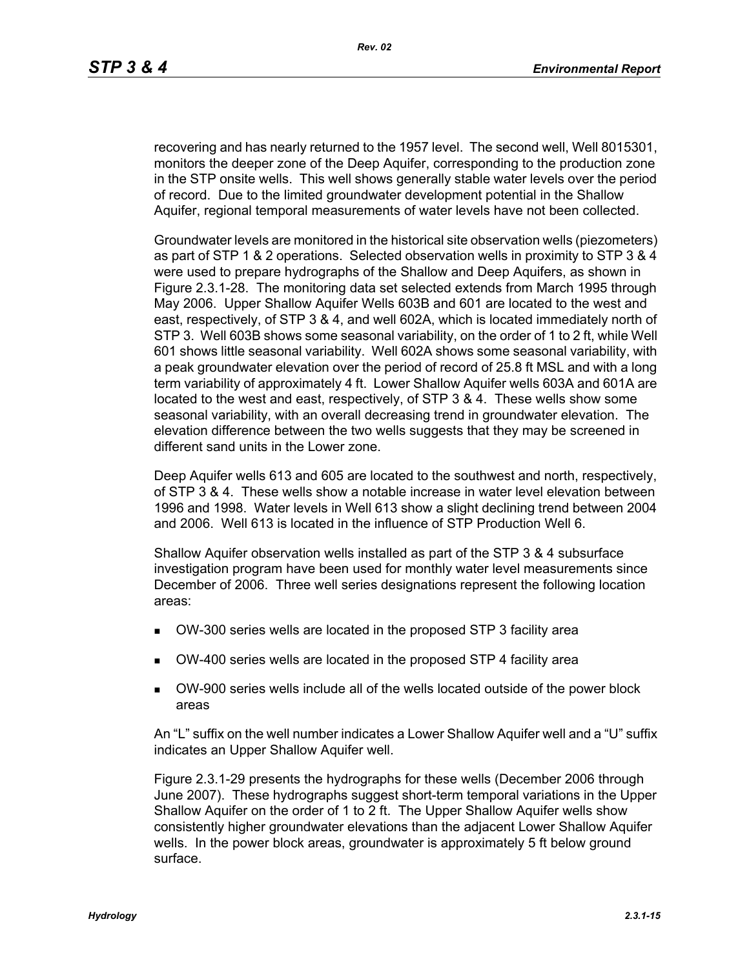recovering and has nearly returned to the 1957 level. The second well, Well 8015301, monitors the deeper zone of the Deep Aquifer, corresponding to the production zone in the STP onsite wells. This well shows generally stable water levels over the period of record. Due to the limited groundwater development potential in the Shallow Aquifer, regional temporal measurements of water levels have not been collected.

Groundwater levels are monitored in the historical site observation wells (piezometers) as part of STP 1 & 2 operations. Selected observation wells in proximity to STP 3 & 4 were used to prepare hydrographs of the Shallow and Deep Aquifers, as shown in Figure 2.3.1-28. The monitoring data set selected extends from March 1995 through May 2006. Upper Shallow Aquifer Wells 603B and 601 are located to the west and east, respectively, of STP 3 & 4, and well 602A, which is located immediately north of STP 3. Well 603B shows some seasonal variability, on the order of 1 to 2 ft, while Well 601 shows little seasonal variability. Well 602A shows some seasonal variability, with a peak groundwater elevation over the period of record of 25.8 ft MSL and with a long term variability of approximately 4 ft. Lower Shallow Aquifer wells 603A and 601A are located to the west and east, respectively, of STP 3 & 4. These wells show some seasonal variability, with an overall decreasing trend in groundwater elevation. The elevation difference between the two wells suggests that they may be screened in different sand units in the Lower zone.

Deep Aquifer wells 613 and 605 are located to the southwest and north, respectively, of STP 3 & 4. These wells show a notable increase in water level elevation between 1996 and 1998. Water levels in Well 613 show a slight declining trend between 2004 and 2006. Well 613 is located in the influence of STP Production Well 6.

Shallow Aquifer observation wells installed as part of the STP 3 & 4 subsurface investigation program have been used for monthly water level measurements since December of 2006. Three well series designations represent the following location areas:

- OW-300 series wells are located in the proposed STP 3 facility area
- OW-400 series wells are located in the proposed STP 4 facility area
- OW-900 series wells include all of the wells located outside of the power block areas

An "L" suffix on the well number indicates a Lower Shallow Aquifer well and a "U" suffix indicates an Upper Shallow Aquifer well.

Figure 2.3.1-29 presents the hydrographs for these wells (December 2006 through June 2007). These hydrographs suggest short-term temporal variations in the Upper Shallow Aquifer on the order of 1 to 2 ft. The Upper Shallow Aquifer wells show consistently higher groundwater elevations than the adjacent Lower Shallow Aquifer wells. In the power block areas, groundwater is approximately 5 ft below ground surface.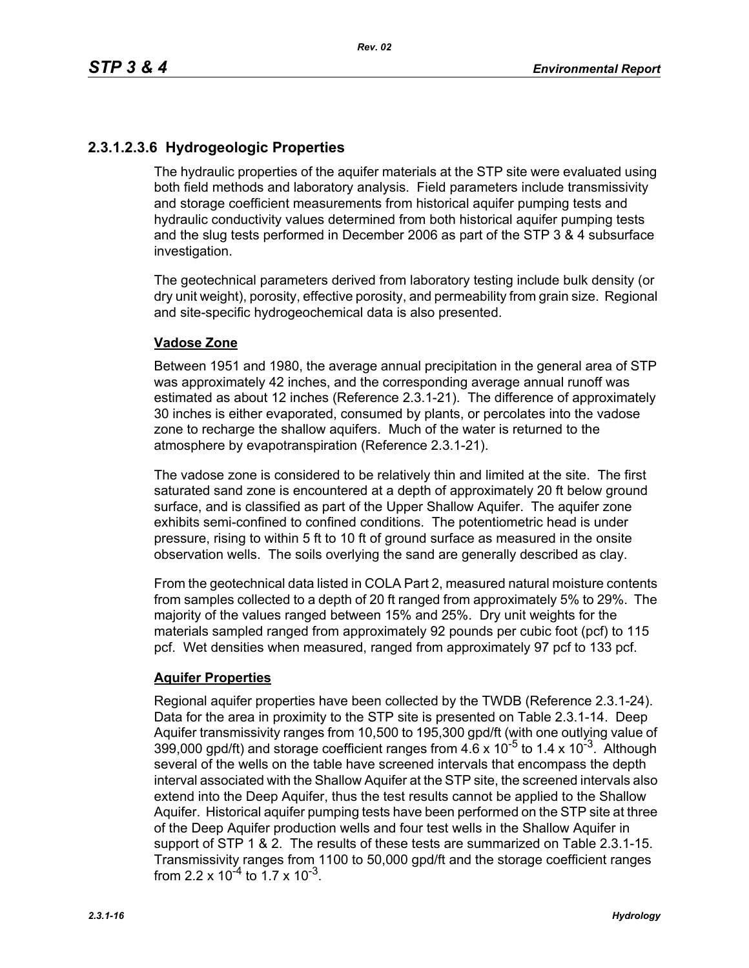# **2.3.1.2.3.6 Hydrogeologic Properties**

The hydraulic properties of the aquifer materials at the STP site were evaluated using both field methods and laboratory analysis. Field parameters include transmissivity and storage coefficient measurements from historical aquifer pumping tests and hydraulic conductivity values determined from both historical aquifer pumping tests and the slug tests performed in December 2006 as part of the STP 3 & 4 subsurface investigation.

The geotechnical parameters derived from laboratory testing include bulk density (or dry unit weight), porosity, effective porosity, and permeability from grain size. Regional and site-specific hydrogeochemical data is also presented.

### **Vadose Zone**

Between 1951 and 1980, the average annual precipitation in the general area of STP was approximately 42 inches, and the corresponding average annual runoff was estimated as about 12 inches (Reference 2.3.1-21). The difference of approximately 30 inches is either evaporated, consumed by plants, or percolates into the vadose zone to recharge the shallow aquifers. Much of the water is returned to the atmosphere by evapotranspiration (Reference 2.3.1-21).

The vadose zone is considered to be relatively thin and limited at the site. The first saturated sand zone is encountered at a depth of approximately 20 ft below ground surface, and is classified as part of the Upper Shallow Aquifer. The aquifer zone exhibits semi-confined to confined conditions. The potentiometric head is under pressure, rising to within 5 ft to 10 ft of ground surface as measured in the onsite observation wells. The soils overlying the sand are generally described as clay.

From the geotechnical data listed in COLA Part 2, measured natural moisture contents from samples collected to a depth of 20 ft ranged from approximately 5% to 29%. The majority of the values ranged between 15% and 25%. Dry unit weights for the materials sampled ranged from approximately 92 pounds per cubic foot (pcf) to 115 pcf. Wet densities when measured, ranged from approximately 97 pcf to 133 pcf.

## **Aquifer Properties**

Regional aquifer properties have been collected by the TWDB (Reference 2.3.1-24). Data for the area in proximity to the STP site is presented on Table 2.3.1-14. Deep Aquifer transmissivity ranges from 10,500 to 195,300 gpd/ft (with one outlying value of 399,000 gpd/ft) and storage coefficient ranges from  $4.6 \times 10^{-5}$  to 1.4 x 10<sup>-3</sup>. Although several of the wells on the table have screened intervals that encompass the depth interval associated with the Shallow Aquifer at the STP site, the screened intervals also extend into the Deep Aquifer, thus the test results cannot be applied to the Shallow Aquifer. Historical aquifer pumping tests have been performed on the STP site at three of the Deep Aquifer production wells and four test wells in the Shallow Aquifer in support of STP 1 & 2. The results of these tests are summarized on Table 2.3.1-15. Transmissivity ranges from 1100 to 50,000 gpd/ft and the storage coefficient ranges from 2.2 x  $10^{-4}$  to 1.7 x  $10^{-3}$ .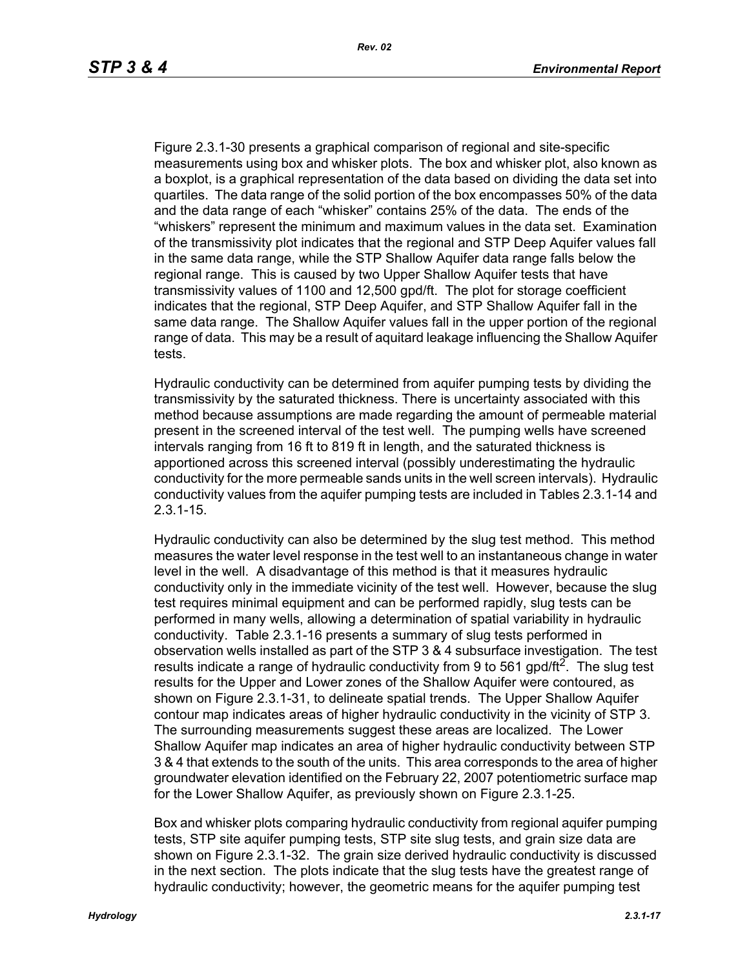Figure 2.3.1-30 presents a graphical comparison of regional and site-specific measurements using box and whisker plots. The box and whisker plot, also known as a boxplot, is a graphical representation of the data based on dividing the data set into quartiles. The data range of the solid portion of the box encompasses 50% of the data and the data range of each "whisker" contains 25% of the data. The ends of the "whiskers" represent the minimum and maximum values in the data set. Examination of the transmissivity plot indicates that the regional and STP Deep Aquifer values fall in the same data range, while the STP Shallow Aquifer data range falls below the regional range. This is caused by two Upper Shallow Aquifer tests that have transmissivity values of 1100 and 12,500 gpd/ft. The plot for storage coefficient indicates that the regional, STP Deep Aquifer, and STP Shallow Aquifer fall in the same data range. The Shallow Aquifer values fall in the upper portion of the regional range of data. This may be a result of aquitard leakage influencing the Shallow Aquifer tests.

Hydraulic conductivity can be determined from aquifer pumping tests by dividing the transmissivity by the saturated thickness. There is uncertainty associated with this method because assumptions are made regarding the amount of permeable material present in the screened interval of the test well. The pumping wells have screened intervals ranging from 16 ft to 819 ft in length, and the saturated thickness is apportioned across this screened interval (possibly underestimating the hydraulic conductivity for the more permeable sands units in the well screen intervals). Hydraulic conductivity values from the aquifer pumping tests are included in Tables 2.3.1-14 and 2.3.1-15.

Hydraulic conductivity can also be determined by the slug test method. This method measures the water level response in the test well to an instantaneous change in water level in the well. A disadvantage of this method is that it measures hydraulic conductivity only in the immediate vicinity of the test well. However, because the slug test requires minimal equipment and can be performed rapidly, slug tests can be performed in many wells, allowing a determination of spatial variability in hydraulic conductivity. Table 2.3.1-16 presents a summary of slug tests performed in observation wells installed as part of the STP 3 & 4 subsurface investigation. The test results indicate a range of hydraulic conductivity from 9 to 561 gpd/ft<sup>2</sup>. The slug test results for the Upper and Lower zones of the Shallow Aquifer were contoured, as shown on Figure 2.3.1-31, to delineate spatial trends. The Upper Shallow Aquifer contour map indicates areas of higher hydraulic conductivity in the vicinity of STP 3. The surrounding measurements suggest these areas are localized. The Lower Shallow Aquifer map indicates an area of higher hydraulic conductivity between STP 3 & 4 that extends to the south of the units. This area corresponds to the area of higher groundwater elevation identified on the February 22, 2007 potentiometric surface map for the Lower Shallow Aquifer, as previously shown on Figure 2.3.1-25.

Box and whisker plots comparing hydraulic conductivity from regional aquifer pumping tests, STP site aquifer pumping tests, STP site slug tests, and grain size data are shown on Figure 2.3.1-32. The grain size derived hydraulic conductivity is discussed in the next section. The plots indicate that the slug tests have the greatest range of hydraulic conductivity; however, the geometric means for the aquifer pumping test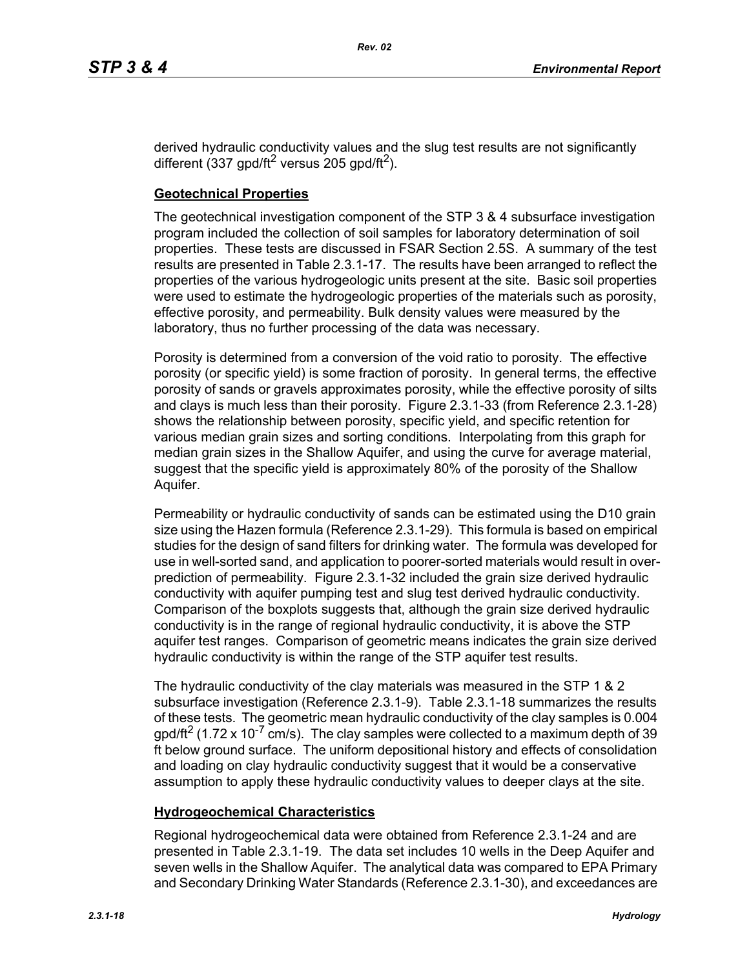derived hydraulic conductivity values and the slug test results are not significantly different (337 gpd/ft<sup>2</sup> versus 205 gpd/ft<sup>2</sup>).

## **Geotechnical Properties**

The geotechnical investigation component of the STP 3 & 4 subsurface investigation program included the collection of soil samples for laboratory determination of soil properties. These tests are discussed in FSAR Section 2.5S. A summary of the test results are presented in Table 2.3.1-17. The results have been arranged to reflect the properties of the various hydrogeologic units present at the site. Basic soil properties were used to estimate the hydrogeologic properties of the materials such as porosity, effective porosity, and permeability. Bulk density values were measured by the laboratory, thus no further processing of the data was necessary.

Porosity is determined from a conversion of the void ratio to porosity. The effective porosity (or specific yield) is some fraction of porosity. In general terms, the effective porosity of sands or gravels approximates porosity, while the effective porosity of silts and clays is much less than their porosity. Figure 2.3.1-33 (from Reference 2.3.1-28) shows the relationship between porosity, specific yield, and specific retention for various median grain sizes and sorting conditions. Interpolating from this graph for median grain sizes in the Shallow Aquifer, and using the curve for average material, suggest that the specific yield is approximately 80% of the porosity of the Shallow Aquifer.

Permeability or hydraulic conductivity of sands can be estimated using the D10 grain size using the Hazen formula (Reference 2.3.1-29). This formula is based on empirical studies for the design of sand filters for drinking water. The formula was developed for use in well-sorted sand, and application to poorer-sorted materials would result in overprediction of permeability. Figure 2.3.1-32 included the grain size derived hydraulic conductivity with aquifer pumping test and slug test derived hydraulic conductivity. Comparison of the boxplots suggests that, although the grain size derived hydraulic conductivity is in the range of regional hydraulic conductivity, it is above the STP aquifer test ranges. Comparison of geometric means indicates the grain size derived hydraulic conductivity is within the range of the STP aquifer test results.

The hydraulic conductivity of the clay materials was measured in the STP 1 & 2 subsurface investigation (Reference 2.3.1-9). Table 2.3.1-18 summarizes the results of these tests. The geometric mean hydraulic conductivity of the clay samples is 0.004  $q$  apd/ft<sup>2</sup> (1.72 x 10<sup>-7</sup> cm/s). The clay samples were collected to a maximum depth of 39 ft below ground surface. The uniform depositional history and effects of consolidation and loading on clay hydraulic conductivity suggest that it would be a conservative assumption to apply these hydraulic conductivity values to deeper clays at the site.

## **Hydrogeochemical Characteristics**

Regional hydrogeochemical data were obtained from Reference 2.3.1-24 and are presented in Table 2.3.1-19. The data set includes 10 wells in the Deep Aquifer and seven wells in the Shallow Aquifer. The analytical data was compared to EPA Primary and Secondary Drinking Water Standards (Reference 2.3.1-30), and exceedances are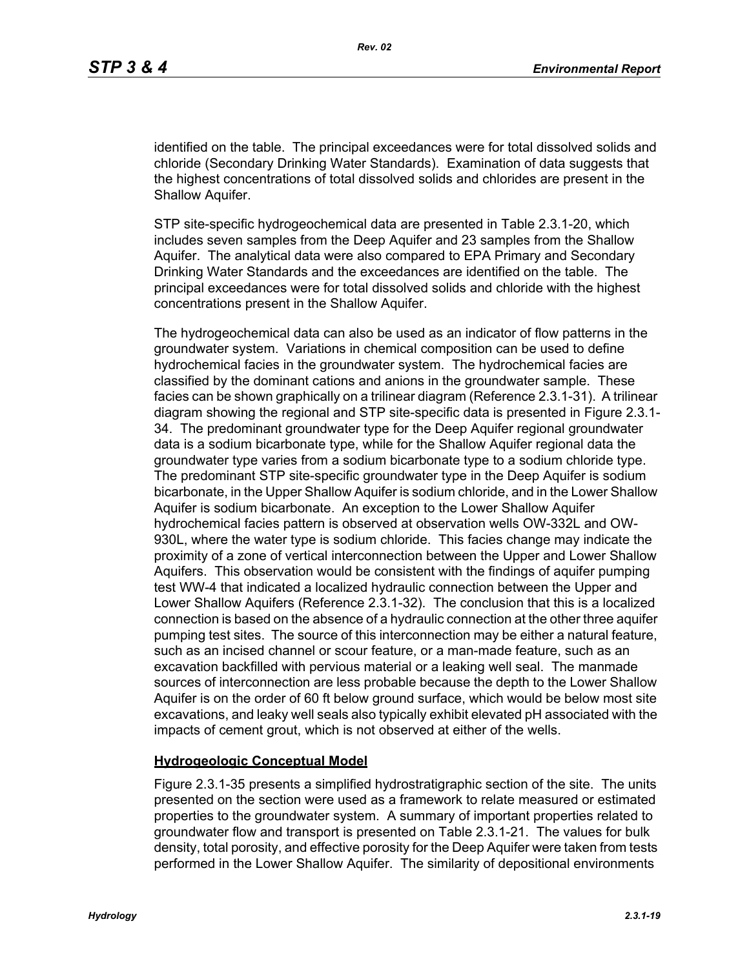identified on the table. The principal exceedances were for total dissolved solids and chloride (Secondary Drinking Water Standards). Examination of data suggests that the highest concentrations of total dissolved solids and chlorides are present in the Shallow Aquifer.

STP site-specific hydrogeochemical data are presented in Table 2.3.1-20, which includes seven samples from the Deep Aquifer and 23 samples from the Shallow Aquifer. The analytical data were also compared to EPA Primary and Secondary Drinking Water Standards and the exceedances are identified on the table. The principal exceedances were for total dissolved solids and chloride with the highest concentrations present in the Shallow Aquifer.

The hydrogeochemical data can also be used as an indicator of flow patterns in the groundwater system. Variations in chemical composition can be used to define hydrochemical facies in the groundwater system. The hydrochemical facies are classified by the dominant cations and anions in the groundwater sample. These facies can be shown graphically on a trilinear diagram (Reference 2.3.1-31). A trilinear diagram showing the regional and STP site-specific data is presented in Figure 2.3.1- 34. The predominant groundwater type for the Deep Aquifer regional groundwater data is a sodium bicarbonate type, while for the Shallow Aquifer regional data the groundwater type varies from a sodium bicarbonate type to a sodium chloride type. The predominant STP site-specific groundwater type in the Deep Aquifer is sodium bicarbonate, in the Upper Shallow Aquifer is sodium chloride, and in the Lower Shallow Aquifer is sodium bicarbonate. An exception to the Lower Shallow Aquifer hydrochemical facies pattern is observed at observation wells OW-332L and OW-930L, where the water type is sodium chloride. This facies change may indicate the proximity of a zone of vertical interconnection between the Upper and Lower Shallow Aquifers. This observation would be consistent with the findings of aquifer pumping test WW-4 that indicated a localized hydraulic connection between the Upper and Lower Shallow Aquifers (Reference 2.3.1-32). The conclusion that this is a localized connection is based on the absence of a hydraulic connection at the other three aquifer pumping test sites. The source of this interconnection may be either a natural feature, such as an incised channel or scour feature, or a man-made feature, such as an excavation backfilled with pervious material or a leaking well seal. The manmade sources of interconnection are less probable because the depth to the Lower Shallow Aquifer is on the order of 60 ft below ground surface, which would be below most site excavations, and leaky well seals also typically exhibit elevated pH associated with the impacts of cement grout, which is not observed at either of the wells.

### **Hydrogeologic Conceptual Model**

Figure 2.3.1-35 presents a simplified hydrostratigraphic section of the site. The units presented on the section were used as a framework to relate measured or estimated properties to the groundwater system. A summary of important properties related to groundwater flow and transport is presented on Table 2.3.1-21. The values for bulk density, total porosity, and effective porosity for the Deep Aquifer were taken from tests performed in the Lower Shallow Aquifer. The similarity of depositional environments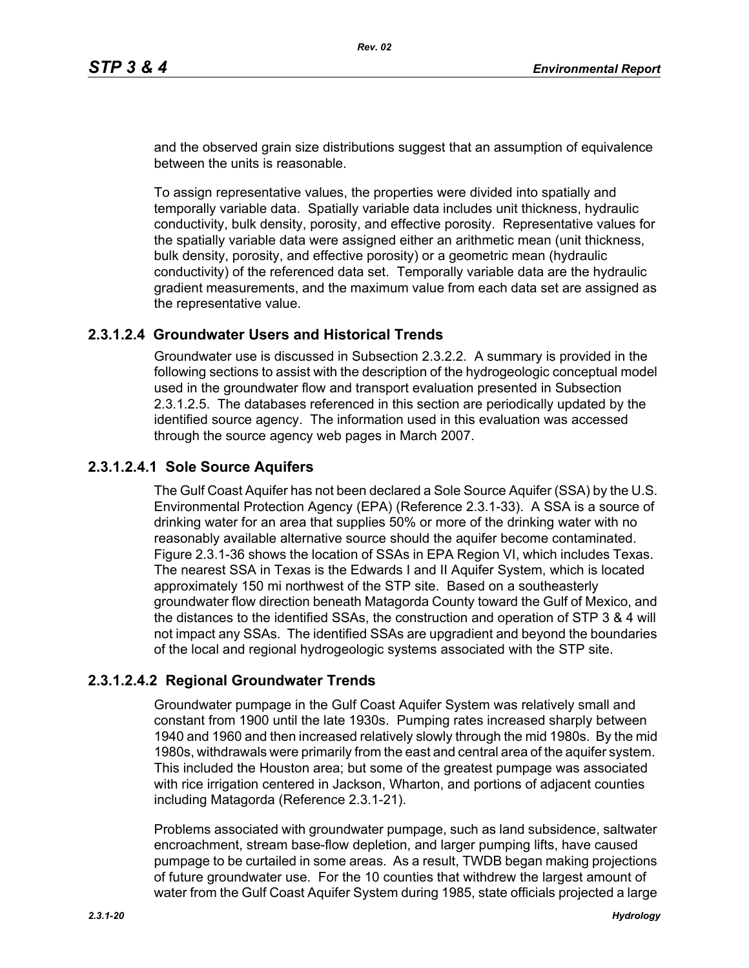and the observed grain size distributions suggest that an assumption of equivalence between the units is reasonable.

To assign representative values, the properties were divided into spatially and temporally variable data. Spatially variable data includes unit thickness, hydraulic conductivity, bulk density, porosity, and effective porosity. Representative values for the spatially variable data were assigned either an arithmetic mean (unit thickness, bulk density, porosity, and effective porosity) or a geometric mean (hydraulic conductivity) of the referenced data set. Temporally variable data are the hydraulic gradient measurements, and the maximum value from each data set are assigned as the representative value.

## **2.3.1.2.4 Groundwater Users and Historical Trends**

Groundwater use is discussed in Subsection 2.3.2.2. A summary is provided in the following sections to assist with the description of the hydrogeologic conceptual model used in the groundwater flow and transport evaluation presented in Subsection 2.3.1.2.5. The databases referenced in this section are periodically updated by the identified source agency. The information used in this evaluation was accessed through the source agency web pages in March 2007.

## **2.3.1.2.4.1 Sole Source Aquifers**

The Gulf Coast Aquifer has not been declared a Sole Source Aquifer (SSA) by the U.S. Environmental Protection Agency (EPA) (Reference 2.3.1-33). A SSA is a source of drinking water for an area that supplies 50% or more of the drinking water with no reasonably available alternative source should the aquifer become contaminated. Figure 2.3.1-36 shows the location of SSAs in EPA Region VI, which includes Texas. The nearest SSA in Texas is the Edwards I and II Aquifer System, which is located approximately 150 mi northwest of the STP site. Based on a southeasterly groundwater flow direction beneath Matagorda County toward the Gulf of Mexico, and the distances to the identified SSAs, the construction and operation of STP 3 & 4 will not impact any SSAs. The identified SSAs are upgradient and beyond the boundaries of the local and regional hydrogeologic systems associated with the STP site.

## **2.3.1.2.4.2 Regional Groundwater Trends**

Groundwater pumpage in the Gulf Coast Aquifer System was relatively small and constant from 1900 until the late 1930s. Pumping rates increased sharply between 1940 and 1960 and then increased relatively slowly through the mid 1980s. By the mid 1980s, withdrawals were primarily from the east and central area of the aquifer system. This included the Houston area; but some of the greatest pumpage was associated with rice irrigation centered in Jackson, Wharton, and portions of adjacent counties including Matagorda (Reference 2.3.1-21).

Problems associated with groundwater pumpage, such as land subsidence, saltwater encroachment, stream base-flow depletion, and larger pumping lifts, have caused pumpage to be curtailed in some areas. As a result, TWDB began making projections of future groundwater use. For the 10 counties that withdrew the largest amount of water from the Gulf Coast Aquifer System during 1985, state officials projected a large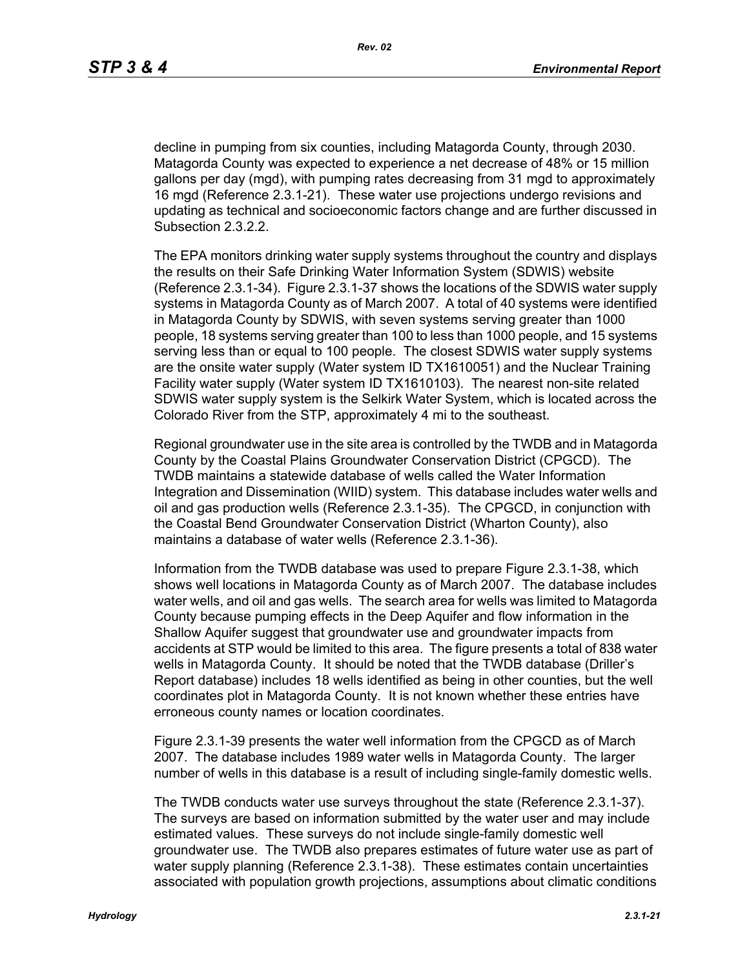decline in pumping from six counties, including Matagorda County, through 2030. Matagorda County was expected to experience a net decrease of 48% or 15 million gallons per day (mgd), with pumping rates decreasing from 31 mgd to approximately 16 mgd (Reference 2.3.1-21). These water use projections undergo revisions and updating as technical and socioeconomic factors change and are further discussed in Subsection 2.3.2.2.

The EPA monitors drinking water supply systems throughout the country and displays the results on their Safe Drinking Water Information System (SDWIS) website (Reference 2.3.1-34). Figure 2.3.1-37 shows the locations of the SDWIS water supply systems in Matagorda County as of March 2007. A total of 40 systems were identified in Matagorda County by SDWIS, with seven systems serving greater than 1000 people, 18 systems serving greater than 100 to less than 1000 people, and 15 systems serving less than or equal to 100 people. The closest SDWIS water supply systems are the onsite water supply (Water system ID TX1610051) and the Nuclear Training Facility water supply (Water system ID TX1610103). The nearest non-site related SDWIS water supply system is the Selkirk Water System, which is located across the Colorado River from the STP, approximately 4 mi to the southeast.

Regional groundwater use in the site area is controlled by the TWDB and in Matagorda County by the Coastal Plains Groundwater Conservation District (CPGCD). The TWDB maintains a statewide database of wells called the Water Information Integration and Dissemination (WIID) system. This database includes water wells and oil and gas production wells (Reference 2.3.1-35). The CPGCD, in conjunction with the Coastal Bend Groundwater Conservation District (Wharton County), also maintains a database of water wells (Reference 2.3.1-36).

Information from the TWDB database was used to prepare Figure 2.3.1-38, which shows well locations in Matagorda County as of March 2007. The database includes water wells, and oil and gas wells. The search area for wells was limited to Matagorda County because pumping effects in the Deep Aquifer and flow information in the Shallow Aquifer suggest that groundwater use and groundwater impacts from accidents at STP would be limited to this area. The figure presents a total of 838 water wells in Matagorda County. It should be noted that the TWDB database (Driller's Report database) includes 18 wells identified as being in other counties, but the well coordinates plot in Matagorda County. It is not known whether these entries have erroneous county names or location coordinates.

Figure 2.3.1-39 presents the water well information from the CPGCD as of March 2007. The database includes 1989 water wells in Matagorda County. The larger number of wells in this database is a result of including single-family domestic wells.

The TWDB conducts water use surveys throughout the state (Reference 2.3.1-37). The surveys are based on information submitted by the water user and may include estimated values. These surveys do not include single-family domestic well groundwater use. The TWDB also prepares estimates of future water use as part of water supply planning (Reference 2.3.1-38). These estimates contain uncertainties associated with population growth projections, assumptions about climatic conditions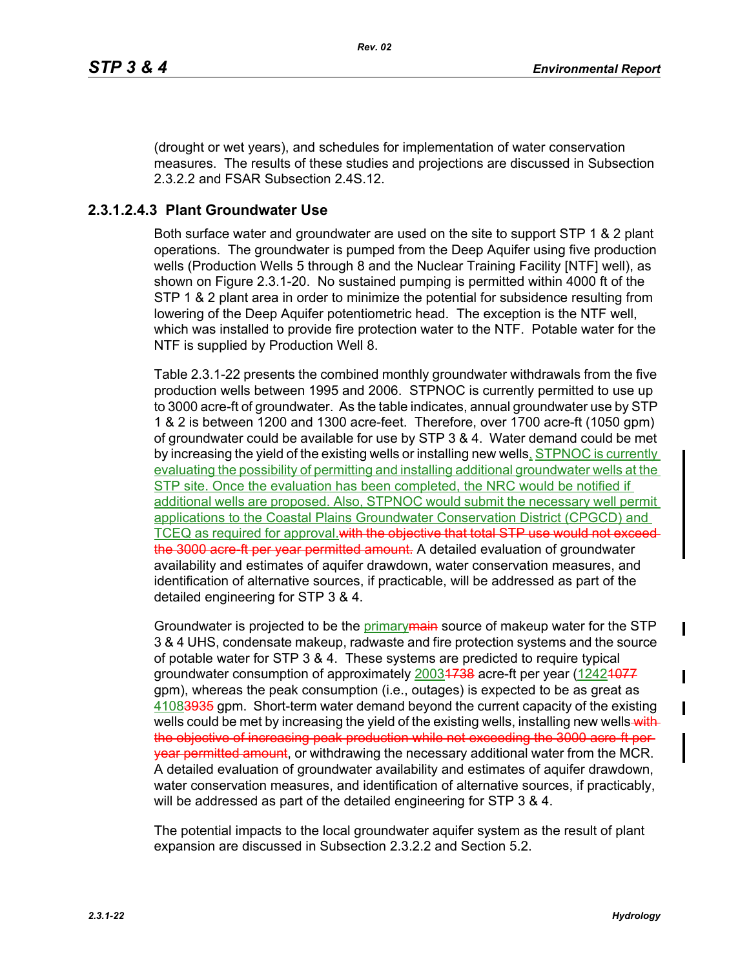(drought or wet years), and schedules for implementation of water conservation measures. The results of these studies and projections are discussed in Subsection 2.3.2.2 and FSAR Subsection 2.4S.12.

## **2.3.1.2.4.3 Plant Groundwater Use**

Both surface water and groundwater are used on the site to support STP 1 & 2 plant operations. The groundwater is pumped from the Deep Aquifer using five production wells (Production Wells 5 through 8 and the Nuclear Training Facility [NTF] well), as shown on Figure 2.3.1-20. No sustained pumping is permitted within 4000 ft of the STP 1 & 2 plant area in order to minimize the potential for subsidence resulting from lowering of the Deep Aquifer potentiometric head. The exception is the NTF well, which was installed to provide fire protection water to the NTF. Potable water for the NTF is supplied by Production Well 8.

Table 2.3.1-22 presents the combined monthly groundwater withdrawals from the five production wells between 1995 and 2006. STPNOC is currently permitted to use up to 3000 acre-ft of groundwater. As the table indicates, annual groundwater use by STP 1 & 2 is between 1200 and 1300 acre-feet. Therefore, over 1700 acre-ft (1050 gpm) of groundwater could be available for use by STP 3 & 4. Water demand could be met by increasing the yield of the existing wells or installing new wells, STPNOC is currently evaluating the possibility of permitting and installing additional groundwater wells at the STP site. Once the evaluation has been completed, the NRC would be notified if additional wells are proposed. Also, STPNOC would submit the necessary well permit applications to the Coastal Plains Groundwater Conservation District (CPGCD) and TCEQ as required for approval. with the objective that total STP use would not exceed the 3000 acre ft per year permitted amount. A detailed evaluation of groundwater availability and estimates of aquifer drawdown, water conservation measures, and identification of alternative sources, if practicable, will be addressed as part of the detailed engineering for STP 3 & 4.

Groundwater is projected to be the primary main source of makeup water for the STP 3 & 4 UHS, condensate makeup, radwaste and fire protection systems and the source of potable water for STP 3 & 4. These systems are predicted to require typical groundwater consumption of approximately 20034738 acre-ft per year (12424977 gpm), whereas the peak consumption (i.e., outages) is expected to be as great as 41083935 gpm. Short-term water demand beyond the current capacity of the existing wells could be met by increasing the yield of the existing wells, installing new wells with the objective of increasing peak production while not exceeding the 3000 acre ft per**year permitted amount**, or withdrawing the necessary additional water from the MCR. A detailed evaluation of groundwater availability and estimates of aquifer drawdown, water conservation measures, and identification of alternative sources, if practicably, will be addressed as part of the detailed engineering for STP 3 & 4.

The potential impacts to the local groundwater aquifer system as the result of plant expansion are discussed in Subsection 2.3.2.2 and Section 5.2.

 $\blacksquare$ 

П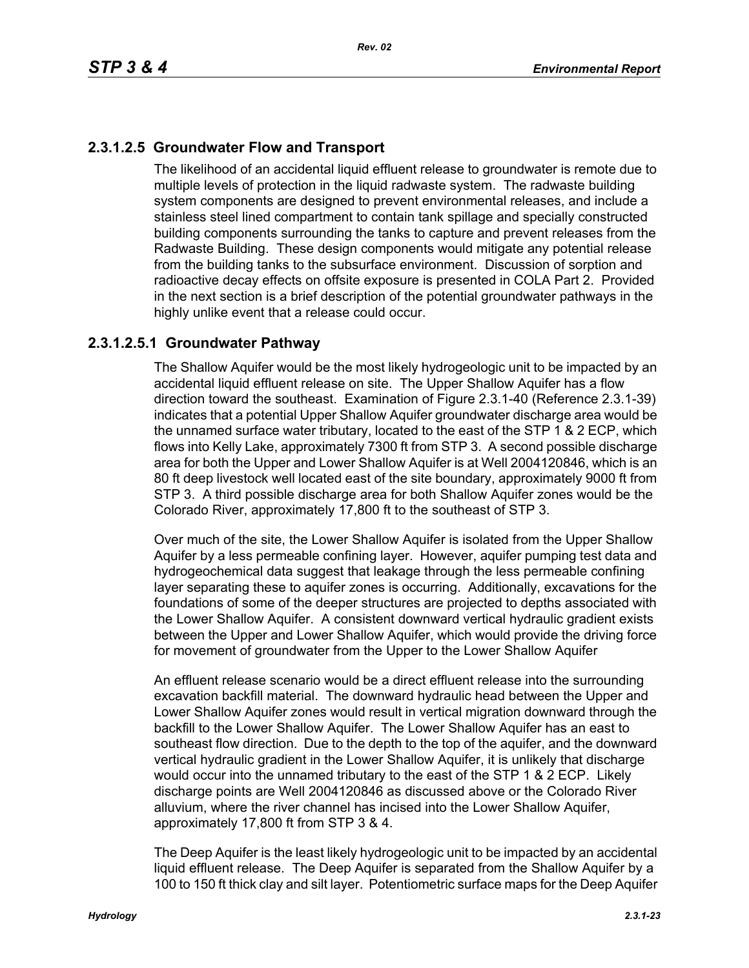# **2.3.1.2.5 Groundwater Flow and Transport**

The likelihood of an accidental liquid effluent release to groundwater is remote due to multiple levels of protection in the liquid radwaste system. The radwaste building system components are designed to prevent environmental releases, and include a stainless steel lined compartment to contain tank spillage and specially constructed building components surrounding the tanks to capture and prevent releases from the Radwaste Building. These design components would mitigate any potential release from the building tanks to the subsurface environment. Discussion of sorption and radioactive decay effects on offsite exposure is presented in COLA Part 2. Provided in the next section is a brief description of the potential groundwater pathways in the highly unlike event that a release could occur.

## **2.3.1.2.5.1 Groundwater Pathway**

The Shallow Aquifer would be the most likely hydrogeologic unit to be impacted by an accidental liquid effluent release on site. The Upper Shallow Aquifer has a flow direction toward the southeast. Examination of Figure 2.3.1-40 (Reference 2.3.1-39) indicates that a potential Upper Shallow Aquifer groundwater discharge area would be the unnamed surface water tributary, located to the east of the STP 1 & 2 ECP, which flows into Kelly Lake, approximately 7300 ft from STP 3. A second possible discharge area for both the Upper and Lower Shallow Aquifer is at Well 2004120846, which is an 80 ft deep livestock well located east of the site boundary, approximately 9000 ft from STP 3. A third possible discharge area for both Shallow Aquifer zones would be the Colorado River, approximately 17,800 ft to the southeast of STP 3.

Over much of the site, the Lower Shallow Aquifer is isolated from the Upper Shallow Aquifer by a less permeable confining layer. However, aquifer pumping test data and hydrogeochemical data suggest that leakage through the less permeable confining layer separating these to aquifer zones is occurring. Additionally, excavations for the foundations of some of the deeper structures are projected to depths associated with the Lower Shallow Aquifer. A consistent downward vertical hydraulic gradient exists between the Upper and Lower Shallow Aquifer, which would provide the driving force for movement of groundwater from the Upper to the Lower Shallow Aquifer

An effluent release scenario would be a direct effluent release into the surrounding excavation backfill material. The downward hydraulic head between the Upper and Lower Shallow Aquifer zones would result in vertical migration downward through the backfill to the Lower Shallow Aquifer. The Lower Shallow Aquifer has an east to southeast flow direction. Due to the depth to the top of the aquifer, and the downward vertical hydraulic gradient in the Lower Shallow Aquifer, it is unlikely that discharge would occur into the unnamed tributary to the east of the STP 1 & 2 ECP. Likely discharge points are Well 2004120846 as discussed above or the Colorado River alluvium, where the river channel has incised into the Lower Shallow Aquifer, approximately 17,800 ft from STP 3 & 4.

The Deep Aquifer is the least likely hydrogeologic unit to be impacted by an accidental liquid effluent release. The Deep Aquifer is separated from the Shallow Aquifer by a 100 to 150 ft thick clay and silt layer. Potentiometric surface maps for the Deep Aquifer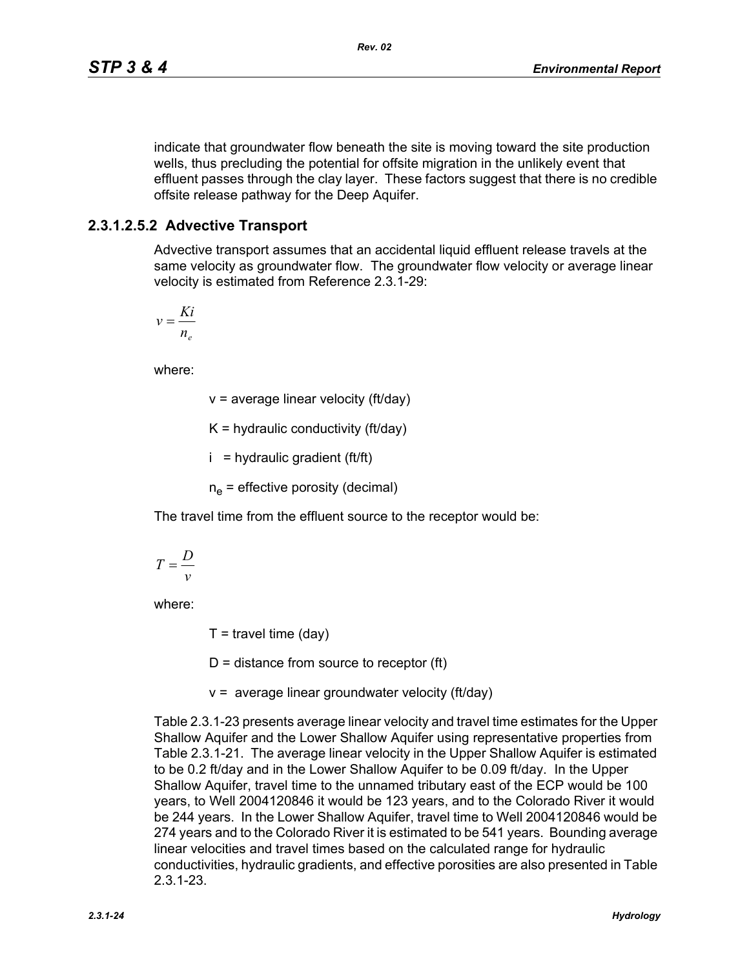indicate that groundwater flow beneath the site is moving toward the site production wells, thus precluding the potential for offsite migration in the unlikely event that effluent passes through the clay layer. These factors suggest that there is no credible offsite release pathway for the Deep Aquifer.

## **2.3.1.2.5.2 Advective Transport**

Advective transport assumes that an accidental liquid effluent release travels at the same velocity as groundwater flow. The groundwater flow velocity or average linear velocity is estimated from Reference 2.3.1-29:

$$
v = \frac{Ki}{n_e}
$$

where:

v = average linear velocity (ft/day)

 $K =$  hydraulic conductivity (ft/day)

 $i =$  hydraulic gradient (ft/ft)

 $n_{\rm e}$  = effective porosity (decimal)

The travel time from the effluent source to the receptor would be:

$$
T = \frac{D}{v}
$$

where:

 $T =$  travel time (day)

 $D =$  distance from source to receptor (ft)

v = average linear groundwater velocity (ft/day)

Table 2.3.1-23 presents average linear velocity and travel time estimates for the Upper Shallow Aquifer and the Lower Shallow Aquifer using representative properties from Table 2.3.1-21. The average linear velocity in the Upper Shallow Aquifer is estimated to be 0.2 ft/day and in the Lower Shallow Aquifer to be 0.09 ft/day. In the Upper Shallow Aquifer, travel time to the unnamed tributary east of the ECP would be 100 years, to Well 2004120846 it would be 123 years, and to the Colorado River it would be 244 years. In the Lower Shallow Aquifer, travel time to Well 2004120846 would be 274 years and to the Colorado River it is estimated to be 541 years. Bounding average linear velocities and travel times based on the calculated range for hydraulic conductivities, hydraulic gradients, and effective porosities are also presented in Table 2.3.1-23.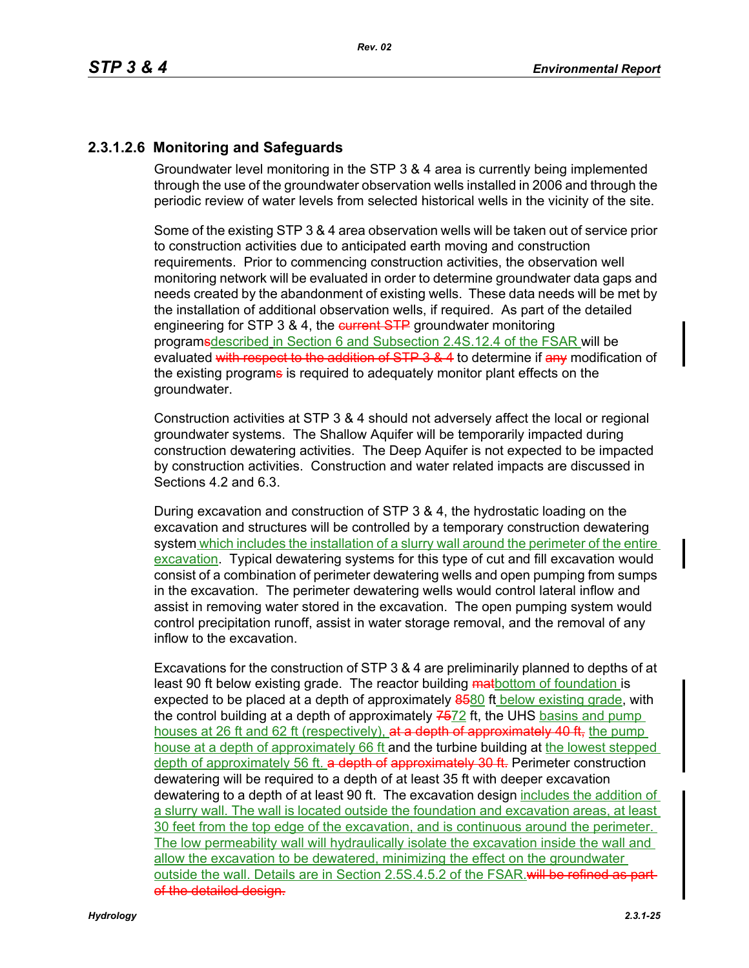# **2.3.1.2.6 Monitoring and Safeguards**

Groundwater level monitoring in the STP 3 & 4 area is currently being implemented through the use of the groundwater observation wells installed in 2006 and through the periodic review of water levels from selected historical wells in the vicinity of the site.

Some of the existing STP 3 & 4 area observation wells will be taken out of service prior to construction activities due to anticipated earth moving and construction requirements. Prior to commencing construction activities, the observation well monitoring network will be evaluated in order to determine groundwater data gaps and needs created by the abandonment of existing wells. These data needs will be met by the installation of additional observation wells, if required. As part of the detailed engineering for STP 3 & 4, the eurrent STP groundwater monitoring programsdescribed in Section 6 and Subsection 2.4S.12.4 of the FSAR will be evaluated with respect to the addition of STP 3 & 4 to determine if any modification of the existing programs is required to adequately monitor plant effects on the groundwater.

Construction activities at STP 3 & 4 should not adversely affect the local or regional groundwater systems. The Shallow Aquifer will be temporarily impacted during construction dewatering activities. The Deep Aquifer is not expected to be impacted by construction activities. Construction and water related impacts are discussed in Sections 4.2 and 6.3.

During excavation and construction of STP 3 & 4, the hydrostatic loading on the excavation and structures will be controlled by a temporary construction dewatering system which includes the installation of a slurry wall around the perimeter of the entire excavation. Typical dewatering systems for this type of cut and fill excavation would consist of a combination of perimeter dewatering wells and open pumping from sumps in the excavation. The perimeter dewatering wells would control lateral inflow and assist in removing water stored in the excavation. The open pumping system would control precipitation runoff, assist in water storage removal, and the removal of any inflow to the excavation.

Excavations for the construction of STP 3 & 4 are preliminarily planned to depths of at least 90 ft below existing grade. The reactor building **mathotom of foundation** is expected to be placed at a depth of approximately 8580 ft below existing grade, with the control building at a depth of approximately 7672 ft, the UHS basins and pump houses at 26 ft and 62 ft (respectively), at a depth of approximately 40 ft, the pump house at a depth of approximately 66 ft and the turbine building at the lowest stepped depth of approximately 56 ft. a depth of approximately 30 ft. Perimeter construction dewatering will be required to a depth of at least 35 ft with deeper excavation dewatering to a depth of at least 90 ft. The excavation design includes the addition of a slurry wall. The wall is located outside the foundation and excavation areas, at least 30 feet from the top edge of the excavation, and is continuous around the perimeter. The low permeability wall will hydraulically isolate the excavation inside the wall and allow the excavation to be dewatered, minimizing the effect on the groundwater outside the wall. Details are in Section 2.5S.4.5.2 of the FSAR. will be refined as part of the detailed design.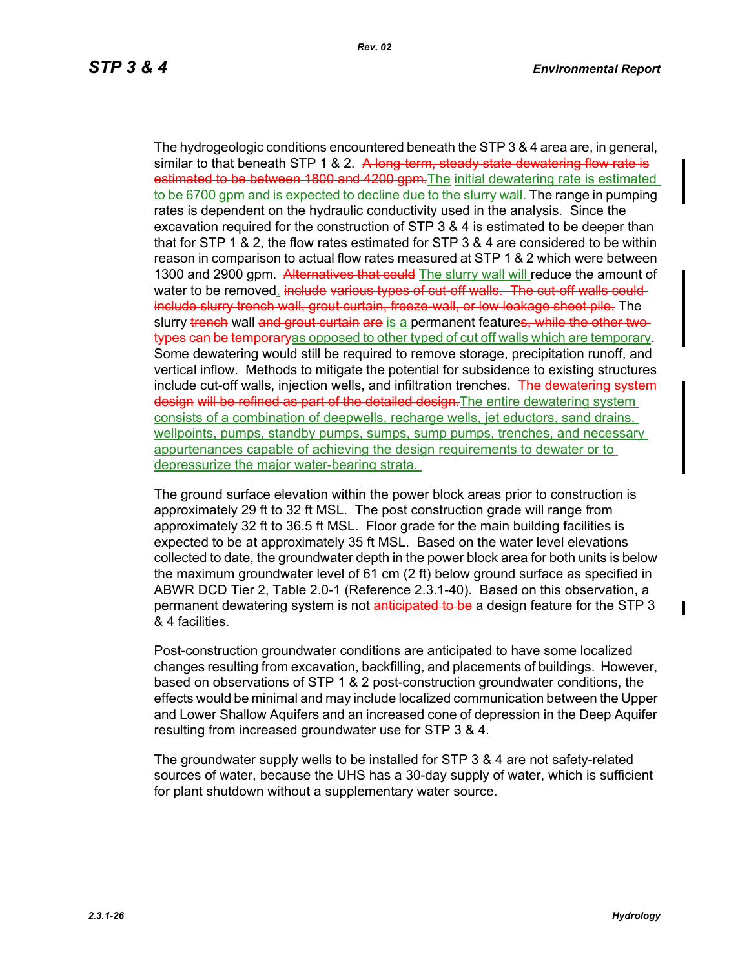The hydrogeologic conditions encountered beneath the STP 3 & 4 area are, in general, similar to that beneath STP 1 & 2. A long-term, steady state dewatering flow rate is estimated to be between 1800 and 4200 gpm. The initial dewatering rate is estimated to be 6700 gpm and is expected to decline due to the slurry wall. The range in pumping rates is dependent on the hydraulic conductivity used in the analysis. Since the excavation required for the construction of STP 3 & 4 is estimated to be deeper than that for STP 1 & 2, the flow rates estimated for STP 3 & 4 are considered to be within reason in comparison to actual flow rates measured at STP 1 & 2 which were between 1300 and 2900 gpm. Alternatives that could The slurry wall will reduce the amount of water to be removed. include various types of cut-off walls. The cut-off walls couldinclude slurry trench wall, grout curtain, freeze wall, or low leakage sheet pile. The slurry trench wall and grout curtain are is a permanent features, while the other twotypes can be temporary as opposed to other typed of cut off walls which are temporary. Some dewatering would still be required to remove storage, precipitation runoff, and vertical inflow. Methods to mitigate the potential for subsidence to existing structures include cut-off walls, injection wells, and infiltration trenches. The dewatering systemdesign will be refined as part of the detailed design. The entire dewatering system consists of a combination of deepwells, recharge wells, jet eductors, sand drains, wellpoints, pumps, standby pumps, sumps, sump pumps, trenches, and necessary appurtenances capable of achieving the design requirements to dewater or to depressurize the major water-bearing strata.

The ground surface elevation within the power block areas prior to construction is approximately 29 ft to 32 ft MSL. The post construction grade will range from approximately 32 ft to 36.5 ft MSL. Floor grade for the main building facilities is expected to be at approximately 35 ft MSL. Based on the water level elevations collected to date, the groundwater depth in the power block area for both units is below the maximum groundwater level of 61 cm (2 ft) below ground surface as specified in ABWR DCD Tier 2, Table 2.0-1 (Reference 2.3.1-40). Based on this observation, a permanent dewatering system is not anticipated to be a design feature for the STP 3 & 4 facilities.

Post-construction groundwater conditions are anticipated to have some localized changes resulting from excavation, backfilling, and placements of buildings. However, based on observations of STP 1 & 2 post-construction groundwater conditions, the effects would be minimal and may include localized communication between the Upper and Lower Shallow Aquifers and an increased cone of depression in the Deep Aquifer resulting from increased groundwater use for STP 3 & 4.

The groundwater supply wells to be installed for STP 3 & 4 are not safety-related sources of water, because the UHS has a 30-day supply of water, which is sufficient for plant shutdown without a supplementary water source.

I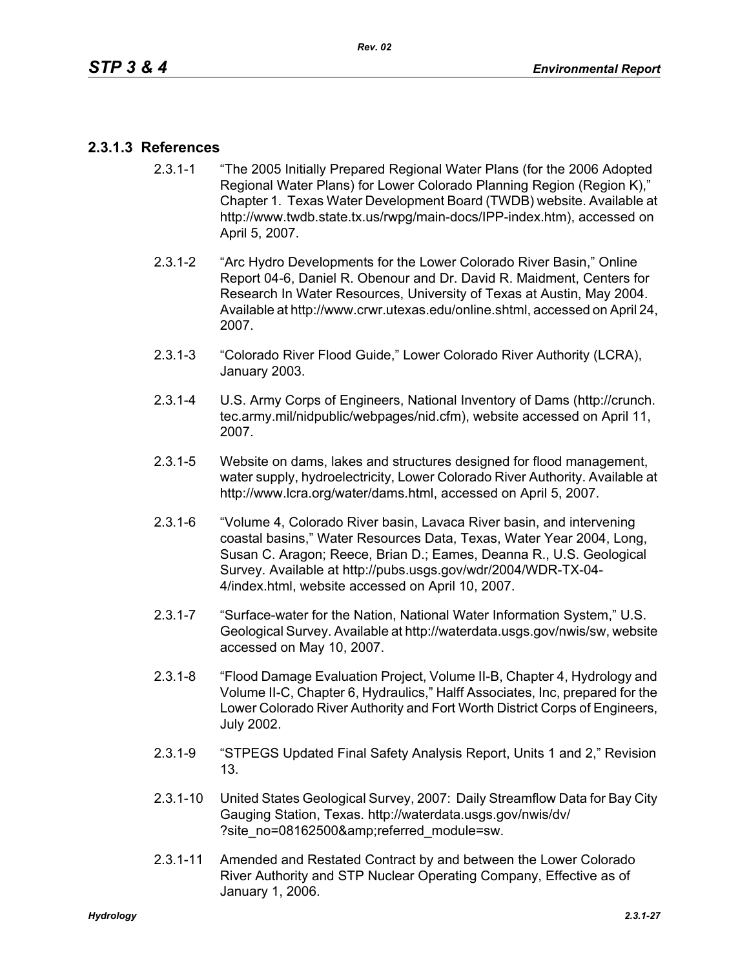# **2.3.1.3 References**

- 2.3.1-1 "The 2005 Initially Prepared Regional Water Plans (for the 2006 Adopted Regional Water Plans) for Lower Colorado Planning Region (Region K)," Chapter 1. Texas Water Development Board (TWDB) website. Available at http://www.twdb.state.tx.us/rwpg/main-docs/IPP-index.htm), accessed on April 5, 2007.
- 2.3.1-2 "Arc Hydro Developments for the Lower Colorado River Basin," Online Report 04-6, Daniel R. Obenour and Dr. David R. Maidment, Centers for Research In Water Resources, University of Texas at Austin, May 2004. Available at http://www.crwr.utexas.edu/online.shtml, accessed on April 24, 2007.
- 2.3.1-3 "Colorado River Flood Guide," Lower Colorado River Authority (LCRA), January 2003.
- 2.3.1-4 U.S. Army Corps of Engineers, National Inventory of Dams (http://crunch. tec.army.mil/nidpublic/webpages/nid.cfm), website accessed on April 11, 2007.
- 2.3.1-5 Website on dams, lakes and structures designed for flood management, water supply, hydroelectricity, Lower Colorado River Authority. Available at http://www.lcra.org/water/dams.html, accessed on April 5, 2007.
- 2.3.1-6 "Volume 4, Colorado River basin, Lavaca River basin, and intervening coastal basins," Water Resources Data, Texas, Water Year 2004, Long, Susan C. Aragon; Reece, Brian D.; Eames, Deanna R., U.S. Geological Survey. Available at http://pubs.usgs.gov/wdr/2004/WDR-TX-04- 4/index.html, website accessed on April 10, 2007.
- 2.3.1-7 "Surface-water for the Nation, National Water Information System," U.S. Geological Survey. Available at http://waterdata.usgs.gov/nwis/sw, website accessed on May 10, 2007.
- 2.3.1-8 "Flood Damage Evaluation Project, Volume II-B, Chapter 4, Hydrology and Volume II-C, Chapter 6, Hydraulics," Halff Associates, Inc, prepared for the Lower Colorado River Authority and Fort Worth District Corps of Engineers, July 2002.
- 2.3.1-9 "STPEGS Updated Final Safety Analysis Report, Units 1 and 2," Revision 13.
- 2.3.1-10 United States Geological Survey, 2007: Daily Streamflow Data for Bay City Gauging Station, Texas. http://waterdata.usgs.gov/nwis/dv/ ?site\_no=08162500&referred\_module=sw.
- 2.3.1-11 Amended and Restated Contract by and between the Lower Colorado River Authority and STP Nuclear Operating Company, Effective as of January 1, 2006.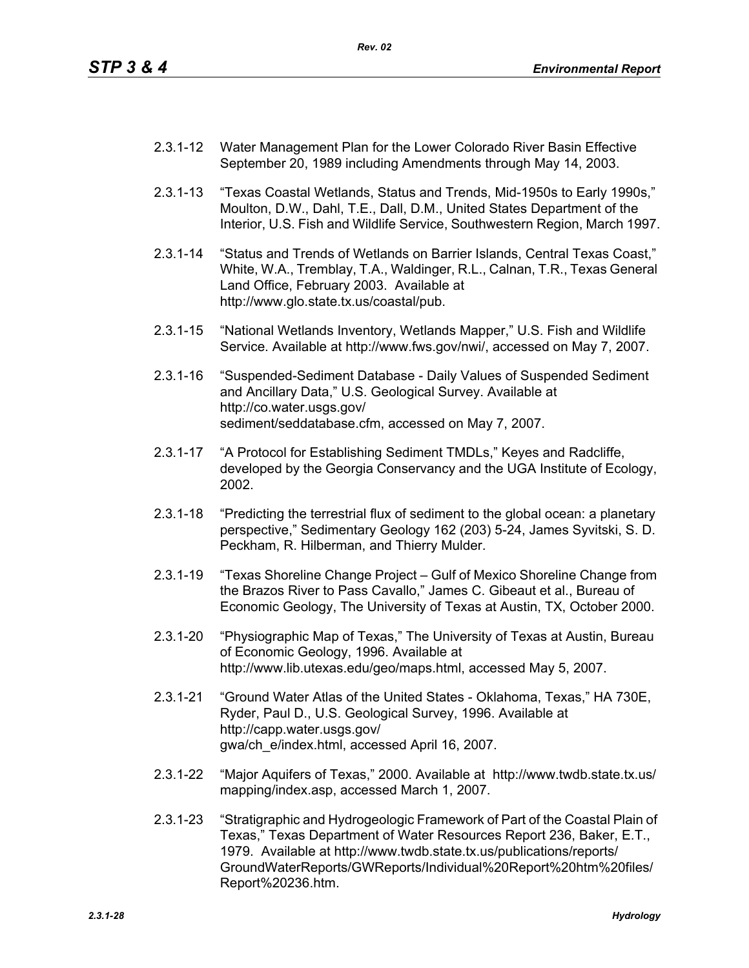- 2.3.1-12 Water Management Plan for the Lower Colorado River Basin Effective September 20, 1989 including Amendments through May 14, 2003.
- 2.3.1-13 "Texas Coastal Wetlands, Status and Trends, Mid-1950s to Early 1990s," Moulton, D.W., Dahl, T.E., Dall, D.M., United States Department of the Interior, U.S. Fish and Wildlife Service, Southwestern Region, March 1997.
- 2.3.1-14 "Status and Trends of Wetlands on Barrier Islands, Central Texas Coast," White, W.A., Tremblay, T.A., Waldinger, R.L., Calnan, T.R., Texas General Land Office, February 2003. Available at http://www.glo.state.tx.us/coastal/pub.
- 2.3.1-15 "National Wetlands Inventory, Wetlands Mapper," U.S. Fish and Wildlife Service. Available at http://www.fws.gov/nwi/, accessed on May 7, 2007.
- 2.3.1-16 "Suspended-Sediment Database Daily Values of Suspended Sediment and Ancillary Data," U.S. Geological Survey. Available at http://co.water.usgs.gov/ sediment/seddatabase.cfm, accessed on May 7, 2007.
- 2.3.1-17 "A Protocol for Establishing Sediment TMDLs," Keyes and Radcliffe, developed by the Georgia Conservancy and the UGA Institute of Ecology, 2002.
- 2.3.1-18 "Predicting the terrestrial flux of sediment to the global ocean: a planetary perspective," Sedimentary Geology 162 (203) 5-24, James Syvitski, S. D. Peckham, R. Hilberman, and Thierry Mulder.
- 2.3.1-19 "Texas Shoreline Change Project Gulf of Mexico Shoreline Change from the Brazos River to Pass Cavallo," James C. Gibeaut et al., Bureau of Economic Geology, The University of Texas at Austin, TX, October 2000.
- 2.3.1-20 "Physiographic Map of Texas," The University of Texas at Austin, Bureau of Economic Geology, 1996. Available at http://www.lib.utexas.edu/geo/maps.html, accessed May 5, 2007.
- 2.3.1-21 "Ground Water Atlas of the United States Oklahoma, Texas," HA 730E, Ryder, Paul D., U.S. Geological Survey, 1996. Available at http://capp.water.usgs.gov/ gwa/ch\_e/index.html, accessed April 16, 2007.
- 2.3.1-22 "Major Aquifers of Texas," 2000. Available at http://www.twdb.state.tx.us/ mapping/index.asp, accessed March 1, 2007.
- 2.3.1-23 "Stratigraphic and Hydrogeologic Framework of Part of the Coastal Plain of Texas," Texas Department of Water Resources Report 236, Baker, E.T., 1979. Available at http://www.twdb.state.tx.us/publications/reports/ GroundWaterReports/GWReports/Individual%20Report%20htm%20files/ Report%20236.htm.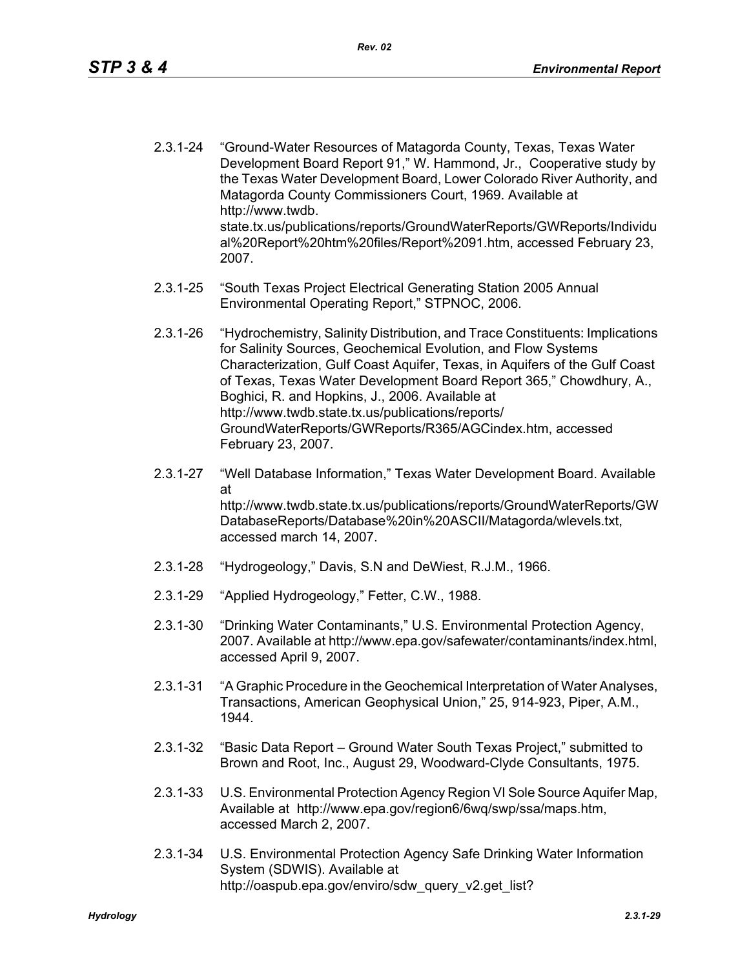- 2.3.1-24 "Ground-Water Resources of Matagorda County, Texas, Texas Water Development Board Report 91," W. Hammond, Jr., Cooperative study by the Texas Water Development Board, Lower Colorado River Authority, and Matagorda County Commissioners Court, 1969. Available at http://www.twdb. state.tx.us/publications/reports/GroundWaterReports/GWReports/Individu al%20Report%20htm%20files/Report%2091.htm, accessed February 23, 2007.
- 2.3.1-25 "South Texas Project Electrical Generating Station 2005 Annual Environmental Operating Report," STPNOC, 2006.
- 2.3.1-26 "Hydrochemistry, Salinity Distribution, and Trace Constituents: Implications for Salinity Sources, Geochemical Evolution, and Flow Systems Characterization, Gulf Coast Aquifer, Texas, in Aquifers of the Gulf Coast of Texas, Texas Water Development Board Report 365," Chowdhury, A., Boghici, R. and Hopkins, J., 2006. Available at http://www.twdb.state.tx.us/publications/reports/ GroundWaterReports/GWReports/R365/AGCindex.htm, accessed February 23, 2007.
- 2.3.1-27 "Well Database Information," Texas Water Development Board. Available at http://www.twdb.state.tx.us/publications/reports/GroundWaterReports/GW DatabaseReports/Database%20in%20ASCII/Matagorda/wlevels.txt, accessed march 14, 2007.
- 2.3.1-28 "Hydrogeology," Davis, S.N and DeWiest, R.J.M., 1966.
- 2.3.1-29 "Applied Hydrogeology," Fetter, C.W., 1988.
- 2.3.1-30 "Drinking Water Contaminants," U.S. Environmental Protection Agency, 2007. Available at http://www.epa.gov/safewater/contaminants/index.html, accessed April 9, 2007.
- 2.3.1-31 "A Graphic Procedure in the Geochemical Interpretation of Water Analyses, Transactions, American Geophysical Union," 25, 914-923, Piper, A.M., 1944.
- 2.3.1-32 "Basic Data Report Ground Water South Texas Project," submitted to Brown and Root, Inc., August 29, Woodward-Clyde Consultants, 1975.
- 2.3.1-33 U.S. Environmental Protection Agency Region VI Sole Source Aquifer Map, Available at http://www.epa.gov/region6/6wq/swp/ssa/maps.htm, accessed March 2, 2007.
- 2.3.1-34 U.S. Environmental Protection Agency Safe Drinking Water Information System (SDWIS). Available at http://oaspub.epa.gov/enviro/sdw\_query\_v2.get\_list?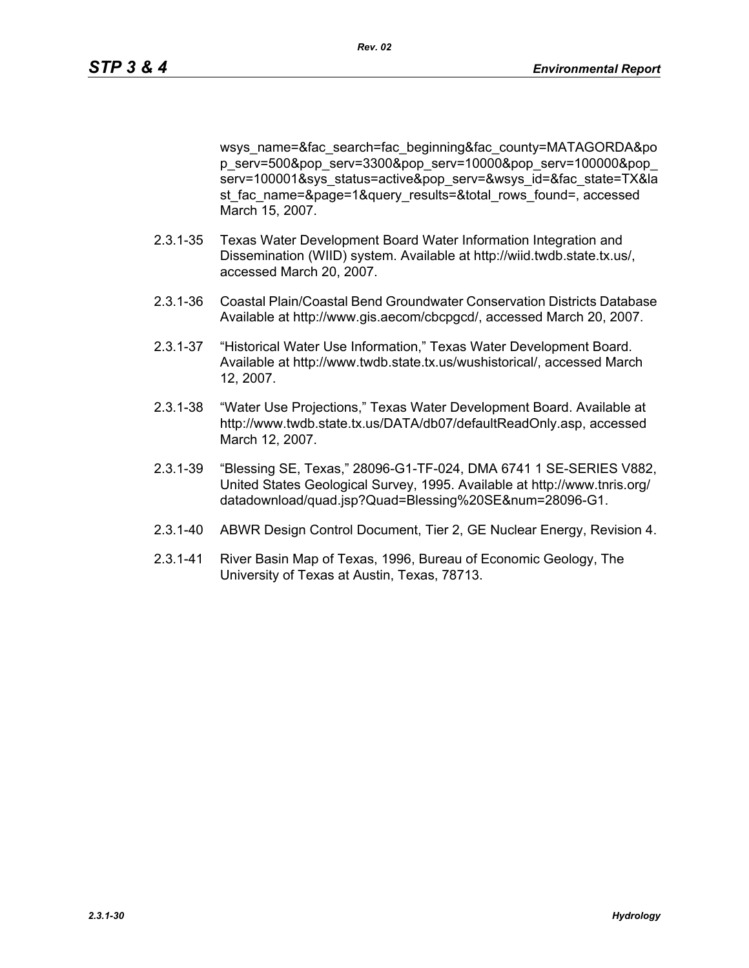wsys\_name=&fac\_search=fac\_beginning&fac\_county=MATAGORDA&po p\_serv=500&pop\_serv=3300&pop\_serv=10000&pop\_serv=100000&pop\_ serv=100001&sys\_status=active&pop\_serv=&wsys\_id=&fac\_state=TX&la st fac\_name=&page=1&query\_results=&total\_rows\_found=, accessed March 15, 2007.

- 2.3.1-35 Texas Water Development Board Water Information Integration and Dissemination (WIID) system. Available at http://wiid.twdb.state.tx.us/, accessed March 20, 2007.
- 2.3.1-36 Coastal Plain/Coastal Bend Groundwater Conservation Districts Database Available at http://www.gis.aecom/cbcpgcd/, accessed March 20, 2007.
- 2.3.1-37 "Historical Water Use Information," Texas Water Development Board. Available at http://www.twdb.state.tx.us/wushistorical/, accessed March 12, 2007.
- 2.3.1-38 "Water Use Projections," Texas Water Development Board. Available at http://www.twdb.state.tx.us/DATA/db07/defaultReadOnly.asp, accessed March 12, 2007.
- 2.3.1-39 "Blessing SE, Texas," 28096-G1-TF-024, DMA 6741 1 SE-SERIES V882, United States Geological Survey, 1995. Available at http://www.tnris.org/ datadownload/quad.jsp?Quad=Blessing%20SE&num=28096-G1.
- 2.3.1-40 ABWR Design Control Document, Tier 2, GE Nuclear Energy, Revision 4.
- 2.3.1-41 River Basin Map of Texas, 1996, Bureau of Economic Geology, The University of Texas at Austin, Texas, 78713.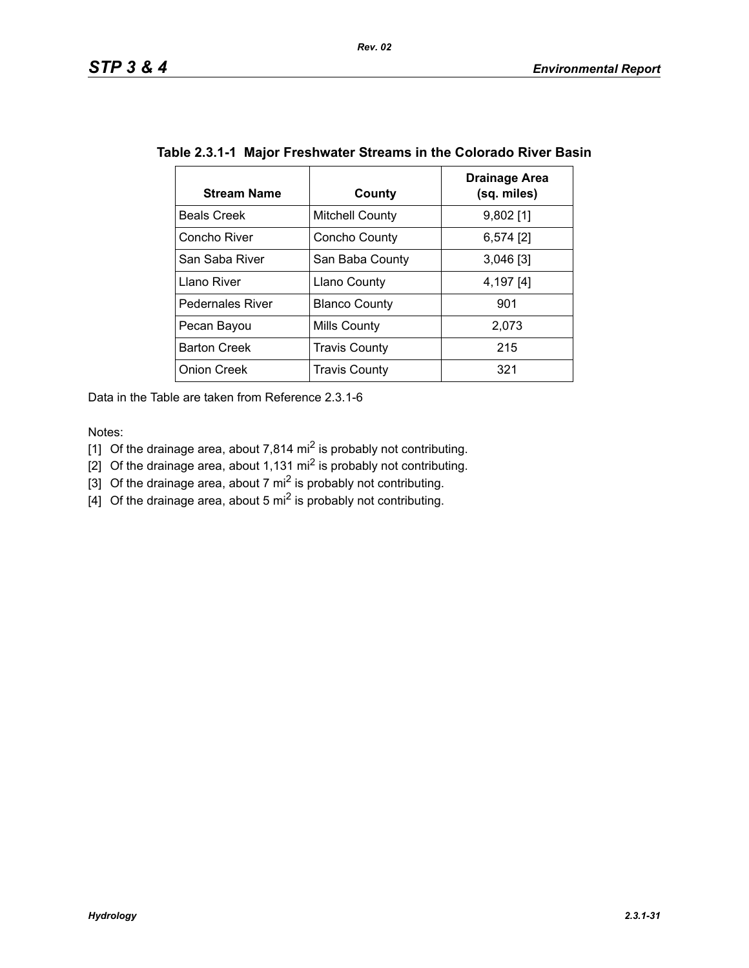| <b>Stream Name</b>      | County                 | Drainage Area<br>(sq. miles) |
|-------------------------|------------------------|------------------------------|
| <b>Beals Creek</b>      | <b>Mitchell County</b> | $9,802$ [1]                  |
| Concho River            | Concho County          | $6,574$ [2]                  |
| San Saba River          | San Baba County        | $3,046$ [3]                  |
| Llano River             | <b>Llano County</b>    | 4,197 [4]                    |
| <b>Pedernales River</b> | <b>Blanco County</b>   | 901                          |
| Pecan Bayou             | Mills County           | 2,073                        |
| <b>Barton Creek</b>     | <b>Travis County</b>   | 215                          |
| <b>Onion Creek</b>      | <b>Travis County</b>   | 321                          |

## **Table 2.3.1-1 Major Freshwater Streams in the Colorado River Basin**

Data in the Table are taken from Reference 2.3.1-6

Notes:

- [1] Of the drainage area, about 7,814 mi<sup>2</sup> is probably not contributing.
- [2] Of the drainage area, about 1,131 mi<sup>2</sup> is probably not contributing.
- [3] Of the drainage area, about 7 mi<sup>2</sup> is probably not contributing.
- $\left[4\right]$  Of the drainage area, about 5 mi<sup>2</sup> is probably not contributing.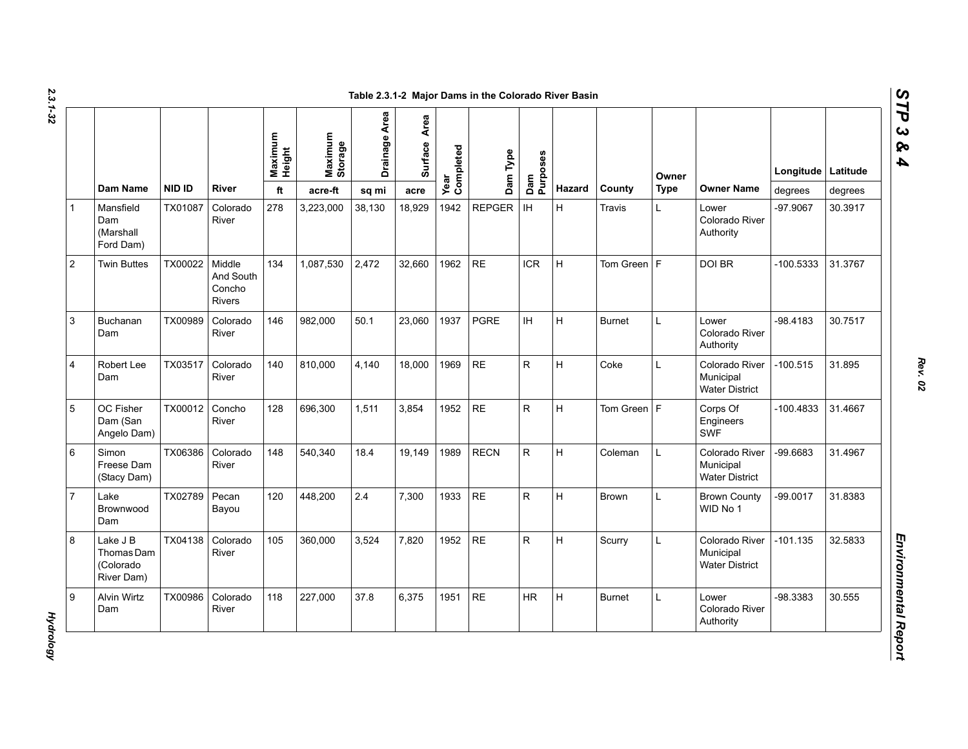| N  |  |
|----|--|
| دە |  |
|    |  |
| ¢  |  |

|                |                                                   |               |                                                | Maximum<br>Height | Maximum<br>Storage | <b>Drainage Area</b> | Area<br><b>Surface</b> | Year<br>Completed | Dam Type      | Dam<br>Purposes |        |               | Owner       |                                                      | Longitude Latitude |         |
|----------------|---------------------------------------------------|---------------|------------------------------------------------|-------------------|--------------------|----------------------|------------------------|-------------------|---------------|-----------------|--------|---------------|-------------|------------------------------------------------------|--------------------|---------|
|                | Dam Name                                          | <b>NID ID</b> | River                                          | ft                | acre-ft            | sq mi                | acre                   |                   |               |                 | Hazard | County        | <b>Type</b> | <b>Owner Name</b>                                    | degrees            | degrees |
|                | Mansfield<br>Dam<br>(Marshall<br>Ford Dam)        | TX01087       | Colorado<br>River                              | 278               | 3,223,000          | 38,130               | 18,929                 | 1942              | <b>REPGER</b> | <b>IH</b>       | H.     | Travis        | L           | Lower<br>Colorado River<br>Authority                 | -97.9067           | 30.3917 |
|                | <b>Twin Buttes</b>                                | TX00022       | Middle<br>And South<br>Concho<br><b>Rivers</b> | 134               | 1,087,530          | 2,472                | 32,660                 | 1962              | <b>RE</b>     | <b>ICR</b>      | H.     | Tom Green   F |             | DOI BR                                               | $-100.5333$        | 31.3767 |
| 3              | <b>Buchanan</b><br>Dam                            | TX00989       | Colorado<br>River                              | 146               | 982,000            | 50.1                 | 23,060                 | 1937              | <b>PGRE</b>   | IH.             | H      | <b>Burnet</b> | L           | Lower<br>Colorado River<br>Authority                 | $-98.4183$         | 30.7517 |
| $\overline{4}$ | Robert Lee<br>Dam                                 | TX03517       | Colorado<br>River                              | 140               | 810.000            | 4.140                | 18,000                 | 1969              | <b>RE</b>     | $\mathsf{R}$    | H.     | Coke          | L           | Colorado River<br>Municipal<br><b>Water District</b> | $-100.515$         | 31.895  |
| 5              | OC Fisher<br>Dam (San<br>Angelo Dam)              | TX00012       | Concho<br>River                                | 128               | 696.300            | 1.511                | 3,854                  | 1952              | <b>RE</b>     | R.              | H.     | Tom Green F   |             | Corps Of<br>Engineers<br>SWF                         | $-100.4833$        | 31.4667 |
| 6              | Simon<br>Freese Dam<br>(Stacy Dam)                | TX06386       | Colorado<br>River                              | 148               | 540.340            | 18.4                 | 19.149                 | 1989              | <b>RECN</b>   | R.              | H.     | Coleman       | L           | Colorado River<br>Municipal<br><b>Water District</b> | $-99.6683$         | 31.4967 |
| $\overline{7}$ | Lake<br>Brownwood<br>Dam                          | TX02789       | Pecan<br>Bayou                                 | 120               | 448,200            | 2.4                  | 7,300                  | 1933              | <b>RE</b>     | R               | H      | <b>Brown</b>  | L           | <b>Brown County</b><br>WID No 1                      | $-99.0017$         | 31.8383 |
| 8              | Lake J B<br>Thomas Dam<br>(Colorado<br>River Dam) | TX04138       | Colorado<br>River                              | 105               | 360,000            | 3,524                | 7,820                  | 1952              | <b>RE</b>     | R.              | H.     | Scurry        | L           | Colorado River<br>Municipal<br><b>Water District</b> | $-101.135$         | 32.5833 |
|                | Alvin Wirtz<br>Dam                                | TX00986       | Colorado<br>River                              | 118               | 227,000            | 37.8                 | 6,375                  | 1951              | <b>RE</b>     | <b>HR</b>       | H      | <b>Burnet</b> | L           | Lower<br>Colorado River<br>Authority                 | -98.3383           | 30.555  |

**Hydrology** *Hydrology*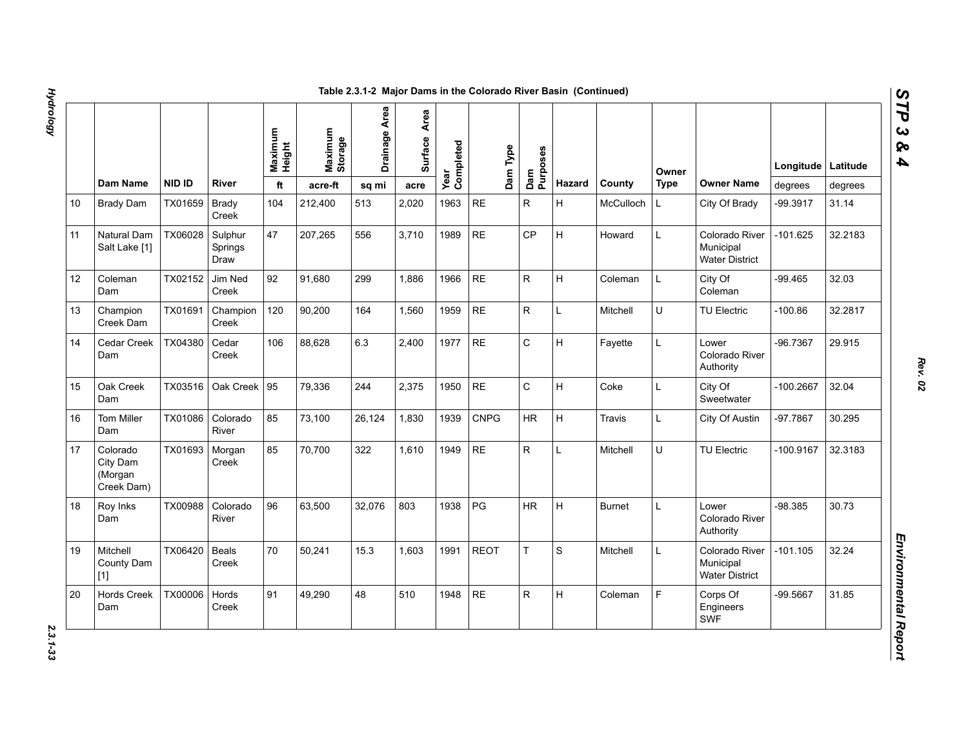|    |                                               |               |                            | Maximum<br>Height | Maximum<br>Storage | Drainage Area | Area<br>Surface | Year<br>Completed | Dam Type    | Dam<br>Purposes |        |               | Owner       |                                                      | Longitude   Latitude |         |
|----|-----------------------------------------------|---------------|----------------------------|-------------------|--------------------|---------------|-----------------|-------------------|-------------|-----------------|--------|---------------|-------------|------------------------------------------------------|----------------------|---------|
|    | Dam Name                                      | <b>NID ID</b> | <b>River</b>               | ft                | acre-ft            | sq mi         | acre            |                   |             |                 | Hazard | County        | <b>Type</b> | <b>Owner Name</b>                                    | degrees              | degrees |
| 10 | <b>Brady Dam</b>                              | TX01659       | <b>Brady</b><br>Creek      | 104               | 212,400            | 513           | 2,020           | 1963              | RE          | R               | H      | McCulloch     | L.          | City Of Brady                                        | -99.3917             | 31.14   |
| 11 | Natural Dam<br>Salt Lake [1]                  | TX06028       | Sulphur<br>Springs<br>Draw | 47                | 207,265            | 556           | 3,710           | 1989              | <b>RE</b>   | <b>CP</b>       | H      | Howard        | L           | Colorado River<br>Municipal<br><b>Water District</b> | -101.625             | 32.2183 |
| 12 | Coleman<br>Dam                                | TX02152       | Jim Ned<br>Creek           | 92                | 91,680             | 299           | 1,886           | 1966              | <b>RE</b>   | R               | H      | Coleman       | L           | City Of<br>Coleman                                   | $-99.465$            | 32.03   |
| 13 | Champion<br>Creek Dam                         | TX01691       | Champion<br>Creek          | 120               | 90,200             | 164           | 1,560           | 1959              | <b>RE</b>   | R               | L      | Mitchell      | U           | <b>TU Electric</b>                                   | $-100.86$            | 32.2817 |
| 14 | Cedar Creek<br>Dam                            | TX04380       | Cedar<br>Creek             | 106               | 88,628             | 6.3           | 2,400           | 1977              | <b>RE</b>   | $\mathsf C$     | H      | Fayette       | L.          | Lower<br>Colorado River<br>Authority                 | -96.7367             | 29.915  |
| 15 | Oak Creek<br>Dam                              | TX03516       | Oak Creek                  | 95                | 79,336             | 244           | 2.375           | 1950              | <b>RE</b>   | $\mathsf{C}$    | H      | Coke          | L           | City Of<br>Sweetwater                                | $-100.2667$          | 32.04   |
| 16 | Tom Miller<br>Dam                             | TX01086       | Colorado<br>River          | 85                | 73,100             | 26,124        | 1,830           | 1939              | <b>CNPG</b> | HR              | H      | <b>Travis</b> | L           | City Of Austin                                       | -97.7867             | 30.295  |
| 17 | Colorado<br>City Dam<br>(Morgan<br>Creek Dam) | TX01693       | Morgan<br>Creek            | 85                | 70,700             | 322           | 1,610           | 1949              | <b>RE</b>   | R               | Г      | Mitchell      | U           | <b>TU Electric</b>                                   | $-100.9167$          | 32.3183 |
| 18 | Roy Inks<br>Dam                               | TX00988       | Colorado<br>River          | 96                | 63,500             | 32,076        | 803             | 1938              | PG          | HR              | H      | <b>Burnet</b> | L.          | Lower<br>Colorado River<br>Authority                 | -98.385              | 30.73   |
| 19 | Mitchell<br>County Dam<br>$[1]$               | TX06420       | <b>Beals</b><br>Creek      | 70                | 50,241             | 15.3          | 1.603           | 1991              | <b>REOT</b> | T.              | S      | Mitchell      | L           | Colorado River<br>Municipal<br><b>Water District</b> | $-101.105$           | 32.24   |
| 20 | <b>Hords Creek</b><br>Dam                     | TX00006       | Hords<br>Creek             | 91                | 49,290             | 48            | 510             | 1948              | <b>RE</b>   | R               | H.     | Coleman       | F           | Corps Of<br>Engineers<br>SWF                         | -99.5667             | 31.85   |

2.3.1-33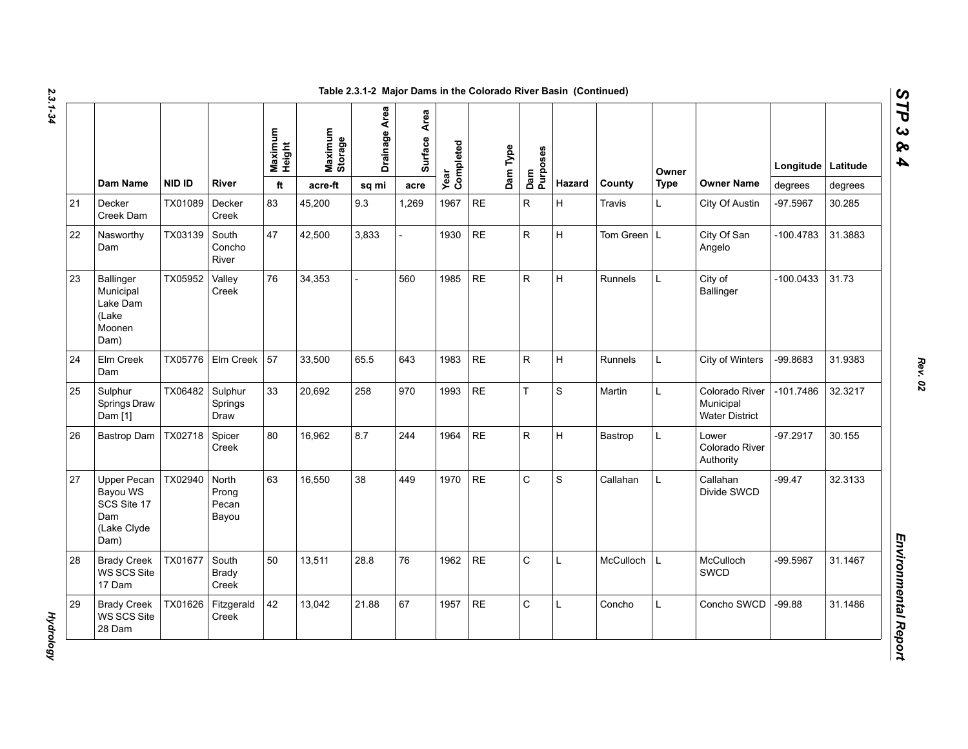| N  |  |
|----|--|
| دە |  |
|    |  |
|    |  |
| ۵  |  |
|    |  |
|    |  |

|    |                                                                      |               |                                  | Maximum<br>Height | Maximum<br>Storage | Drainage Area | Area<br><b>Surface</b> | Completed<br>Year |           | Dam Type<br>Dam<br>Purposes |             |                | Owner       |                                                      | Longitude   Latitude |         |
|----|----------------------------------------------------------------------|---------------|----------------------------------|-------------------|--------------------|---------------|------------------------|-------------------|-----------|-----------------------------|-------------|----------------|-------------|------------------------------------------------------|----------------------|---------|
|    | <b>Dam Name</b>                                                      | <b>NID ID</b> | <b>River</b>                     | ft                | acre-ft            | sq mi         | acre                   |                   |           |                             | Hazard      | County         | <b>Type</b> | <b>Owner Name</b>                                    | degrees              | degrees |
| 21 | Decker<br>Creek Dam                                                  | TX01089       | Decker<br>Creek                  | 83                | 45,200             | 9.3           | 1,269                  | 1967              | <b>RE</b> | R                           | H           | Travis         | L.          | City Of Austin                                       | -97.5967             | 30.285  |
| 22 | Nasworthy<br>Dam                                                     | TX03139       | South<br>Concho<br>River         | 47                | 42,500             | 3,833         |                        | 1930              | $\sf RE$  | R.                          | H.          | Tom Green L    |             | City Of San<br>Angelo                                | $-100.4783$          | 31.3883 |
| 23 | Ballinger<br>Municipal<br>Lake Dam<br>(Lake<br>Moonen<br>Dam)        | TX05952       | Valley<br>Creek                  | 76                | 34,353             |               | 560                    | 1985              | <b>RE</b> | R                           | H           | <b>Runnels</b> | L           | City of<br>Ballinger                                 | $-100.0433$          | 31.73   |
| 24 | Elm Creek<br>Dam                                                     | TX05776       | Elm Creek                        | 57                | 33,500             | 65.5          | 643                    | 1983              | <b>RE</b> | R                           | H           | Runnels        | L           | City of Winters                                      | -99.8683             | 31.9383 |
| 25 | Sulphur<br>Springs Draw<br>Dam [1]                                   | TX06482       | Sulphur<br>Springs<br>Draw       | 33                | 20,692             | 258           | 970                    | 1993              | <b>RE</b> | T                           | $\mathbf S$ | Martin         | L.          | Colorado River<br>Municipal<br><b>Water District</b> | $-101.7486$          | 32.3217 |
| 26 | Bastrop Dam                                                          | TX02718       | Spicer<br>Creek                  | 80                | 16,962             | 8.7           | 244                    | 1964              | <b>RE</b> | $\mathsf{R}$                | H           | Bastrop        | L.          | Lower<br>Colorado River<br>Authority                 | $-97.2917$           | 30.155  |
| 27 | Upper Pecan<br>Bayou WS<br>SCS Site 17<br>Dam<br>(Lake Clyde<br>Dam) | TX02940       | North<br>Prong<br>Pecan<br>Bayou | 63                | 16,550             | 38            | 449                    | 1970              | <b>RE</b> | $\mathsf C$                 | $\mathbf S$ | Callahan       | L.          | Callahan<br>Divide SWCD                              | $-99.47$             | 32.3133 |
| 28 | <b>Brady Creek</b><br>WS SCS Site<br>17 Dam                          | TX01677       | South<br><b>Brady</b><br>Creek   | 50                | 13,511             | 28.8          | 76                     | 1962              | <b>RE</b> | $\mathsf C$                 | Г           | McCulloch      | L           | McCulloch<br>SWCD                                    | -99.5967             | 31.1467 |
| 29 | <b>Brady Creek</b><br>WS SCS Site<br>28 Dam                          | TX01626       | Fitzgerald<br>Creek              | 42                | 13,042             | 21.88         | 67                     | 1957              | $\sf RE$  | C                           | L           | Concho         | L           | Concho SWCD                                          | $-99.88$             | 31.1486 |

*STP 3 & 4*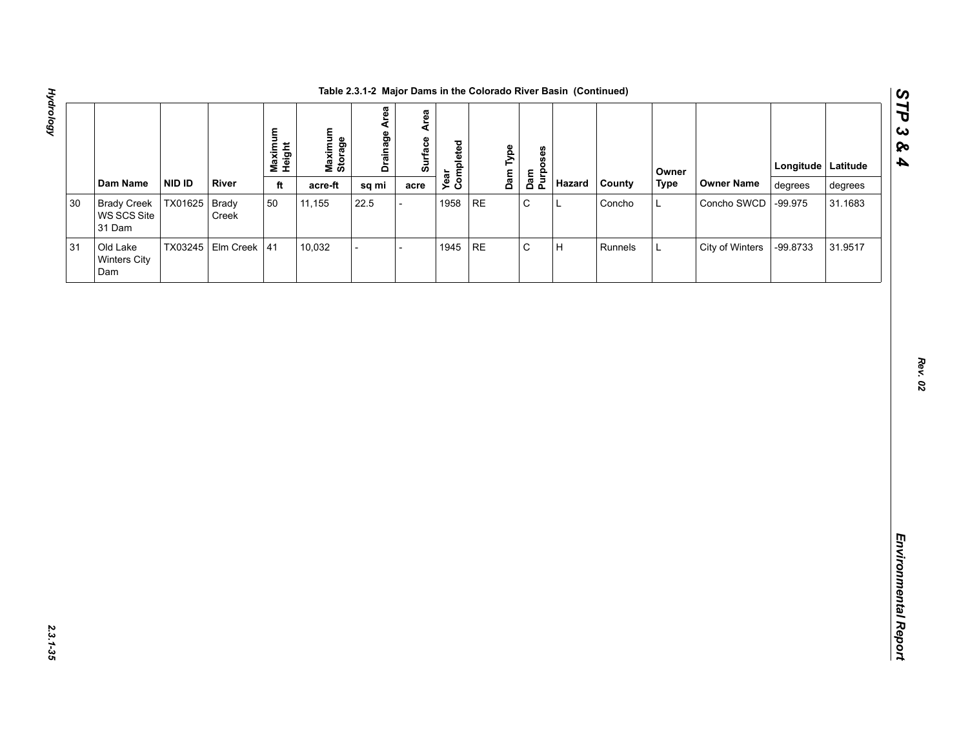| i<br>S<br>,<br>}<br>֖֖֖֖֖֖֖֖֧֪ׅ֖֪֪֪֪֦֖֧֪֪֪֦֖֧֪֪֪֪֪֪֦֖֧֚֚֚֚֚֚֚֚֚֚֚֚֚֚֚֚֬֝֝֝֝֝֝֝֝֝֬֝֬֝֬֝֬֝֬֝֬֝֬֝֬֝֬֝֬֝֬֝֬֝֬֝֬֝֬֝֬ |  |
|-----------------------------------------------------------------------------------------------------------------|--|
|                                                                                                                 |  |
|                                                                                                                 |  |
|                                                                                                                 |  |
|                                                                                                                 |  |
|                                                                                                                 |  |
|                                                                                                                 |  |
|                                                                                                                 |  |
|                                                                                                                 |  |
|                                                                                                                 |  |
|                                                                                                                 |  |
| דימי ובח                                                                                                        |  |

|        |                                             |         |                      | Maximum<br>Height | Maximum<br>Storage | <b>Drainage Area</b>     | Area<br>Surface | Year<br>Completed |          | Dam Type | Dam<br>Purposes |        |         | Owner       |                   | Longitude Latitude |         |
|--------|---------------------------------------------|---------|----------------------|-------------------|--------------------|--------------------------|-----------------|-------------------|----------|----------|-----------------|--------|---------|-------------|-------------------|--------------------|---------|
|        | Dam Name                                    | NID ID  | <b>River</b>         | $\mathsf{ft}$     | acre-ft            | sq mi                    | acre            |                   |          |          |                 | Hazard | County  | <b>Type</b> | <b>Owner Name</b> | degrees            | degrees |
| $30\,$ | <b>Brady Creek</b><br>WS SCS Site<br>31 Dam | TX01625 | Brady<br>Creek       | $50\,$            | 11,155             | 22.5                     |                 | 1958              | $\sf RE$ |          | ${\bf C}$       | L      | Concho  | L           | Concho SWCD       | $-99.975$          | 31.1683 |
| 31     | Old Lake<br><b>Winters City</b><br>Dam      |         | TX03245 Elm Creek 41 |                   | 10,032             | $\overline{\phantom{0}}$ |                 | 1945              | $\sf RE$ |          | $\mathbf C$     | H      | Runnels | Г           | City of Winters   | -99.8733           | 31.9517 |
|        |                                             |         |                      |                   |                    |                          |                 |                   |          |          |                 |        |         |             |                   |                    |         |
|        |                                             |         |                      |                   |                    |                          |                 |                   |          |          |                 |        |         |             |                   |                    |         |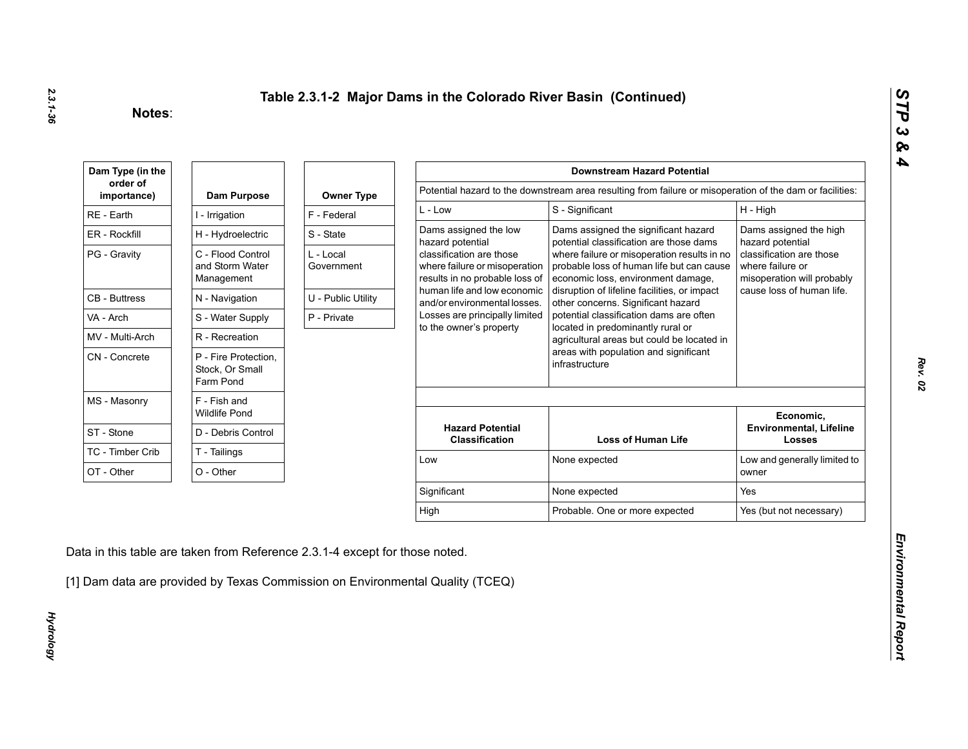| Dam Type (in the        |                                                      |                         |                                                                                             | <b>Downstream Hazard Potential</b>                                                                                             |                                                                            |
|-------------------------|------------------------------------------------------|-------------------------|---------------------------------------------------------------------------------------------|--------------------------------------------------------------------------------------------------------------------------------|----------------------------------------------------------------------------|
| order of<br>importance) | Dam Purpose                                          | <b>Owner Type</b>       |                                                                                             | Potential hazard to the downstream area resulting from failure or misoperation of the dam or facilities:                       |                                                                            |
| RE - Earth              | I - Irrigation                                       | F - Federal             | $L - Low$                                                                                   | S - Significant                                                                                                                | H - High                                                                   |
| ER - Rockfill           | H - Hydroelectric                                    | S - State               | Dams assigned the low<br>hazard potential                                                   | Dams assigned the significant hazard<br>potential classification are those dams                                                | Dams assigned the high<br>hazard potential                                 |
| PG - Gravity            | C - Flood Control<br>and Storm Water<br>Management   | L - Local<br>Government | classification are those<br>where failure or misoperation<br>results in no probable loss of | where failure or misoperation results in no<br>probable loss of human life but can cause<br>economic loss, environment damage, | classification are those<br>where failure or<br>misoperation will probably |
| <b>CB</b> - Buttress    | N - Navigation                                       | U - Public Utility      | human life and low economic<br>and/or environmental losses.                                 | disruption of lifeline facilities, or impact<br>other concerns. Significant hazard                                             | cause loss of human life.                                                  |
| VA - Arch               | S - Water Supply                                     | P - Private             | Losses are principally limited                                                              | potential classification dams are often                                                                                        |                                                                            |
| MV - Multi-Arch         | R - Recreation                                       |                         | to the owner's property                                                                     | located in predominantly rural or<br>agricultural areas but could be located in                                                |                                                                            |
| CN - Concrete           | P - Fire Protection,<br>Stock, Or Small<br>Farm Pond |                         |                                                                                             | areas with population and significant<br>infrastructure                                                                        |                                                                            |
| MS - Masonry            | F - Fish and<br><b>Wildlife Pond</b>                 |                         |                                                                                             |                                                                                                                                | Economic,                                                                  |
| ST - Stone              | D - Debris Control                                   |                         | <b>Hazard Potential</b><br><b>Classification</b>                                            | <b>Loss of Human Life</b>                                                                                                      | <b>Environmental, Lifeline</b><br><b>Losses</b>                            |
| TC - Timber Crib        | T - Tailings                                         |                         | Low                                                                                         | None expected                                                                                                                  | Low and generally limited to                                               |
| OT - Other              | O - Other                                            |                         |                                                                                             |                                                                                                                                | owner                                                                      |
|                         |                                                      |                         | Significant                                                                                 | None expected                                                                                                                  | Yes                                                                        |
|                         |                                                      |                         |                                                                                             |                                                                                                                                | Yes (but not necessary)                                                    |

**Hydrology** *Hydrology*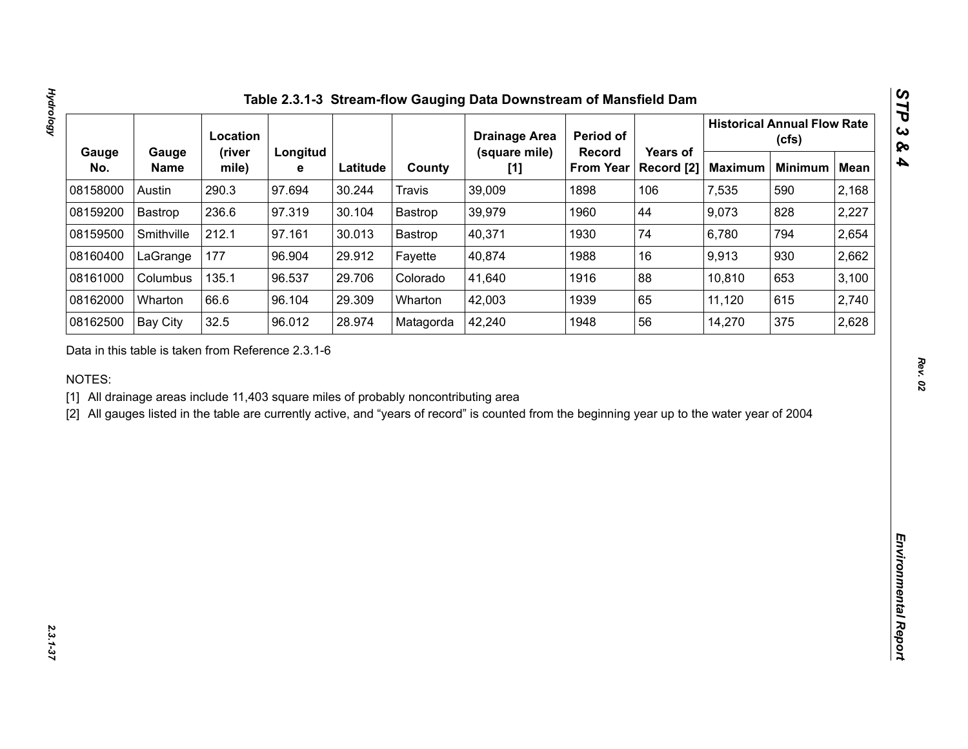|              |                      | Location        |               |          |               | <b>Drainage Area</b>   | Period of                         |                        |                | <b>Historical Annual Flow Rate</b><br>(cfs) |             |
|--------------|----------------------|-----------------|---------------|----------|---------------|------------------------|-----------------------------------|------------------------|----------------|---------------------------------------------|-------------|
| Gauge<br>No. | Gauge<br><b>Name</b> | (river<br>mile) | Longitud<br>e | Latitude | County        | (square mile)<br>$[1]$ | <b>Record</b><br><b>From Year</b> | Years of<br>Record [2] | <b>Maximum</b> | <b>Minimum</b>                              | <b>Mean</b> |
| 08158000     | Austin               | 290.3           | 97.694        | 30.244   | <b>Travis</b> | 39,009                 | 1898                              | 106                    | 7,535          | 590                                         | 2,168       |
| 08159200     | Bastrop              | 236.6           | 97.319        | 30.104   | Bastrop       | 39,979                 | 1960                              | 44                     | 9,073          | 828                                         | 2,227       |
| 08159500     | Smithville           | 212.1           | 97.161        | 30.013   | Bastrop       | 40,371                 | 1930                              | 74                     | 6,780          | 794                                         | 2,654       |
| 08160400     | LaGrange             | 177             | 96.904        | 29.912   | Fayette       | 40,874                 | 1988                              | 16                     | 9,913          | 930                                         | 2,662       |
| 08161000     | Columbus             | 135.1           | 96.537        | 29.706   | Colorado      | 41,640                 | 1916                              | 88                     | 10,810         | 653                                         | 3,100       |
| 08162000     | Wharton              | 66.6            | 96.104        | 29.309   | Wharton       | 42,003                 | 1939                              | 65                     | 11,120         | 615                                         | 2,740       |
| 08162500     | <b>Bay City</b>      | 32.5            | 96.012        | 28.974   | Matagorda     | 42,240                 | 1948                              | 56                     | 14,270         | 375                                         | 2,628       |
|              |                      |                 |               |          |               |                        |                                   |                        |                |                                             |             |
|              |                      |                 |               |          |               |                        |                                   |                        |                |                                             |             |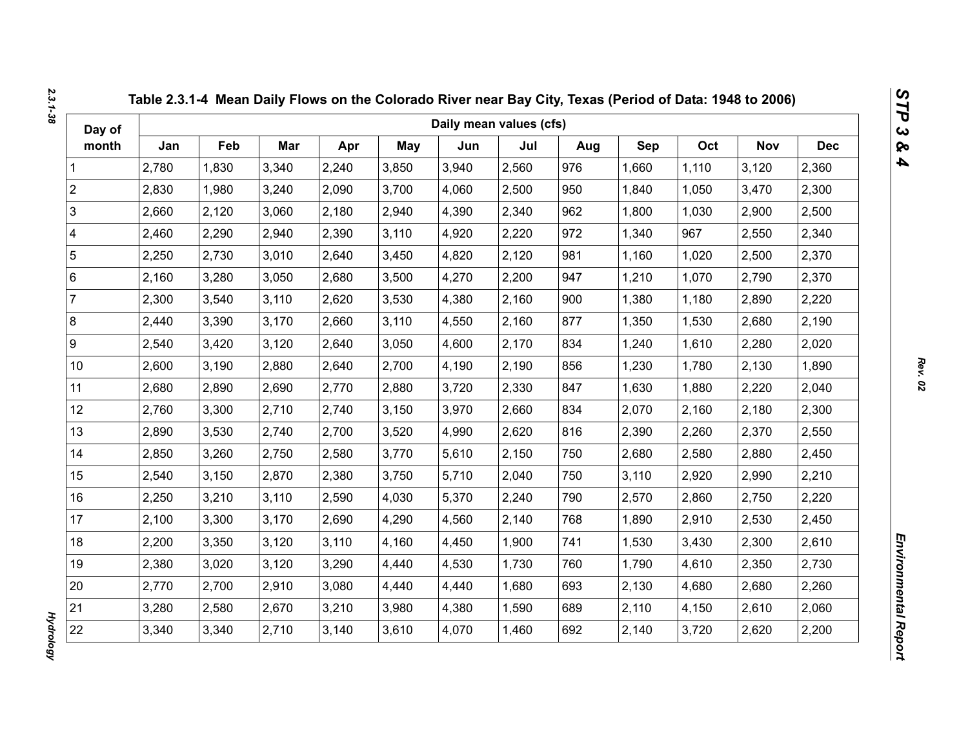| Day of         |       |       |       |       |       | Daily mean values (cfs) |       |     |       |       |            |            |
|----------------|-------|-------|-------|-------|-------|-------------------------|-------|-----|-------|-------|------------|------------|
| month          | Jan   | Feb   | Mar   | Apr   | May   | Jun                     | Jul   | Aug | Sep   | Oct   | <b>Nov</b> | <b>Dec</b> |
| 1              | 2,780 | 1,830 | 3,340 | 2,240 | 3,850 | 3,940                   | 2,560 | 976 | 1,660 | 1,110 | 3,120      | 2,360      |
| $\overline{2}$ | 2,830 | 1,980 | 3,240 | 2,090 | 3,700 | 4,060                   | 2,500 | 950 | 1,840 | 1,050 | 3,470      | 2,300      |
| $\mathfrak{S}$ | 2,660 | 2,120 | 3,060 | 2,180 | 2,940 | 4,390                   | 2,340 | 962 | 1,800 | 1,030 | 2,900      | 2,500      |
| 4              | 2,460 | 2,290 | 2,940 | 2,390 | 3,110 | 4,920                   | 2,220 | 972 | 1,340 | 967   | 2,550      | 2,340      |
| 5              | 2,250 | 2,730 | 3,010 | 2,640 | 3,450 | 4,820                   | 2,120 | 981 | 1,160 | 1,020 | 2,500      | 2,370      |
| 6              | 2,160 | 3,280 | 3,050 | 2,680 | 3,500 | 4,270                   | 2,200 | 947 | 1,210 | 1,070 | 2,790      | 2,370      |
| $\overline{7}$ | 2,300 | 3,540 | 3,110 | 2,620 | 3,530 | 4,380                   | 2,160 | 900 | 1,380 | 1,180 | 2,890      | 2,220      |
| 8              | 2,440 | 3,390 | 3,170 | 2,660 | 3,110 | 4,550                   | 2,160 | 877 | 1,350 | 1,530 | 2,680      | 2,190      |
| 9              | 2,540 | 3,420 | 3,120 | 2,640 | 3,050 | 4,600                   | 2,170 | 834 | 1,240 | 1,610 | 2,280      | 2,020      |
| $10$           | 2,600 | 3,190 | 2,880 | 2,640 | 2,700 | 4,190                   | 2,190 | 856 | 1,230 | 1,780 | 2,130      | 1,890      |
| 11             | 2,680 | 2,890 | 2,690 | 2,770 | 2,880 | 3,720                   | 2,330 | 847 | 1,630 | 1,880 | 2,220      | 2,040      |
| 12             | 2,760 | 3,300 | 2,710 | 2,740 | 3,150 | 3,970                   | 2,660 | 834 | 2,070 | 2,160 | 2,180      | 2,300      |
| 13             | 2,890 | 3,530 | 2,740 | 2,700 | 3,520 | 4,990                   | 2,620 | 816 | 2,390 | 2,260 | 2,370      | 2,550      |
| 14             | 2,850 | 3,260 | 2,750 | 2,580 | 3,770 | 5,610                   | 2,150 | 750 | 2,680 | 2,580 | 2,880      | 2,450      |
| 15             | 2,540 | 3,150 | 2,870 | 2,380 | 3,750 | 5,710                   | 2,040 | 750 | 3,110 | 2,920 | 2,990      | 2,210      |
| 16             | 2,250 | 3,210 | 3,110 | 2,590 | 4,030 | 5,370                   | 2,240 | 790 | 2,570 | 2,860 | 2,750      | 2,220      |
| 17             | 2,100 | 3,300 | 3,170 | 2,690 | 4,290 | 4,560                   | 2,140 | 768 | 1,890 | 2,910 | 2,530      | 2,450      |
| 18             | 2,200 | 3,350 | 3,120 | 3,110 | 4,160 | 4,450                   | 1,900 | 741 | 1,530 | 3,430 | 2,300      | 2,610      |
| 19             | 2,380 | 3,020 | 3,120 | 3,290 | 4,440 | 4,530                   | 1,730 | 760 | 1,790 | 4,610 | 2,350      | 2,730      |
| 20             | 2,770 | 2,700 | 2,910 | 3,080 | 4,440 | 4,440                   | 1,680 | 693 | 2,130 | 4,680 | 2,680      | 2,260      |
| 21             | 3,280 | 2,580 | 2,670 | 3,210 | 3,980 | 4,380                   | 1,590 | 689 | 2,110 | 4,150 | 2,610      | 2,060      |
| 22             | 3,340 | 3,340 | 2,710 | 3,140 | 3,610 | 4,070                   | 1,460 | 692 | 2,140 | 3,720 | 2,620      | 2,200      |

*2.3.1-38*

*Hydrology* 

**Hydrology**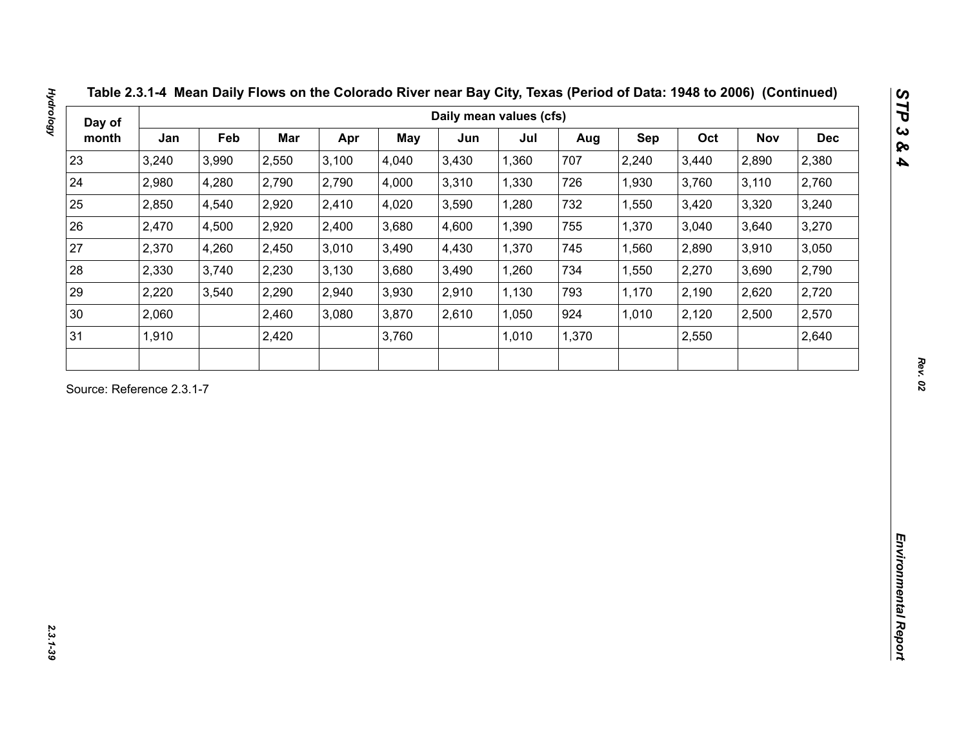| Day of<br>month<br>23<br>24<br>25<br>26<br>27<br>28<br>29<br>$30\,$<br>31<br>Source: Reference 2.3.1-7 | Jan<br>3,240<br>2,980<br>2,850<br>2,470<br>2,370<br>2,330<br>2,220<br>2,060<br>1,910 | Feb<br>3,990<br>4,280<br>4,540<br>4,500<br>4,260<br>3,740<br>3,540 | Mar<br>2,550<br>2,790<br>2,920<br>2,920<br>2,450<br>2,230<br>2,290<br>2,460 | Apr<br>3,100<br>2,790<br>2,410<br>2,400<br>3,010<br>3,130<br>2,940<br>3,080 | May<br>4,040<br>4,000<br>4,020<br>3,680<br>3,490<br>3,680<br>3,930 | Jun<br>3,430<br>3,310<br>3,590<br>4,600<br>4,430<br>3,490 | Jul<br>1,360<br>1,330<br>1,280<br>1,390<br>1,370<br>1,260 | Aug<br>707<br>726<br>732<br>755<br>745 | Sep<br>2,240<br>1,930<br>1,550<br>1,370<br>1,560 | Oct<br>3,440<br>3,760<br>3,420<br>3,040<br>2,890 | <b>Nov</b><br>2,890<br>3,110<br>3,320<br>3,640 | <b>Dec</b><br>2,380<br>2,760<br>3,240<br>3,270 |
|--------------------------------------------------------------------------------------------------------|--------------------------------------------------------------------------------------|--------------------------------------------------------------------|-----------------------------------------------------------------------------|-----------------------------------------------------------------------------|--------------------------------------------------------------------|-----------------------------------------------------------|-----------------------------------------------------------|----------------------------------------|--------------------------------------------------|--------------------------------------------------|------------------------------------------------|------------------------------------------------|
|                                                                                                        |                                                                                      |                                                                    |                                                                             |                                                                             |                                                                    |                                                           |                                                           |                                        |                                                  |                                                  |                                                |                                                |
|                                                                                                        |                                                                                      |                                                                    |                                                                             |                                                                             |                                                                    |                                                           |                                                           |                                        |                                                  |                                                  |                                                |                                                |
|                                                                                                        |                                                                                      |                                                                    |                                                                             |                                                                             |                                                                    |                                                           |                                                           |                                        |                                                  |                                                  |                                                |                                                |
|                                                                                                        |                                                                                      |                                                                    |                                                                             |                                                                             |                                                                    |                                                           |                                                           |                                        |                                                  |                                                  |                                                |                                                |
|                                                                                                        |                                                                                      |                                                                    |                                                                             |                                                                             |                                                                    |                                                           |                                                           |                                        |                                                  |                                                  |                                                |                                                |
|                                                                                                        |                                                                                      |                                                                    |                                                                             |                                                                             |                                                                    |                                                           |                                                           |                                        |                                                  |                                                  | 3,910                                          | 3,050                                          |
|                                                                                                        |                                                                                      |                                                                    |                                                                             |                                                                             |                                                                    |                                                           |                                                           | 734                                    | 1,550                                            | 2,270                                            | 3,690                                          | 2,790                                          |
|                                                                                                        |                                                                                      |                                                                    |                                                                             |                                                                             |                                                                    | 2,910                                                     | 1,130                                                     | 793                                    | 1,170                                            | 2,190                                            | 2,620                                          | 2,720                                          |
|                                                                                                        |                                                                                      |                                                                    |                                                                             |                                                                             | 3,870                                                              | 2,610                                                     | 1,050                                                     | 924                                    | 1,010                                            | 2,120                                            | 2,500                                          | 2,570                                          |
|                                                                                                        |                                                                                      |                                                                    | 2,420                                                                       |                                                                             | 3,760                                                              |                                                           | 1,010                                                     | 1,370                                  |                                                  | 2,550                                            |                                                | 2,640                                          |
|                                                                                                        |                                                                                      |                                                                    |                                                                             |                                                                             |                                                                    |                                                           |                                                           |                                        |                                                  |                                                  |                                                |                                                |

**Hydrology**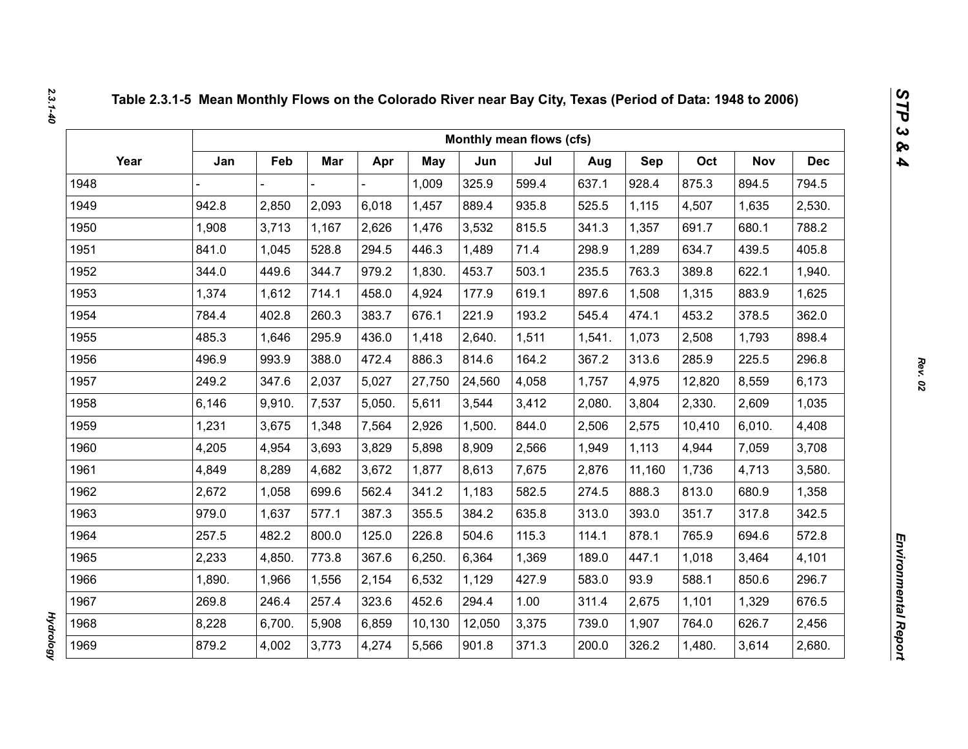|      |        |        |            |        |        |        | Monthly mean flows (cfs) |        |        |        |            |            |
|------|--------|--------|------------|--------|--------|--------|--------------------------|--------|--------|--------|------------|------------|
| Year | Jan    | Feb    | <b>Mar</b> | Apr    | May    | Jun    | Jul                      | Aug    | Sep    | Oct    | <b>Nov</b> | <b>Dec</b> |
| 1948 |        |        |            |        | 1,009  | 325.9  | 599.4                    | 637.1  | 928.4  | 875.3  | 894.5      | 794.5      |
| 1949 | 942.8  | 2,850  | 2,093      | 6,018  | 1,457  | 889.4  | 935.8                    | 525.5  | 1,115  | 4,507  | 1,635      | 2,530.     |
| 1950 | 1,908  | 3,713  | 1,167      | 2,626  | 1,476  | 3,532  | 815.5                    | 341.3  | 1,357  | 691.7  | 680.1      | 788.2      |
| 1951 | 841.0  | 1,045  | 528.8      | 294.5  | 446.3  | 1,489  | 71.4                     | 298.9  | 1,289  | 634.7  | 439.5      | 405.8      |
| 1952 | 344.0  | 449.6  | 344.7      | 979.2  | 1,830. | 453.7  | 503.1                    | 235.5  | 763.3  | 389.8  | 622.1      | 1,940.     |
| 1953 | 1,374  | 1,612  | 714.1      | 458.0  | 4,924  | 177.9  | 619.1                    | 897.6  | 1,508  | 1,315  | 883.9      | 1,625      |
| 1954 | 784.4  | 402.8  | 260.3      | 383.7  | 676.1  | 221.9  | 193.2                    | 545.4  | 474.1  | 453.2  | 378.5      | 362.0      |
| 1955 | 485.3  | 1,646  | 295.9      | 436.0  | 1,418  | 2,640. | 1,511                    | 1,541. | 1,073  | 2,508  | 1,793      | 898.4      |
| 1956 | 496.9  | 993.9  | 388.0      | 472.4  | 886.3  | 814.6  | 164.2                    | 367.2  | 313.6  | 285.9  | 225.5      | 296.8      |
| 1957 | 249.2  | 347.6  | 2,037      | 5,027  | 27,750 | 24,560 | 4,058                    | 1,757  | 4,975  | 12,820 | 8,559      | 6,173      |
| 1958 | 6,146  | 9,910. | 7,537      | 5,050. | 5,611  | 3,544  | 3,412                    | 2,080. | 3,804  | 2,330. | 2,609      | 1,035      |
| 1959 | 1,231  | 3,675  | 1,348      | 7,564  | 2,926  | 1,500. | 844.0                    | 2,506  | 2,575  | 10,410 | 6,010.     | 4,408      |
| 1960 | 4,205  | 4,954  | 3,693      | 3,829  | 5,898  | 8,909  | 2,566                    | 1,949  | 1,113  | 4,944  | 7,059      | 3,708      |
| 1961 | 4,849  | 8,289  | 4,682      | 3,672  | 1,877  | 8,613  | 7,675                    | 2,876  | 11,160 | 1,736  | 4,713      | 3,580.     |
| 1962 | 2,672  | 1,058  | 699.6      | 562.4  | 341.2  | 1,183  | 582.5                    | 274.5  | 888.3  | 813.0  | 680.9      | 1,358      |
| 1963 | 979.0  | 1,637  | 577.1      | 387.3  | 355.5  | 384.2  | 635.8                    | 313.0  | 393.0  | 351.7  | 317.8      | 342.5      |
| 1964 | 257.5  | 482.2  | 800.0      | 125.0  | 226.8  | 504.6  | 115.3                    | 114.1  | 878.1  | 765.9  | 694.6      | 572.8      |
| 1965 | 2,233  | 4,850. | 773.8      | 367.6  | 6,250. | 6,364  | 1,369                    | 189.0  | 447.1  | 1,018  | 3,464      | 4,101      |
| 1966 | 1,890. | 1,966  | 1,556      | 2,154  | 6,532  | 1,129  | 427.9                    | 583.0  | 93.9   | 588.1  | 850.6      | 296.7      |
| 1967 | 269.8  | 246.4  | 257.4      | 323.6  | 452.6  | 294.4  | 1.00                     | 311.4  | 2,675  | 1,101  | 1,329      | 676.5      |
| 1968 | 8,228  | 6,700. | 5,908      | 6,859  | 10,130 | 12,050 | 3,375                    | 739.0  | 1,907  | 764.0  | 626.7      | 2,456      |
| 1969 | 879.2  | 4,002  | 3,773      | 4,274  | 5,566  | 901.8  | 371.3                    | 200.0  | 326.2  | 1,480. | 3,614      | 2,680.     |

**Hydrology** *Hydrology*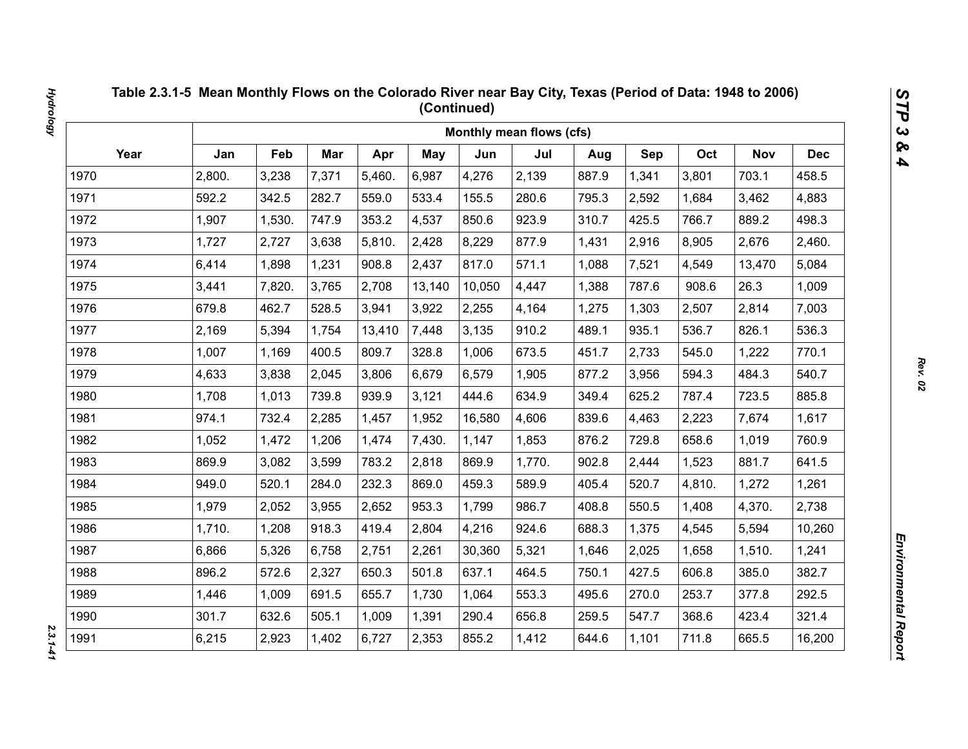|      |        |        |       |        |            |        | Monthly mean flows (cfs) |       |       |        |            |            |
|------|--------|--------|-------|--------|------------|--------|--------------------------|-------|-------|--------|------------|------------|
| Year | Jan    | Feb    | Mar   | Apr    | <b>May</b> | Jun    | Jul                      | Aug   | Sep   | Oct    | <b>Nov</b> | <b>Dec</b> |
| 1970 | 2,800. | 3,238  | 7,371 | 5,460. | 6,987      | 4,276  | 2,139                    | 887.9 | 1,341 | 3,801  | 703.1      | 458.5      |
| 1971 | 592.2  | 342.5  | 282.7 | 559.0  | 533.4      | 155.5  | 280.6                    | 795.3 | 2,592 | 1,684  | 3,462      | 4,883      |
| 1972 | 1,907  | 1,530. | 747.9 | 353.2  | 4,537      | 850.6  | 923.9                    | 310.7 | 425.5 | 766.7  | 889.2      | 498.3      |
| 1973 | 1,727  | 2,727  | 3,638 | 5,810. | 2,428      | 8,229  | 877.9                    | 1,431 | 2,916 | 8,905  | 2,676      | 2,460.     |
| 1974 | 6,414  | 1,898  | 1,231 | 908.8  | 2,437      | 817.0  | 571.1                    | 1,088 | 7,521 | 4,549  | 13,470     | 5,084      |
| 1975 | 3,441  | 7,820. | 3,765 | 2,708  | 13,140     | 10,050 | 4,447                    | 1,388 | 787.6 | 908.6  | 26.3       | 1,009      |
| 1976 | 679.8  | 462.7  | 528.5 | 3,941  | 3,922      | 2,255  | 4,164                    | 1,275 | 1,303 | 2,507  | 2,814      | 7,003      |
| 1977 | 2,169  | 5,394  | 1,754 | 13,410 | 7,448      | 3,135  | 910.2                    | 489.1 | 935.1 | 536.7  | 826.1      | 536.3      |
| 1978 | 1,007  | 1,169  | 400.5 | 809.7  | 328.8      | 1,006  | 673.5                    | 451.7 | 2,733 | 545.0  | 1,222      | 770.1      |
| 1979 | 4,633  | 3,838  | 2,045 | 3,806  | 6,679      | 6,579  | 1,905                    | 877.2 | 3,956 | 594.3  | 484.3      | 540.7      |
| 1980 | 1,708  | 1,013  | 739.8 | 939.9  | 3,121      | 444.6  | 634.9                    | 349.4 | 625.2 | 787.4  | 723.5      | 885.8      |
| 1981 | 974.1  | 732.4  | 2,285 | 1,457  | 1,952      | 16,580 | 4,606                    | 839.6 | 4,463 | 2,223  | 7,674      | 1,617      |
| 1982 | 1,052  | 1,472  | 1,206 | 1,474  | 7,430.     | 1,147  | 1,853                    | 876.2 | 729.8 | 658.6  | 1,019      | 760.9      |
| 1983 | 869.9  | 3,082  | 3,599 | 783.2  | 2,818      | 869.9  | 1,770.                   | 902.8 | 2,444 | 1,523  | 881.7      | 641.5      |
| 1984 | 949.0  | 520.1  | 284.0 | 232.3  | 869.0      | 459.3  | 589.9                    | 405.4 | 520.7 | 4,810. | 1,272      | 1,261      |
| 1985 | 1,979  | 2,052  | 3,955 | 2,652  | 953.3      | 1,799  | 986.7                    | 408.8 | 550.5 | 1,408  | 4,370.     | 2,738      |
| 1986 | 1,710. | 1,208  | 918.3 | 419.4  | 2,804      | 4,216  | 924.6                    | 688.3 | 1,375 | 4,545  | 5,594      | 10,260     |
| 1987 | 6,866  | 5,326  | 6,758 | 2,751  | 2,261      | 30,360 | 5,321                    | 1,646 | 2,025 | 1,658  | 1,510.     | 1,241      |
| 1988 | 896.2  | 572.6  | 2,327 | 650.3  | 501.8      | 637.1  | 464.5                    | 750.1 | 427.5 | 606.8  | 385.0      | 382.7      |
| 1989 | 1,446  | 1,009  | 691.5 | 655.7  | 1,730      | 1,064  | 553.3                    | 495.6 | 270.0 | 253.7  | 377.8      | 292.5      |
| 1990 | 301.7  | 632.6  | 505.1 | 1,009  | 1,391      | 290.4  | 656.8                    | 259.5 | 547.7 | 368.6  | 423.4      | 321.4      |
| 1991 | 6,215  | 2,923  | 1,402 | 6,727  | 2,353      | 855.2  | 1,412                    | 644.6 | 1,101 | 711.8  | 665.5      | 16,200     |

 $2.3.1 - 41$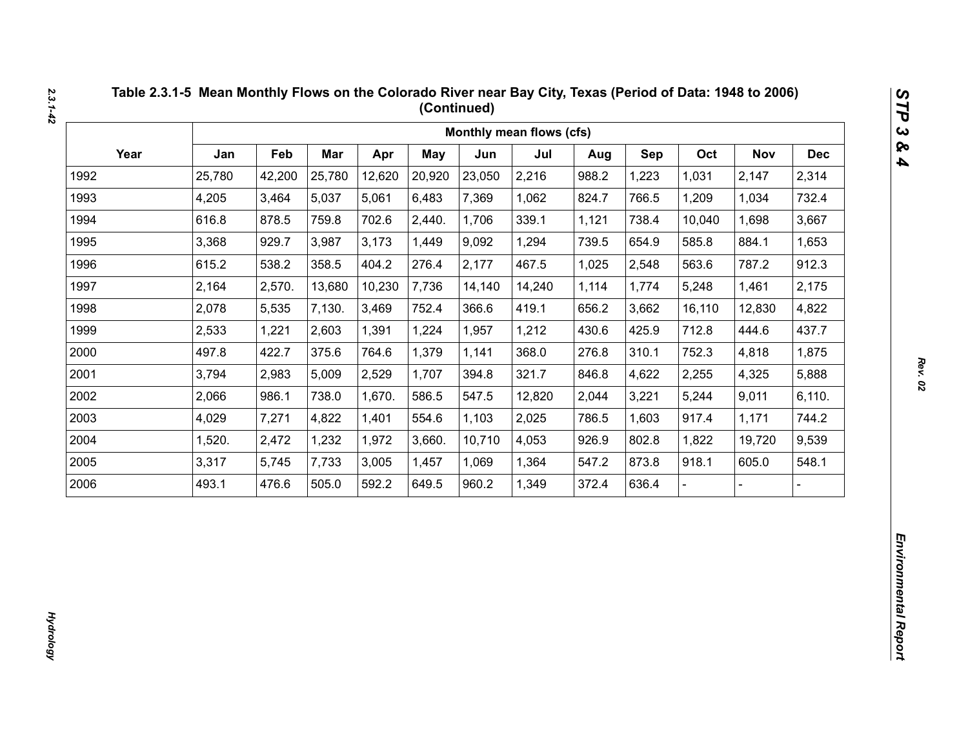|      |        |        |        |        |        |        | Monthly mean flows (cfs) |       |       |        |                |            |
|------|--------|--------|--------|--------|--------|--------|--------------------------|-------|-------|--------|----------------|------------|
| Year | Jan    | Feb    | Mar    | Apr    | May    | Jun    | Jul                      | Aug   | Sep   | Oct    | <b>Nov</b>     | <b>Dec</b> |
| 1992 | 25,780 | 42,200 | 25,780 | 12,620 | 20,920 | 23,050 | 2,216                    | 988.2 | 1,223 | 1,031  | 2,147          | 2,314      |
| 1993 | 4,205  | 3,464  | 5,037  | 5,061  | 6,483  | 7,369  | 1,062                    | 824.7 | 766.5 | 1,209  | 1,034          | 732.4      |
| 1994 | 616.8  | 878.5  | 759.8  | 702.6  | 2,440. | 1,706  | 339.1                    | 1,121 | 738.4 | 10,040 | 1,698          | 3,667      |
| 1995 | 3,368  | 929.7  | 3,987  | 3,173  | 1,449  | 9,092  | 1,294                    | 739.5 | 654.9 | 585.8  | 884.1          | 1,653      |
| 1996 | 615.2  | 538.2  | 358.5  | 404.2  | 276.4  | 2,177  | 467.5                    | 1,025 | 2,548 | 563.6  | 787.2          | 912.3      |
| 1997 | 2,164  | 2,570. | 13,680 | 10,230 | 7,736  | 14,140 | 14,240                   | 1,114 | 1,774 | 5,248  | 1,461          | 2,175      |
| 1998 | 2,078  | 5,535  | 7,130. | 3,469  | 752.4  | 366.6  | 419.1                    | 656.2 | 3,662 | 16,110 | 12,830         | 4,822      |
| 1999 | 2,533  | 1,221  | 2,603  | 1,391  | 1,224  | 1,957  | 1,212                    | 430.6 | 425.9 | 712.8  | 444.6          | 437.7      |
| 2000 | 497.8  | 422.7  | 375.6  | 764.6  | 1,379  | 1,141  | 368.0                    | 276.8 | 310.1 | 752.3  | 4,818          | 1,875      |
| 2001 | 3,794  | 2,983  | 5,009  | 2,529  | 1,707  | 394.8  | 321.7                    | 846.8 | 4,622 | 2,255  | 4,325          | 5,888      |
| 2002 | 2,066  | 986.1  | 738.0  | 1,670. | 586.5  | 547.5  | 12,820                   | 2,044 | 3,221 | 5,244  | 9,011          | 6,110.     |
| 2003 | 4,029  | 7,271  | 4,822  | 1,401  | 554.6  | 1,103  | 2,025                    | 786.5 | 1,603 | 917.4  | 1,171          | 744.2      |
| 2004 | 1,520. | 2,472  | 1,232  | 1,972  | 3,660. | 10,710 | 4,053                    | 926.9 | 802.8 | 1,822  | 19,720         | 9,539      |
| 2005 | 3,317  | 5,745  | 7,733  | 3,005  | 1,457  | 1,069  | 1,364                    | 547.2 | 873.8 | 918.1  | 605.0          | 548.1      |
| 2006 | 493.1  | 476.6  | 505.0  | 592.2  | 649.5  | 960.2  | 1,349                    | 372.4 | 636.4 |        | $\overline{a}$ |            |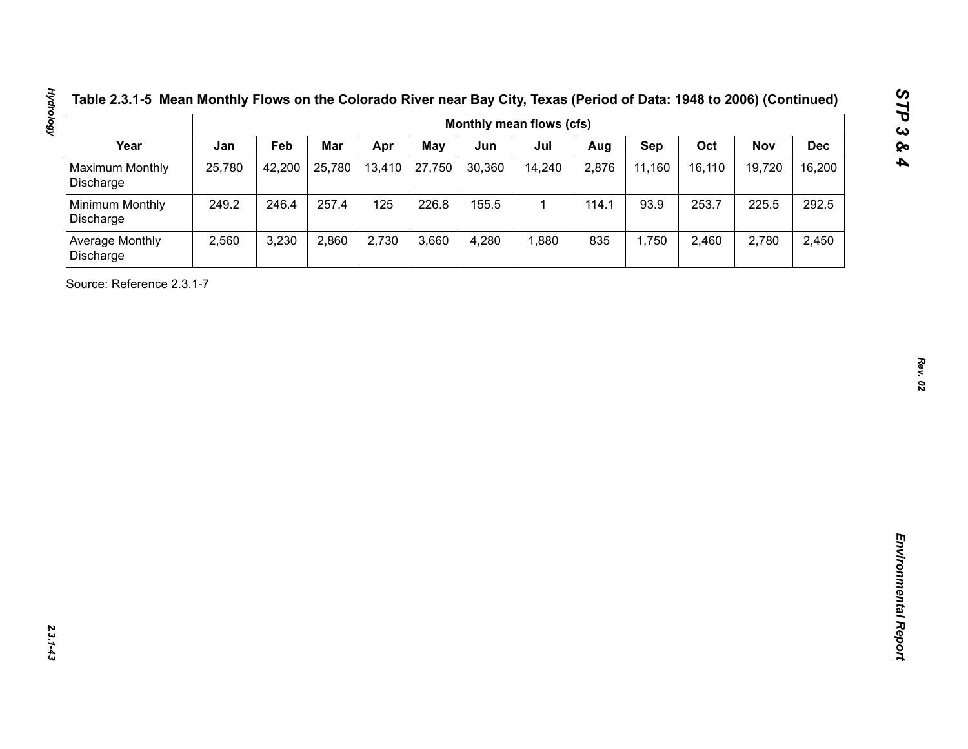| Table 2.3.1-5 Mean Monthly Flows on the Colorado River near Bay City, Texas (Period of Data: 1948 to 2006) (Continue |  |  |  |
|----------------------------------------------------------------------------------------------------------------------|--|--|--|
|                                                                                                                      |  |  |  |

| Year<br>Maximum Monthly<br>Discharge<br>Minimum Monthly<br>Discharge<br>Average Monthly<br>Discharge<br>Source: Reference 2.3.1-7 | Jan<br>25,780<br>249.2<br>2,560 | Feb<br>42,200<br>246.4<br>3,230 | Mar<br>25,780<br>257.4<br>2,860 | Apr<br>13,410<br>125<br>2,730 | <b>May</b><br>27,750<br>226.8<br>3,660 | Jun<br>30,360<br>155.5<br>4,280 | Jul<br>14,240<br>$\mathbf{1}$<br>1,880 | Aug<br>2,876<br>114.1<br>835 | Sep<br>11,160<br>93.9<br>1,750 | Oct<br>16,110<br>253.7<br>2,460 | <b>Nov</b><br>19,720<br>225.5<br>2,780 | <b>Dec</b><br>16,200<br>292.5<br>2,450 |
|-----------------------------------------------------------------------------------------------------------------------------------|---------------------------------|---------------------------------|---------------------------------|-------------------------------|----------------------------------------|---------------------------------|----------------------------------------|------------------------------|--------------------------------|---------------------------------|----------------------------------------|----------------------------------------|
|                                                                                                                                   |                                 |                                 |                                 |                               |                                        |                                 |                                        |                              |                                |                                 |                                        |                                        |
|                                                                                                                                   |                                 |                                 |                                 |                               |                                        |                                 |                                        |                              |                                |                                 |                                        |                                        |
|                                                                                                                                   |                                 |                                 |                                 |                               |                                        |                                 |                                        |                              |                                |                                 |                                        |                                        |
|                                                                                                                                   |                                 |                                 |                                 |                               |                                        |                                 |                                        |                              |                                |                                 |                                        |                                        |
|                                                                                                                                   |                                 |                                 |                                 |                               |                                        |                                 |                                        |                              |                                |                                 |                                        |                                        |

**Hydrology**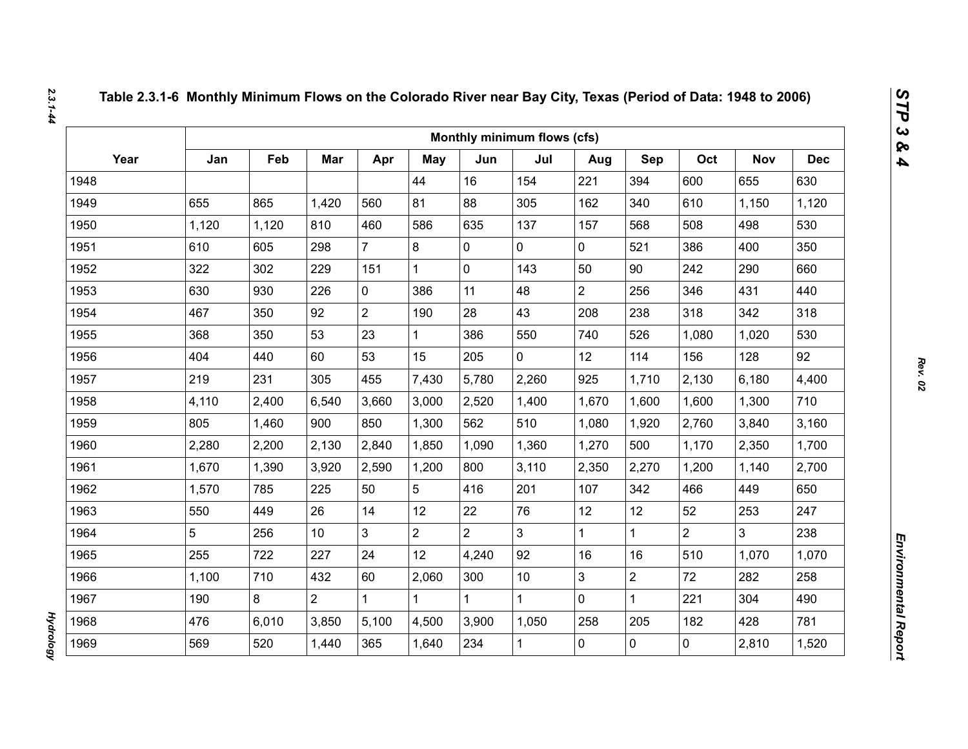|      |       |       |                |                |                |                | Monthly minimum flows (cfs) |                |                |                |              |            |
|------|-------|-------|----------------|----------------|----------------|----------------|-----------------------------|----------------|----------------|----------------|--------------|------------|
| Year | Jan   | Feb   | Mar            | Apr            | May            | Jun            | Jul                         | Aug            | Sep            | Oct            | <b>Nov</b>   | <b>Dec</b> |
| 1948 |       |       |                |                | 44             | 16             | 154                         | 221            | 394            | 600            | 655          | 630        |
| 1949 | 655   | 865   | 1,420          | 560            | 81             | 88             | 305                         | 162            | 340            | 610            | 1,150        | 1,120      |
| 1950 | 1,120 | 1,120 | 810            | 460            | 586            | 635            | 137                         | 157            | 568            | 508            | 498          | 530        |
| 1951 | 610   | 605   | 298            | $\overline{7}$ | 8              | 0              | 0                           | 0              | 521            | 386            | 400          | 350        |
| 1952 | 322   | 302   | 229            | 151            | $\mathbf{1}$   | 0              | 143                         | 50             | 90             | 242            | 290          | 660        |
| 1953 | 630   | 930   | 226            | $\mathbf 0$    | 386            | 11             | 48                          | $\overline{2}$ | 256            | 346            | 431          | 440        |
| 1954 | 467   | 350   | 92             | $\overline{2}$ | 190            | 28             | 43                          | 208            | 238            | 318            | 342          | 318        |
| 1955 | 368   | 350   | 53             | 23             | $\mathbf{1}$   | 386            | 550                         | 740            | 526            | 1,080          | 1,020        | 530        |
| 1956 | 404   | 440   | 60             | 53             | 15             | 205            | 0                           | 12             | 114            | 156            | 128          | 92         |
| 1957 | 219   | 231   | 305            | 455            | 7,430          | 5,780          | 2,260                       | 925            | 1,710          | 2,130          | 6,180        | 4,400      |
| 1958 | 4,110 | 2,400 | 6,540          | 3,660          | 3,000          | 2,520          | 1,400                       | 1,670          | 1,600          | 1,600          | 1,300        | 710        |
| 1959 | 805   | 1,460 | 900            | 850            | 1,300          | 562            | 510                         | 1,080          | 1,920          | 2,760          | 3,840        | 3,160      |
| 1960 | 2,280 | 2,200 | 2,130          | 2,840          | 1,850          | 1,090          | 1,360                       | 1,270          | 500            | 1,170          | 2,350        | 1,700      |
| 1961 | 1,670 | 1,390 | 3,920          | 2,590          | 1,200          | 800            | 3,110                       | 2,350          | 2,270          | 1,200          | 1,140        | 2,700      |
| 1962 | 1,570 | 785   | 225            | 50             | 5              | 416            | 201                         | 107            | 342            | 466            | 449          | 650        |
| 1963 | 550   | 449   | 26             | 14             | 12             | 22             | 76                          | 12             | 12             | 52             | 253          | 247        |
| 1964 | 5     | 256   | 10             | 3              | $\overline{2}$ | $\overline{2}$ | 3                           | $\mathbf{1}$   | $\mathbf{1}$   | $\overline{2}$ | $\mathbf{3}$ | 238        |
| 1965 | 255   | 722   | 227            | 24             | 12             | 4,240          | 92                          | 16             | 16             | 510            | 1,070        | 1,070      |
| 1966 | 1,100 | 710   | 432            | 60             | 2,060          | 300            | 10 <sup>1</sup>             | 3              | $\overline{2}$ | 72             | 282          | 258        |
| 1967 | 190   | 8     | $\overline{2}$ | 1              | $\mathbf{1}$   | $\mathbf{1}$   | $\mathbf{1}$                | 0              | $\mathbf{1}$   | 221            | 304          | 490        |
| 1968 | 476   | 6,010 | 3,850          | 5,100          | 4,500          | 3,900          | 1,050                       | 258            | 205            | 182            | 428          | 781        |
| 1969 | 569   | 520   | 1,440          | 365            | 1,640          | 234            | $\mathbf{1}$                | 0              | $\overline{0}$ | 0              | 2,810        | 1,520      |

*Hydrology* 

**Hydrology**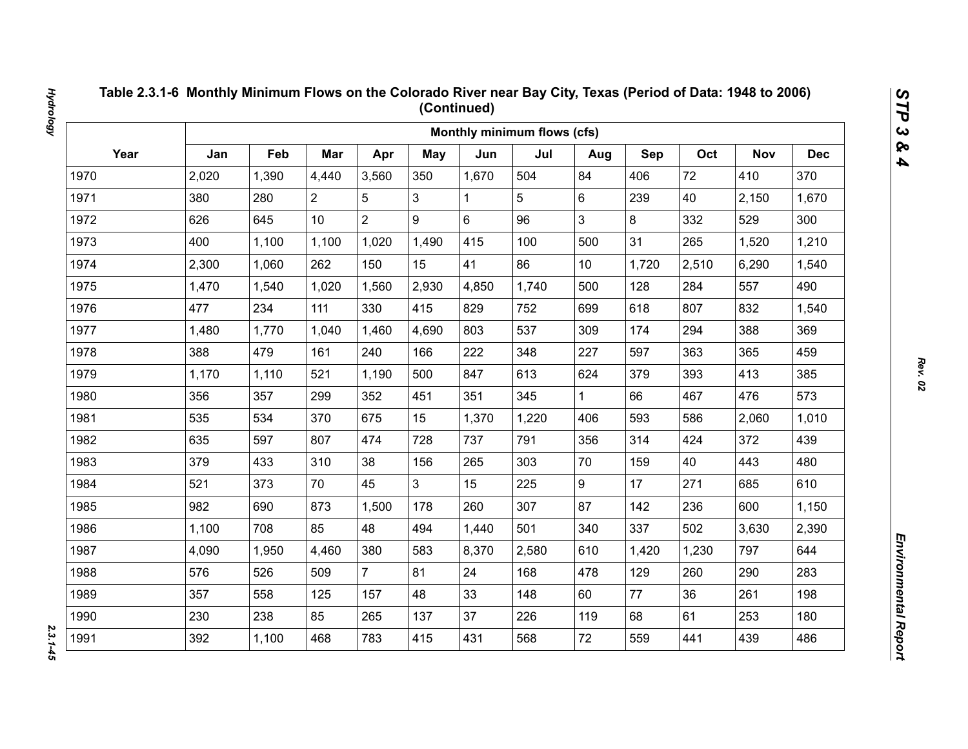|      |       |       |                |                |                |       | Monthly minimum flows (cfs) |                 |       |       |            |            |
|------|-------|-------|----------------|----------------|----------------|-------|-----------------------------|-----------------|-------|-------|------------|------------|
| Year | Jan   | Feb   | Mar            | Apr            | May            | Jun   | Jul                         | Aug             | Sep   | Oct   | <b>Nov</b> | <b>Dec</b> |
| 1970 | 2,020 | 1,390 | 4,440          | 3,560          | 350            | 1,670 | 504                         | 84              | 406   | 72    | 410        | 370        |
| 1971 | 380   | 280   | $\overline{2}$ | 5              | 3              | 1     | 5                           | 6               | 239   | 40    | 2,150      | 1,670      |
| 1972 | 626   | 645   | 10             | $\overline{2}$ | 9              | 6     | 96                          | 3               | 8     | 332   | 529        | 300        |
| 1973 | 400   | 1,100 | 1,100          | 1,020          | 1,490          | 415   | 100                         | 500             | 31    | 265   | 1,520      | 1,210      |
| 1974 | 2,300 | 1,060 | 262            | 150            | 15             | 41    | 86                          | 10 <sup>1</sup> | 1,720 | 2,510 | 6,290      | 1,540      |
| 1975 | 1,470 | 1,540 | 1,020          | 1,560          | 2,930          | 4,850 | 1,740                       | 500             | 128   | 284   | 557        | 490        |
| 1976 | 477   | 234   | 111            | 330            | 415            | 829   | 752                         | 699             | 618   | 807   | 832        | 1,540      |
| 1977 | 1,480 | 1,770 | 1,040          | 1,460          | 4,690          | 803   | 537                         | 309             | 174   | 294   | 388        | 369        |
| 1978 | 388   | 479   | 161            | 240            | 166            | 222   | 348                         | 227             | 597   | 363   | 365        | 459        |
| 1979 | 1,170 | 1,110 | 521            | 1,190          | 500            | 847   | 613                         | 624             | 379   | 393   | 413        | 385        |
| 1980 | 356   | 357   | 299            | 352            | 451            | 351   | 345                         | $\mathbf{1}$    | 66    | 467   | 476        | 573        |
| 1981 | 535   | 534   | 370            | 675            | 15             | 1,370 | 1,220                       | 406             | 593   | 586   | 2,060      | 1,010      |
| 1982 | 635   | 597   | 807            | 474            | 728            | 737   | 791                         | 356             | 314   | 424   | 372        | 439        |
| 1983 | 379   | 433   | 310            | 38             | 156            | 265   | 303                         | 70              | 159   | 40    | 443        | 480        |
| 1984 | 521   | 373   | 70             | 45             | 3 <sup>1</sup> | 15    | 225                         | 9               | 17    | 271   | 685        | 610        |
| 1985 | 982   | 690   | 873            | 1,500          | 178            | 260   | 307                         | 87              | 142   | 236   | 600        | 1,150      |
| 1986 | 1,100 | 708   | 85             | 48             | 494            | 1,440 | 501                         | 340             | 337   | 502   | 3,630      | 2,390      |
| 1987 | 4,090 | 1,950 | 4,460          | 380            | 583            | 8,370 | 2,580                       | 610             | 1,420 | 1,230 | 797        | 644        |
| 1988 | 576   | 526   | 509            | $\overline{7}$ | 81             | 24    | 168                         | 478             | 129   | 260   | 290        | 283        |
| 1989 | 357   | 558   | 125            | 157            | 48             | 33    | 148                         | 60              | 77    | 36    | 261        | 198        |
| 1990 | 230   | 238   | 85             | 265            | 137            | 37    | 226                         | 119             | 68    | 61    | 253        | 180        |
| 1991 | 392   | 1,100 | 468            | 783            | 415            | 431   | 568                         | 72              | 559   | 441   | 439        | 486        |

 $2.3.1 - 45$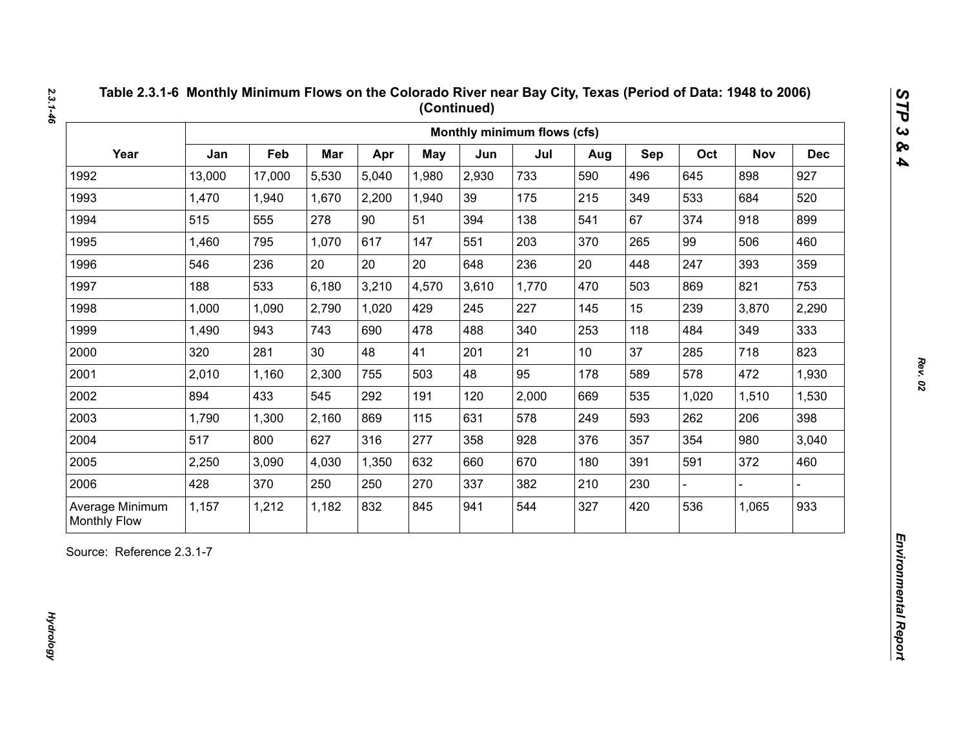|                 |        |        |       |       |            |       | Monthly minimum flows (cfs) |                 |     |       |            |            |
|-----------------|--------|--------|-------|-------|------------|-------|-----------------------------|-----------------|-----|-------|------------|------------|
| Year            | Jan    | Feb    | Mar   | Apr   | <b>May</b> | Jun   | Jul                         | Aug             | Sep | Oct   | <b>Nov</b> | <b>Dec</b> |
| 1992            | 13,000 | 17,000 | 5,530 | 5,040 | 1,980      | 2,930 | 733                         | 590             | 496 | 645   | 898        | 927        |
| 1993            | 1,470  | 1,940  | 1,670 | 2,200 | 1,940      | 39    | 175                         | 215             | 349 | 533   | 684        | 520        |
| 1994            | 515    | 555    | 278   | 90    | 51         | 394   | 138                         | 541             | 67  | 374   | 918        | 899        |
| 1995            | 1,460  | 795    | 1,070 | 617   | 147        | 551   | 203                         | 370             | 265 | 99    | 506        | 460        |
| 1996            | 546    | 236    | 20    | 20    | 20         | 648   | 236                         | 20              | 448 | 247   | 393        | 359        |
| 1997            | 188    | 533    | 6,180 | 3,210 | 4,570      | 3,610 | 1,770                       | 470             | 503 | 869   | 821        | 753        |
| 1998            | 1,000  | 1,090  | 2,790 | 1,020 | 429        | 245   | 227                         | 145             | 15  | 239   | 3,870      | 2,290      |
| 1999            | 1,490  | 943    | 743   | 690   | 478        | 488   | 340                         | 253             | 118 | 484   | 349        | 333        |
| 2000            | 320    | 281    | 30    | 48    | 41         | 201   | 21                          | 10 <sup>°</sup> | 37  | 285   | 718        | 823        |
| 2001            | 2,010  | 1,160  | 2,300 | 755   | 503        | 48    | 95                          | 178             | 589 | 578   | 472        | 1,930      |
| 2002            | 894    | 433    | 545   | 292   | 191        | 120   | 2,000                       | 669             | 535 | 1,020 | 1,510      | 1,530      |
| 2003            | 1,790  | 1,300  | 2,160 | 869   | 115        | 631   | 578                         | 249             | 593 | 262   | 206        | 398        |
| 2004            | 517    | 800    | 627   | 316   | 277        | 358   | 928                         | 376             | 357 | 354   | 980        | 3,040      |
| 2005            | 2,250  | 3,090  | 4,030 | 1,350 | 632        | 660   | 670                         | 180             | 391 | 591   | 372        | 460        |
| 2006            | 428    | 370    | 250   | 250   | 270        | 337   | 382                         | 210             | 230 |       |            |            |
| Average Minimum | 1,157  | 1,212  | 1,182 | 832   | 845        | 941   | 544                         | 327             | 420 | 536   | 1,065      | 933        |

*Rev. 02*

*STP 3 & 4*

*2.3.1-46*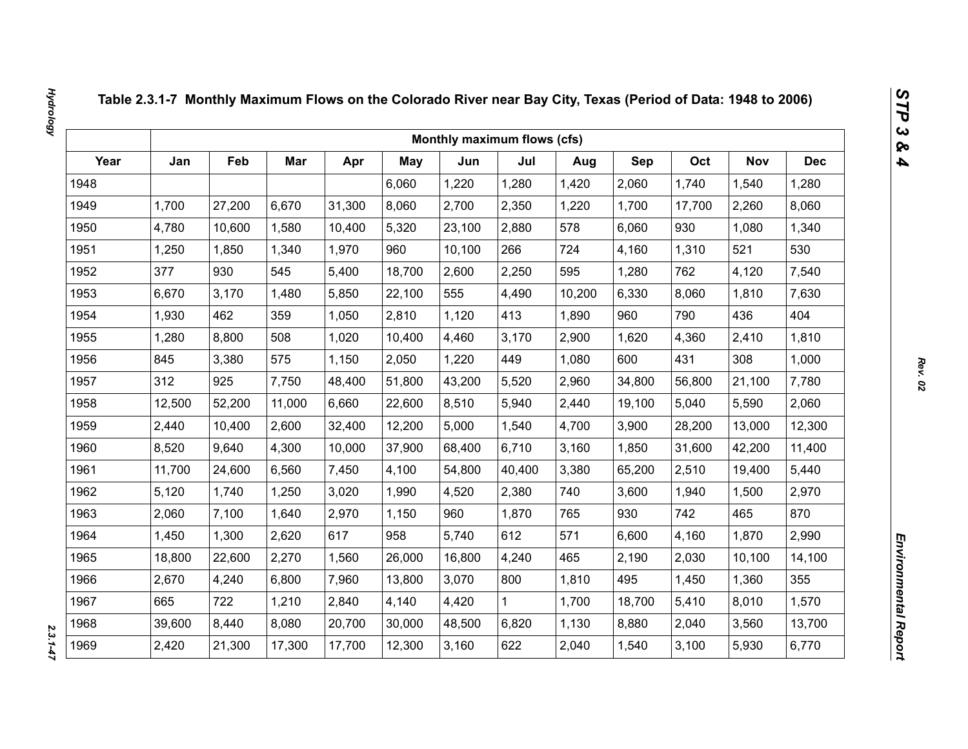|      |        |        |            |        |        | Monthly maximum flows (cfs) |        |        |        |        |            |            |
|------|--------|--------|------------|--------|--------|-----------------------------|--------|--------|--------|--------|------------|------------|
| Year | Jan    | Feb    | <b>Mar</b> | Apr    | May    | Jun                         | Jul    | Aug    | Sep    | Oct    | <b>Nov</b> | <b>Dec</b> |
| 1948 |        |        |            |        | 6,060  | 1,220                       | 1,280  | 1,420  | 2,060  | 1,740  | 1,540      | 1,280      |
| 1949 | 1,700  | 27,200 | 6,670      | 31,300 | 8,060  | 2,700                       | 2,350  | 1,220  | 1,700  | 17,700 | 2,260      | 8,060      |
| 1950 | 4,780  | 10,600 | 1,580      | 10,400 | 5,320  | 23,100                      | 2,880  | 578    | 6,060  | 930    | 1,080      | 1,340      |
| 1951 | 1,250  | 1,850  | 1,340      | 1,970  | 960    | 10,100                      | 266    | 724    | 4,160  | 1,310  | 521        | 530        |
| 1952 | 377    | 930    | 545        | 5,400  | 18,700 | 2,600                       | 2,250  | 595    | 1,280  | 762    | 4,120      | 7,540      |
| 1953 | 6,670  | 3,170  | 1,480      | 5,850  | 22,100 | 555                         | 4,490  | 10,200 | 6,330  | 8,060  | 1,810      | 7,630      |
| 1954 | 1,930  | 462    | 359        | 1,050  | 2,810  | 1,120                       | 413    | 1,890  | 960    | 790    | 436        | 404        |
| 1955 | 1,280  | 8,800  | 508        | 1,020  | 10,400 | 4,460                       | 3,170  | 2,900  | 1,620  | 4,360  | 2,410      | 1,810      |
| 1956 | 845    | 3,380  | 575        | 1,150  | 2,050  | 1,220                       | 449    | 1,080  | 600    | 431    | 308        | 1,000      |
| 1957 | 312    | 925    | 7,750      | 48,400 | 51,800 | 43,200                      | 5,520  | 2,960  | 34,800 | 56,800 | 21,100     | 7,780      |
| 1958 | 12,500 | 52,200 | 11,000     | 6,660  | 22,600 | 8,510                       | 5,940  | 2,440  | 19,100 | 5,040  | 5,590      | 2,060      |
| 1959 | 2,440  | 10,400 | 2,600      | 32,400 | 12,200 | 5,000                       | 1,540  | 4,700  | 3,900  | 28,200 | 13,000     | 12,300     |
| 1960 | 8,520  | 9,640  | 4,300      | 10,000 | 37,900 | 68,400                      | 6,710  | 3,160  | 1,850  | 31,600 | 42,200     | 11,400     |
| 1961 | 11,700 | 24,600 | 6,560      | 7,450  | 4,100  | 54,800                      | 40,400 | 3,380  | 65,200 | 2,510  | 19,400     | 5,440      |
| 1962 | 5,120  | 1,740  | 1,250      | 3,020  | 1,990  | 4,520                       | 2,380  | 740    | 3,600  | 1,940  | 1,500      | 2,970      |
| 1963 | 2,060  | 7,100  | 1,640      | 2,970  | 1,150  | 960                         | 1,870  | 765    | 930    | 742    | 465        | 870        |
| 1964 | 1,450  | 1,300  | 2,620      | 617    | 958    | 5,740                       | 612    | 571    | 6,600  | 4,160  | 1,870      | 2,990      |
| 1965 | 18,800 | 22,600 | 2,270      | 1,560  | 26,000 | 16,800                      | 4,240  | 465    | 2,190  | 2,030  | 10,100     | 14,100     |
| 1966 | 2,670  | 4,240  | 6,800      | 7,960  | 13,800 | 3,070                       | 800    | 1,810  | 495    | 1,450  | 1,360      | 355        |
| 1967 | 665    | 722    | 1,210      | 2,840  | 4,140  | 4,420                       | 1      | 1,700  | 18,700 | 5,410  | 8,010      | 1,570      |
| 1968 | 39,600 | 8,440  | 8,080      | 20,700 | 30,000 | 48,500                      | 6,820  | 1,130  | 8,880  | 2,040  | 3,560      | 13,700     |
| 1969 | 2,420  | 21,300 | 17,300     | 17,700 | 12,300 | 3,160                       | 622    | 2,040  | 1,540  | 3,100  | 5,930      | 6,770      |

 $2.3.1 - 47$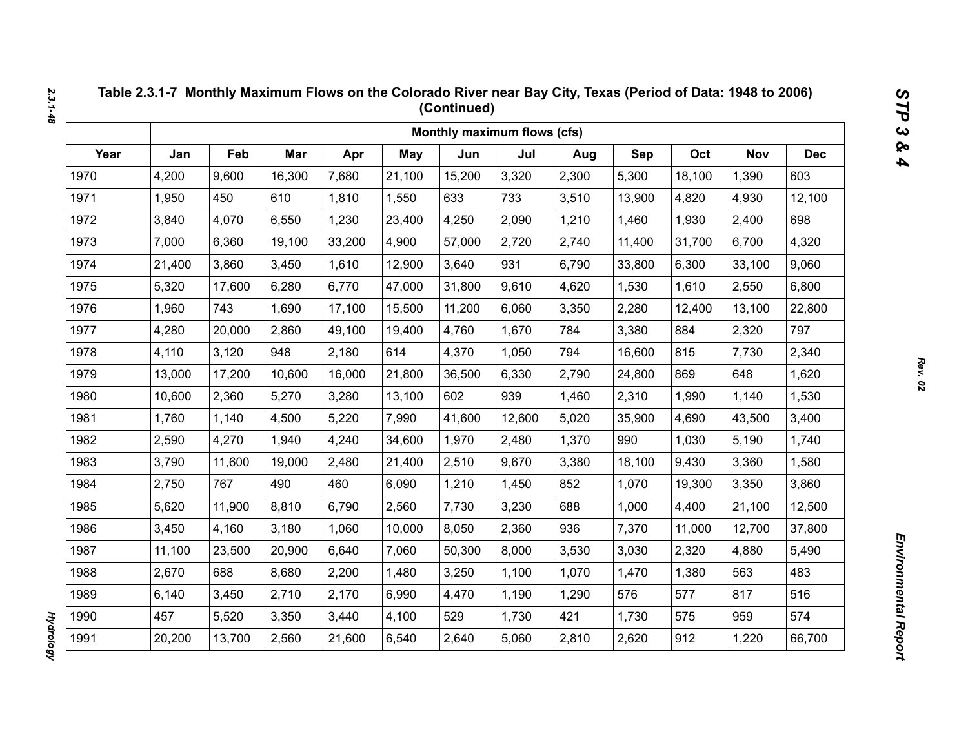|      |        |        |        |        |            | Monthly maximum flows (cfs) |        |       |        |        |            |            |
|------|--------|--------|--------|--------|------------|-----------------------------|--------|-------|--------|--------|------------|------------|
| Year | Jan    | Feb    | Mar    | Apr    | <b>May</b> | Jun                         | Jul    | Aug   | Sep    | Oct    | <b>Nov</b> | <b>Dec</b> |
| 1970 | 4,200  | 9,600  | 16,300 | 7,680  | 21,100     | 15,200                      | 3,320  | 2,300 | 5,300  | 18,100 | 1,390      | 603        |
| 1971 | 1,950  | 450    | 610    | 1,810  | 1,550      | 633                         | 733    | 3,510 | 13,900 | 4,820  | 4,930      | 12,100     |
| 1972 | 3,840  | 4,070  | 6,550  | 1,230  | 23,400     | 4,250                       | 2,090  | 1,210 | 1,460  | 1,930  | 2,400      | 698        |
| 1973 | 7,000  | 6,360  | 19,100 | 33,200 | 4,900      | 57,000                      | 2,720  | 2,740 | 11,400 | 31,700 | 6,700      | 4,320      |
| 1974 | 21,400 | 3,860  | 3,450  | 1,610  | 12,900     | 3,640                       | 931    | 6,790 | 33,800 | 6,300  | 33,100     | 9,060      |
| 1975 | 5,320  | 17,600 | 6,280  | 6,770  | 47,000     | 31,800                      | 9,610  | 4,620 | 1,530  | 1,610  | 2,550      | 6,800      |
| 1976 | 1,960  | 743    | 1,690  | 17,100 | 15,500     | 11,200                      | 6,060  | 3,350 | 2,280  | 12,400 | 13,100     | 22,800     |
| 1977 | 4,280  | 20,000 | 2,860  | 49,100 | 19,400     | 4,760                       | 1,670  | 784   | 3,380  | 884    | 2,320      | 797        |
| 1978 | 4,110  | 3,120  | 948    | 2,180  | 614        | 4,370                       | 1,050  | 794   | 16,600 | 815    | 7,730      | 2,340      |
| 1979 | 13,000 | 17,200 | 10,600 | 16,000 | 21,800     | 36,500                      | 6,330  | 2,790 | 24,800 | 869    | 648        | 1,620      |
| 1980 | 10,600 | 2,360  | 5,270  | 3,280  | 13,100     | 602                         | 939    | 1,460 | 2,310  | 1,990  | 1,140      | 1,530      |
| 1981 | 1,760  | 1,140  | 4,500  | 5,220  | 7,990      | 41,600                      | 12,600 | 5,020 | 35,900 | 4,690  | 43,500     | 3,400      |
| 1982 | 2,590  | 4,270  | 1,940  | 4,240  | 34,600     | 1,970                       | 2,480  | 1,370 | 990    | 1,030  | 5,190      | 1,740      |
| 1983 | 3,790  | 11,600 | 19,000 | 2,480  | 21,400     | 2,510                       | 9,670  | 3,380 | 18,100 | 9,430  | 3,360      | 1,580      |
| 1984 | 2,750  | 767    | 490    | 460    | 6,090      | 1,210                       | 1,450  | 852   | 1,070  | 19,300 | 3,350      | 3,860      |
| 1985 | 5,620  | 11,900 | 8,810  | 6,790  | 2,560      | 7,730                       | 3,230  | 688   | 1,000  | 4,400  | 21,100     | 12,500     |
| 1986 | 3,450  | 4,160  | 3,180  | 1,060  | 10,000     | 8,050                       | 2,360  | 936   | 7,370  | 11,000 | 12,700     | 37,800     |
| 1987 | 11,100 | 23,500 | 20,900 | 6,640  | 7,060      | 50,300                      | 8,000  | 3,530 | 3,030  | 2,320  | 4,880      | 5,490      |
| 1988 | 2,670  | 688    | 8,680  | 2,200  | 1,480      | 3,250                       | 1,100  | 1,070 | 1,470  | 1,380  | 563        | 483        |
| 1989 | 6,140  | 3,450  | 2,710  | 2,170  | 6,990      | 4,470                       | 1,190  | 1,290 | 576    | 577    | 817        | 516        |
| 1990 | 457    | 5,520  | 3,350  | 3,440  | 4,100      | 529                         | 1,730  | 421   | 1,730  | 575    | 959        | 574        |
| 1991 | 20,200 | 13,700 | 2,560  | 21,600 | 6,540      | 2,640                       | 5,060  | 2,810 | 2,620  | 912    | 1,220      | 66,700     |

*Hydrology* 

**Hydrology**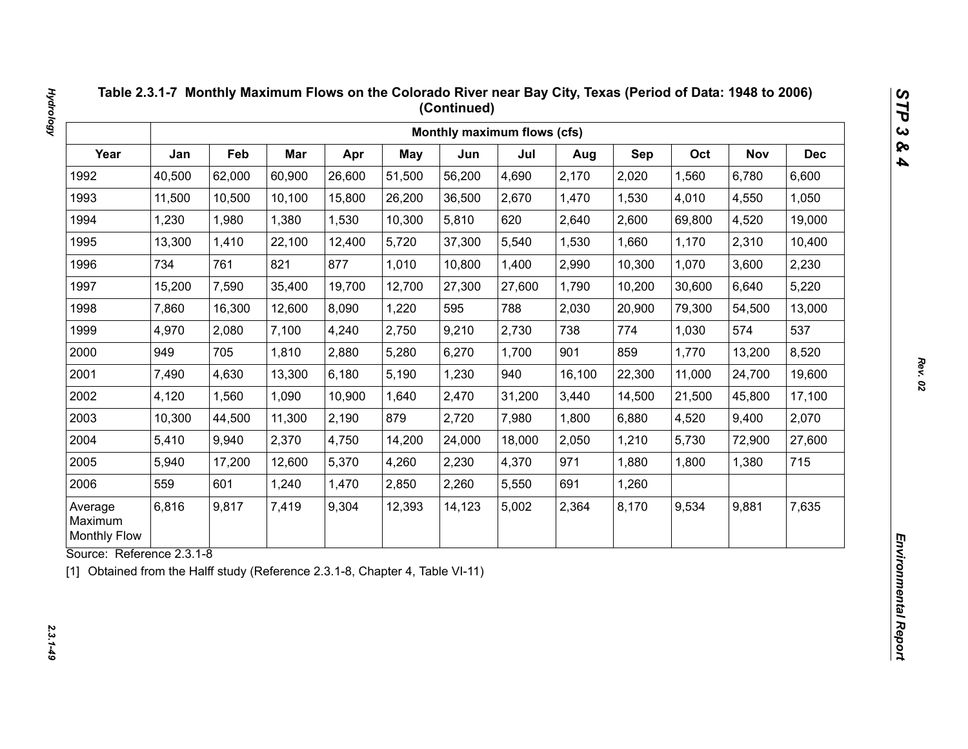|                                           |        |        |        |        |            | Monthly maximum flows (cfs) |        |        |        |        |            |            |
|-------------------------------------------|--------|--------|--------|--------|------------|-----------------------------|--------|--------|--------|--------|------------|------------|
| Year                                      | Jan    | Feb    | Mar    | Apr    | <b>May</b> | Jun                         | Jul    | Aug    | Sep    | Oct    | <b>Nov</b> | <b>Dec</b> |
| 1992                                      | 40,500 | 62,000 | 60,900 | 26,600 | 51,500     | 56,200                      | 4,690  | 2,170  | 2,020  | 1,560  | 6,780      | 6,600      |
| 1993                                      | 11,500 | 10,500 | 10,100 | 15,800 | 26,200     | 36,500                      | 2,670  | 1,470  | 1,530  | 4,010  | 4,550      | 1,050      |
| 1994                                      | 1,230  | 1,980  | 1,380  | 1,530  | 10,300     | 5,810                       | 620    | 2,640  | 2,600  | 69,800 | 4,520      | 19,000     |
| 1995                                      | 13,300 | 1,410  | 22,100 | 12,400 | 5,720      | 37,300                      | 5,540  | 1,530  | 1,660  | 1,170  | 2,310      | 10,400     |
| 1996                                      | 734    | 761    | 821    | 877    | 1,010      | 10,800                      | 1,400  | 2,990  | 10,300 | 1,070  | 3,600      | 2,230      |
| 1997                                      | 15,200 | 7,590  | 35,400 | 19,700 | 12,700     | 27,300                      | 27,600 | 1,790  | 10,200 | 30,600 | 6,640      | 5,220      |
| 1998                                      | 7,860  | 16,300 | 12,600 | 8,090  | 1,220      | 595                         | 788    | 2,030  | 20,900 | 79,300 | 54,500     | 13,000     |
| 1999                                      | 4,970  | 2,080  | 7,100  | 4,240  | 2,750      | 9,210                       | 2,730  | 738    | 774    | 1,030  | 574        | 537        |
| 2000                                      | 949    | 705    | 1,810  | 2,880  | 5,280      | 6,270                       | 1,700  | 901    | 859    | 1,770  | 13,200     | 8,520      |
| 2001                                      | 7,490  | 4,630  | 13,300 | 6,180  | 5,190      | 1,230                       | 940    | 16,100 | 22,300 | 11,000 | 24,700     | 19,600     |
| 2002                                      | 4,120  | 1,560  | 1,090  | 10,900 | 1,640      | 2,470                       | 31,200 | 3,440  | 14,500 | 21,500 | 45,800     | 17,100     |
| 2003                                      | 10,300 | 44,500 | 11,300 | 2,190  | 879        | 2,720                       | 7,980  | 1,800  | 6,880  | 4,520  | 9,400      | 2,070      |
| 2004                                      | 5,410  | 9,940  | 2,370  | 4,750  | 14,200     | 24,000                      | 18,000 | 2,050  | 1,210  | 5,730  | 72,900     | 27,600     |
| 2005                                      | 5,940  | 17,200 | 12,600 | 5,370  | 4,260      | 2,230                       | 4,370  | 971    | 1,880  | 1,800  | 1,380      | 715        |
| 2006                                      | 559    | 601    | 1,240  | 1,470  | 2,850      | 2,260                       | 5,550  | 691    | 1,260  |        |            |            |
| Average<br>Maximum<br><b>Monthly Flow</b> | 6,816  | 9,817  | 7,419  | 9,304  | 12,393     | 14,123                      | 5,002  | 2,364  | 8,170  | 9,534  | 9,881      | 7,635      |

 $2.3.1 - 49$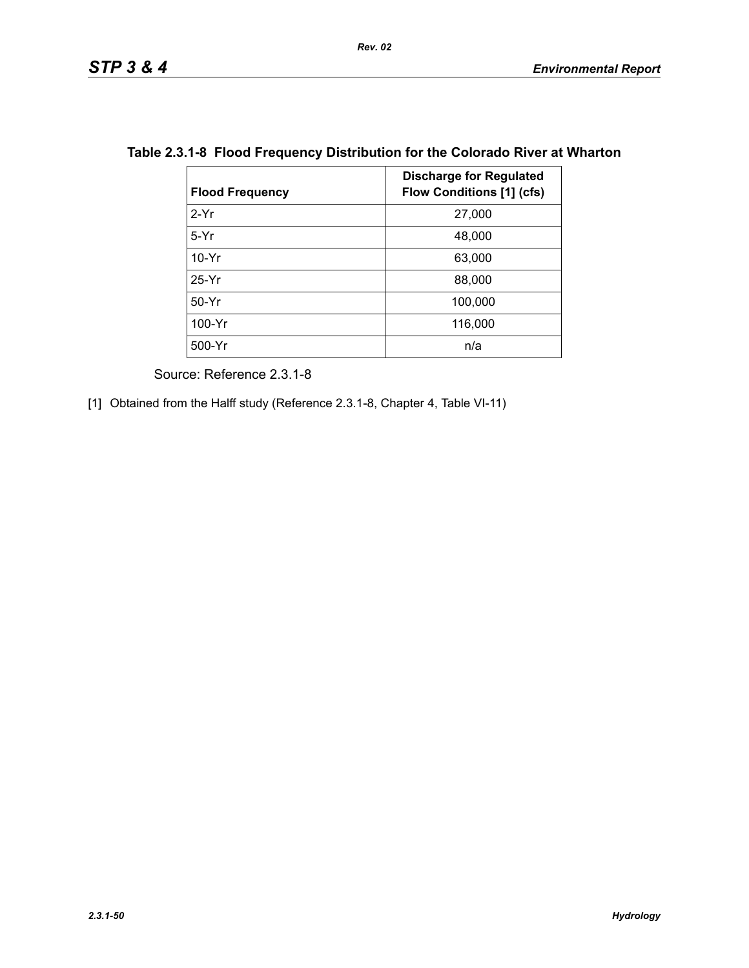| <b>Flood Frequency</b> | <b>Discharge for Regulated</b><br><b>Flow Conditions [1] (cfs)</b> |
|------------------------|--------------------------------------------------------------------|
| $2-Yr$                 | 27,000                                                             |
| $5-Yr$                 | 48,000                                                             |
| $10-Yr$                | 63,000                                                             |
| $25-Yr$                | 88,000                                                             |
| $50-Yr$                | 100,000                                                            |
| 100-Yr                 | 116,000                                                            |
| 500-Yr                 | n/a                                                                |

## **Table 2.3.1-8 Flood Frequency Distribution for the Colorado River at Wharton**

Source: Reference 2.3.1-8

[1] Obtained from the Halff study (Reference 2.3.1-8, Chapter 4, Table VI-11)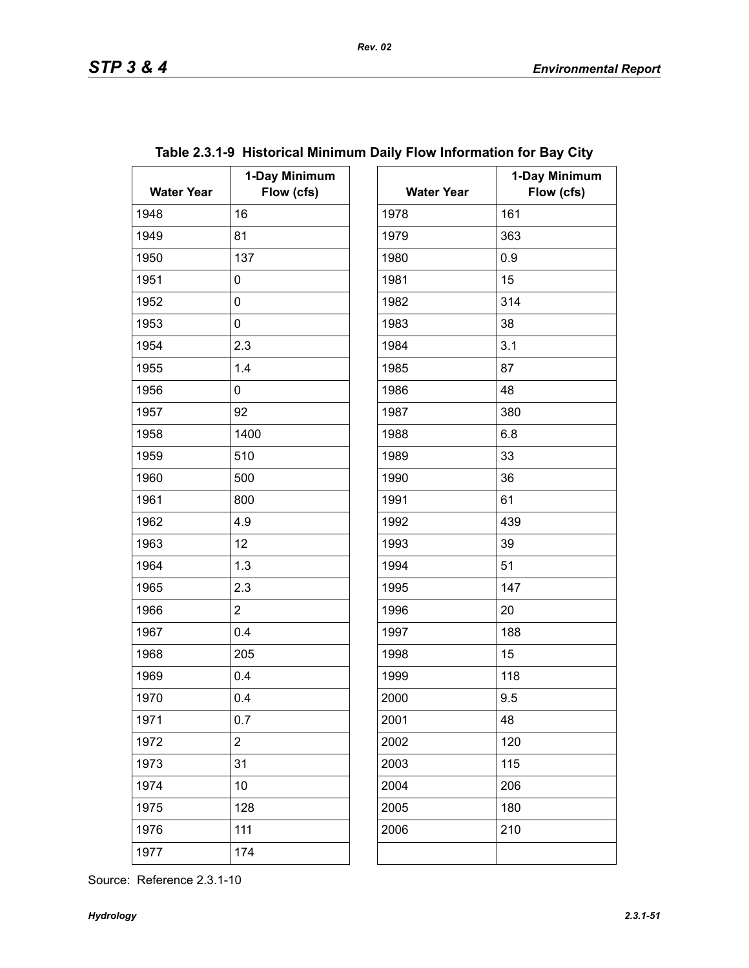| <b>Water Year</b> | 1-Day Minimum<br>Flow (cfs) | <b>Water Year</b> | $\mathbf 1$ |
|-------------------|-----------------------------|-------------------|-------------|
| 1948              | 16                          | 1978              | 161         |
| 1949              | 81                          | 1979              | 363         |
| 1950              | 137                         | 1980              | 0.9         |
| 1951              | 0                           | 1981              | 15          |
| 1952              | 0                           | 1982              | 314         |
| 1953              | 0                           | 1983              | 38          |
| 1954              | 2.3                         | 1984              | 3.1         |
| 1955              | 1.4                         | 1985              | 87          |
| 1956              | 0                           | 1986              | 48          |
| 1957              | 92                          | 1987              | 380         |
| 1958              | 1400                        | 1988              | 6.8         |
| 1959              | 510                         | 1989              | 33          |
| 1960              | 500                         | 1990              | 36          |
| 1961              | 800                         | 1991              | 61          |
| 1962              | 4.9                         | 1992              | 439         |
| 1963              | 12                          | 1993              | 39          |
| 1964              | 1.3                         | 1994              | 51          |
| 1965              | 2.3                         | 1995              | 147         |
| 1966              | $\overline{2}$              | 1996              | 20          |
| 1967              | 0.4                         | 1997              | 188         |
| 1968              | 205                         | 1998              | 15          |
| 1969              | 0.4                         | 1999              | 118         |
| 1970              | 0.4                         | 2000              | 9.5         |
| 1971              | 0.7                         | 2001              | 48          |
| 1972              | $\overline{c}$              | 2002              | 120         |
| 1973              | 31                          | 2003              | 115         |
| 1974              | 10                          | 2004              | 206         |
| 1975              | 128                         | 2005              | 180         |
| 1976              | 111                         | 2006              | 210         |
| 1977              | 174                         |                   |             |

| ay Minimum<br>Flow (cfs) | <b>Water Year</b> | 1-Day Minimum<br>Flow (cfs) |
|--------------------------|-------------------|-----------------------------|
|                          | 1978              | 161                         |
|                          | 1979              | 363                         |
|                          | 1980              | 0.9                         |
|                          | 1981              | 15                          |
|                          | 1982              | 314                         |
|                          | 1983              | 38                          |
|                          | 1984              | 3.1                         |
|                          | 1985              | 87                          |
|                          | 1986              | 48                          |
|                          | 1987              | 380                         |
|                          | 1988              | 6.8                         |
|                          | 1989              | 33                          |
|                          | 1990              | 36                          |
|                          | 1991              | 61                          |
|                          | 1992              | 439                         |
|                          | 1993              | 39                          |
|                          | 1994              | 51                          |
|                          | 1995              | 147                         |
|                          | 1996              | 20                          |
|                          | 1997              | 188                         |
|                          | 1998              | 15                          |
|                          | 1999              | 118                         |
|                          | 2000              | 9.5                         |
|                          | 2001              | 48                          |
|                          | 2002              | 120                         |
|                          | 2003              | 115                         |
|                          | 2004              | 206                         |
|                          | 2005              | 180                         |
|                          | 2006              | 210                         |
|                          |                   |                             |

# **Table 2.3.1-9 Historical Minimum Daily Flow Information for Bay City**

Source: Reference 2.3.1-10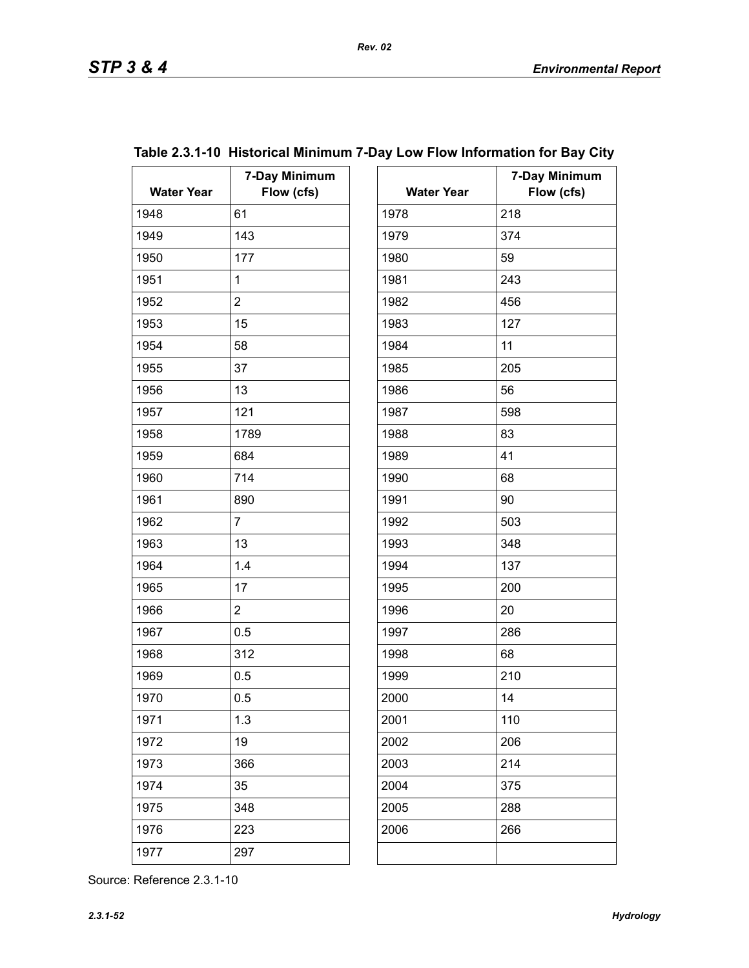| <b>Water Year</b> | 7-Day Minimum<br>Flow (cfs) | <b>Water Year</b> | $7-$ |
|-------------------|-----------------------------|-------------------|------|
| 1948              | 61                          | 1978              | 218  |
| 1949              | 143                         | 1979              | 374  |
| 1950              | 177                         | 1980              | 59   |
| 1951              | $\mathbf{1}$                | 1981              | 243  |
| 1952              | $\overline{2}$              | 1982              | 456  |
| 1953              | 15                          | 1983              | 127  |
| 1954              | 58                          | 1984              | 11   |
| 1955              | 37                          | 1985              | 205  |
| 1956              | 13                          | 1986              | 56   |
| 1957              | 121                         | 1987              | 598  |
| 1958              | 1789                        | 1988              | 83   |
| 1959              | 684                         | 1989              | 41   |
| 1960              | 714                         | 1990              | 68   |
| 1961              | 890                         | 1991              | 90   |
| 1962              | $\overline{7}$              | 1992              | 503  |
| 1963              | 13                          | 1993              | 348  |
| 1964              | 1.4                         | 1994              | 137  |
| 1965              | 17                          | 1995              | 200  |
| 1966              | $\overline{2}$              | 1996              | 20   |
| 1967              | 0.5                         | 1997              | 286  |
| 1968              | 312                         | 1998              | 68   |
| 1969              | 0.5                         | 1999              | 210  |
| 1970              | 0.5                         | 2000              | 14   |
| 1971              | 1.3                         | 2001              | 110  |
| 1972              | 19                          | 2002              | 206  |
| 1973              | 366                         | 2003              | 214  |
| 1974              | 35                          | 2004              | 375  |
| 1975              | 348                         | 2005              | 288  |
| 1976              | 223                         | 2006              | 266  |
| 1977              | 297                         |                   |      |

| ay Minimum<br>Flow (cfs) | <b>Water Year</b> | 7-Day Minimum<br>Flow (cfs) |
|--------------------------|-------------------|-----------------------------|
|                          | 1978              | 218                         |
|                          | 1979              | 374                         |
|                          | 1980              | 59                          |
|                          | 1981              | 243                         |
|                          | 1982              | 456                         |
|                          | 1983              | 127                         |
|                          | 1984              | 11                          |
|                          | 1985              | 205                         |
|                          | 1986              | 56                          |
|                          | 1987              | 598                         |
|                          | 1988              | 83                          |
|                          | 1989              | 41                          |
|                          | 1990              | 68                          |
|                          | 1991              | 90                          |
|                          | 1992              | 503                         |
|                          | 1993              | 348                         |
|                          | 1994              | 137                         |
|                          | 1995              | 200                         |
|                          | 1996              | 20                          |
|                          | 1997              | 286                         |
|                          | 1998              | 68                          |
|                          | 1999              | 210                         |
|                          | 2000              | 14                          |
|                          | 2001              | 110                         |
|                          | 2002              | 206                         |
|                          | 2003              | 214                         |
|                          | 2004              | 375                         |
|                          | 2005              | 288                         |
|                          | 2006              | 266                         |

## **Table 2.3.1-10 Historical Minimum 7-Day Low Flow Information for Bay City**  $\Gamma$

Source: Reference 2.3.1-10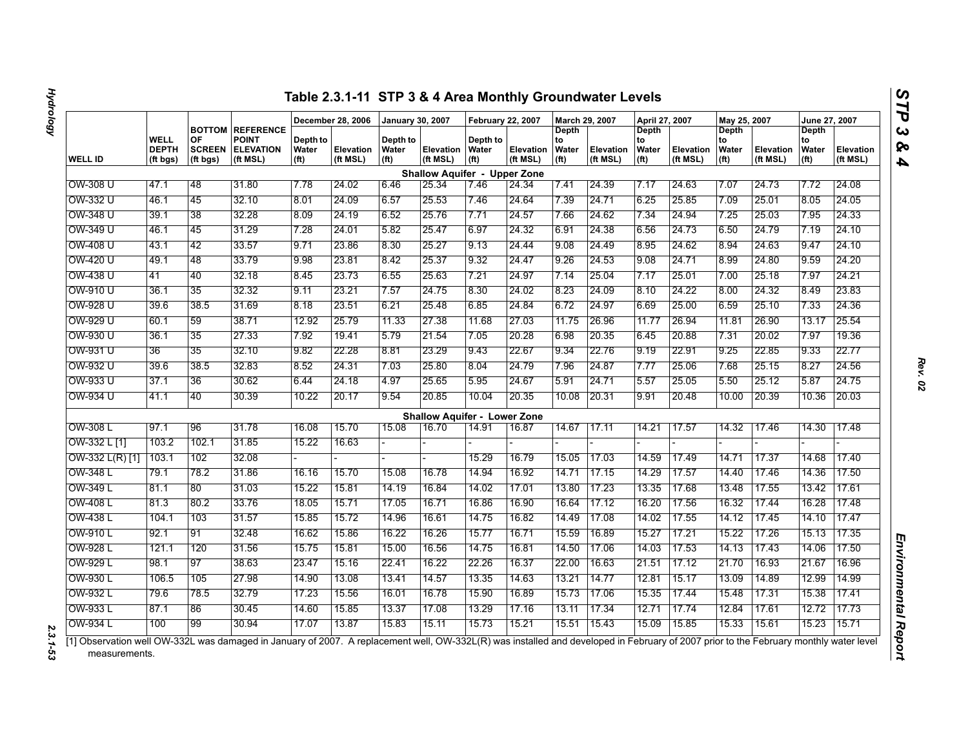|                 |                                  |                                                  |                                                                  |                                        | December 28, 2006     | <b>January 30, 2007</b>                |                                     | <b>February 22, 2007</b>               |                       | March 29, 2007                            |                       | April 27, 2007                                   |                              | May 25, 2007                                            |                       | <b>June 27, 2007</b>                      |                       |
|-----------------|----------------------------------|--------------------------------------------------|------------------------------------------------------------------|----------------------------------------|-----------------------|----------------------------------------|-------------------------------------|----------------------------------------|-----------------------|-------------------------------------------|-----------------------|--------------------------------------------------|------------------------------|---------------------------------------------------------|-----------------------|-------------------------------------------|-----------------------|
| <b>WELL ID</b>  | WELL<br><b>DEPTH</b><br>(ft bgs) | <b>BOTTOM</b><br>OF<br><b>SCREEN</b><br>(ft bgs) | <b>REFERENCE</b><br><b>POINT</b><br><b>ELEVATION</b><br>(ft MSL) | Depth to<br>Water<br>(f <sup>t</sup> ) | Elevation<br>(ft MSL) | Depth to<br>Water<br>(f <sup>t</sup> ) | Elevation<br>(ft MSL)               | Depth to<br>Water<br>(f <sup>t</sup> ) | Elevation<br>(ft MSL) | Depth<br>to<br>Water<br>(f <sup>t</sup> ) | Elevation<br>(ft MSL) | <b>Depth</b><br>to<br>Water<br>(f <sup>t</sup> ) | <b>Elevation</b><br>(ft MSL) | <b>Depth</b><br>to<br><b>Water</b><br>(f <sup>t</sup> ) | Elevation<br>(ft MSL) | Depth<br>to<br>Water<br>(f <sup>t</sup> ) | Elevation<br>(ft MSL) |
|                 |                                  |                                                  |                                                                  |                                        |                       |                                        | <b>Shallow Aquifer - Upper Zone</b> |                                        |                       |                                           |                       |                                                  |                              |                                                         |                       |                                           |                       |
| OW-308 U        | 47.1                             | 48                                               | 31.80                                                            | 7.78                                   | 24.02                 | 6.46                                   | 25.34                               | 7.46                                   | 24.34                 | 7.41                                      | 24.39                 | 7.17                                             | 24.63                        | 7.07                                                    | 24.73                 | 7.72                                      | 24.08                 |
| OW-332 U        | 46.1                             | 45                                               | 32.10                                                            | 8.01                                   | 24.09                 | 6.57                                   | 25.53                               | 7.46                                   | 24.64                 | 7.39                                      | 24.71                 | 6.25                                             | 25.85                        | 7.09                                                    | 25.01                 | 8.05                                      | 24.05                 |
| OW-348 U        | 39.1                             | 38                                               | 32.28                                                            | 8.09                                   | 24.19                 | 6.52                                   | 25.76                               | 7.71                                   | 24.57                 | 7.66                                      | 24.62                 | 7.34                                             | 24.94                        | 7.25                                                    | 25.03                 | 7.95                                      | 24.33                 |
| OW-349 U        | 46.1                             | 45                                               | 31.29                                                            | 7.28                                   | 24.01                 | 5.82                                   | 25.47                               | 6.97                                   | 24.32                 | 6.91                                      | 24.38                 | 6.56                                             | 24.73                        | 6.50                                                    | 24.79                 | 7.19                                      | 24.10                 |
| OW-408 U        | 43.1                             | 42                                               | 33.57                                                            | 9.71                                   | 23.86                 | 8.30                                   | 25.27                               | 9.13                                   | 24.44                 | 9.08                                      | 24.49                 | 8.95                                             | 24.62                        | 8.94                                                    | 24.63                 | 9.47                                      | 24.10                 |
| OW-420 U        | 49.1                             | 48                                               | 33.79                                                            | 9.98                                   | 23.81                 | 8.42                                   | 25.37                               | 9.32                                   | 24.47                 | 9.26                                      | 24.53                 | 9.08                                             | 24.71                        | 8.99                                                    | 24.80                 | 9.59                                      | 24.20                 |
| OW-438 U        | 41                               | 40                                               | 32.18                                                            | 8.45                                   | 23.73                 | 6.55                                   | 25.63                               | 7.21                                   | 24.97                 | 7.14                                      | 25.04                 | 7.17                                             | 25.01                        | 7.00                                                    | 25.18                 | 7.97                                      | 24.21                 |
| OW-910 U        | 36.1                             | 35                                               | 32.32                                                            | 9.11                                   | 23.21                 | 7.57                                   | 24.75                               | 8.30                                   | 24.02                 | 8.23                                      | 24.09                 | 8.10                                             | 24.22                        | 8.00                                                    | 24.32                 | 8.49                                      | 23.83                 |
| OW-928 U        | 39.6                             | 38.5                                             | 31.69                                                            | 8.18                                   | 23.51                 | 6.21                                   | 25.48                               | 6.85                                   | 24.84                 | 6.72                                      | 24.97                 | 6.69                                             | 25.00                        | 6.59                                                    | 25.10                 | 7.33                                      | 24.36                 |
| OW-929 U        | 60.1                             | 59                                               | 38.71                                                            | 12.92                                  | 25.79                 | 11.33                                  | 27.38                               | 11.68                                  | 27.03                 | 11.75                                     | 26.96                 | 11.77                                            | 26.94                        | 11.81                                                   | 26.90                 | 13.17                                     | 25.54                 |
| OW-930 U        | 36.1                             | 35                                               | 27.33                                                            | 7.92                                   | 19.41                 | 5.79                                   | 21.54                               | 7.05                                   | 20.28                 | 6.98                                      | 20.35                 | 6.45                                             | 20.88                        | 7.31                                                    | 20.02                 | 7.97                                      | 19.36                 |
| OW-931 U        | 36                               | 35                                               | 32.10                                                            | 9.82                                   | 22.28                 | 8.81                                   | 23.29                               | 9.43                                   | 22.67                 | 9.34                                      | 22.76                 | 9.19                                             | 22.91                        | 9.25                                                    | 22.85                 | 9.33                                      | 22.77                 |
| OW-932 U        | 39.6                             | 38.5                                             | 32.83                                                            | 8.52                                   | 24.31                 | 7.03                                   | 25.80                               | 8.04                                   | 24.79                 | 7.96                                      | 24.87                 | 7.77                                             | 25.06                        | 7.68                                                    | 25.15                 | 8.27                                      | 24.56                 |
| OW-933 U        | 37.1                             | 36                                               | 30.62                                                            | 6.44                                   | 24.18                 | 4.97                                   | 25.65                               | 5.95                                   | 24.67                 | 5.91                                      | 24.71                 | 5.57                                             | 25.05                        | 5.50                                                    | 25.12                 | 5.87                                      | 24.75                 |
| OW-934 U        | 41.1                             | 40                                               | 30.39                                                            | 10.22                                  | 20.17                 | 9.54                                   | 20.85                               | 10.04                                  | 20.35                 | 10.08                                     | 20.31                 | 9.91                                             | 20.48                        | 10.00                                                   | 20.39                 | 10.36                                     | 20.03                 |
|                 |                                  |                                                  |                                                                  |                                        |                       |                                        | <b>Shallow Aquifer - Lower Zone</b> |                                        |                       |                                           |                       |                                                  |                              |                                                         |                       |                                           |                       |
| OW-308 L        | 97.1                             | 96                                               | 31.78                                                            | 16.08                                  | 15.70                 | 15.08                                  | 16.70                               | 14.91                                  | 16.87                 | 14.67                                     | 17.11                 | 14.21                                            | 17.57                        | 14.32                                                   | 17.46                 | 14.30                                     | 17.48                 |
| OW-332 L [1]    | 103.2                            | 102.1                                            | 31.85                                                            | 15.22                                  | 16.63                 |                                        |                                     |                                        |                       |                                           |                       |                                                  |                              |                                                         |                       |                                           |                       |
| OW-332 L(R) [1] | 103.1                            | 102                                              | 32.08                                                            |                                        |                       |                                        |                                     | 15.29                                  | 16.79                 | 15.05                                     | 17.03                 | 14.59                                            | 17.49                        | 14.71                                                   | 17.37                 | 14.68                                     | 17.40                 |
| OW-348 L        | 79.1                             | 78.2                                             | 31.86                                                            | 16.16                                  | 15.70                 | 15.08                                  | 16.78                               | 14.94                                  | 16.92                 | 14.71                                     | 17.15                 | 14.29                                            | 17.57                        | 14.40                                                   | 17.46                 | 14.36                                     | 17.50                 |
| OW-349 L        | 81.1                             | 80                                               | 31.03                                                            | 15.22                                  | 15.81                 | 14.19                                  | 16.84                               | 14.02                                  | 17.01                 | 13.80                                     | 17.23                 | 13.35                                            | 17.68                        | 13.48                                                   | 17.55                 | 13.42                                     | 17.61                 |
| <b>OW-408 L</b> | 81.3                             | 80.2                                             | 33.76                                                            | 18.05                                  | 15.71                 | 17.05                                  | 16.71                               | 16.86                                  | 16.90                 | 16.64                                     | 17.12                 | 16.20                                            | 17.56                        | 16.32                                                   | 17.44                 | 16.28                                     | 17.48                 |
| OW-438 L        | 104.1                            | 103                                              | 31.57                                                            | 15.85                                  | 15.72                 | 14.96                                  | 16.61                               | 14.75                                  | 16.82                 | 14.49                                     | 17.08                 | 14.02                                            | 17.55                        | 14.12                                                   | 17.45                 | 14.10                                     | 17.47                 |
| OW-910 L        | 92.1                             | 91                                               | 32.48                                                            | 16.62                                  | 15.86                 | 16.22                                  | 16.26                               | 15.77                                  | 16.71                 | 15.59                                     | 16.89                 | 15.27                                            | 17.21                        | 15.22                                                   | 17.26                 | 15.13                                     | 17.35                 |
| OW-928 L        | 121.1                            | 120                                              | 31.56                                                            | 15.75                                  | 15.81                 | 15.00                                  | 16.56                               | 14.75                                  | 16.81                 | 14.50                                     | 17.06                 | 14.03                                            | 17.53                        | 14.13                                                   | 17.43                 | 14.06                                     | 17.50                 |
| OW-929 L        | 98.1                             | 97                                               | 38.63                                                            | 23.47                                  | 15.16                 | 22.41                                  | 16.22                               | 22.26                                  | 16.37                 | 22.00                                     | 16.63                 | 21.51                                            | 17.12                        | 21.70                                                   | 16.93                 | 21.67                                     | 16.96                 |
| OW-930 L        | 106.5                            | 105                                              | 27.98                                                            | 14.90                                  | 13.08                 | 13.41                                  | 14.57                               | 13.35                                  | 14.63                 | 13.21                                     | 14.77                 | 12.81                                            | 15.17                        | 13.09                                                   | 14.89                 | 12.99                                     | 14.99                 |
| OW-932 L        | 79.6                             | 78.5                                             | 32.79                                                            | 17.23                                  | 15.56                 | 16.01                                  | 16.78                               | 15.90                                  | 16.89                 | 15.73                                     | 17.06                 | 15.35                                            | 17.44                        | 15.48                                                   | 17.31                 | 15.38                                     | 17.41                 |
| OW-933 L        | 87.1                             | 86                                               | 30.45                                                            | 14.60                                  | 15.85                 | 13.37                                  | 17.08                               | 13.29                                  | 17.16                 | 13.11                                     | 17.34                 | 12.71                                            | 17.74                        | 12.84                                                   | 17.61                 | 12.72                                     | 17.73                 |
| OW-934 L        | 100                              | 99                                               | 30.94                                                            | 17.07                                  | 13.87                 | 15.83                                  | 15.11                               | 15.73                                  | 15.21                 | 15.51                                     | 15.43                 | 15.09                                            | 15.85                        | 15.33                                                   | 15.61                 | 15.23                                     | 15.71                 |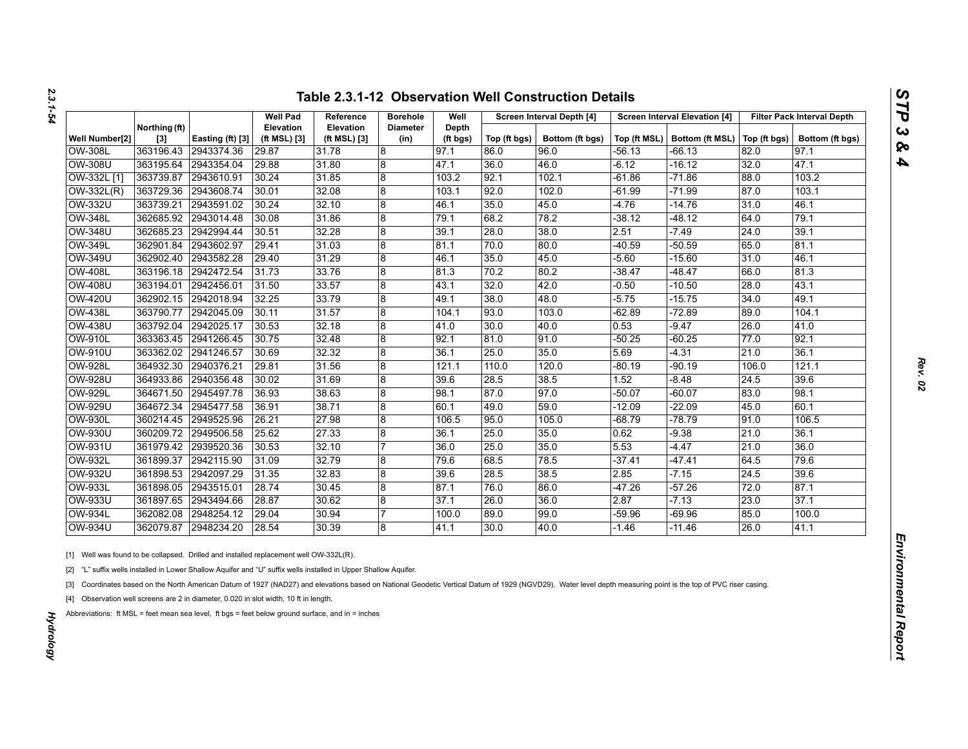| <b>Table 2.3.1-12 Observation Well Construction Details</b> |  |
|-------------------------------------------------------------|--|
|-------------------------------------------------------------|--|

|                |                      |                  | <b>Well Pad</b>                  | Reference                 | <b>Borehole</b>         | Well              |              | Screen Interval Depth [4] |          | <b>Screen Interval Elevation [4]</b>          |       | <b>Filter Pack Interval Depth</b> |
|----------------|----------------------|------------------|----------------------------------|---------------------------|-------------------------|-------------------|--------------|---------------------------|----------|-----------------------------------------------|-------|-----------------------------------|
| Well Number[2] | Northing (ft)<br>[3] | Easting (ft) [3] | <b>Elevation</b><br>(ft MSL) [3] | Elevation<br>(ft MSL) [3] | <b>Diameter</b><br>(in) | Depth<br>(ft bgs) | Top (ft bgs) | Bottom (ft bgs)           |          | Top (ft MSL)   Bottom (ft MSL)   Top (ft bgs) |       | Bottom (ft bgs)                   |
| <b>OW-308L</b> | 363196.43            | 2943374.36       | 29.87                            | 31.78                     | 8                       | 97.1              | 86.0         | 96.0                      | -56.13   | -66.13                                        | 82.0  | 97.1                              |
| <b>OW-308U</b> | 363195.64            | 2943354.04       | 29.88                            | 31.80                     | $\overline{8}$          | 47.1              | 36.0         | 46.0                      | $-6.12$  | -16.12                                        | 32.0  | 47.1                              |
| OW-332L [1]    | 363739.87            | 2943610.91       | 30.24                            | 31.85                     | 8                       | 103.2             | 92.1         | 102.1                     | $-61.86$ | $-71.86$                                      | 88.0  | 103.2                             |
| OW-332L(R)     | 363729.36            | 2943608.74       | 30.01                            | 32.08                     | 8                       | 103.1             | 92.0         | 102.0                     | $-61.99$ | $-71.99$                                      | 87.0  | 103.1                             |
| <b>OW-332U</b> | 363739.21            | 2943591.02       | 30.24                            | 32.10                     | $\overline{8}$          | 46.1              | 35.0         | 45.0                      | -4.76    | $-14.76$                                      | 31.0  | 46.1                              |
| <b>OW-348L</b> | 362685.92            | 2943014.48       | 30.08                            | 31.86                     | 8                       | 79.1              | 68.2         | 78.2                      | $-38.12$ | $-48.12$                                      | 64.0  | 79.1                              |
| <b>OW-348U</b> | 362685.23            | 2942994.44       | 30.51                            | 32.28                     | 8                       | 39.1              | 28.0         | 38.0                      | 2.51     | $-7.49$                                       | 24.0  | 39.1                              |
| <b>OW-349L</b> | 362901.84            | 2943602.97       | 29.41                            | 31.03                     | 8                       | 81.1              | 70.0         | 80.0                      | $-40.59$ | $-50.59$                                      | 65.0  | 81.1                              |
| OW-349U        | 362902.40            | 2943582.28       | 29.40                            | 31.29                     | 8                       | 46.1              | 35.0         | 45.0                      | $-5.60$  | $-15.60$                                      | 31.0  | 46.1                              |
| <b>OW-408L</b> | 363196.18            | 2942472.54       | 31.73                            | 33.76                     | 8                       | 81.3              | 70.2         | 80.2                      | $-38.47$ | $-48.47$                                      | 66.0  | 81.3                              |
| <b>OW-408U</b> | 363194.01            | 2942456.01       | 31.50                            | 33.57                     | $\overline{8}$          | 43.1              | 32.0         | 42.0                      | -0.50    | $-10.50$                                      | 28.0  | 43.1                              |
| <b>OW-420U</b> | 362902.15            | 2942018.94       | 32.25                            | 33.79                     | 8                       | 49.1              | 38.0         | 48.0                      | $-5.75$  | $-15.75$                                      | 34.0  | 49.1                              |
| <b>OW-438L</b> | 363790.77            | 2942045.09       | 30.11                            | 31.57                     | 8                       | 104.1             | 93.0         | 103.0                     | $-62.89$ | $-72.89$                                      | 89.0  | 104.1                             |
| <b>OW-438U</b> | 363792.04            | 2942025.17       | 30.53                            | 32.18                     | $\overline{8}$          | 41.0              | 30.0         | 40.0                      | 0.53     | $-9.47$                                       | 26.0  | 41.0                              |
| <b>OW-910L</b> | 363363.45            | 2941266.45       | 30.75                            | 32.48                     | 8                       | 92.1              | 81.0         | 91.0                      | $-50.25$ | $-60.25$                                      | 77.0  | 92.1                              |
| OW-910U        | 363362.02            | 2941246.57       | 30.69                            | 32.32                     | 8                       | 36.1              | 25.0         | 35.0                      | 5.69     | $-4.31$                                       | 21.0  | 36.1                              |
| <b>OW-928L</b> | 364932.30            | 2940376.21       | 29.81                            | 31.56                     | 8                       | 121.1             | 110.0        | 120.0                     | $-80.19$ | $-90.19$                                      | 106.0 | 121.1                             |
| <b>OW-928U</b> | 364933.86            | 2940356.48       | 30.02                            | 31.69                     | 8                       | 39.6              | 28.5         | 38.5                      | 1.52     | $-8.48$                                       | 24.5  | 39.6                              |
| <b>OW-929L</b> | 364671.50            | 2945497.78       | 36.93                            | 38.63                     | 8                       | 98.1              | 87.0         | 97.0                      | $-50.07$ | $-60.07$                                      | 83.0  | 98.1                              |
| <b>OW-929U</b> | 364672.34            | 2945477.58       | 36.91                            | 38.71                     | 8                       | 60.1              | 49.0         | 59.0                      | -12.09   | $-22.09$                                      | 45.0  | 60.1                              |
| <b>OW-930L</b> | 360214.45            | 2949525.96       | 26.21                            | 27.98                     | 8                       | 106.5             | 95.0         | 105.0                     | -68.79   | $-78.79$                                      | 91.0  | 106.5                             |
| OW-930U        | 360209.72            | 2949506.58       | 25.62                            | 27.33                     | 8                       | 36.1              | 25.0         | 35.0                      | 0.62     | $-9.38$                                       | 21.0  | 36.1                              |
| <b>OW-931U</b> | 361979.42            | 2939520.36       | 30.53                            | 32.10                     | 7                       | 36.0              | 25.0         | 35.0                      | 5.53     | $-4.47$                                       | 21.0  | 36.0                              |
| <b>OW-932L</b> | 361899.37            | 2942115.90       | 31.09                            | 32.79                     | 8                       | 79.6              | 68.5         | 78.5                      | $-37.41$ | -47.41                                        | 64.5  | 79.6                              |
| <b>OW-932U</b> | 361898.53            | 2942097.29       | 31.35                            | 32.83                     | $\boldsymbol{8}$        | 39.6              | 28.5         | 38.5                      | 2.85     | $-7.15$                                       | 24.5  | 39.6                              |
| <b>OW-933L</b> | 361898.05            | 2943515.01       | 28.74                            | 30.45                     | 8                       | 87.1              | 76.0         | 86.0                      | $-47.26$ | $-57.26$                                      | 72.0  | 87.1                              |
| <b>OW-933U</b> | 361897.65            | 2943494.66       | 28.87                            | 30.62                     | 8                       | 37.1              | 26.0         | 36.0                      | 2.87     | $-7.13$                                       | 23.0  | 37.1                              |
| <b>OW-934L</b> | 362082.08            | 2948254.12       | 29.04                            | 30.94                     | 17                      | 100.0             | 89.0         | 99.0                      | -59.96   | $-69.96$                                      | 85.0  | 100.0                             |
|                | 362079.87            | 2948234.20       | 28.54                            | 30.39                     | 8                       | 41.1              | 30.0         | 40.0                      | -1.46    | $-11.46$                                      | 26.0  | 41.1                              |

*2.3.1-54*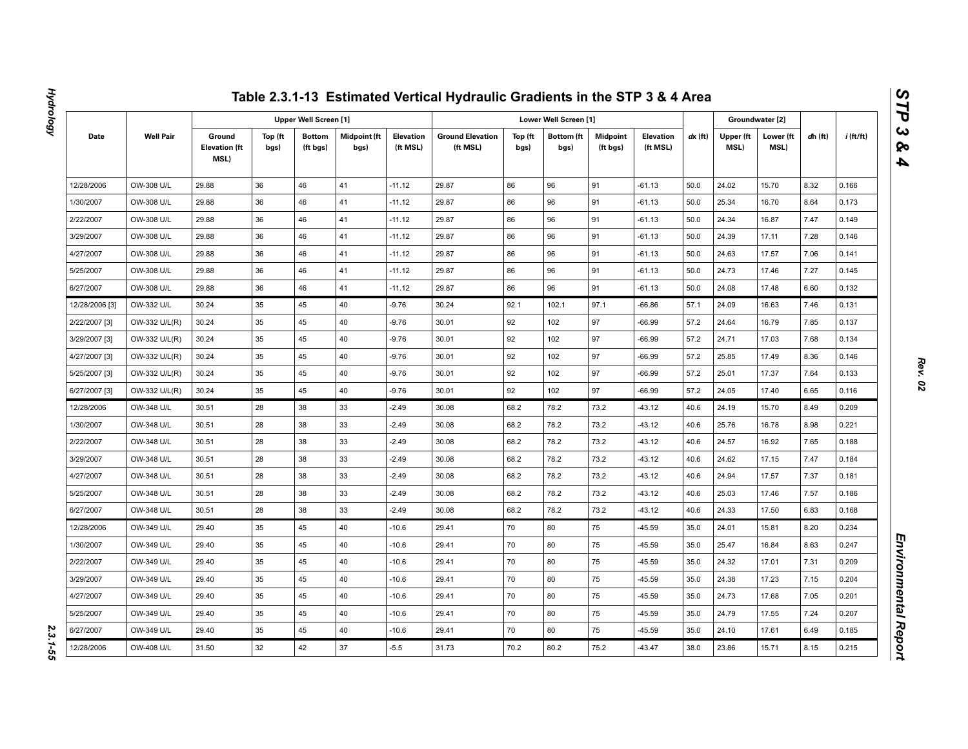|                |                  |                                               |                 |                              |                             |                       | Table 2.3.1-13 Estimated Vertical Hydraulic Gradients in the STP 3 & 4 Area |                 |                           |                             |                              |         |                   |                   |         |             |
|----------------|------------------|-----------------------------------------------|-----------------|------------------------------|-----------------------------|-----------------------|-----------------------------------------------------------------------------|-----------------|---------------------------|-----------------------------|------------------------------|---------|-------------------|-------------------|---------|-------------|
|                |                  |                                               |                 | <b>Upper Well Screen [1]</b> |                             |                       |                                                                             |                 | Lower Well Screen [1]     |                             |                              |         | Groundwater [2]   |                   |         |             |
| Date           | <b>Well Pair</b> | Ground<br><b>Elevation (ft</b><br><b>MSL)</b> | Top (ft<br>bgs) | <b>Bottom</b><br>(ft bgs)    | <b>Midpoint (ft</b><br>bgs) | Elevation<br>(ft MSL) | <b>Ground Elevation</b><br>(ft MSL)                                         | Top (ft<br>bgs) | <b>Bottom</b> (ft<br>bgs) | <b>Midpoint</b><br>(ft bgs) | <b>Elevation</b><br>(ft MSL) | dx (ft) | Upper (ft<br>MSL) | Lower (ft<br>MSL) | dh (ft) | $i$ (ft/ft) |
| 12/28/2006     | OW-308 U/L       | 29.88                                         | 36              | 46                           | 41                          | $-11.12$              | 29.87                                                                       | 86              | 96                        | 91                          | $-61.13$                     | 50.0    | 24.02             | 15.70             | 8.32    | 0.166       |
| 1/30/2007      | OW-308 U/L       | 29.88                                         | 36              | 46                           | 41                          | $-11.12$              | 29.87                                                                       | 86              | 96                        | 91                          | $-61.13$                     | 50.0    | 25.34             | 16.70             | 8.64    | 0.173       |
| 2/22/2007      | OW-308 U/L       | 29.88                                         | 36              | 46                           | 41                          | $-11.12$              | 29.87                                                                       | 86              | 96                        | 91                          | $-61.13$                     | 50.0    | 24.34             | 16.87             | 7.47    | 0.149       |
| 3/29/2007      | OW-308 U/L       | 29.88                                         | 36              | 46                           | 41                          | $-11.12$              | 29.87                                                                       | 86              | 96                        | 91                          | $-61.13$                     | 50.0    | 24.39             | 17.11             | 7.28    | 0.146       |
| 4/27/2007      | OW-308 U/L       | 29.88                                         | 36              | 46                           | 41                          | $-11.12$              | 29.87                                                                       | 86              | 96                        | 91                          | $-61.13$                     | 50.0    | 24.63             | 17.57             | 7.06    | 0.141       |
| 5/25/2007      | OW-308 U/L       | 29.88                                         | 36              | 46                           | 41                          | $-11.12$              | 29.87                                                                       | 86              | 96                        | 91                          | $-61.13$                     | 50.0    | 24.73             | 17.46             | 7.27    | 0.145       |
| 6/27/2007      | OW-308 U/L       | 29.88                                         | 36              | 46                           | 41                          | $-11.12$              | 29.87                                                                       | 86              | 96                        | 91                          | $-61.13$                     | 50.0    | 24.08             | 17.48             | 6.60    | 0.132       |
| 12/28/2006 [3] | OW-332 U/L       | 30.24                                         | 35              | 45                           | 40                          | $-9.76$               | 30.24                                                                       | 92.1            | 102.1                     | 97.1                        | $-66.86$                     | 57.1    | 24.09             | 16.63             | 7.46    | 0.131       |
| 2/22/2007 [3]  | OW-332 U/L(R)    | 30.24                                         | 35              | 45                           | 40                          | $-9.76$               | 30.01                                                                       | 92              | 102                       | 97                          | $-66.99$                     | 57.2    | 24.64             | 16.79             | 7.85    | 0.137       |
| 3/29/2007 [3]  | OW-332 U/L(R)    | 30.24                                         | 35              | 45                           | 40                          | $-9.76$               | 30.01                                                                       | 92              | 102                       | 97                          | $-66.99$                     | 57.2    | 24.71             | 17.03             | 7.68    | 0.134       |
| 4/27/2007 [3]  | OW-332 U/L(R)    | 30.24                                         | 35              | 45                           | 40                          | $-9.76$               | 30.01                                                                       | 92              | 102                       | 97                          | $-66.99$                     | 57.2    | 25.85             | 17.49             | 8.36    | 0.146       |
| 5/25/2007 [3]  | OW-332 U/L(R)    | 30.24                                         | 35              | 45                           | 40                          | $-9.76$               | 30.01                                                                       | 92              | 102                       | 97                          | $-66.99$                     | 57.2    | 25.01             | 17.37             | 7.64    | 0.133       |
| 6/27/2007 [3]  | OW-332 U/L(R)    | 30.24                                         | 35              | 45                           | 40                          | $-9.76$               | 30.01                                                                       | 92              | 102                       | 97                          | $-66.99$                     | 57.2    | 24.05             | 17.40             | 6.65    | 0.116       |
| 12/28/2006     | OW-348 U/L       | 30.51                                         | 28              | 38                           | 33                          | $-2.49$               | 30.08                                                                       | 68.2            | 78.2                      | 73.2                        | $-43.12$                     | 40.6    | 24.19             | 15.70             | 8.49    | 0.209       |
| 1/30/2007      | OW-348 U/L       | 30.51                                         | 28              | 38                           | 33                          | $-2.49$               | 30.08                                                                       | 68.2            | 78.2                      | 73.2                        | $-43.12$                     | 40.6    | 25.76             | 16.78             | 8.98    | 0.221       |
| 2/22/2007      | OW-348 U/L       | 30.51                                         | 28              | 38                           | 33                          | $-2.49$               | 30.08                                                                       | 68.2            | 78.2                      | 73.2                        | $-43.12$                     | 40.6    | 24.57             | 16.92             | 7.65    | 0.188       |
| 3/29/2007      | OW-348 U/L       | 30.51                                         | 28              | 38                           | 33                          | $-2.49$               | 30.08                                                                       | 68.2            | 78.2                      | 73.2                        | $-43.12$                     | 40.6    | 24.62             | 17.15             | 7.47    | 0.184       |
| 4/27/2007      | OW-348 U/L       | 30.51                                         | 28              | 38                           | 33                          | $-2.49$               | 30.08                                                                       | 68.2            | 78.2                      | 73.2                        | $-43.12$                     | 40.6    | 24.94             | 17.57             | 7.37    | 0.181       |
| 5/25/2007      | OW-348 U/L       | 30.51                                         | 28              | 38                           | 33                          | $-2.49$               | 30.08                                                                       | 68.2            | 78.2                      | 73.2                        | $-43.12$                     | 40.6    | 25.03             | 17.46             | 7.57    | 0.186       |
| 6/27/2007      | OW-348 U/L       | 30.51                                         | 28              | 38                           | 33                          | $-2.49$               | 30.08                                                                       | 68.2            | 78.2                      | 73.2                        | $-43.12$                     | 40.6    | 24.33             | 17.50             | 6.83    | 0.168       |
| 12/28/2006     | OW-349 U/L       | 29.40                                         | 35              | 45                           | 40                          | $-10.6$               | 29.41                                                                       | 70              | 80                        | 75                          | $-45.59$                     | 35.0    | 24.01             | 15.81             | 8.20    | 0.234       |
| 1/30/2007      | OW-349 U/L       | 29.40                                         | 35              | 45                           | 40                          | $-10.6$               | 29.41                                                                       | 70              | 80                        | 75                          | $-45.59$                     | 35.0    | 25.47             | 16.84             | 8.63    | 0.247       |
| 2/22/2007      | OW-349 U/L       | 29.40                                         | 35              | 45                           | 40                          | $-10.6$               | 29.41                                                                       | 70              | 80                        | 75                          | -45.59                       | 35.0    | 24.32             | 17.01             | 7.31    | 0.209       |
| 3/29/2007      | OW-349 U/L       | 29.40                                         | 35              | 45                           | 40                          | $-10.6$               | 29.41                                                                       | 70              | 80                        | 75                          | $-45.59$                     | 35.0    | 24.38             | 17.23             | 7.15    | 0.204       |
| 4/27/2007      | OW-349 U/L       | 29.40                                         | 35              | 45                           | 40                          | $-10.6$               | 29.41                                                                       | 70              | 80                        | 75                          | $-45.59$                     | 35.0    | 24.73             | 17.68             | 7.05    | 0.201       |
| 5/25/2007      | OW-349 U/L       | 29.40                                         | 35              | 45                           | 40                          | $-10.6$               | 29.41                                                                       | 70              | 80                        | 75                          | $-45.59$                     | 35.0    | 24.79             | 17.55             | 7.24    | 0.207       |
| 6/27/2007      | OW-349 U/L       | 29.40                                         | 35              | 45                           | 40                          | $-10.6$               | 29.41                                                                       | 70              | 80                        | 75                          | $-45.59$                     | 35.0    | 24.10             | 17.61             | 6.49    | 0.185       |
| 12/28/2006     | OW-408 U/L       | 31.50                                         | 32              | 42                           | 37                          | $-5.5$                | 31.73                                                                       | 70.2            | 80.2                      | 75.2                        | $-43.47$                     | 38.0    | 23.86             | 15.71             | 8.15    | 0.215       |

2.3.1-55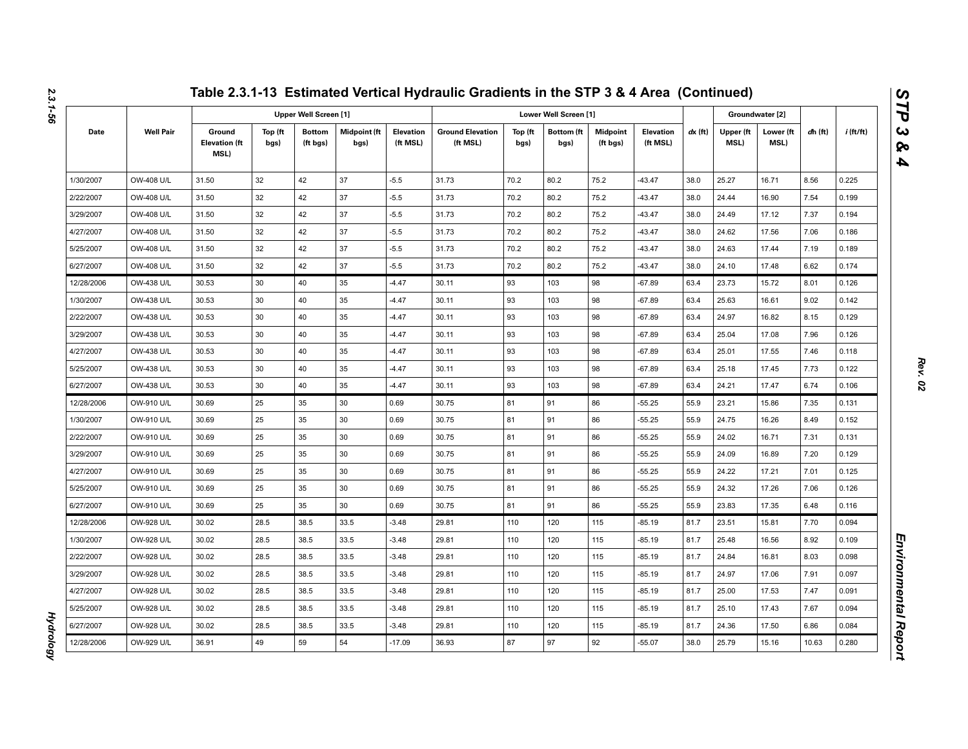|            |                   |                                               |                 |                              |                      |                       | Table 2.3.1-13 Estimated Vertical Hydraulic Gradients in the STP 3 & 4 Area (Continued) |                 |                           |                             |                       |           |                   |                   |           |             |
|------------|-------------------|-----------------------------------------------|-----------------|------------------------------|----------------------|-----------------------|-----------------------------------------------------------------------------------------|-----------------|---------------------------|-----------------------------|-----------------------|-----------|-------------------|-------------------|-----------|-------------|
|            |                   |                                               |                 | <b>Upper Well Screen [1]</b> |                      |                       |                                                                                         |                 | Lower Well Screen [1]     |                             |                       |           |                   | Groundwater [2]   |           |             |
| Date       | <b>Well Pair</b>  | Ground<br><b>Elevation (ft</b><br><b>MSL)</b> | Top (ft<br>bgs) | <b>Bottom</b><br>(ft bgs)    | Midpoint (ft<br>bgs) | Elevation<br>(ft MSL) | <b>Ground Elevation</b><br>(ft MSL)                                                     | Top (ft<br>bgs) | <b>Bottom</b> (ft<br>bgs) | <b>Midpoint</b><br>(ft bgs) | Elevation<br>(ft MSL) | $dx$ (ft) | Upper (ft<br>MSL) | Lower (ft<br>MSL) | $dh$ (ft) | $i$ (ft/ft) |
| 1/30/2007  | OW-408 U/L        | 31.50                                         | 32              | 42                           | 37                   | $-5.5$                | 31.73                                                                                   | 70.2            | 80.2                      | 75.2                        | $-43.47$              | 38.0      | 25.27             | 16.71             | 8.56      | 0.225       |
| 2/22/2007  | OW-408 U/L        | 31.50                                         | 32              | 42                           | 37                   | $-5.5$                | 31.73                                                                                   | 70.2            | 80.2                      | 75.2                        | $-43.47$              | 38.0      | 24.44             | 16.90             | 7.54      | 0.199       |
| 3/29/2007  | OW-408 U/L        | 31.50                                         | 32              | 42                           | 37                   | $-5.5$                | 31.73                                                                                   | 70.2            | 80.2                      | 75.2                        | $-43.47$              | 38.0      | 24.49             | 17.12             | 7.37      | 0.194       |
| 4/27/2007  | OW-408 U/L        | 31.50                                         | 32              | 42                           | 37                   | $-5.5$                | 31.73                                                                                   | 70.2            | 80.2                      | 75.2                        | $-43.47$              | 38.0      | 24.62             | 17.56             | 7.06      | 0.186       |
| 5/25/2007  | OW-408 U/L        | 31.50                                         | 32              | 42                           | 37                   | $-5.5$                | 31.73                                                                                   | 70.2            | 80.2                      | 75.2                        | $-43.47$              | 38.0      | 24.63             | 17.44             | 7.19      | 0.189       |
| 6/27/2007  | OW-408 U/L        | 31.50                                         | 32              | 42                           | 37                   | $-5.5$                | 31.73                                                                                   | 70.2            | 80.2                      | 75.2                        | $-43.47$              | 38.0      | 24.10             | 17.48             | 6.62      | 0.174       |
| 12/28/2006 | OW-438 U/L        | 30.53                                         | 30              | 40                           | 35                   | $-4.47$               | 30.11                                                                                   | 93              | 103                       | 98                          | $-67.89$              | 63.4      | 23.73             | 15.72             | 8.01      | 0.126       |
| 1/30/2007  | <b>OW-438 U/L</b> | 30.53                                         | 30              | 40                           | 35                   | $-4.47$               | 30.11                                                                                   | 93              | 103                       | 98                          | $-67.89$              | 63.4      | 25.63             | 16.61             | 9.02      | 0.142       |
| 2/22/2007  | OW-438 U/L        | 30.53                                         | 30              | 40                           | 35                   | $-4.47$               | 30.11                                                                                   | 93              | 103                       | 98                          | $-67.89$              | 63.4      | 24.97             | 16.82             | 8.15      | 0.129       |
| 3/29/2007  | OW-438 U/L        | 30.53                                         | 30              | 40                           | 35                   | $-4.47$               | 30.11                                                                                   | 93              | 103                       | 98                          | $-67.89$              | 63.4      | 25.04             | 17.08             | 7.96      | 0.126       |
| 4/27/2007  | OW-438 U/L        | 30.53                                         | 30              | 40                           | 35                   | $-4.47$               | 30.11                                                                                   | 93              | 103                       | 98                          | $-67.89$              | 63.4      | 25.01             | 17.55             | 7.46      | 0.118       |
| 5/25/2007  | OW-438 U/L        | 30.53                                         | 30              | 40                           | 35                   | $-4.47$               | 30.11                                                                                   | 93              | 103                       | 98                          | $-67.89$              | 63.4      | 25.18             | 17.45             | 7.73      | 0.122       |
| 6/27/2007  | OW-438 U/L        | 30.53                                         | 30              | 40                           | 35                   | $-4.47$               | 30.11                                                                                   | 93              | 103                       | 98                          | $-67.89$              | 63.4      | 24.21             | 17.47             | 6.74      | 0.106       |
| 12/28/2006 | OW-910 U/L        | 30.69                                         | 25              | 35                           | 30                   | 0.69                  | 30.75                                                                                   | 81              | 91                        | 86                          | $-55.25$              | 55.9      | 23.21             | 15.86             | 7.35      | 0.131       |
| 1/30/2007  | OW-910 U/L        | 30.69                                         | 25              | 35                           | 30                   | 0.69                  | 30.75                                                                                   | 81              | 91                        | 86                          | $-55.25$              | 55.9      | 24.75             | 16.26             | 8.49      | 0.152       |
| 2/22/2007  | OW-910 U/L        | 30.69                                         | 25              | 35                           | 30                   | 0.69                  | 30.75                                                                                   | 81              | 91                        | 86                          | $-55.25$              | 55.9      | 24.02             | 16.71             | 7.31      | 0.131       |
| 3/29/2007  | OW-910 U/L        | 30.69                                         | 25              | 35                           | 30                   | 0.69                  | 30.75                                                                                   | 81              | 91                        | 86                          | $-55.25$              | 55.9      | 24.09             | 16.89             | 7.20      | 0.129       |
| 4/27/2007  | OW-910 U/L        | 30.69                                         | 25              | 35                           | 30                   | 0.69                  | 30.75                                                                                   | 81              | 91                        | 86                          | $-55.25$              | 55.9      | 24.22             | 17.21             | 7.01      | 0.125       |
| 5/25/2007  | OW-910 U/L        | 30.69                                         | 25              | 35                           | 30                   | 0.69                  | 30.75                                                                                   | 81              | 91                        | 86                          | $-55.25$              | 55.9      | 24.32             | 17.26             | 7.06      | 0.126       |
| 6/27/2007  | OW-910 U/L        | 30.69                                         | 25              | 35                           | 30                   | 0.69                  | 30.75                                                                                   | 81              | 91                        | 86                          | $-55.25$              | 55.9      | 23.83             | 17.35             | 6.48      | 0.116       |
| 12/28/2006 | OW-928 U/L        | 30.02                                         | 28.5            | 38.5                         | 33.5                 | $-3.48$               | 29.81                                                                                   | 110             | 120                       | 115                         | $-85.19$              | 81.7      | 23.51             | 15.81             | 7.70      | 0.094       |
| 1/30/2007  | OW-928 U/L        | 30.02                                         | 28.5            | 38.5                         | 33.5                 | $-3.48$               | 29.81                                                                                   | 110             | 120                       | 115                         | -85.19                | 81.7      | 25.48             | 16.56             | 8.92      | 0.109       |
| 2/22/2007  | OW-928 U/L        | 30.02                                         | 28.5            | 38.5                         | 33.5                 | $-3.48$               | 29.81                                                                                   | 110             | 120                       | 115                         | $-85.19$              | 81.7      | 24.84             | 16.81             | 8.03      | 0.098       |
| 3/29/2007  | OW-928 U/L        | 30.02                                         | 28.5            | 38.5                         | 33.5                 | $-3.48$               | 29.81                                                                                   | 110             | 120                       | 115                         | -85.19                | 81.7      | 24.97             | 17.06             | 7.91      | 0.097       |
| 4/27/2007  | OW-928 U/L        | 30.02                                         | 28.5            | 38.5                         | 33.5                 | $-3.48$               | 29.81                                                                                   | 110             | 120                       | 115                         | $-85.19$              | 81.7      | 25.00             | 17.53             | 7.47      | 0.091       |
| 5/25/2007  | OW-928 U/L        | 30.02                                         | 28.5            | 38.5                         | 33.5                 | $-3.48$               | 29.81                                                                                   | 110             | 120                       | 115                         | -85.19                | 81.7      | 25.10             | 17.43             | 7.67      | 0.094       |
| 6/27/2007  | OW-928 U/L        | 30.02                                         | 28.5            | 38.5                         | 33.5                 | $-3.48$               | 29.81                                                                                   | 110             | 120                       | 115                         | $-85.19$              | 81.7      | 24.36             | 17.50             | 6.86      | 0.084       |
| 12/28/2006 | OW-929 U/L        | 36.91                                         | 49              | 59                           | 54                   | $-17.09$              | 36.93                                                                                   | 87              | 97                        | 92                          | $-55.07$              | 38.0      | 25.79             | 15.16             | 10.63     | 0.280       |

*Hydrology* 

**Hydrology** 

*STP 3 & 4*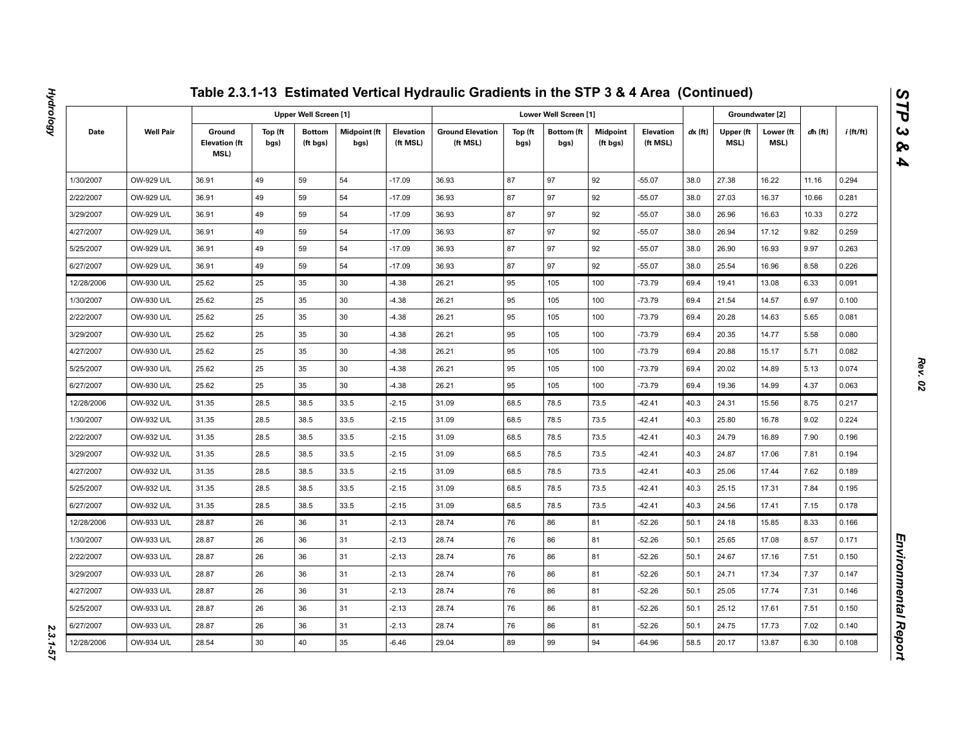|            |                  |                                        |                 |                              |                      |                       | Table 2.3.1-13 Estimated Vertical Hydraulic Gradients in the STP 3 & 4 Area (Continued) |                 |                           |                             |                       |         |                   |                   |           |             |
|------------|------------------|----------------------------------------|-----------------|------------------------------|----------------------|-----------------------|-----------------------------------------------------------------------------------------|-----------------|---------------------------|-----------------------------|-----------------------|---------|-------------------|-------------------|-----------|-------------|
|            |                  |                                        |                 | <b>Upper Well Screen [1]</b> |                      |                       |                                                                                         |                 | Lower Well Screen [1]     |                             |                       |         |                   | Groundwater [2]   |           |             |
| Date       | <b>Well Pair</b> | Ground<br><b>Elevation (ft</b><br>MSL) | Top (ft<br>bgs) | <b>Bottom</b><br>(ft bgs)    | Midpoint (ft<br>bgs) | Elevation<br>(ft MSL) | <b>Ground Elevation</b><br>(ft MSL)                                                     | Top (ft<br>bgs) | <b>Bottom</b> (ft<br>bgs) | <b>Midpoint</b><br>(ft bgs) | Elevation<br>(ft MSL) | dx (ft) | Upper (ft<br>MSL) | Lower (ft<br>MSL) | $dh$ (ft) | $i$ (ft/ft) |
| 1/30/2007  | OW-929 U/L       | 36.91                                  | 49              | 59                           | 54                   | $-17.09$              | 36.93                                                                                   | 87              | 97                        | 92                          | $-55.07$              | 38.0    | 27.38             | 16.22             | 11.16     | 0.294       |
| 2/22/2007  | OW-929 U/L       | 36.91                                  | 49              | 59                           | 54                   | $-17.09$              | 36.93                                                                                   | 87              | 97                        | 92                          | $-55.07$              | 38.0    | 27.03             | 16.37             | 10.66     | 0.281       |
| 3/29/2007  | OW-929 U/L       | 36.91                                  | 49              | 59                           | 54                   | $-17.09$              | 36.93                                                                                   | 87              | 97                        | 92                          | $-55.07$              | 38.0    | 26.96             | 16.63             | 10.33     | 0.272       |
| 4/27/2007  | OW-929 U/L       | 36.91                                  | 49              | 59                           | 54                   | $-17.09$              | 36.93                                                                                   | 87              | 97                        | 92                          | $-55.07$              | 38.0    | 26.94             | 17.12             | 9.82      | 0.259       |
| 5/25/2007  | OW-929 U/L       | 36.91                                  | 49              | 59                           | 54                   | $-17.09$              | 36.93                                                                                   | 87              | 97                        | 92                          | $-55.07$              | 38.0    | 26.90             | 16.93             | 9.97      | 0.263       |
| 6/27/2007  | OW-929 U/L       | 36.91                                  | 49              | 59                           | 54                   | $-17.09$              | 36.93                                                                                   | 87              | 97                        | 92                          | $-55.07$              | 38.0    | 25.54             | 16.96             | 8.58      | 0.226       |
| 12/28/2006 | OW-930 U/L       | 25.62                                  | 25              | 35                           | 30                   | $-4.38$               | 26.21                                                                                   | 95              | 105                       | 100                         | $-73.79$              | 69.4    | 19.41             | 13.08             | 6.33      | 0.091       |
| 1/30/2007  | OW-930 U/L       | 25.62                                  | 25              | 35                           | 30                   | $-4.38$               | 26.21                                                                                   | 95              | 105                       | 100                         | $-73.79$              | 69.4    | 21.54             | 14.57             | 6.97      | 0.100       |
| 2/22/2007  | OW-930 U/L       | 25.62                                  | 25              | 35                           | 30                   | $-4.38$               | 26.21                                                                                   | 95              | 105                       | 100                         | $-73.79$              | 69.4    | 20.28             | 14.63             | 5.65      | 0.081       |
| 3/29/2007  | OW-930 U/L       | 25.62                                  | 25              | 35                           | 30                   | $-4.38$               | 26.21                                                                                   | 95              | 105                       | 100                         | $-73.79$              | 69.4    | 20.35             | 14.77             | 5.58      | 0.080       |
| 4/27/2007  | OW-930 U/L       | 25.62                                  | 25              | 35                           | 30                   | $-4.38$               | 26.21                                                                                   | 95              | 105                       | 100                         | $-73.79$              | 69.4    | 20.88             | 15.17             | 5.71      | 0.082       |
| 5/25/2007  | OW-930 U/L       | 25.62                                  | 25              | 35                           | 30                   | $-4.38$               | 26.21                                                                                   | 95              | 105                       | 100                         | $-73.79$              | 69.4    | 20.02             | 14.89             | 5.13      | 0.074       |
| 6/27/2007  | OW-930 U/L       | 25.62                                  | 25              | 35                           | 30                   | $-4.38$               | 26.21                                                                                   | 95              | 105                       | 100                         | $-73.79$              | 69.4    | 19.36             | 14.99             | 4.37      | 0.063       |
| 12/28/2006 | OW-932 U/L       | 31.35                                  | 28.5            | 38.5                         | 33.5                 | $-2.15$               | 31.09                                                                                   | 68.5            | 78.5                      | 73.5                        | -42.41                | 40.3    | 24.31             | 15.56             | 8.75      | 0.217       |
| 1/30/2007  | OW-932 U/L       | 31.35                                  | 28.5            | 38.5                         | 33.5                 | $-2.15$               | 31.09                                                                                   | 68.5            | 78.5                      | 73.5                        | $-42.41$              | 40.3    | 25.80             | 16.78             | 9.02      | 0.224       |
| 2/22/2007  | OW-932 U/L       | 31.35                                  | 28.5            | 38.5                         | 33.5                 | $-2.15$               | 31.09                                                                                   | 68.5            | 78.5                      | 73.5                        | $-42.41$              | 40.3    | 24.79             | 16.89             | 7.90      | 0.196       |
| 3/29/2007  | OW-932 U/L       | 31.35                                  | 28.5            | 38.5                         | 33.5                 | $-2.15$               | 31.09                                                                                   | 68.5            | 78.5                      | 73.5                        | $-42.41$              | 40.3    | 24.87             | 17.06             | 7.81      | 0.194       |
| 4/27/2007  | OW-932 U/L       | 31.35                                  | 28.5            | 38.5                         | 33.5                 | $-2.15$               | 31.09                                                                                   | 68.5            | 78.5                      | 73.5                        | $-42.41$              | 40.3    | 25.06             | 17.44             | 7.62      | 0.189       |
| 5/25/2007  | OW-932 U/L       | 31.35                                  | 28.5            | 38.5                         | 33.5                 | $-2.15$               | 31.09                                                                                   | 68.5            | 78.5                      | 73.5                        | $-42.41$              | 40.3    | 25.15             | 17.31             | 7.84      | 0.195       |
| 6/27/2007  | OW-932 U/L       | 31.35                                  | 28.5            | 38.5                         | 33.5                 | $-2.15$               | 31.09                                                                                   | 68.5            | 78.5                      | 73.5                        | $-42.41$              | 40.3    | 24.56             | 17.41             | 7.15      | 0.178       |
| 12/28/2006 | OW-933 U/L       | 28.87                                  | 26              | 36                           | 31                   | $-2.13$               | 28.74                                                                                   | 76              | 86                        | 81                          | $-52.26$              | 50.1    | 24.18             | 15.85             | 8.33      | 0.166       |
| 1/30/2007  | OW-933 U/L       | 28.87                                  | 26              | 36                           | 31                   | $-2.13$               | 28.74                                                                                   | 76              | 86                        | 81                          | -52.26                | 50.1    | 25.65             | 17.08             | 8.57      | 0.171       |
| 2/22/2007  | OW-933 U/L       | 28.87                                  | 26              | 36                           | 31                   | $-2.13$               | 28.74                                                                                   | 76              | 86                        | 81                          | $-52.26$              | 50.1    | 24.67             | 17.16             | 7.51      | 0.150       |
| 3/29/2007  | OW-933 U/L       | 28.87                                  | 26              | 36                           | 31                   | $-2.13$               | 28.74                                                                                   | 76              | 86                        | 81                          | -52.26                | 50.1    | 24.71             | 17.34             | 7.37      | 0.147       |
| 4/27/2007  | OW-933 U/L       | 28.87                                  | 26              | 36                           | 31                   | $-2.13$               | 28.74                                                                                   | 76              | 86                        | 81                          | $-52.26$              | 50.1    | 25.05             | 17.74             | 7.31      | 0.146       |
| 5/25/2007  | OW-933 U/L       | 28.87                                  | 26              | 36                           | 31                   | $-2.13$               | 28.74                                                                                   | 76              | 86                        | 81                          | -52.26                | 50.1    | 25.12             | 17.61             | 7.51      | 0.150       |
| 6/27/2007  | OW-933 U/L       | 28.87                                  | 26              | 36                           | 31                   | $-2.13$               | 28.74                                                                                   | 76              | 86                        | 81                          | $-52.26$              | 50.1    | 24.75             | 17.73             | 7.02      | 0.140       |
| 12/28/2006 | OW-934 U/L       | 28.54                                  | 30              | 40                           | 35                   | $-6.46$               | 29.04                                                                                   | 89              | 99                        | 94                          | -64.96                | 58.5    | 20.17             | 13.87             | 6.30      | 0.108       |

2.3.1-57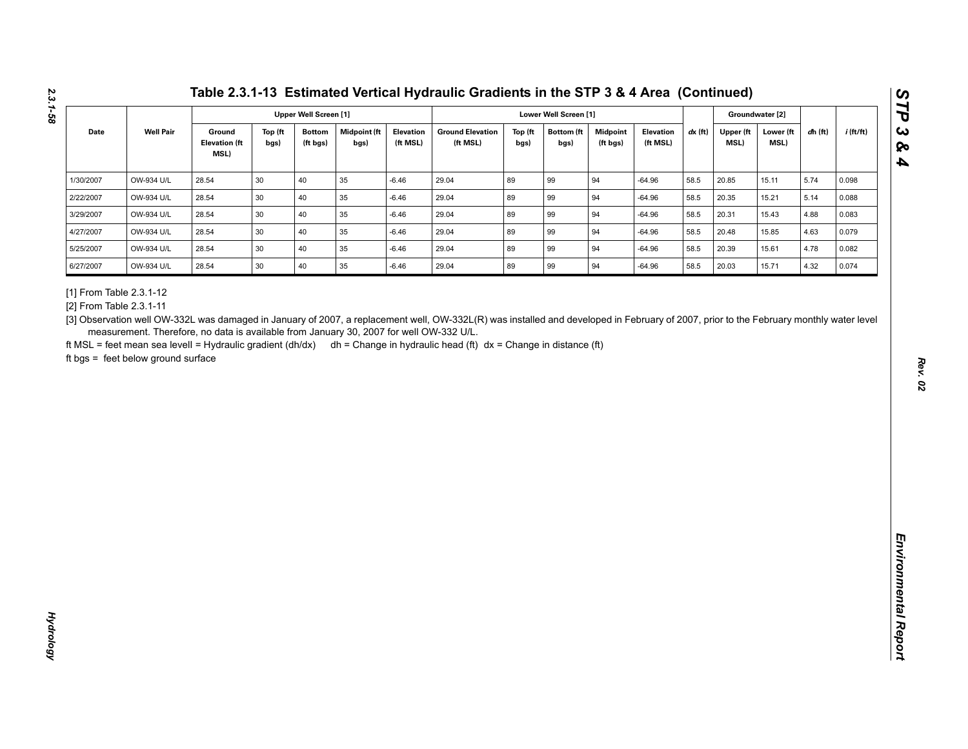| <b>Well Pair</b><br>$dx$ (ft)<br>Date<br>Ground<br>Top (ft<br><b>Bottom</b><br><b>Midpoint</b> (ft<br>Elevation<br><b>Ground Elevation</b><br>Top (ft<br><b>Bottom</b> (ft<br><b>Midpoint</b><br>Elevation<br>Upper (ft<br>Lower (ft<br>$dh$ (ft)<br><b>Elevation (ft</b><br>MSL)<br>bgs)<br>(ft MSL)<br>(ft MSL)<br>(ft MSL)<br>MSL)<br>(ft bgs)<br>bgs)<br>bgs)<br>bgs)<br>(ft bgs)<br>MSL)<br>89<br>94<br>OW-934 U/L<br>28.54<br>30<br>40<br>35<br>$-6.46$<br>29.04<br>99<br>58.5<br>5.74<br>$-64.96$<br>20.85<br>15.11<br>0.098<br>OW-934 U/L<br>28.54<br>40<br>89<br>99<br>58.5<br>5.14<br>30<br>35<br>$-6.46$<br>29.04<br>94<br>$-64.96$<br>20.35<br>15.21<br>0.088<br>89<br>99<br>94<br>OW-934 U/L<br>28.54<br>30<br>40<br>35<br>$-6.46$<br>29.04<br>58.5<br>20.31<br>15.43<br>4.88<br>$-64.96$<br>0.083<br>40<br>89<br>99<br>94<br>OW-934 U/L<br>28.54<br>30<br>35<br>$-6.46$<br>29.04<br>$-64.96$<br>58.5<br>20.48<br>15.85<br>4.63<br>0.079<br>89<br>94<br>OW-934 U/L<br>28.54<br>30<br>40<br>35<br>$-6.46$<br>99<br>58.5<br>4.78<br>29.04<br>$-64.96$<br>20.39<br>15.61<br>0.082<br>OW-934 U/L<br>28.54<br>30<br>40<br>89<br>99<br>94<br>4.32<br>35<br>$-6.46$<br>29.04<br>$-64.96$<br>58.5<br>20.03<br>15.71<br>0.074<br>measurement. Therefore, no data is available from January 30, 2007 for well OW-332 U/L. | 1/30/2007<br>2/22/2007<br>3/29/2007<br>4/27/2007<br>5/25/2007<br>6/27/2007<br>[1] From Table 2.3.1-12<br>[2] From Table 2.3.1-11<br>ft MSL = feet mean sea levell = Hydraulic gradient (dh/dx) dh = Change in hydraulic head (ft) dx = Change in distance (ft)<br>ft bgs = feet below ground surface |                                                                                                                                                                                        |  |  | <b>Upper Well Screen [1]</b> |  |  | Lower Well Screen [1] |  |  | Groundwater [2] |             |
|------------------------------------------------------------------------------------------------------------------------------------------------------------------------------------------------------------------------------------------------------------------------------------------------------------------------------------------------------------------------------------------------------------------------------------------------------------------------------------------------------------------------------------------------------------------------------------------------------------------------------------------------------------------------------------------------------------------------------------------------------------------------------------------------------------------------------------------------------------------------------------------------------------------------------------------------------------------------------------------------------------------------------------------------------------------------------------------------------------------------------------------------------------------------------------------------------------------------------------------------------------------------------------------------------------------------------|------------------------------------------------------------------------------------------------------------------------------------------------------------------------------------------------------------------------------------------------------------------------------------------------------|----------------------------------------------------------------------------------------------------------------------------------------------------------------------------------------|--|--|------------------------------|--|--|-----------------------|--|--|-----------------|-------------|
|                                                                                                                                                                                                                                                                                                                                                                                                                                                                                                                                                                                                                                                                                                                                                                                                                                                                                                                                                                                                                                                                                                                                                                                                                                                                                                                              |                                                                                                                                                                                                                                                                                                      |                                                                                                                                                                                        |  |  |                              |  |  |                       |  |  |                 | $i$ (ft/ft) |
|                                                                                                                                                                                                                                                                                                                                                                                                                                                                                                                                                                                                                                                                                                                                                                                                                                                                                                                                                                                                                                                                                                                                                                                                                                                                                                                              |                                                                                                                                                                                                                                                                                                      |                                                                                                                                                                                        |  |  |                              |  |  |                       |  |  |                 |             |
|                                                                                                                                                                                                                                                                                                                                                                                                                                                                                                                                                                                                                                                                                                                                                                                                                                                                                                                                                                                                                                                                                                                                                                                                                                                                                                                              |                                                                                                                                                                                                                                                                                                      |                                                                                                                                                                                        |  |  |                              |  |  |                       |  |  |                 |             |
|                                                                                                                                                                                                                                                                                                                                                                                                                                                                                                                                                                                                                                                                                                                                                                                                                                                                                                                                                                                                                                                                                                                                                                                                                                                                                                                              |                                                                                                                                                                                                                                                                                                      |                                                                                                                                                                                        |  |  |                              |  |  |                       |  |  |                 |             |
|                                                                                                                                                                                                                                                                                                                                                                                                                                                                                                                                                                                                                                                                                                                                                                                                                                                                                                                                                                                                                                                                                                                                                                                                                                                                                                                              |                                                                                                                                                                                                                                                                                                      |                                                                                                                                                                                        |  |  |                              |  |  |                       |  |  |                 |             |
|                                                                                                                                                                                                                                                                                                                                                                                                                                                                                                                                                                                                                                                                                                                                                                                                                                                                                                                                                                                                                                                                                                                                                                                                                                                                                                                              |                                                                                                                                                                                                                                                                                                      |                                                                                                                                                                                        |  |  |                              |  |  |                       |  |  |                 |             |
|                                                                                                                                                                                                                                                                                                                                                                                                                                                                                                                                                                                                                                                                                                                                                                                                                                                                                                                                                                                                                                                                                                                                                                                                                                                                                                                              |                                                                                                                                                                                                                                                                                                      | [3] Observation well OW-332L was damaged in January of 2007, a replacement well, OW-332L(R) was installed and developed in February of 2007, prior to the February monthly water level |  |  |                              |  |  |                       |  |  |                 |             |
|                                                                                                                                                                                                                                                                                                                                                                                                                                                                                                                                                                                                                                                                                                                                                                                                                                                                                                                                                                                                                                                                                                                                                                                                                                                                                                                              |                                                                                                                                                                                                                                                                                                      |                                                                                                                                                                                        |  |  |                              |  |  |                       |  |  |                 |             |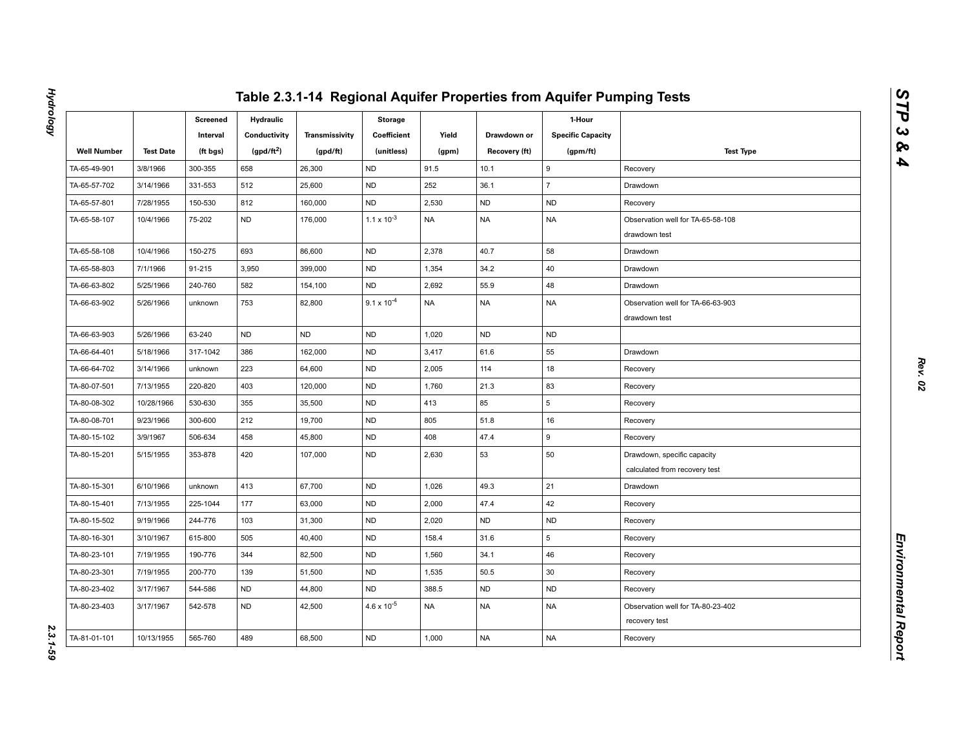|                    |                  | Screened<br>Interval | <b>Hydraulic</b><br>Conductivity | Transmissivity | <b>Storage</b><br>Coefficient | Yield     | Drawdown or   | 1-Hour<br><b>Specific Capacity</b> |                                                              |
|--------------------|------------------|----------------------|----------------------------------|----------------|-------------------------------|-----------|---------------|------------------------------------|--------------------------------------------------------------|
| <b>Well Number</b> | <b>Test Date</b> | (ft bgs)             | (gpd/ft <sup>2</sup> )           | (gpd/ft)       | (unitless)                    | (gpm)     | Recovery (ft) | (gpm/ft)                           | <b>Test Type</b>                                             |
| TA-65-49-901       | 3/8/1966         | 300-355              | 658                              | 26,300         | <b>ND</b>                     | 91.5      | 10.1          | 9                                  | Recovery                                                     |
| TA-65-57-702       | 3/14/1966        | 331-553              | 512                              | 25,600         | <b>ND</b>                     | 252       | 36.1          | $\overline{7}$                     | Drawdown                                                     |
| TA-65-57-801       | 7/28/1955        | 150-530              | 812                              | 160,000        | <b>ND</b>                     | 2,530     | <b>ND</b>     | <b>ND</b>                          | Recovery                                                     |
| TA-65-58-107       | 10/4/1966        | 75-202               | <b>ND</b>                        | 176,000        | $1.1 \times 10^{-3}$          | <b>NA</b> | <b>NA</b>     | <b>NA</b>                          | Observation well for TA-65-58-108<br>drawdown test           |
| TA-65-58-108       | 10/4/1966        | 150-275              | 693                              | 86,600         | ND                            | 2,378     | 40.7          | 58                                 | Drawdown                                                     |
| TA-65-58-803       | 7/1/1966         | 91-215               | 3,950                            | 399,000        | <b>ND</b>                     | 1,354     | 34.2          | 40                                 | Drawdown                                                     |
| TA-66-63-802       | 5/25/1966        | 240-760              | 582                              | 154,100        | <b>ND</b>                     | 2,692     | 55.9          | 48                                 | Drawdown                                                     |
| TA-66-63-902       | 5/26/1966        | unknown              | 753                              | 82,800         | $9.1 \times 10^{-4}$          | <b>NA</b> | <b>NA</b>     | <b>NA</b>                          | Observation well for TA-66-63-903<br>drawdown test           |
| TA-66-63-903       | 5/26/1966        | 63-240               | <b>ND</b>                        | <b>ND</b>      | <b>ND</b>                     | 1,020     | <b>ND</b>     | <b>ND</b>                          |                                                              |
| TA-66-64-401       | 5/18/1966        | 317-1042             | 386                              | 162,000        | ND                            | 3,417     | 61.6          | 55                                 | Drawdown                                                     |
| TA-66-64-702       | 3/14/1966        | unknown              | 223                              | 64,600         | <b>ND</b>                     | 2,005     | 114           | 18                                 | Recovery                                                     |
| TA-80-07-501       | 7/13/1955        | 220-820              | 403                              | 120,000        | <b>ND</b>                     | 1,760     | 21.3          | 83                                 | Recovery                                                     |
| TA-80-08-302       | 10/28/1966       | 530-630              | 355                              | 35,500         | <b>ND</b>                     | 413       | 85            | 5                                  | Recovery                                                     |
| TA-80-08-701       | 9/23/1966        | 300-600              | 212                              | 19,700         | <b>ND</b>                     | 805       | 51.8          | 16                                 | Recovery                                                     |
| TA-80-15-102       | 3/9/1967         | 506-634              | 458                              | 45,800         | <b>ND</b>                     | 408       | 47.4          | 9                                  | Recovery                                                     |
| TA-80-15-201       | 5/15/1955        | 353-878              | 420                              | 107,000        | <b>ND</b>                     | 2,630     | 53            | 50                                 | Drawdown, specific capacity<br>calculated from recovery test |
| TA-80-15-301       | 6/10/1966        | unknown              | 413                              | 67,700         | <b>ND</b>                     | 1,026     | 49.3          | 21                                 | Drawdown                                                     |
| TA-80-15-401       | 7/13/1955        | 225-1044             | 177                              | 63,000         | ND                            | 2,000     | 47.4          | 42                                 | Recovery                                                     |
| TA-80-15-502       | 9/19/1966        | 244-776              | 103                              | 31,300         | <b>ND</b>                     | 2,020     | <b>ND</b>     | <b>ND</b>                          | Recovery                                                     |
| TA-80-16-301       | 3/10/1967        | 615-800              | 505                              | 40,400         | <b>ND</b>                     | 158.4     | 31.6          | 5                                  | Recovery                                                     |
| TA-80-23-101       | 7/19/1955        | 190-776              | 344                              | 82,500         | <b>ND</b>                     | 1,560     | 34.1          | 46                                 | Recovery                                                     |
| TA-80-23-301       | 7/19/1955        | 200-770              | 139                              | 51,500         | <b>ND</b>                     | 1,535     | 50.5          | 30                                 | Recovery                                                     |
| TA-80-23-402       | 3/17/1967        | 544-586              | ND                               | 44,800         | ND                            | 388.5     | <b>ND</b>     | ND                                 | Recovery                                                     |
| TA-80-23-403       | 3/17/1967        | 542-578              | <b>ND</b>                        | 42,500         | $4.6 \times 10^{-5}$          | <b>NA</b> | <b>NA</b>     | <b>NA</b>                          | Observation well for TA-80-23-402<br>recovery test           |
| TA-81-01-101       | 10/13/1955       | 565-760              | 489                              | 68,500         | <b>ND</b>                     | 1,000     | <b>NA</b>     | <b>NA</b>                          | Recovery                                                     |

**Hydrology** 

*Hydrology 2.3.1-59* 2.3.1-59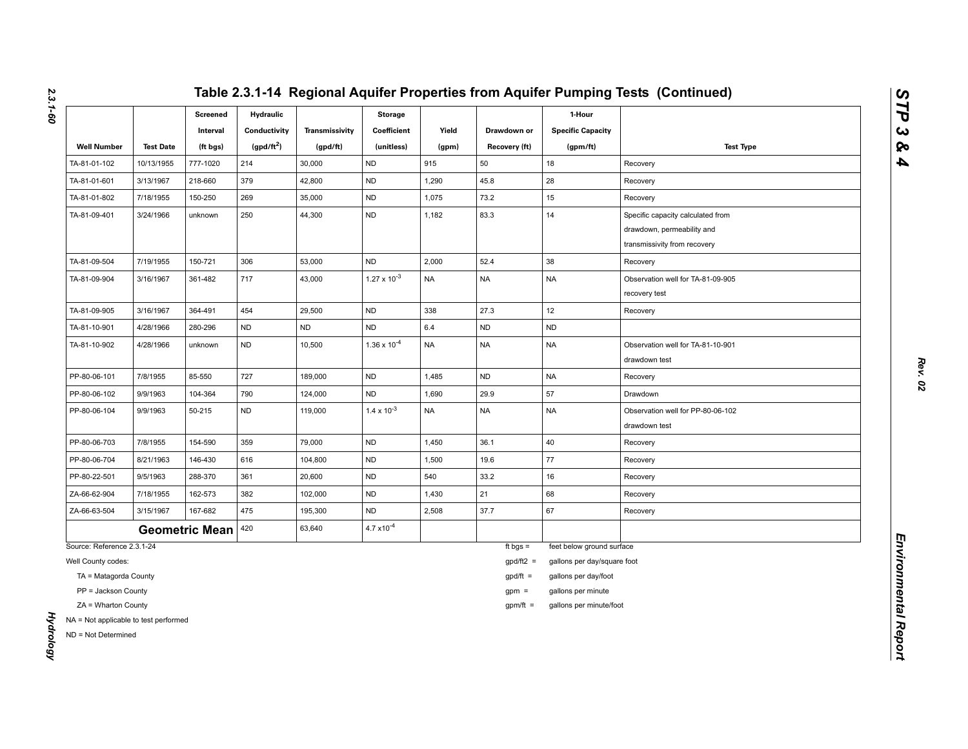|                                                              |                  | <b>Screened</b><br>Interval | <b>Hydraulic</b><br>Conductivity | Transmissivity | <b>Storage</b><br>Coefficient | Yield     | Drawdown or   | 1-Hour<br><b>Specific Capacity</b> |                                                                                                 |
|--------------------------------------------------------------|------------------|-----------------------------|----------------------------------|----------------|-------------------------------|-----------|---------------|------------------------------------|-------------------------------------------------------------------------------------------------|
| <b>Well Number</b>                                           | <b>Test Date</b> | (ft bgs)                    | $(gpd/ft^2)$                     | (gpd/ft)       | (unitless)                    | (gpm)     | Recovery (ft) | (gpm/ft)                           | <b>Test Type</b>                                                                                |
| TA-81-01-102                                                 | 10/13/1955       | 777-1020                    | 214                              | 30,000         | <b>ND</b>                     | 915       | 50            | 18                                 | Recovery                                                                                        |
| TA-81-01-601                                                 | 3/13/1967        | 218-660                     | 379                              | 42,800         | <b>ND</b>                     | 1,290     | 45.8          | 28                                 | Recovery                                                                                        |
| TA-81-01-802                                                 | 7/18/1955        | 150-250                     | 269                              | 35,000         | <b>ND</b>                     | 1,075     | 73.2          | 15                                 | Recovery                                                                                        |
| TA-81-09-401                                                 | 3/24/1966        | unknown                     | 250                              | 44,300         | ND                            | 1,182     | 83.3          | 14                                 | Specific capacity calculated from<br>drawdown, permeability and<br>transmissivity from recovery |
| TA-81-09-504                                                 | 7/19/1955        | 150-721                     | 306                              | 53,000         | <b>ND</b>                     | 2,000     | 52.4          | 38                                 | Recovery                                                                                        |
| TA-81-09-904                                                 | 3/16/1967        | 361-482                     | 717                              | 43,000         | $1.27 \times 10^{-3}$         | <b>NA</b> | <b>NA</b>     | <b>NA</b>                          | Observation well for TA-81-09-905<br>recovery test                                              |
| TA-81-09-905                                                 | 3/16/1967        | 364-491                     | 454                              | 29,500         | <b>ND</b>                     | 338       | 27.3          | 12                                 | Recovery                                                                                        |
| TA-81-10-901                                                 | 4/28/1966        | 280-296                     | <b>ND</b>                        | <b>ND</b>      | <b>ND</b>                     | 6.4       | <b>ND</b>     | <b>ND</b>                          |                                                                                                 |
| TA-81-10-902                                                 | 4/28/1966        | unknown                     | <b>ND</b>                        | 10,500         | $1.36 \times 10^{-4}$         | <b>NA</b> | <b>NA</b>     | <b>NA</b>                          | Observation well for TA-81-10-901<br>drawdown test                                              |
| PP-80-06-101                                                 | 7/8/1955         | 85-550                      | 727                              | 189,000        | <b>ND</b>                     | 1,485     | <b>ND</b>     | <b>NA</b>                          | Recovery                                                                                        |
| PP-80-06-102                                                 | 9/9/1963         | 104-364                     | 790                              | 124,000        | ND                            | 1,690     | 29.9          | 57                                 | Drawdown                                                                                        |
| PP-80-06-104                                                 | 9/9/1963         | 50-215                      | <b>ND</b>                        | 119,000        | $1.4 \times 10^{-3}$          | <b>NA</b> | <b>NA</b>     | <b>NA</b>                          | Observation well for PP-80-06-102<br>drawdown test                                              |
| PP-80-06-703                                                 | 7/8/1955         | 154-590                     | 359                              | 79,000         | <b>ND</b>                     | 1,450     | 36.1          | 40                                 | Recovery                                                                                        |
| PP-80-06-704                                                 | 8/21/1963        | 146-430                     | 616                              | 104,800        | ND.                           | 1,500     | 19.6          | 77                                 | Recovery                                                                                        |
| PP-80-22-501                                                 | 9/5/1963         | 288-370                     | 361                              | 20,600         | <b>ND</b>                     | 540       | 33.2          | 16                                 | Recovery                                                                                        |
| ZA-66-62-904                                                 | 7/18/1955        | 162-573                     | 382                              | 102,000        | <b>ND</b>                     | 1,430     | 21            | 68                                 | Recovery                                                                                        |
| ZA-66-63-504                                                 | 3/15/1967        | 167-682                     | 475                              | 195,300        | <b>ND</b>                     | 2,508     | 37.7          | 67                                 | Recovery                                                                                        |
|                                                              |                  | <b>Geometric Mean</b>       | 420                              | 63,640         | $4.7 \times 10^{-4}$          |           |               |                                    |                                                                                                 |
| Source: Reference 2.3.1-24                                   |                  |                             |                                  |                |                               |           | ft bgs $=$    | feet below ground surface          |                                                                                                 |
| Well County codes:                                           |                  |                             |                                  |                |                               |           | $gpd/ft2 =$   | gallons per day/square foot        |                                                                                                 |
| TA = Matagorda County                                        |                  |                             |                                  |                |                               |           | $gpd/ft =$    | gallons per day/foot               |                                                                                                 |
| PP = Jackson County                                          |                  |                             |                                  |                |                               |           | $gpm =$       | gallons per minute                 |                                                                                                 |
| ZA = Wharton County                                          |                  |                             |                                  |                |                               |           | $gpm/ft =$    | gallons per minute/foot            |                                                                                                 |
| NA = Not applicable to test performed<br>ND = Not Determined |                  |                             |                                  |                |                               |           |               |                                    |                                                                                                 |

*2.3.1-60*

*Hydrology* 

**Hydrology**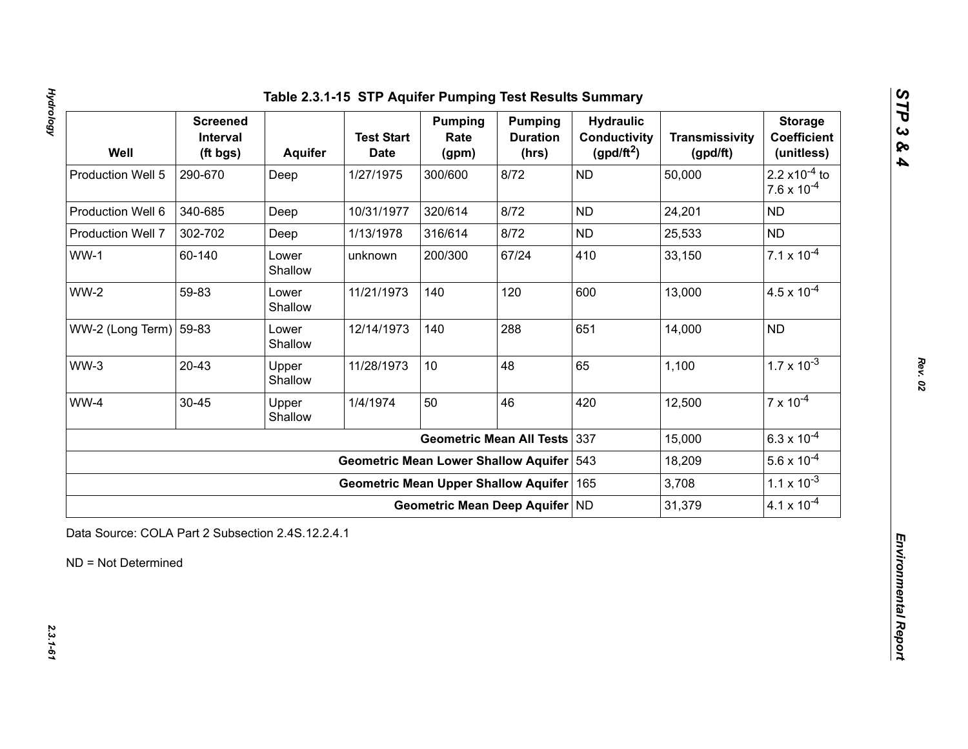# **Hydrology** *Hydrology 2.3.1-61*

| Well                   | <b>Screened</b><br>Interval<br>(ft bgs) | Aquifer          | <b>Test Start</b><br><b>Date</b>            | <b>Pumping</b><br>Rate<br>(gpm) | <b>Pumping</b><br><b>Duration</b><br>(hrs) | <b>Hydraulic</b><br><b>Conductivity</b><br>(gpd/ft <sup>2</sup> ) | <b>Transmissivity</b><br>(gpd/ft) | <b>Storage</b><br><b>Coefficient</b><br>(unitless)       |
|------------------------|-----------------------------------------|------------------|---------------------------------------------|---------------------------------|--------------------------------------------|-------------------------------------------------------------------|-----------------------------------|----------------------------------------------------------|
| Production Well 5      | 290-670                                 | Deep             | 1/27/1975                                   | 300/600                         | 8/72                                       | <b>ND</b>                                                         | 50,000                            | 2.2 $\times$ 10 <sup>-4</sup> to<br>$7.6 \times 10^{-4}$ |
| Production Well 6      | 340-685                                 | Deep             | 10/31/1977                                  | 320/614                         | 8/72                                       | <b>ND</b>                                                         | 24,201                            | <b>ND</b>                                                |
| Production Well 7      | 302-702                                 | Deep             | 1/13/1978                                   | 316/614                         | 8/72                                       | <b>ND</b>                                                         | 25,533                            | <b>ND</b>                                                |
| $WW-1$                 | 60-140                                  | Lower<br>Shallow | unknown                                     | 200/300                         | 67/24                                      | 410                                                               | 33,150                            | $7.1 \times 10^{-4}$                                     |
| <b>WW-2</b>            | 59-83                                   | Lower<br>Shallow | 11/21/1973                                  | 140                             | 120                                        | 600                                                               | 13,000                            | $4.5 \times 10^{-4}$                                     |
| WW-2 (Long Term) 59-83 |                                         | Lower<br>Shallow | 12/14/1973                                  | 140                             | 288                                        | 651                                                               | 14,000                            | <b>ND</b>                                                |
| $WW-3$                 | $20 - 43$                               | Upper<br>Shallow | 11/28/1973                                  | 10                              | 48                                         | 65                                                                | 1,100                             | $1.7 \times 10^{-3}$                                     |
| WW-4                   | $30 - 45$                               | Upper<br>Shallow | 1/4/1974                                    | 50                              | 46                                         | 420                                                               | 12,500                            | $7 \times 10^{-4}$                                       |
|                        |                                         |                  |                                             |                                 | <b>Geometric Mean All Tests</b>            | 337                                                               | 15,000                            | $6.3 \times 10^{-4}$                                     |
|                        |                                         |                  | <b>Geometric Mean Lower Shallow Aquifer</b> |                                 |                                            | 543                                                               | 18,209                            | $5.6 \times 10^{-4}$                                     |
|                        |                                         |                  | <b>Geometric Mean Upper Shallow Aquifer</b> |                                 |                                            | 165                                                               | 3,708                             | $1.1 \times 10^{-3}$                                     |
|                        |                                         |                  |                                             | Geometric Mean Deep Aquifer ND  |                                            |                                                                   | 31,379                            | $4.1 \times 10^{-4}$                                     |

*Rev. 02*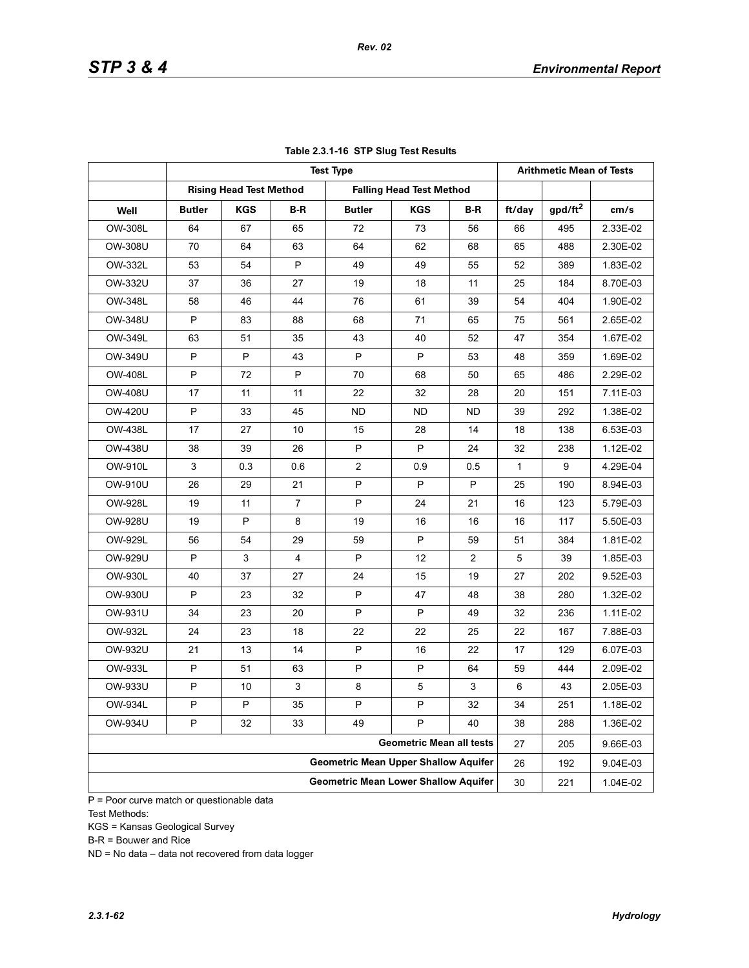|                |               |                                |                | <b>Test Type</b>                            |                                 |                |              | <b>Arithmetic Mean of Tests</b> |          |
|----------------|---------------|--------------------------------|----------------|---------------------------------------------|---------------------------------|----------------|--------------|---------------------------------|----------|
|                |               | <b>Rising Head Test Method</b> |                |                                             | <b>Falling Head Test Method</b> |                |              |                                 |          |
| Well           | <b>Butler</b> | KGS                            | B-R            | <b>Butler</b>                               | <b>KGS</b>                      | B-R            | ft/day       | gpd/ft <sup>2</sup>             | cm/s     |
| OW-308L        | 64            | 67                             | 65             | 72                                          | 73                              | 56             | 66           | 495                             | 2.33E-02 |
| OW-308U        | 70            | 64                             | 63             | 64                                          | 62                              | 68             | 65           | 488                             | 2.30E-02 |
| OW-332L        | 53            | 54                             | P              | 49                                          | 49                              | 55             | 52           | 389                             | 1.83E-02 |
| OW-332U        | 37            | 36                             | 27             | 19                                          | 18                              | 11             | 25           | 184                             | 8.70E-03 |
| OW-348L        | 58            | 46                             | 44             | 76                                          | 61                              | 39             | 54           | 404                             | 1.90E-02 |
| OW-348U        | P             | 83                             | 88             | 68                                          | 71                              | 65             | 75           | 561                             | 2.65E-02 |
| OW-349L        | 63            | 51                             | 35             | 43                                          | 40                              | 52             | 47           | 354                             | 1.67E-02 |
| OW-349U        | P             | P                              | 43             | P                                           | P                               | 53             | 48           | 359                             | 1.69E-02 |
| OW-408L        | P             | 72                             | P              | 70                                          | 68                              | 50             | 65           | 486                             | 2.29E-02 |
| <b>OW-408U</b> | 17            | 11                             | 11             | 22                                          | 32                              | 28             | 20           | 151                             | 7.11E-03 |
| <b>OW-420U</b> | P             | 33                             | 45             | <b>ND</b>                                   | <b>ND</b>                       | ND             | 39           | 292                             | 1.38E-02 |
| OW-438L        | 17            | 27                             | 10             | 15                                          | 28                              | 14             | 18           | 138                             | 6.53E-03 |
| <b>OW-438U</b> | 38            | 39                             | 26             | P                                           | P                               | 24             | 32           | 238                             | 1.12E-02 |
| OW-910L        | 3             | 0.3                            | 0.6            | $\overline{2}$                              | 0.9                             | 0.5            | $\mathbf{1}$ | 9                               | 4.29E-04 |
| OW-910U        | 26            | 29                             | 21             | P                                           | P                               | P              | 25           | 190                             | 8.94E-03 |
| OW-928L        | 19            | 11                             | $\overline{7}$ | P                                           | 24                              | 21             | 16           | 123                             | 5.79E-03 |
| OW-928U        | 19            | P                              | 8              | 19                                          | 16                              | 16             | 16           | 117                             | 5.50E-03 |
| OW-929L        | 56            | 54                             | 29             | 59                                          | P                               | 59             | 51           | 384                             | 1.81E-02 |
| OW-929U        | P             | 3                              | 4              | P                                           | 12                              | $\overline{2}$ | 5            | 39                              | 1.85E-03 |
| OW-930L        | 40            | 37                             | 27             | 24                                          | 15                              | 19             | 27           | 202                             | 9.52E-03 |
| OW-930U        | P             | 23                             | 32             | P                                           | 47                              | 48             | 38           | 280                             | 1.32E-02 |
| OW-931U        | 34            | 23                             | 20             | P                                           | P                               | 49             | 32           | 236                             | 1.11E-02 |
| OW-932L        | 24            | 23                             | 18             | 22                                          | 22                              | 25             | 22           | 167                             | 7.88E-03 |
| OW-932U        | 21            | 13                             | 14             | P                                           | 16                              | 22             | 17           | 129                             | 6.07E-03 |
| OW-933L        | P             | 51                             | 63             | P                                           | P                               | 64             | 59           | 444                             | 2.09E-02 |
| OW-933U        | P             | 10                             | 3              | 8                                           | 5                               | 3              | 6            | 43                              | 2.05E-03 |
| OW-934L        | P             | P                              | 35             | P                                           | P                               | 32             | 34           | 251                             | 1.18E-02 |
| <b>OW-934U</b> | P             | 32                             | 33             | 49                                          | P                               | 40             | 38           | 288                             | 1.36E-02 |
|                |               |                                |                |                                             | <b>Geometric Mean all tests</b> |                | 27           | 205                             | 9.66E-03 |
|                |               |                                |                | <b>Geometric Mean Upper Shallow Aquifer</b> |                                 |                | 26           | 192                             | 9.04E-03 |
|                |               |                                |                | <b>Geometric Mean Lower Shallow Aquifer</b> |                                 |                | 30           | 221                             | 1.04E-02 |
|                |               |                                |                |                                             |                                 |                |              |                                 |          |

### **Table 2.3.1-16 STP Slug Test Results**

*Rev. 02*

 $\overline{P}$  = Poor curve match or questionable data Test Methods:

KGS = Kansas Geological Survey

B-R = Bouwer and Rice

ND = No data – data not recovered from data logger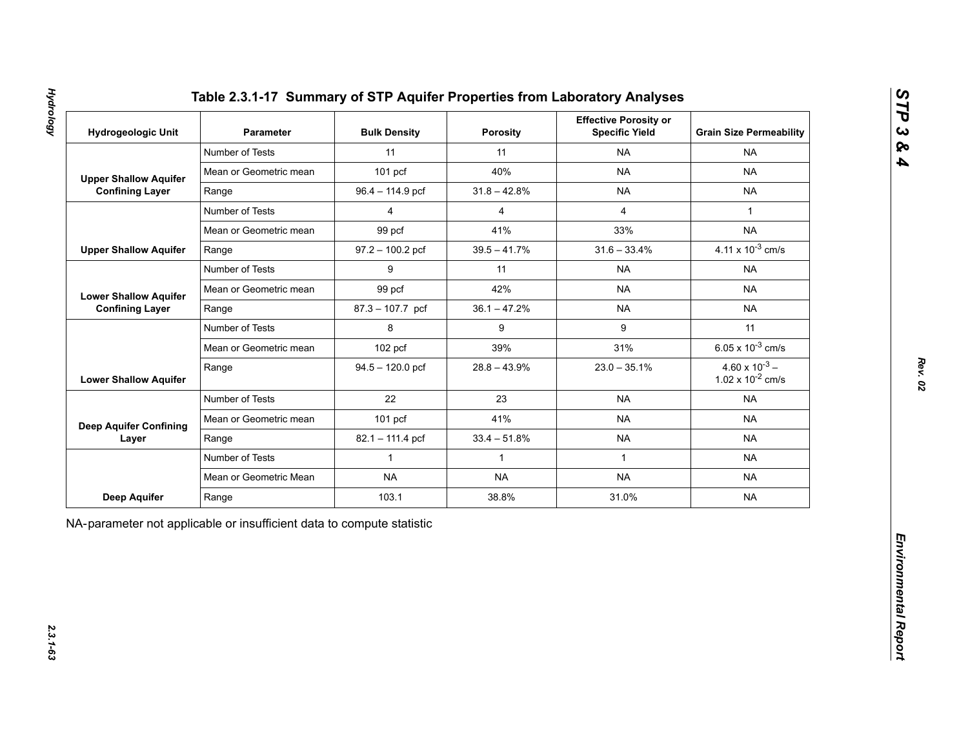|  | Table 2.3.1-17 Summary of STP Aquifer Properties from Laboratory Analyses |  |
|--|---------------------------------------------------------------------------|--|
|  |                                                                           |  |

| <b>Hydrogeologic Unit</b>     | Parameter              | <b>Bulk Density</b> | Porosity       | <b>Effective Porosity or</b><br><b>Specific Yield</b> | <b>Grain Size Permeability</b>                   |
|-------------------------------|------------------------|---------------------|----------------|-------------------------------------------------------|--------------------------------------------------|
|                               | Number of Tests        | 11                  | 11             | <b>NA</b>                                             | <b>NA</b>                                        |
| <b>Upper Shallow Aquifer</b>  | Mean or Geometric mean | $101$ pcf           | 40%            | <b>NA</b>                                             | <b>NA</b>                                        |
| <b>Confining Layer</b>        | Range                  | 96.4 - 114.9 pcf    | $31.8 - 42.8%$ | <b>NA</b>                                             | <b>NA</b>                                        |
|                               | Number of Tests        | $\overline{4}$      | $\overline{4}$ | $\overline{4}$                                        | $\mathbf{1}$                                     |
|                               | Mean or Geometric mean | 99 pcf              | 41%            | 33%                                                   | <b>NA</b>                                        |
| <b>Upper Shallow Aquifer</b>  | Range                  | $97.2 - 100.2$ pcf  | $39.5 - 41.7%$ | $31.6 - 33.4%$                                        | 4.11 x $10^{-3}$ cm/s                            |
|                               | Number of Tests        | 9                   | 11             | <b>NA</b>                                             | <b>NA</b>                                        |
| <b>Lower Shallow Aquifer</b>  | Mean or Geometric mean | 99 pcf              | 42%            | <b>NA</b>                                             | <b>NA</b>                                        |
| <b>Confining Layer</b>        | Range                  | $87.3 - 107.7$ pcf  | $36.1 - 47.2%$ | <b>NA</b>                                             | <b>NA</b>                                        |
|                               | Number of Tests        | 8                   | 9              | 9                                                     | 11                                               |
|                               | Mean or Geometric mean | $102$ pcf           | 39%            | 31%                                                   | 6.05 x $10^{-3}$ cm/s                            |
| <b>Lower Shallow Aquifer</b>  | Range                  | $94.5 - 120.0$ pcf  | $28.8 - 43.9%$ | $23.0 - 35.1%$                                        | $4.60 \times 10^{-3} -$<br>1.02 x $10^{-2}$ cm/s |
|                               | Number of Tests        | 22                  | 23             | <b>NA</b>                                             | <b>NA</b>                                        |
| <b>Deep Aquifer Confining</b> | Mean or Geometric mean | $101$ pcf           | 41%            | <b>NA</b>                                             | <b>NA</b>                                        |
| Layer                         | Range                  | 82.1 - 111.4 pcf    | $33.4 - 51.8%$ | <b>NA</b>                                             | <b>NA</b>                                        |
|                               | Number of Tests        | $\mathbf{1}$        | $\mathbf{1}$   | $\mathbf{1}$                                          | <b>NA</b>                                        |
|                               | Mean or Geometric Mean | <b>NA</b>           | <b>NA</b>      | <b>NA</b>                                             | <b>NA</b>                                        |
| Deep Aquifer                  | Range                  | 103.1               | 38.8%          | 31.0%                                                 | <b>NA</b>                                        |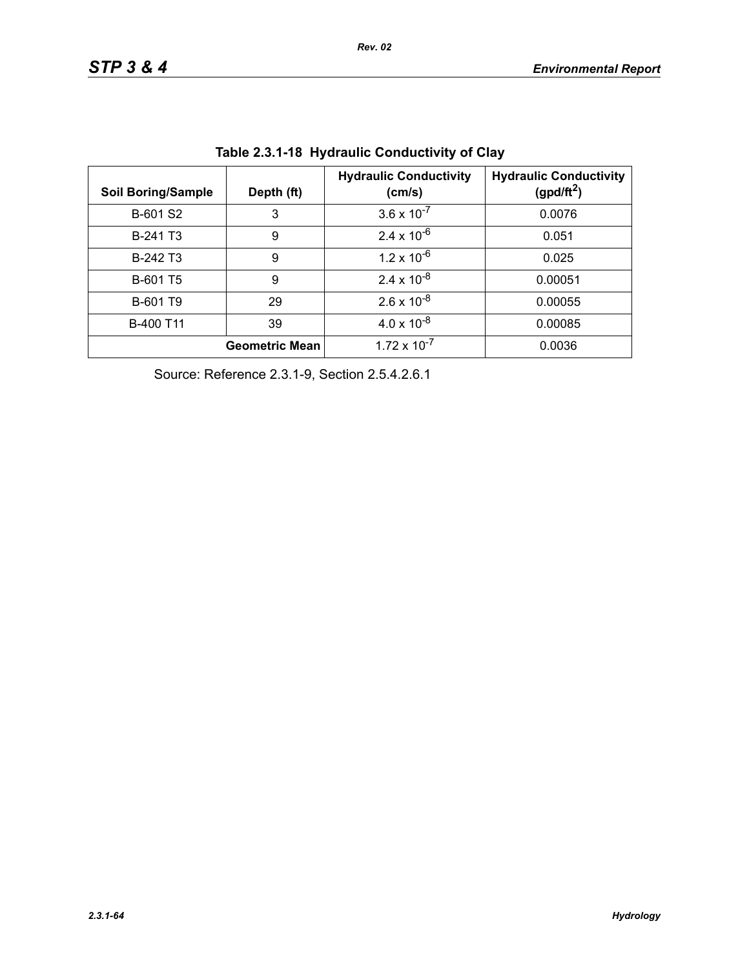| <b>Soil Boring/Sample</b> | Depth (ft)            | <b>Hydraulic Conductivity</b><br>(cm/s) | <b>Hydraulic Conductivity</b><br>(gpd/ft <sup>2</sup> ) |
|---------------------------|-----------------------|-----------------------------------------|---------------------------------------------------------|
| B-601 S2                  | 3                     | $3.6 \times 10^{-7}$                    | 0.0076                                                  |
| B-241 T <sub>3</sub>      | 9                     | $2.4 \times 10^{-6}$                    | 0.051                                                   |
| B-242 T3                  | 9                     | $1.2 \times 10^{-6}$                    | 0.025                                                   |
| B-601 T5                  | 9                     | $2.4 \times 10^{-8}$                    | 0.00051                                                 |
| B-601 T9                  | 29                    | $2.6 \times 10^{-8}$                    | 0.00055                                                 |
| B-400 T11                 | 39                    | $4.0 \times 10^{-8}$                    | 0.00085                                                 |
|                           | <b>Geometric Mean</b> | $1.72 \times 10^{-7}$                   | 0.0036                                                  |

| Table 2.3.1-18 Hydraulic Conductivity of Clay |  |  |  |
|-----------------------------------------------|--|--|--|
|-----------------------------------------------|--|--|--|

Source: Reference 2.3.1-9, Section 2.5.4.2.6.1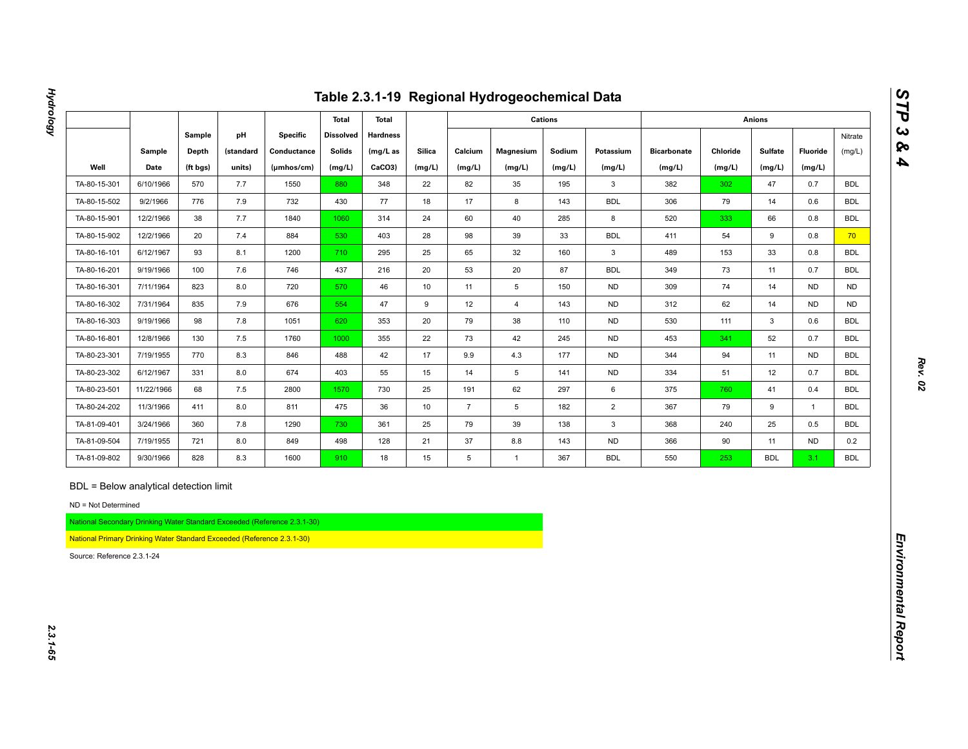|                                                   |                                                                                                                  |          |           |                                                                          |                  |                 |               |                | Table 2.3.1-19 Regional Hydrogeochemical Data |                |                |                    |          |                |              |            |
|---------------------------------------------------|------------------------------------------------------------------------------------------------------------------|----------|-----------|--------------------------------------------------------------------------|------------------|-----------------|---------------|----------------|-----------------------------------------------|----------------|----------------|--------------------|----------|----------------|--------------|------------|
|                                                   |                                                                                                                  |          |           |                                                                          | <b>Total</b>     | <b>Total</b>    |               |                |                                               | <b>Cations</b> |                |                    |          | <b>Anions</b>  |              |            |
|                                                   |                                                                                                                  | Sample   | pH        | <b>Specific</b>                                                          | <b>Dissolved</b> | <b>Hardness</b> |               |                |                                               |                |                |                    |          |                |              | Nitrate    |
|                                                   | Sample                                                                                                           | Depth    | (standard | Conductance                                                              | <b>Solids</b>    | (mg/L as        | <b>Silica</b> | Calcium        | <b>Magnesium</b>                              | Sodium         | Potassium      | <b>Bicarbonate</b> | Chloride | <b>Sulfate</b> | Fluoride     | (mg/L)     |
| Well                                              | Date                                                                                                             | (ft bgs) | units)    | (µmhos/cm)                                                               | (mg/L)           | CaCO3)          | (mg/L)        | (mg/L)         | (mg/L)                                        | (mg/L)         | (mg/L)         | (mg/L)             | (mg/L)   | (mg/L)         | (mg/L)       |            |
| TA-80-15-301                                      | 6/10/1966                                                                                                        | 570      | 7.7       | 1550                                                                     | 880              | 348             | 22            | 82             | 35                                            | 195            | 3              | 382                | 302      | 47             | 0.7          | <b>BDL</b> |
| TA-80-15-502                                      | 9/2/1966                                                                                                         | 776      | 7.9       | 732                                                                      | 430              | 77              | 18            | 17             | 8                                             | 143            | <b>BDL</b>     | 306                | 79       | 14             | 0.6          | <b>BDL</b> |
| TA-80-15-901                                      | 12/2/1966                                                                                                        | 38       | 7.7       | 1840                                                                     | 1060             | 314             | 24            | 60             | 40                                            | 285            | 8              | 520                | 333      | 66             | 0.8          | <b>BDL</b> |
| TA-80-15-902                                      | 12/2/1966                                                                                                        | 20       | 7.4       | 884                                                                      | 530              | 403             | 28            | 98             | 39                                            | 33             | <b>BDL</b>     | 411                | 54       | 9              | 0.8          | 70         |
| TA-80-16-101                                      | 6/12/1967                                                                                                        | 93       | 8.1       | 1200                                                                     | 710              | 295             | 25            | 65             | 32                                            | 160            | $\mathbf{3}$   | 489                | 153      | 33             | 0.8          | <b>BDL</b> |
| TA-80-16-201                                      | 9/19/1966                                                                                                        | 100      | 7.6       | 746                                                                      | 437              | 216             | 20            | 53             | 20                                            | 87             | <b>BDL</b>     | 349                | 73       | 11             | 0.7          | <b>BDL</b> |
| TA-80-16-301                                      | 7/11/1964                                                                                                        | 823      | 8.0       | 720                                                                      | 570              | 46              | 10            | 11             | $5\phantom{.0}$                               | 150            | <b>ND</b>      | 309                | 74       | 14             | <b>ND</b>    | <b>ND</b>  |
| TA-80-16-302                                      | 7/31/1964                                                                                                        | 835      | 7.9       | 676                                                                      | 554              | 47              | 9             | 12             | $\overline{4}$                                | 143            | <b>ND</b>      | 312                | 62       | 14             | <b>ND</b>    | <b>ND</b>  |
| TA-80-16-303                                      | 9/19/1966                                                                                                        | 98       | $7.8$     | 1051                                                                     | 620              | 353             | 20            | 79             | 38                                            | 110            | <b>ND</b>      | 530                | 111      | 3              | 0.6          | <b>BDL</b> |
| TA-80-16-801                                      | 12/8/1966                                                                                                        | 130      | 7.5       | 1760                                                                     | 1000             | 355             | 22            | 73             | 42                                            | 245            | <b>ND</b>      | 453                | 341      | 52             | 0.7          | <b>BDL</b> |
| TA-80-23-301                                      | 7/19/1955                                                                                                        | 770      | 8.3       | 846                                                                      | 488              | 42              | 17            | 9.9            | 4.3                                           | 177            | <b>ND</b>      | 344                | 94       | 11             | <b>ND</b>    | <b>BDL</b> |
| TA-80-23-302                                      | 6/12/1967                                                                                                        | 331      | 8.0       | 674                                                                      | 403              | 55              | 15            | 14             | 5                                             | 141            | <b>ND</b>      | 334                | 51       | 12             | 0.7          | <b>BDL</b> |
| TA-80-23-501                                      | 11/22/1966                                                                                                       | 68       | 7.5       | 2800                                                                     | 1570             | 730             | 25            | 191            | 62                                            | 297            | 6              | 375                | 760      | 41             | 0.4          | <b>BDL</b> |
| TA-80-24-202                                      | 11/3/1966                                                                                                        | 411      | 8.0       | 811                                                                      | 475              | 36              | 10            | $\overline{7}$ | 5                                             | 182            | $\overline{2}$ | 367                | 79       | 9              | $\mathbf{1}$ | <b>BDL</b> |
| TA-81-09-401                                      | 3/24/1966                                                                                                        | 360      | 7.8       | 1290                                                                     | 730              | 361             | 25            | 79             | 39                                            | 138            | $\mathbf{3}$   | 368                | 240      | 25             | 0.5          | <b>BDL</b> |
| TA-81-09-504                                      | 7/19/1955                                                                                                        | 721      | 8.0       | 849                                                                      | 498              | 128             | 21            | 37             | 8.8                                           | 143            | <b>ND</b>      | 366                | 90       | 11             | <b>ND</b>    | 0.2        |
| TA-81-09-802                                      | 9/30/1966                                                                                                        | 828      | 8.3       | 1600                                                                     | 910              | 18              | 15            | 5              | $\overline{1}$                                | 367            | <b>BDL</b>     | 550                | 253      | <b>BDL</b>     | 3.1          | <b>BDL</b> |
| ND = Not Determined<br>Source: Reference 2.3.1-24 | BDL = Below analytical detection limit<br>National Primary Drinking Water Standard Exceeded (Reference 2.3.1-30) |          |           | National Secondary Drinking Water Standard Exceeded (Reference 2.3.1-30) |                  |                 |               |                |                                               |                |                |                    |          |                |              |            |

**Hydrology**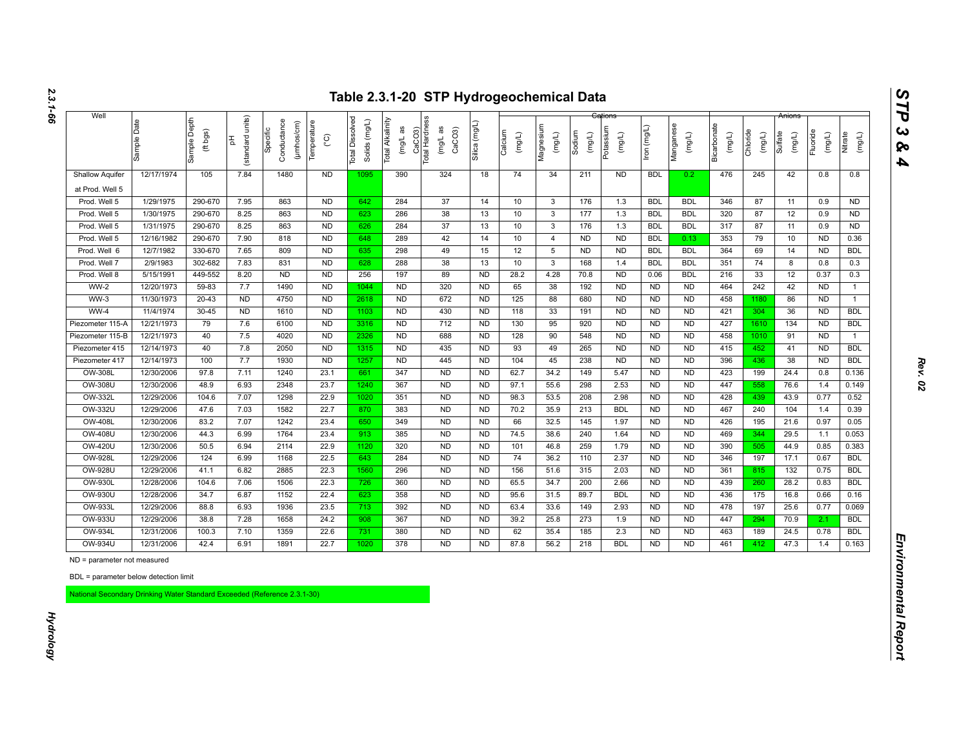| units)<br>Sample Depth<br>Total Dissolved<br>CaCO3)<br>Total Hardness<br>Sample Date<br>Solids (mg/L)<br>Total Alkalinity<br>Conductance<br>(µmhos/cm)<br>Temperature<br>Silica (mg/L)<br>Manganese<br>Bicarbonate<br>Magnesium<br>(T/Bw) uol<br>Potassium<br>$(mg/L$ as<br>æ<br>CaCO <sub>3</sub><br>Specific<br>(ft bgs)<br>Calcium<br>Chloride<br>Fluoride<br>Sodium<br>Sulfate<br>(mg/L)<br>(mg/L)<br>(mg/L)<br>(mg/L)<br>(mg/L)<br>$(\text{mg/L})$<br>(mg/L)<br>(mg/L)<br>(mg/L)<br>Nitrate<br>$\widetilde{C}$<br>(standard<br>공<br>mg/L<br>12/17/1974<br>105<br>7.84<br>1480<br><b>ND</b><br>390<br>324<br>18<br>74<br>34<br>211<br><b>ND</b><br><b>BDL</b><br>476<br>245<br>42<br>0.8<br>0.8<br><b>Shallow Aquifer</b><br>1095<br>0.2<br>at Prod. Well 5<br>1/29/1975<br>290-670<br>7.95<br>863<br><b>ND</b><br>642<br>284<br>37<br>14<br>10<br>$\mathbf{3}$<br>176<br>1.3<br><b>BDL</b><br><b>BDL</b><br>346<br>87<br>11<br><b>ND</b><br>Prod. Well 5<br>0.9<br>286<br>38<br>1/30/1975<br>290-670<br>8.25<br>863<br><b>ND</b><br>10<br><b>BDL</b><br>320<br>87<br>12<br><b>ND</b><br>Prod. Well 5<br>623<br>13<br>$\mathbf{3}$<br>177<br>1.3<br><b>BDL</b><br>0.9<br>Prod. Well 5<br>1/31/1975<br>290-670<br>8.25<br>863<br>N <sub>D</sub><br>284<br>37<br>13<br>10<br>$\overline{3}$<br>176<br><b>BDL</b><br>317<br>87<br>11<br>ND<br>626<br>1.3<br><b>BDL</b><br>0.9<br>42<br>7.90<br>818<br>N <sub>D</sub><br>289<br>14<br>10<br><b>ND</b><br><b>ND</b><br>353<br>79<br>10<br>Prod. Well 5<br>12/16/1982<br>290-670<br>648<br>$\overline{4}$<br><b>BDL</b><br>0.13<br><b>ND</b><br>0.36<br>12/7/1982<br>7.65<br>809<br>N <sub>D</sub><br>298<br>49<br>12<br><b>ND</b><br>N <sub>D</sub><br><b>BDL</b><br>364<br>Prod. Well 6<br>330-670<br>635<br>15<br>5<br><b>BDL</b><br>69<br>14<br><b>ND</b><br><b>BDL</b><br>7.83<br>831<br>N <sub>D</sub><br>288<br>38<br>13<br><b>BDL</b><br>2/9/1983<br>302-682<br>10<br>3<br>168<br>1.4<br><b>BDL</b><br>351<br>74<br>0.3<br>Prod. Well 7<br>628<br>8<br>0.8<br><b>ND</b><br>89<br>5/15/1991<br>449-552<br>8.20<br><b>ND</b><br>197<br><b>ND</b><br>28.2<br>4.28<br>70.8<br><b>ND</b><br>0.06<br><b>BDL</b><br>216<br>33<br>12<br>0.37<br>0.3<br>Prod. Well 8<br>256<br>$WW-2$<br>7.7<br>1490<br>N <sub>D</sub><br>320<br><b>ND</b><br>464<br>242<br>42<br>12/20/1973<br>59-83<br><b>ND</b><br>65<br>38<br>192<br><b>ND</b><br><b>ND</b><br><b>ND</b><br><b>ND</b><br>1044<br>$\mathbf{1}$<br>$WW-3$<br>11/30/1973<br>$20 - 43$<br>N <sub>D</sub><br>4750<br>N <sub>D</sub><br>2618<br>N <sub>D</sub><br>672<br><b>ND</b><br>125<br>88<br>680<br>N <sub>D</sub><br><b>ND</b><br>458<br>86<br><b>ND</b><br>1180<br><b>ND</b><br>$\mathbf{1}$<br>$WW-4$<br>11/4/1974<br>$30 - 45$<br>N <sub>D</sub><br>1610<br>N <sub>D</sub><br>N <sub>D</sub><br>430<br><b>ND</b><br>118<br>33<br>191<br><b>ND</b><br><b>ND</b><br>421<br>304<br>36<br><b>BDL</b><br>1103<br><b>ND</b><br><b>ND</b><br>12/21/1973<br>712<br>79<br>7.6<br>6100<br><b>ND</b><br>3316<br><b>ND</b><br><b>ND</b><br>130<br>95<br>920<br><b>ND</b><br><b>ND</b><br><b>ND</b><br>427<br>134<br><b>ND</b><br><b>BDL</b><br>Piezometer 115-A<br>1610<br>12/21/1973<br>40<br>7.5<br>4020<br>N <sub>D</sub><br>N <sub>D</sub><br>688<br>128<br><b>ND</b><br><b>ND</b><br>458<br>2326<br><b>ND</b><br>90<br>548<br><b>ND</b><br>1010<br>91<br><b>ND</b><br>Piezometer 115-B<br>$\mathbf{1}$<br>2050<br><b>ND</b><br>435<br>93<br>12/14/1973<br>40<br>7.8<br><b>ND</b><br><b>ND</b><br>265<br><b>ND</b><br><b>ND</b><br>415<br><b>BDL</b><br>Piezometer 415<br>1315<br>49<br><b>ND</b><br>452<br>41<br><b>ND</b><br>12/14/1973<br>100<br>7.7<br>1930<br><b>ND</b><br>1257<br><b>ND</b><br>445<br><b>ND</b><br>104<br>45<br>238<br><b>ND</b><br><b>ND</b><br><b>ND</b><br>396<br>436<br>38<br><b>ND</b><br><b>BDL</b><br>Piezometer 417<br>1240<br>23.1<br>347<br><b>ND</b><br>OW-308L<br>12/30/2006<br>97.8<br>7.11<br>661<br><b>ND</b><br>62.7<br>34.2<br>149<br>5.47<br><b>ND</b><br><b>ND</b><br>423<br>199<br>24.4<br>0.8<br><b>OW-308U</b><br>12/30/2006<br>48.9<br>6.93<br>2348<br>23.7<br>1240<br>367<br><b>ND</b><br><b>ND</b><br>298<br>2.53<br>447<br>97.1<br>55.6<br><b>ND</b><br><b>ND</b><br>558<br>76.6<br>1.4<br><b>ND</b><br>OW-332L<br>104.6<br>7.07<br>1298<br>22.9<br>351<br><b>ND</b><br>98.3<br>53.5<br>208<br>2.98<br><b>ND</b><br>428<br>43.9<br>12/29/2006<br>1020<br><b>ND</b><br>439<br>0.77<br>0.52<br><b>OW-332U</b><br>12/29/2006<br>47.6<br>7.03<br>1582<br>22.7<br>383<br><b>ND</b><br><b>ND</b><br>213<br><b>BDL</b><br>467<br>870<br>70.2<br>35.9<br><b>ND</b><br><b>ND</b><br>240<br>104<br>1.4<br>0.39<br>83.2<br>1242<br>23.4<br><b>ND</b><br><b>OW-408L</b><br>12/30/2006<br>7.07<br>650<br>349<br><b>ND</b><br>66<br>32.5<br>145<br>1.97<br><b>ND</b><br><b>ND</b><br>426<br>195<br>21.6<br>0.97<br>0.05<br><b>OW-408U</b><br>12/30/2006<br>44.3<br>6.99<br>1764<br>23.4<br>913<br>385<br><b>ND</b><br><b>ND</b><br>74.5<br>38.6<br>240<br>1.64<br><b>ND</b><br>469<br>29.5<br><b>ND</b><br>344<br>1.1<br>22.9<br>320<br><b>ND</b><br><b>OW-420U</b><br>12/30/2006<br>50.5<br>6.94<br>2114<br><b>ND</b><br>101<br>46.8<br>259<br>1.79<br><b>ND</b><br><b>ND</b><br>390<br>44.9<br>1120<br>505<br>0.85<br><b>ND</b><br>124<br>6.99<br>1168<br>22.5<br>284<br>74<br>2.37<br>N <sub>D</sub><br>OW-928L<br>12/29/2006<br>643<br><b>ND</b><br>36.2<br>110<br><b>ND</b><br>346<br>197<br>17.1<br>0.67<br><b>BDL</b><br><b>OW-928U</b><br>12/29/2006<br>41.1<br>6.82<br>2885<br>22.3<br>1560<br>296<br><b>ND</b><br><b>ND</b><br>156<br>51.6<br>315<br>2.03<br>N <sub>D</sub><br>N <sub>D</sub><br>361<br>132<br>0.75<br><b>BDL</b><br>815<br>OW-930L<br>12/28/2006<br>104.6<br>7.06<br>1506<br>22.3<br>360<br><b>ND</b><br><b>ND</b><br>65.5<br>34.7<br>200<br>2.66<br><b>ND</b><br><b>ND</b><br>439<br>260<br>28.2<br>0.83<br><b>BDL</b><br>726<br>OW-930U<br>12/28/2006<br>34.7<br>6.87<br>1152<br>22.4<br>623<br>358<br><b>ND</b><br><b>ND</b><br>95.6<br>31.5<br>89.7<br><b>BDL</b><br><b>ND</b><br><b>ND</b><br>436<br>175<br>16.8<br>0.66<br>0.16<br>OW-933L<br>12/29/2006<br>88.8<br>6.93<br>1936<br>23.5<br>392<br><b>ND</b><br><b>ND</b><br>149<br>2.93<br>478<br>197<br>25.6<br>713<br>63.4<br>33.6<br><b>ND</b><br><b>ND</b><br>0.77<br>0.069<br><b>ND</b><br>OW-933U<br>12/29/2006<br>38.8<br>7.28<br>1658<br>24.2<br>908<br>367<br><b>ND</b><br>39.2<br>25.8<br>273<br>1.9<br><b>ND</b><br><b>ND</b><br>447<br>70.9<br><b>BDL</b><br>294<br>2.1<br><b>OW-934L</b><br>12/31/2006<br>100.3<br>7.10<br>1359<br>22.6<br>$731$<br>380<br><b>ND</b><br><b>ND</b><br>62<br>35.4<br>185<br>2.3<br><b>ND</b><br>463<br>189<br>24.5<br>0.78<br><b>BDL</b><br><b>ND</b><br><b>OW-934U</b><br>42.4<br>1020<br><b>ND</b><br>12/31/2006<br>6.91<br>1891<br>22.7<br>378<br><b>ND</b><br>87.8<br>56.2<br>218<br><b>BDL</b><br><b>ND</b><br><b>ND</b><br>461<br>412<br>47.3<br>1.4<br>0.163<br>ND = parameter not measured<br>BDL = parameter below detection limit | National Secondary Drinking Water Standard Exceeded (Reference 2.3.1-30) | Well |  |  |  |  |  |  |  |  | Anions |        |
|---------------------------------------------------------------------------------------------------------------------------------------------------------------------------------------------------------------------------------------------------------------------------------------------------------------------------------------------------------------------------------------------------------------------------------------------------------------------------------------------------------------------------------------------------------------------------------------------------------------------------------------------------------------------------------------------------------------------------------------------------------------------------------------------------------------------------------------------------------------------------------------------------------------------------------------------------------------------------------------------------------------------------------------------------------------------------------------------------------------------------------------------------------------------------------------------------------------------------------------------------------------------------------------------------------------------------------------------------------------------------------------------------------------------------------------------------------------------------------------------------------------------------------------------------------------------------------------------------------------------------------------------------------------------------------------------------------------------------------------------------------------------------------------------------------------------------------------------------------------------------------------------------------------------------------------------------------------------------------------------------------------------------------------------------------------------------------------------------------------------------------------------------------------------------------------------------------------------------------------------------------------------------------------------------------------------------------------------------------------------------------------------------------------------------------------------------------------------------------------------------------------------------------------------------------------------------------------------------------------------------------------------------------------------------------------------------------------------------------------------------------------------------------------------------------------------------------------------------------------------------------------------------------------------------------------------------------------------------------------------------------------------------------------------------------------------------------------------------------------------------------------------------------------------------------------------------------------------------------------------------------------------------------------------------------------------------------------------------------------------------------------------------------------------------------------------------------------------------------------------------------------------------------------------------------------------------------------------------------------------------------------------------------------------------------------------------------------------------------------------------------------------------------------------------------------------------------------------------------------------------------------------------------------------------------------------------------------------------------------------------------------------------------------------------------------------------------------------------------------------------------------------------------------------------------------------------------------------------------------------------------------------------------------------------------------------------------------------------------------------------------------------------------------------------------------------------------------------------------------------------------------------------------------------------------------------------------------------------------------------------------------------------------------------------------------------------------------------------------------------------------------------------------------------------------------------------------------------------------------------------------------------------------------------------------------------------------------------------------------------------------------------------------------------------------------------------------------------------------------------------------------------------------------------------------------------------------------------------------------------------------------------------------------------------------------------------------------------------------------------------------------------------------------------------------------------------------------------------------------------------------------------------------------------------------------------------------------------------------------------------------------------------------------------------------------------------------------------------------------------------------------------------------------------------------------------------------------------------------------------------------------------------------------------------------------------------------------------------------------------------------------------------------------------------------------------------------------------------------------------------------------------------------------------------------------------------------------------------------------------------------------------------------------------------------------------------------------------------------------------------------------------------------------------------------------------------------------------------------------------------------------------------------------------------------------------------------------------------------------------------------------------------------------------------------------------------------------------------------------------------------------------------------------------------------------------------------------------------------------------------------------------------------------------------------------------------------------------------------------------------------|--------------------------------------------------------------------------|------|--|--|--|--|--|--|--|--|--------|--------|
|                                                                                                                                                                                                                                                                                                                                                                                                                                                                                                                                                                                                                                                                                                                                                                                                                                                                                                                                                                                                                                                                                                                                                                                                                                                                                                                                                                                                                                                                                                                                                                                                                                                                                                                                                                                                                                                                                                                                                                                                                                                                                                                                                                                                                                                                                                                                                                                                                                                                                                                                                                                                                                                                                                                                                                                                                                                                                                                                                                                                                                                                                                                                                                                                                                                                                                                                                                                                                                                                                                                                                                                                                                                                                                                                                                                                                                                                                                                                                                                                                                                                                                                                                                                                                                                                                                                                                                                                                                                                                                                                                                                                                                                                                                                                                                                                                                                                                                                                                                                                                                                                                                                                                                                                                                                                                                                                                                                                                                                                                                                                                                                                                                                                                                                                                                                                                                                                                                                                                                                                                                                                                                                                                                                                                                                                                                                                                                                                                                                                                                                                                                                                                                                                                                                                                                                                                                                                                                                                                                                                         |                                                                          |      |  |  |  |  |  |  |  |  |        | (mg/L) |
|                                                                                                                                                                                                                                                                                                                                                                                                                                                                                                                                                                                                                                                                                                                                                                                                                                                                                                                                                                                                                                                                                                                                                                                                                                                                                                                                                                                                                                                                                                                                                                                                                                                                                                                                                                                                                                                                                                                                                                                                                                                                                                                                                                                                                                                                                                                                                                                                                                                                                                                                                                                                                                                                                                                                                                                                                                                                                                                                                                                                                                                                                                                                                                                                                                                                                                                                                                                                                                                                                                                                                                                                                                                                                                                                                                                                                                                                                                                                                                                                                                                                                                                                                                                                                                                                                                                                                                                                                                                                                                                                                                                                                                                                                                                                                                                                                                                                                                                                                                                                                                                                                                                                                                                                                                                                                                                                                                                                                                                                                                                                                                                                                                                                                                                                                                                                                                                                                                                                                                                                                                                                                                                                                                                                                                                                                                                                                                                                                                                                                                                                                                                                                                                                                                                                                                                                                                                                                                                                                                                                         |                                                                          |      |  |  |  |  |  |  |  |  |        |        |
|                                                                                                                                                                                                                                                                                                                                                                                                                                                                                                                                                                                                                                                                                                                                                                                                                                                                                                                                                                                                                                                                                                                                                                                                                                                                                                                                                                                                                                                                                                                                                                                                                                                                                                                                                                                                                                                                                                                                                                                                                                                                                                                                                                                                                                                                                                                                                                                                                                                                                                                                                                                                                                                                                                                                                                                                                                                                                                                                                                                                                                                                                                                                                                                                                                                                                                                                                                                                                                                                                                                                                                                                                                                                                                                                                                                                                                                                                                                                                                                                                                                                                                                                                                                                                                                                                                                                                                                                                                                                                                                                                                                                                                                                                                                                                                                                                                                                                                                                                                                                                                                                                                                                                                                                                                                                                                                                                                                                                                                                                                                                                                                                                                                                                                                                                                                                                                                                                                                                                                                                                                                                                                                                                                                                                                                                                                                                                                                                                                                                                                                                                                                                                                                                                                                                                                                                                                                                                                                                                                                                         |                                                                          |      |  |  |  |  |  |  |  |  |        |        |
|                                                                                                                                                                                                                                                                                                                                                                                                                                                                                                                                                                                                                                                                                                                                                                                                                                                                                                                                                                                                                                                                                                                                                                                                                                                                                                                                                                                                                                                                                                                                                                                                                                                                                                                                                                                                                                                                                                                                                                                                                                                                                                                                                                                                                                                                                                                                                                                                                                                                                                                                                                                                                                                                                                                                                                                                                                                                                                                                                                                                                                                                                                                                                                                                                                                                                                                                                                                                                                                                                                                                                                                                                                                                                                                                                                                                                                                                                                                                                                                                                                                                                                                                                                                                                                                                                                                                                                                                                                                                                                                                                                                                                                                                                                                                                                                                                                                                                                                                                                                                                                                                                                                                                                                                                                                                                                                                                                                                                                                                                                                                                                                                                                                                                                                                                                                                                                                                                                                                                                                                                                                                                                                                                                                                                                                                                                                                                                                                                                                                                                                                                                                                                                                                                                                                                                                                                                                                                                                                                                                                         |                                                                          |      |  |  |  |  |  |  |  |  |        |        |
|                                                                                                                                                                                                                                                                                                                                                                                                                                                                                                                                                                                                                                                                                                                                                                                                                                                                                                                                                                                                                                                                                                                                                                                                                                                                                                                                                                                                                                                                                                                                                                                                                                                                                                                                                                                                                                                                                                                                                                                                                                                                                                                                                                                                                                                                                                                                                                                                                                                                                                                                                                                                                                                                                                                                                                                                                                                                                                                                                                                                                                                                                                                                                                                                                                                                                                                                                                                                                                                                                                                                                                                                                                                                                                                                                                                                                                                                                                                                                                                                                                                                                                                                                                                                                                                                                                                                                                                                                                                                                                                                                                                                                                                                                                                                                                                                                                                                                                                                                                                                                                                                                                                                                                                                                                                                                                                                                                                                                                                                                                                                                                                                                                                                                                                                                                                                                                                                                                                                                                                                                                                                                                                                                                                                                                                                                                                                                                                                                                                                                                                                                                                                                                                                                                                                                                                                                                                                                                                                                                                                         |                                                                          |      |  |  |  |  |  |  |  |  |        |        |
|                                                                                                                                                                                                                                                                                                                                                                                                                                                                                                                                                                                                                                                                                                                                                                                                                                                                                                                                                                                                                                                                                                                                                                                                                                                                                                                                                                                                                                                                                                                                                                                                                                                                                                                                                                                                                                                                                                                                                                                                                                                                                                                                                                                                                                                                                                                                                                                                                                                                                                                                                                                                                                                                                                                                                                                                                                                                                                                                                                                                                                                                                                                                                                                                                                                                                                                                                                                                                                                                                                                                                                                                                                                                                                                                                                                                                                                                                                                                                                                                                                                                                                                                                                                                                                                                                                                                                                                                                                                                                                                                                                                                                                                                                                                                                                                                                                                                                                                                                                                                                                                                                                                                                                                                                                                                                                                                                                                                                                                                                                                                                                                                                                                                                                                                                                                                                                                                                                                                                                                                                                                                                                                                                                                                                                                                                                                                                                                                                                                                                                                                                                                                                                                                                                                                                                                                                                                                                                                                                                                                         |                                                                          |      |  |  |  |  |  |  |  |  |        |        |
|                                                                                                                                                                                                                                                                                                                                                                                                                                                                                                                                                                                                                                                                                                                                                                                                                                                                                                                                                                                                                                                                                                                                                                                                                                                                                                                                                                                                                                                                                                                                                                                                                                                                                                                                                                                                                                                                                                                                                                                                                                                                                                                                                                                                                                                                                                                                                                                                                                                                                                                                                                                                                                                                                                                                                                                                                                                                                                                                                                                                                                                                                                                                                                                                                                                                                                                                                                                                                                                                                                                                                                                                                                                                                                                                                                                                                                                                                                                                                                                                                                                                                                                                                                                                                                                                                                                                                                                                                                                                                                                                                                                                                                                                                                                                                                                                                                                                                                                                                                                                                                                                                                                                                                                                                                                                                                                                                                                                                                                                                                                                                                                                                                                                                                                                                                                                                                                                                                                                                                                                                                                                                                                                                                                                                                                                                                                                                                                                                                                                                                                                                                                                                                                                                                                                                                                                                                                                                                                                                                                                         |                                                                          |      |  |  |  |  |  |  |  |  |        |        |
|                                                                                                                                                                                                                                                                                                                                                                                                                                                                                                                                                                                                                                                                                                                                                                                                                                                                                                                                                                                                                                                                                                                                                                                                                                                                                                                                                                                                                                                                                                                                                                                                                                                                                                                                                                                                                                                                                                                                                                                                                                                                                                                                                                                                                                                                                                                                                                                                                                                                                                                                                                                                                                                                                                                                                                                                                                                                                                                                                                                                                                                                                                                                                                                                                                                                                                                                                                                                                                                                                                                                                                                                                                                                                                                                                                                                                                                                                                                                                                                                                                                                                                                                                                                                                                                                                                                                                                                                                                                                                                                                                                                                                                                                                                                                                                                                                                                                                                                                                                                                                                                                                                                                                                                                                                                                                                                                                                                                                                                                                                                                                                                                                                                                                                                                                                                                                                                                                                                                                                                                                                                                                                                                                                                                                                                                                                                                                                                                                                                                                                                                                                                                                                                                                                                                                                                                                                                                                                                                                                                                         |                                                                          |      |  |  |  |  |  |  |  |  |        |        |
|                                                                                                                                                                                                                                                                                                                                                                                                                                                                                                                                                                                                                                                                                                                                                                                                                                                                                                                                                                                                                                                                                                                                                                                                                                                                                                                                                                                                                                                                                                                                                                                                                                                                                                                                                                                                                                                                                                                                                                                                                                                                                                                                                                                                                                                                                                                                                                                                                                                                                                                                                                                                                                                                                                                                                                                                                                                                                                                                                                                                                                                                                                                                                                                                                                                                                                                                                                                                                                                                                                                                                                                                                                                                                                                                                                                                                                                                                                                                                                                                                                                                                                                                                                                                                                                                                                                                                                                                                                                                                                                                                                                                                                                                                                                                                                                                                                                                                                                                                                                                                                                                                                                                                                                                                                                                                                                                                                                                                                                                                                                                                                                                                                                                                                                                                                                                                                                                                                                                                                                                                                                                                                                                                                                                                                                                                                                                                                                                                                                                                                                                                                                                                                                                                                                                                                                                                                                                                                                                                                                                         |                                                                          |      |  |  |  |  |  |  |  |  |        |        |
|                                                                                                                                                                                                                                                                                                                                                                                                                                                                                                                                                                                                                                                                                                                                                                                                                                                                                                                                                                                                                                                                                                                                                                                                                                                                                                                                                                                                                                                                                                                                                                                                                                                                                                                                                                                                                                                                                                                                                                                                                                                                                                                                                                                                                                                                                                                                                                                                                                                                                                                                                                                                                                                                                                                                                                                                                                                                                                                                                                                                                                                                                                                                                                                                                                                                                                                                                                                                                                                                                                                                                                                                                                                                                                                                                                                                                                                                                                                                                                                                                                                                                                                                                                                                                                                                                                                                                                                                                                                                                                                                                                                                                                                                                                                                                                                                                                                                                                                                                                                                                                                                                                                                                                                                                                                                                                                                                                                                                                                                                                                                                                                                                                                                                                                                                                                                                                                                                                                                                                                                                                                                                                                                                                                                                                                                                                                                                                                                                                                                                                                                                                                                                                                                                                                                                                                                                                                                                                                                                                                                         |                                                                          |      |  |  |  |  |  |  |  |  |        |        |
|                                                                                                                                                                                                                                                                                                                                                                                                                                                                                                                                                                                                                                                                                                                                                                                                                                                                                                                                                                                                                                                                                                                                                                                                                                                                                                                                                                                                                                                                                                                                                                                                                                                                                                                                                                                                                                                                                                                                                                                                                                                                                                                                                                                                                                                                                                                                                                                                                                                                                                                                                                                                                                                                                                                                                                                                                                                                                                                                                                                                                                                                                                                                                                                                                                                                                                                                                                                                                                                                                                                                                                                                                                                                                                                                                                                                                                                                                                                                                                                                                                                                                                                                                                                                                                                                                                                                                                                                                                                                                                                                                                                                                                                                                                                                                                                                                                                                                                                                                                                                                                                                                                                                                                                                                                                                                                                                                                                                                                                                                                                                                                                                                                                                                                                                                                                                                                                                                                                                                                                                                                                                                                                                                                                                                                                                                                                                                                                                                                                                                                                                                                                                                                                                                                                                                                                                                                                                                                                                                                                                         |                                                                          |      |  |  |  |  |  |  |  |  |        |        |
|                                                                                                                                                                                                                                                                                                                                                                                                                                                                                                                                                                                                                                                                                                                                                                                                                                                                                                                                                                                                                                                                                                                                                                                                                                                                                                                                                                                                                                                                                                                                                                                                                                                                                                                                                                                                                                                                                                                                                                                                                                                                                                                                                                                                                                                                                                                                                                                                                                                                                                                                                                                                                                                                                                                                                                                                                                                                                                                                                                                                                                                                                                                                                                                                                                                                                                                                                                                                                                                                                                                                                                                                                                                                                                                                                                                                                                                                                                                                                                                                                                                                                                                                                                                                                                                                                                                                                                                                                                                                                                                                                                                                                                                                                                                                                                                                                                                                                                                                                                                                                                                                                                                                                                                                                                                                                                                                                                                                                                                                                                                                                                                                                                                                                                                                                                                                                                                                                                                                                                                                                                                                                                                                                                                                                                                                                                                                                                                                                                                                                                                                                                                                                                                                                                                                                                                                                                                                                                                                                                                                         |                                                                          |      |  |  |  |  |  |  |  |  |        |        |
|                                                                                                                                                                                                                                                                                                                                                                                                                                                                                                                                                                                                                                                                                                                                                                                                                                                                                                                                                                                                                                                                                                                                                                                                                                                                                                                                                                                                                                                                                                                                                                                                                                                                                                                                                                                                                                                                                                                                                                                                                                                                                                                                                                                                                                                                                                                                                                                                                                                                                                                                                                                                                                                                                                                                                                                                                                                                                                                                                                                                                                                                                                                                                                                                                                                                                                                                                                                                                                                                                                                                                                                                                                                                                                                                                                                                                                                                                                                                                                                                                                                                                                                                                                                                                                                                                                                                                                                                                                                                                                                                                                                                                                                                                                                                                                                                                                                                                                                                                                                                                                                                                                                                                                                                                                                                                                                                                                                                                                                                                                                                                                                                                                                                                                                                                                                                                                                                                                                                                                                                                                                                                                                                                                                                                                                                                                                                                                                                                                                                                                                                                                                                                                                                                                                                                                                                                                                                                                                                                                                                         |                                                                          |      |  |  |  |  |  |  |  |  |        |        |
|                                                                                                                                                                                                                                                                                                                                                                                                                                                                                                                                                                                                                                                                                                                                                                                                                                                                                                                                                                                                                                                                                                                                                                                                                                                                                                                                                                                                                                                                                                                                                                                                                                                                                                                                                                                                                                                                                                                                                                                                                                                                                                                                                                                                                                                                                                                                                                                                                                                                                                                                                                                                                                                                                                                                                                                                                                                                                                                                                                                                                                                                                                                                                                                                                                                                                                                                                                                                                                                                                                                                                                                                                                                                                                                                                                                                                                                                                                                                                                                                                                                                                                                                                                                                                                                                                                                                                                                                                                                                                                                                                                                                                                                                                                                                                                                                                                                                                                                                                                                                                                                                                                                                                                                                                                                                                                                                                                                                                                                                                                                                                                                                                                                                                                                                                                                                                                                                                                                                                                                                                                                                                                                                                                                                                                                                                                                                                                                                                                                                                                                                                                                                                                                                                                                                                                                                                                                                                                                                                                                                         |                                                                          |      |  |  |  |  |  |  |  |  |        |        |
|                                                                                                                                                                                                                                                                                                                                                                                                                                                                                                                                                                                                                                                                                                                                                                                                                                                                                                                                                                                                                                                                                                                                                                                                                                                                                                                                                                                                                                                                                                                                                                                                                                                                                                                                                                                                                                                                                                                                                                                                                                                                                                                                                                                                                                                                                                                                                                                                                                                                                                                                                                                                                                                                                                                                                                                                                                                                                                                                                                                                                                                                                                                                                                                                                                                                                                                                                                                                                                                                                                                                                                                                                                                                                                                                                                                                                                                                                                                                                                                                                                                                                                                                                                                                                                                                                                                                                                                                                                                                                                                                                                                                                                                                                                                                                                                                                                                                                                                                                                                                                                                                                                                                                                                                                                                                                                                                                                                                                                                                                                                                                                                                                                                                                                                                                                                                                                                                                                                                                                                                                                                                                                                                                                                                                                                                                                                                                                                                                                                                                                                                                                                                                                                                                                                                                                                                                                                                                                                                                                                                         |                                                                          |      |  |  |  |  |  |  |  |  |        |        |
|                                                                                                                                                                                                                                                                                                                                                                                                                                                                                                                                                                                                                                                                                                                                                                                                                                                                                                                                                                                                                                                                                                                                                                                                                                                                                                                                                                                                                                                                                                                                                                                                                                                                                                                                                                                                                                                                                                                                                                                                                                                                                                                                                                                                                                                                                                                                                                                                                                                                                                                                                                                                                                                                                                                                                                                                                                                                                                                                                                                                                                                                                                                                                                                                                                                                                                                                                                                                                                                                                                                                                                                                                                                                                                                                                                                                                                                                                                                                                                                                                                                                                                                                                                                                                                                                                                                                                                                                                                                                                                                                                                                                                                                                                                                                                                                                                                                                                                                                                                                                                                                                                                                                                                                                                                                                                                                                                                                                                                                                                                                                                                                                                                                                                                                                                                                                                                                                                                                                                                                                                                                                                                                                                                                                                                                                                                                                                                                                                                                                                                                                                                                                                                                                                                                                                                                                                                                                                                                                                                                                         |                                                                          |      |  |  |  |  |  |  |  |  |        |        |
|                                                                                                                                                                                                                                                                                                                                                                                                                                                                                                                                                                                                                                                                                                                                                                                                                                                                                                                                                                                                                                                                                                                                                                                                                                                                                                                                                                                                                                                                                                                                                                                                                                                                                                                                                                                                                                                                                                                                                                                                                                                                                                                                                                                                                                                                                                                                                                                                                                                                                                                                                                                                                                                                                                                                                                                                                                                                                                                                                                                                                                                                                                                                                                                                                                                                                                                                                                                                                                                                                                                                                                                                                                                                                                                                                                                                                                                                                                                                                                                                                                                                                                                                                                                                                                                                                                                                                                                                                                                                                                                                                                                                                                                                                                                                                                                                                                                                                                                                                                                                                                                                                                                                                                                                                                                                                                                                                                                                                                                                                                                                                                                                                                                                                                                                                                                                                                                                                                                                                                                                                                                                                                                                                                                                                                                                                                                                                                                                                                                                                                                                                                                                                                                                                                                                                                                                                                                                                                                                                                                                         |                                                                          |      |  |  |  |  |  |  |  |  |        | 0.136  |
|                                                                                                                                                                                                                                                                                                                                                                                                                                                                                                                                                                                                                                                                                                                                                                                                                                                                                                                                                                                                                                                                                                                                                                                                                                                                                                                                                                                                                                                                                                                                                                                                                                                                                                                                                                                                                                                                                                                                                                                                                                                                                                                                                                                                                                                                                                                                                                                                                                                                                                                                                                                                                                                                                                                                                                                                                                                                                                                                                                                                                                                                                                                                                                                                                                                                                                                                                                                                                                                                                                                                                                                                                                                                                                                                                                                                                                                                                                                                                                                                                                                                                                                                                                                                                                                                                                                                                                                                                                                                                                                                                                                                                                                                                                                                                                                                                                                                                                                                                                                                                                                                                                                                                                                                                                                                                                                                                                                                                                                                                                                                                                                                                                                                                                                                                                                                                                                                                                                                                                                                                                                                                                                                                                                                                                                                                                                                                                                                                                                                                                                                                                                                                                                                                                                                                                                                                                                                                                                                                                                                         |                                                                          |      |  |  |  |  |  |  |  |  |        | 0.149  |
|                                                                                                                                                                                                                                                                                                                                                                                                                                                                                                                                                                                                                                                                                                                                                                                                                                                                                                                                                                                                                                                                                                                                                                                                                                                                                                                                                                                                                                                                                                                                                                                                                                                                                                                                                                                                                                                                                                                                                                                                                                                                                                                                                                                                                                                                                                                                                                                                                                                                                                                                                                                                                                                                                                                                                                                                                                                                                                                                                                                                                                                                                                                                                                                                                                                                                                                                                                                                                                                                                                                                                                                                                                                                                                                                                                                                                                                                                                                                                                                                                                                                                                                                                                                                                                                                                                                                                                                                                                                                                                                                                                                                                                                                                                                                                                                                                                                                                                                                                                                                                                                                                                                                                                                                                                                                                                                                                                                                                                                                                                                                                                                                                                                                                                                                                                                                                                                                                                                                                                                                                                                                                                                                                                                                                                                                                                                                                                                                                                                                                                                                                                                                                                                                                                                                                                                                                                                                                                                                                                                                         |                                                                          |      |  |  |  |  |  |  |  |  |        |        |
|                                                                                                                                                                                                                                                                                                                                                                                                                                                                                                                                                                                                                                                                                                                                                                                                                                                                                                                                                                                                                                                                                                                                                                                                                                                                                                                                                                                                                                                                                                                                                                                                                                                                                                                                                                                                                                                                                                                                                                                                                                                                                                                                                                                                                                                                                                                                                                                                                                                                                                                                                                                                                                                                                                                                                                                                                                                                                                                                                                                                                                                                                                                                                                                                                                                                                                                                                                                                                                                                                                                                                                                                                                                                                                                                                                                                                                                                                                                                                                                                                                                                                                                                                                                                                                                                                                                                                                                                                                                                                                                                                                                                                                                                                                                                                                                                                                                                                                                                                                                                                                                                                                                                                                                                                                                                                                                                                                                                                                                                                                                                                                                                                                                                                                                                                                                                                                                                                                                                                                                                                                                                                                                                                                                                                                                                                                                                                                                                                                                                                                                                                                                                                                                                                                                                                                                                                                                                                                                                                                                                         |                                                                          |      |  |  |  |  |  |  |  |  |        |        |
|                                                                                                                                                                                                                                                                                                                                                                                                                                                                                                                                                                                                                                                                                                                                                                                                                                                                                                                                                                                                                                                                                                                                                                                                                                                                                                                                                                                                                                                                                                                                                                                                                                                                                                                                                                                                                                                                                                                                                                                                                                                                                                                                                                                                                                                                                                                                                                                                                                                                                                                                                                                                                                                                                                                                                                                                                                                                                                                                                                                                                                                                                                                                                                                                                                                                                                                                                                                                                                                                                                                                                                                                                                                                                                                                                                                                                                                                                                                                                                                                                                                                                                                                                                                                                                                                                                                                                                                                                                                                                                                                                                                                                                                                                                                                                                                                                                                                                                                                                                                                                                                                                                                                                                                                                                                                                                                                                                                                                                                                                                                                                                                                                                                                                                                                                                                                                                                                                                                                                                                                                                                                                                                                                                                                                                                                                                                                                                                                                                                                                                                                                                                                                                                                                                                                                                                                                                                                                                                                                                                                         |                                                                          |      |  |  |  |  |  |  |  |  |        |        |
|                                                                                                                                                                                                                                                                                                                                                                                                                                                                                                                                                                                                                                                                                                                                                                                                                                                                                                                                                                                                                                                                                                                                                                                                                                                                                                                                                                                                                                                                                                                                                                                                                                                                                                                                                                                                                                                                                                                                                                                                                                                                                                                                                                                                                                                                                                                                                                                                                                                                                                                                                                                                                                                                                                                                                                                                                                                                                                                                                                                                                                                                                                                                                                                                                                                                                                                                                                                                                                                                                                                                                                                                                                                                                                                                                                                                                                                                                                                                                                                                                                                                                                                                                                                                                                                                                                                                                                                                                                                                                                                                                                                                                                                                                                                                                                                                                                                                                                                                                                                                                                                                                                                                                                                                                                                                                                                                                                                                                                                                                                                                                                                                                                                                                                                                                                                                                                                                                                                                                                                                                                                                                                                                                                                                                                                                                                                                                                                                                                                                                                                                                                                                                                                                                                                                                                                                                                                                                                                                                                                                         |                                                                          |      |  |  |  |  |  |  |  |  |        | 0.053  |
|                                                                                                                                                                                                                                                                                                                                                                                                                                                                                                                                                                                                                                                                                                                                                                                                                                                                                                                                                                                                                                                                                                                                                                                                                                                                                                                                                                                                                                                                                                                                                                                                                                                                                                                                                                                                                                                                                                                                                                                                                                                                                                                                                                                                                                                                                                                                                                                                                                                                                                                                                                                                                                                                                                                                                                                                                                                                                                                                                                                                                                                                                                                                                                                                                                                                                                                                                                                                                                                                                                                                                                                                                                                                                                                                                                                                                                                                                                                                                                                                                                                                                                                                                                                                                                                                                                                                                                                                                                                                                                                                                                                                                                                                                                                                                                                                                                                                                                                                                                                                                                                                                                                                                                                                                                                                                                                                                                                                                                                                                                                                                                                                                                                                                                                                                                                                                                                                                                                                                                                                                                                                                                                                                                                                                                                                                                                                                                                                                                                                                                                                                                                                                                                                                                                                                                                                                                                                                                                                                                                                         |                                                                          |      |  |  |  |  |  |  |  |  |        | 0.383  |
|                                                                                                                                                                                                                                                                                                                                                                                                                                                                                                                                                                                                                                                                                                                                                                                                                                                                                                                                                                                                                                                                                                                                                                                                                                                                                                                                                                                                                                                                                                                                                                                                                                                                                                                                                                                                                                                                                                                                                                                                                                                                                                                                                                                                                                                                                                                                                                                                                                                                                                                                                                                                                                                                                                                                                                                                                                                                                                                                                                                                                                                                                                                                                                                                                                                                                                                                                                                                                                                                                                                                                                                                                                                                                                                                                                                                                                                                                                                                                                                                                                                                                                                                                                                                                                                                                                                                                                                                                                                                                                                                                                                                                                                                                                                                                                                                                                                                                                                                                                                                                                                                                                                                                                                                                                                                                                                                                                                                                                                                                                                                                                                                                                                                                                                                                                                                                                                                                                                                                                                                                                                                                                                                                                                                                                                                                                                                                                                                                                                                                                                                                                                                                                                                                                                                                                                                                                                                                                                                                                                                         |                                                                          |      |  |  |  |  |  |  |  |  |        |        |
|                                                                                                                                                                                                                                                                                                                                                                                                                                                                                                                                                                                                                                                                                                                                                                                                                                                                                                                                                                                                                                                                                                                                                                                                                                                                                                                                                                                                                                                                                                                                                                                                                                                                                                                                                                                                                                                                                                                                                                                                                                                                                                                                                                                                                                                                                                                                                                                                                                                                                                                                                                                                                                                                                                                                                                                                                                                                                                                                                                                                                                                                                                                                                                                                                                                                                                                                                                                                                                                                                                                                                                                                                                                                                                                                                                                                                                                                                                                                                                                                                                                                                                                                                                                                                                                                                                                                                                                                                                                                                                                                                                                                                                                                                                                                                                                                                                                                                                                                                                                                                                                                                                                                                                                                                                                                                                                                                                                                                                                                                                                                                                                                                                                                                                                                                                                                                                                                                                                                                                                                                                                                                                                                                                                                                                                                                                                                                                                                                                                                                                                                                                                                                                                                                                                                                                                                                                                                                                                                                                                                         |                                                                          |      |  |  |  |  |  |  |  |  |        |        |
|                                                                                                                                                                                                                                                                                                                                                                                                                                                                                                                                                                                                                                                                                                                                                                                                                                                                                                                                                                                                                                                                                                                                                                                                                                                                                                                                                                                                                                                                                                                                                                                                                                                                                                                                                                                                                                                                                                                                                                                                                                                                                                                                                                                                                                                                                                                                                                                                                                                                                                                                                                                                                                                                                                                                                                                                                                                                                                                                                                                                                                                                                                                                                                                                                                                                                                                                                                                                                                                                                                                                                                                                                                                                                                                                                                                                                                                                                                                                                                                                                                                                                                                                                                                                                                                                                                                                                                                                                                                                                                                                                                                                                                                                                                                                                                                                                                                                                                                                                                                                                                                                                                                                                                                                                                                                                                                                                                                                                                                                                                                                                                                                                                                                                                                                                                                                                                                                                                                                                                                                                                                                                                                                                                                                                                                                                                                                                                                                                                                                                                                                                                                                                                                                                                                                                                                                                                                                                                                                                                                                         |                                                                          |      |  |  |  |  |  |  |  |  |        |        |
|                                                                                                                                                                                                                                                                                                                                                                                                                                                                                                                                                                                                                                                                                                                                                                                                                                                                                                                                                                                                                                                                                                                                                                                                                                                                                                                                                                                                                                                                                                                                                                                                                                                                                                                                                                                                                                                                                                                                                                                                                                                                                                                                                                                                                                                                                                                                                                                                                                                                                                                                                                                                                                                                                                                                                                                                                                                                                                                                                                                                                                                                                                                                                                                                                                                                                                                                                                                                                                                                                                                                                                                                                                                                                                                                                                                                                                                                                                                                                                                                                                                                                                                                                                                                                                                                                                                                                                                                                                                                                                                                                                                                                                                                                                                                                                                                                                                                                                                                                                                                                                                                                                                                                                                                                                                                                                                                                                                                                                                                                                                                                                                                                                                                                                                                                                                                                                                                                                                                                                                                                                                                                                                                                                                                                                                                                                                                                                                                                                                                                                                                                                                                                                                                                                                                                                                                                                                                                                                                                                                                         |                                                                          |      |  |  |  |  |  |  |  |  |        |        |
|                                                                                                                                                                                                                                                                                                                                                                                                                                                                                                                                                                                                                                                                                                                                                                                                                                                                                                                                                                                                                                                                                                                                                                                                                                                                                                                                                                                                                                                                                                                                                                                                                                                                                                                                                                                                                                                                                                                                                                                                                                                                                                                                                                                                                                                                                                                                                                                                                                                                                                                                                                                                                                                                                                                                                                                                                                                                                                                                                                                                                                                                                                                                                                                                                                                                                                                                                                                                                                                                                                                                                                                                                                                                                                                                                                                                                                                                                                                                                                                                                                                                                                                                                                                                                                                                                                                                                                                                                                                                                                                                                                                                                                                                                                                                                                                                                                                                                                                                                                                                                                                                                                                                                                                                                                                                                                                                                                                                                                                                                                                                                                                                                                                                                                                                                                                                                                                                                                                                                                                                                                                                                                                                                                                                                                                                                                                                                                                                                                                                                                                                                                                                                                                                                                                                                                                                                                                                                                                                                                                                         |                                                                          |      |  |  |  |  |  |  |  |  |        |        |
|                                                                                                                                                                                                                                                                                                                                                                                                                                                                                                                                                                                                                                                                                                                                                                                                                                                                                                                                                                                                                                                                                                                                                                                                                                                                                                                                                                                                                                                                                                                                                                                                                                                                                                                                                                                                                                                                                                                                                                                                                                                                                                                                                                                                                                                                                                                                                                                                                                                                                                                                                                                                                                                                                                                                                                                                                                                                                                                                                                                                                                                                                                                                                                                                                                                                                                                                                                                                                                                                                                                                                                                                                                                                                                                                                                                                                                                                                                                                                                                                                                                                                                                                                                                                                                                                                                                                                                                                                                                                                                                                                                                                                                                                                                                                                                                                                                                                                                                                                                                                                                                                                                                                                                                                                                                                                                                                                                                                                                                                                                                                                                                                                                                                                                                                                                                                                                                                                                                                                                                                                                                                                                                                                                                                                                                                                                                                                                                                                                                                                                                                                                                                                                                                                                                                                                                                                                                                                                                                                                                                         |                                                                          |      |  |  |  |  |  |  |  |  |        |        |
|                                                                                                                                                                                                                                                                                                                                                                                                                                                                                                                                                                                                                                                                                                                                                                                                                                                                                                                                                                                                                                                                                                                                                                                                                                                                                                                                                                                                                                                                                                                                                                                                                                                                                                                                                                                                                                                                                                                                                                                                                                                                                                                                                                                                                                                                                                                                                                                                                                                                                                                                                                                                                                                                                                                                                                                                                                                                                                                                                                                                                                                                                                                                                                                                                                                                                                                                                                                                                                                                                                                                                                                                                                                                                                                                                                                                                                                                                                                                                                                                                                                                                                                                                                                                                                                                                                                                                                                                                                                                                                                                                                                                                                                                                                                                                                                                                                                                                                                                                                                                                                                                                                                                                                                                                                                                                                                                                                                                                                                                                                                                                                                                                                                                                                                                                                                                                                                                                                                                                                                                                                                                                                                                                                                                                                                                                                                                                                                                                                                                                                                                                                                                                                                                                                                                                                                                                                                                                                                                                                                                         |                                                                          |      |  |  |  |  |  |  |  |  |        |        |
|                                                                                                                                                                                                                                                                                                                                                                                                                                                                                                                                                                                                                                                                                                                                                                                                                                                                                                                                                                                                                                                                                                                                                                                                                                                                                                                                                                                                                                                                                                                                                                                                                                                                                                                                                                                                                                                                                                                                                                                                                                                                                                                                                                                                                                                                                                                                                                                                                                                                                                                                                                                                                                                                                                                                                                                                                                                                                                                                                                                                                                                                                                                                                                                                                                                                                                                                                                                                                                                                                                                                                                                                                                                                                                                                                                                                                                                                                                                                                                                                                                                                                                                                                                                                                                                                                                                                                                                                                                                                                                                                                                                                                                                                                                                                                                                                                                                                                                                                                                                                                                                                                                                                                                                                                                                                                                                                                                                                                                                                                                                                                                                                                                                                                                                                                                                                                                                                                                                                                                                                                                                                                                                                                                                                                                                                                                                                                                                                                                                                                                                                                                                                                                                                                                                                                                                                                                                                                                                                                                                                         |                                                                          |      |  |  |  |  |  |  |  |  |        |        |
|                                                                                                                                                                                                                                                                                                                                                                                                                                                                                                                                                                                                                                                                                                                                                                                                                                                                                                                                                                                                                                                                                                                                                                                                                                                                                                                                                                                                                                                                                                                                                                                                                                                                                                                                                                                                                                                                                                                                                                                                                                                                                                                                                                                                                                                                                                                                                                                                                                                                                                                                                                                                                                                                                                                                                                                                                                                                                                                                                                                                                                                                                                                                                                                                                                                                                                                                                                                                                                                                                                                                                                                                                                                                                                                                                                                                                                                                                                                                                                                                                                                                                                                                                                                                                                                                                                                                                                                                                                                                                                                                                                                                                                                                                                                                                                                                                                                                                                                                                                                                                                                                                                                                                                                                                                                                                                                                                                                                                                                                                                                                                                                                                                                                                                                                                                                                                                                                                                                                                                                                                                                                                                                                                                                                                                                                                                                                                                                                                                                                                                                                                                                                                                                                                                                                                                                                                                                                                                                                                                                                         |                                                                          |      |  |  |  |  |  |  |  |  |        |        |
|                                                                                                                                                                                                                                                                                                                                                                                                                                                                                                                                                                                                                                                                                                                                                                                                                                                                                                                                                                                                                                                                                                                                                                                                                                                                                                                                                                                                                                                                                                                                                                                                                                                                                                                                                                                                                                                                                                                                                                                                                                                                                                                                                                                                                                                                                                                                                                                                                                                                                                                                                                                                                                                                                                                                                                                                                                                                                                                                                                                                                                                                                                                                                                                                                                                                                                                                                                                                                                                                                                                                                                                                                                                                                                                                                                                                                                                                                                                                                                                                                                                                                                                                                                                                                                                                                                                                                                                                                                                                                                                                                                                                                                                                                                                                                                                                                                                                                                                                                                                                                                                                                                                                                                                                                                                                                                                                                                                                                                                                                                                                                                                                                                                                                                                                                                                                                                                                                                                                                                                                                                                                                                                                                                                                                                                                                                                                                                                                                                                                                                                                                                                                                                                                                                                                                                                                                                                                                                                                                                                                         |                                                                          |      |  |  |  |  |  |  |  |  |        |        |
|                                                                                                                                                                                                                                                                                                                                                                                                                                                                                                                                                                                                                                                                                                                                                                                                                                                                                                                                                                                                                                                                                                                                                                                                                                                                                                                                                                                                                                                                                                                                                                                                                                                                                                                                                                                                                                                                                                                                                                                                                                                                                                                                                                                                                                                                                                                                                                                                                                                                                                                                                                                                                                                                                                                                                                                                                                                                                                                                                                                                                                                                                                                                                                                                                                                                                                                                                                                                                                                                                                                                                                                                                                                                                                                                                                                                                                                                                                                                                                                                                                                                                                                                                                                                                                                                                                                                                                                                                                                                                                                                                                                                                                                                                                                                                                                                                                                                                                                                                                                                                                                                                                                                                                                                                                                                                                                                                                                                                                                                                                                                                                                                                                                                                                                                                                                                                                                                                                                                                                                                                                                                                                                                                                                                                                                                                                                                                                                                                                                                                                                                                                                                                                                                                                                                                                                                                                                                                                                                                                                                         |                                                                          |      |  |  |  |  |  |  |  |  |        |        |
|                                                                                                                                                                                                                                                                                                                                                                                                                                                                                                                                                                                                                                                                                                                                                                                                                                                                                                                                                                                                                                                                                                                                                                                                                                                                                                                                                                                                                                                                                                                                                                                                                                                                                                                                                                                                                                                                                                                                                                                                                                                                                                                                                                                                                                                                                                                                                                                                                                                                                                                                                                                                                                                                                                                                                                                                                                                                                                                                                                                                                                                                                                                                                                                                                                                                                                                                                                                                                                                                                                                                                                                                                                                                                                                                                                                                                                                                                                                                                                                                                                                                                                                                                                                                                                                                                                                                                                                                                                                                                                                                                                                                                                                                                                                                                                                                                                                                                                                                                                                                                                                                                                                                                                                                                                                                                                                                                                                                                                                                                                                                                                                                                                                                                                                                                                                                                                                                                                                                                                                                                                                                                                                                                                                                                                                                                                                                                                                                                                                                                                                                                                                                                                                                                                                                                                                                                                                                                                                                                                                                         |                                                                          |      |  |  |  |  |  |  |  |  |        |        |
|                                                                                                                                                                                                                                                                                                                                                                                                                                                                                                                                                                                                                                                                                                                                                                                                                                                                                                                                                                                                                                                                                                                                                                                                                                                                                                                                                                                                                                                                                                                                                                                                                                                                                                                                                                                                                                                                                                                                                                                                                                                                                                                                                                                                                                                                                                                                                                                                                                                                                                                                                                                                                                                                                                                                                                                                                                                                                                                                                                                                                                                                                                                                                                                                                                                                                                                                                                                                                                                                                                                                                                                                                                                                                                                                                                                                                                                                                                                                                                                                                                                                                                                                                                                                                                                                                                                                                                                                                                                                                                                                                                                                                                                                                                                                                                                                                                                                                                                                                                                                                                                                                                                                                                                                                                                                                                                                                                                                                                                                                                                                                                                                                                                                                                                                                                                                                                                                                                                                                                                                                                                                                                                                                                                                                                                                                                                                                                                                                                                                                                                                                                                                                                                                                                                                                                                                                                                                                                                                                                                                         |                                                                          |      |  |  |  |  |  |  |  |  |        |        |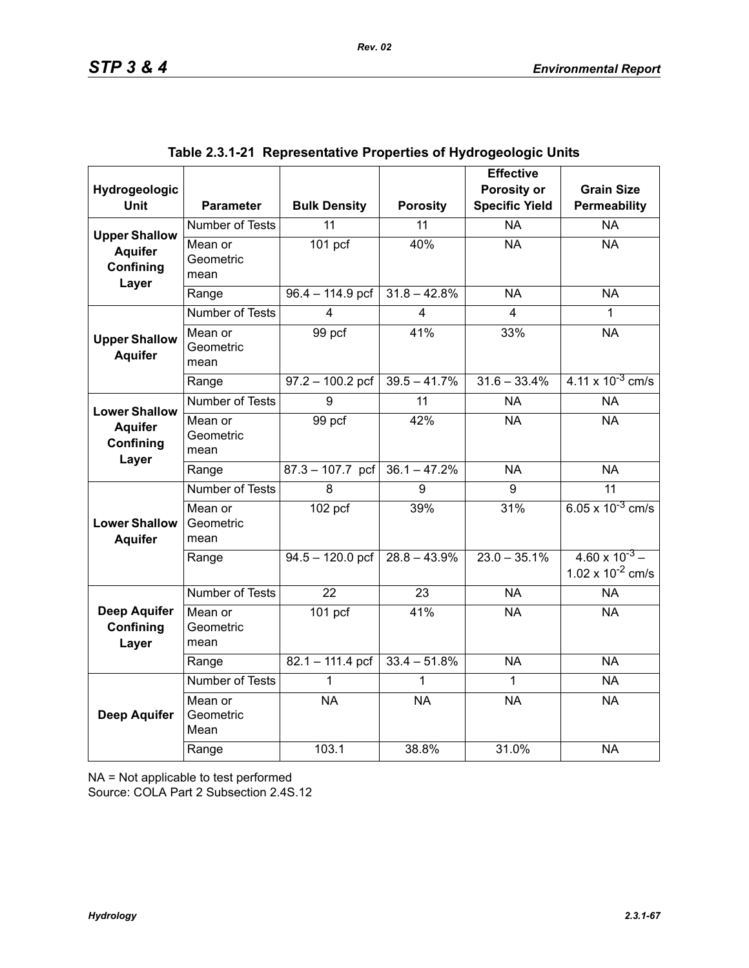| Hydrogeologic                             |                              |                      |                         | <b>Effective</b><br>Porosity or | <b>Grain Size</b>                                |
|-------------------------------------------|------------------------------|----------------------|-------------------------|---------------------------------|--------------------------------------------------|
| <b>Unit</b>                               | <b>Parameter</b>             | <b>Bulk Density</b>  | <b>Porosity</b>         | <b>Specific Yield</b>           | Permeability                                     |
| <b>Upper Shallow</b>                      | Number of Tests              | 11                   | 11                      | <b>NA</b>                       | <b>NA</b>                                        |
| <b>Aquifer</b><br>Confining<br>Layer      | Mean or<br>Geometric<br>mean | $\overline{101}$ pcf | 40%                     | <b>NA</b>                       | <b>NA</b>                                        |
|                                           | Range                        | $96.4 - 114.9$ pcf   | $31.8 - 42.8%$          | <b>NA</b>                       | <b>NA</b>                                        |
|                                           | <b>Number of Tests</b>       | 4                    | $\overline{\mathbf{4}}$ | 4                               | 1                                                |
| <b>Upper Shallow</b><br><b>Aquifer</b>    | Mean or<br>Geometric<br>mean | 99 pcf               | 41%                     | 33%                             | <b>NA</b>                                        |
|                                           | Range                        | $97.2 - 100.2$ pcf   | $39.5 - 41.7%$          | $31.6 - 33.4%$                  | $4.11 \times 10^{-3}$ cm/s                       |
| <b>Lower Shallow</b>                      | <b>Number of Tests</b>       | 9                    | $\overline{11}$         | <b>NA</b>                       | <b>NA</b>                                        |
| <b>Aquifer</b><br>Confining<br>Layer      | Mean or<br>Geometric<br>mean | 99 pcf               | 42%                     | <b>NA</b>                       | <b>NA</b>                                        |
|                                           | Range                        | $87.3 - 107.7$ pcf   | $36.1 - 47.2%$          | <b>NA</b>                       | <b>NA</b>                                        |
|                                           | <b>Number of Tests</b>       | 8                    | 9                       | 9                               | 11                                               |
| <b>Lower Shallow</b><br><b>Aquifer</b>    | Mean or<br>Geometric<br>mean | $102$ pcf            | 39%                     | 31%                             | 6.05 x $10^{-3}$ cm/s                            |
|                                           | Range                        | $94.5 - 120.0$ pcf   | $28.8 - 43.9\%$         | $23.0 - 35.1\%$                 | $4.60 \times 10^{-3}$ –<br>1.02 x $10^{-2}$ cm/s |
|                                           | Number of Tests              | 22                   | 23                      | <b>NA</b>                       | <b>NA</b>                                        |
| <b>Deep Aquifer</b><br>Confining<br>Layer | Mean or<br>Geometric<br>mean | $101$ pcf            | 41%                     | <b>NA</b>                       | <b>NA</b>                                        |
|                                           | Range                        | $82.1 - 111.4$ pcf   | $33.4 - 51.8%$          | <b>NA</b>                       | <b>NA</b>                                        |
|                                           | Number of Tests              | 1                    |                         | 1                               | <b>NA</b>                                        |
| <b>Deep Aquifer</b>                       | Mean or<br>Geometric<br>Mean | <b>NA</b>            | <b>NA</b>               | <b>NA</b>                       | <b>NA</b>                                        |
|                                           | Range                        | 103.1                | 38.8%                   | 31.0%                           | <b>NA</b>                                        |

|  | Table 2.3.1-21  Representative Properties of Hydrogeologic Units |  |  |  |
|--|------------------------------------------------------------------|--|--|--|
|--|------------------------------------------------------------------|--|--|--|

NA = Not applicable to test performed

Source: COLA Part 2 Subsection 2.4S.12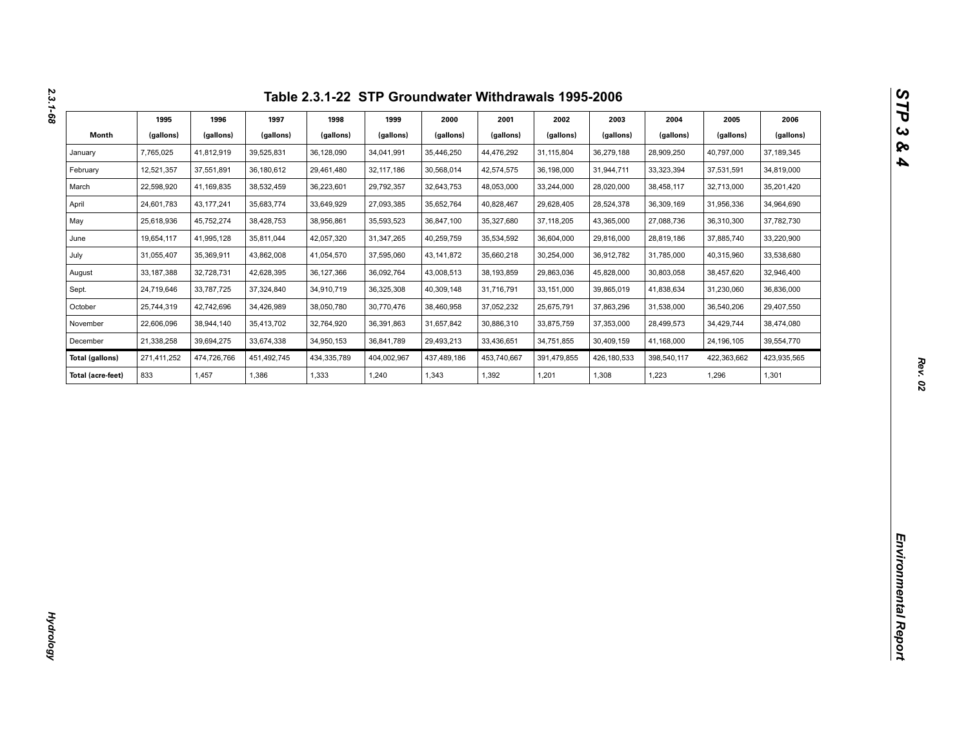| Month<br>(gallons)<br>(gallons)<br>(gallons)<br>(gallons)<br>(gallons)<br>(gallons)<br>(gallons)<br>(gallons)<br>(gallons)<br>(gallons)<br>(gallons)<br>(gallons)<br>36,128,090<br>31,115,804<br>28,909,250<br>January<br>7,765,025<br>41,812,919<br>39,525,831<br>34,041,991<br>35,446,250<br>44,476,292<br>36,279,188<br>40,797,000<br>37,189,345<br>12,521,357<br>February<br>37,551,891<br>36,180,612<br>29,461,480<br>32, 117, 186<br>30,568,014<br>42,574,575<br>36,198,000<br>31,944,711<br>33,323,394<br>37,531,591<br>34,819,000<br>22,598,920<br>38,532,459<br>36,223,601<br>32,643,753<br>48,053,000<br>35,201,420<br>March<br>41,169,835<br>29,792,357<br>33,244,000<br>28,020,000<br>38,458,117<br>32,713,000<br>24,601,783<br>43, 177, 241<br>35,683,774<br>33,649,929<br>27,093,385<br>35,652,764<br>40,828,467<br>29,628,405<br>28,524,378<br>36,309,169<br>31,956,336<br>34,964,690<br>April<br>25,618,936<br>45,752,274<br>38,428,753<br>38,956,861<br>35,593,523<br>36,847,100<br>35,327,680<br>37, 118, 205<br>27,088,736<br>37,782,730<br>May<br>43,365,000<br>36,310,300<br>19,654,117<br>33,220,900<br>June<br>41,995,128<br>35,811,044<br>42,057,320<br>31,347,265<br>40,259,759<br>35,534,592<br>36,604,000<br>29,816,000<br>28,819,186<br>37,885,740<br>31,055,407<br>33,538,680<br>July<br>35,369,911<br>43,862,008<br>41,054,570<br>37,595,060<br>43, 141, 872<br>35,660,218<br>30,254,000<br>36,912,782<br>31,785,000<br>40,315,960<br>33, 187, 388<br>32,728,731<br>42,628,395<br>36,127,366<br>36,092,764<br>43,008,513<br>38,193,859<br>29,863,036<br>45,828,000<br>30,803,058<br>38,457,620<br>32,946,400<br>August<br>24,719,646<br>37,324,840<br>34,910,719<br>33, 151, 000<br>41,838,634<br>Sept.<br>33,787,725<br>36,325,308<br>40,309,148<br>31,716,791<br>39,865,019<br>31,230,060<br>36,836,000<br>25,744,319<br>37,052,232<br>25,675,791<br>29,407,550<br>October<br>42,742,696<br>34,426,989<br>38,050,780<br>30,770,476<br>38,460,958<br>37,863,296<br>31,538,000<br>36,540,206<br>22,606,096<br>38,944,140<br>35,413,702<br>32,764,920<br>36,391,863<br>31,657,842<br>30,886,310<br>33,875,759<br>37,353,000<br>28,499,573<br>34,429,744<br>38,474,080<br>November<br>21,338,258<br>39,694,275<br>33,674,338<br>34,950,153<br>36,841,789<br>29,493,213<br>33,436,651<br>34,751,855<br>30,409,159<br>41,168,000<br>39,554,770<br>December<br>24,196,105<br>474,726,766<br>434,335,789<br>404,002,967<br>437,489,186<br>391,479,855<br>423,935,565<br><b>Total (gallons)</b><br>271,411,252<br>451,492,745<br>453,740,667<br>426,180,533<br>398,540,117<br>422,363,662<br>833<br>1,457<br>1,386<br>1,343<br>1,392<br>1,201<br>1,223<br>1,301<br>Total (acre-feet)<br>1,333<br>1,240<br>1,308<br>1,296 | 1995 | 1996 | 1997 | 1998 | 1999 | 2000 | 2001 | 2002 | 2003 | 2004 | 2005 | 2006 |
|-------------------------------------------------------------------------------------------------------------------------------------------------------------------------------------------------------------------------------------------------------------------------------------------------------------------------------------------------------------------------------------------------------------------------------------------------------------------------------------------------------------------------------------------------------------------------------------------------------------------------------------------------------------------------------------------------------------------------------------------------------------------------------------------------------------------------------------------------------------------------------------------------------------------------------------------------------------------------------------------------------------------------------------------------------------------------------------------------------------------------------------------------------------------------------------------------------------------------------------------------------------------------------------------------------------------------------------------------------------------------------------------------------------------------------------------------------------------------------------------------------------------------------------------------------------------------------------------------------------------------------------------------------------------------------------------------------------------------------------------------------------------------------------------------------------------------------------------------------------------------------------------------------------------------------------------------------------------------------------------------------------------------------------------------------------------------------------------------------------------------------------------------------------------------------------------------------------------------------------------------------------------------------------------------------------------------------------------------------------------------------------------------------------------------------------------------------------------------------------------------------------------------------------------------------------------------------------------------------------------------------------------------------------------------------------------------------------------------------------------------|------|------|------|------|------|------|------|------|------|------|------|------|
|                                                                                                                                                                                                                                                                                                                                                                                                                                                                                                                                                                                                                                                                                                                                                                                                                                                                                                                                                                                                                                                                                                                                                                                                                                                                                                                                                                                                                                                                                                                                                                                                                                                                                                                                                                                                                                                                                                                                                                                                                                                                                                                                                                                                                                                                                                                                                                                                                                                                                                                                                                                                                                                                                                                                                 |      |      |      |      |      |      |      |      |      |      |      |      |
|                                                                                                                                                                                                                                                                                                                                                                                                                                                                                                                                                                                                                                                                                                                                                                                                                                                                                                                                                                                                                                                                                                                                                                                                                                                                                                                                                                                                                                                                                                                                                                                                                                                                                                                                                                                                                                                                                                                                                                                                                                                                                                                                                                                                                                                                                                                                                                                                                                                                                                                                                                                                                                                                                                                                                 |      |      |      |      |      |      |      |      |      |      |      |      |
|                                                                                                                                                                                                                                                                                                                                                                                                                                                                                                                                                                                                                                                                                                                                                                                                                                                                                                                                                                                                                                                                                                                                                                                                                                                                                                                                                                                                                                                                                                                                                                                                                                                                                                                                                                                                                                                                                                                                                                                                                                                                                                                                                                                                                                                                                                                                                                                                                                                                                                                                                                                                                                                                                                                                                 |      |      |      |      |      |      |      |      |      |      |      |      |
|                                                                                                                                                                                                                                                                                                                                                                                                                                                                                                                                                                                                                                                                                                                                                                                                                                                                                                                                                                                                                                                                                                                                                                                                                                                                                                                                                                                                                                                                                                                                                                                                                                                                                                                                                                                                                                                                                                                                                                                                                                                                                                                                                                                                                                                                                                                                                                                                                                                                                                                                                                                                                                                                                                                                                 |      |      |      |      |      |      |      |      |      |      |      |      |
|                                                                                                                                                                                                                                                                                                                                                                                                                                                                                                                                                                                                                                                                                                                                                                                                                                                                                                                                                                                                                                                                                                                                                                                                                                                                                                                                                                                                                                                                                                                                                                                                                                                                                                                                                                                                                                                                                                                                                                                                                                                                                                                                                                                                                                                                                                                                                                                                                                                                                                                                                                                                                                                                                                                                                 |      |      |      |      |      |      |      |      |      |      |      |      |
|                                                                                                                                                                                                                                                                                                                                                                                                                                                                                                                                                                                                                                                                                                                                                                                                                                                                                                                                                                                                                                                                                                                                                                                                                                                                                                                                                                                                                                                                                                                                                                                                                                                                                                                                                                                                                                                                                                                                                                                                                                                                                                                                                                                                                                                                                                                                                                                                                                                                                                                                                                                                                                                                                                                                                 |      |      |      |      |      |      |      |      |      |      |      |      |
|                                                                                                                                                                                                                                                                                                                                                                                                                                                                                                                                                                                                                                                                                                                                                                                                                                                                                                                                                                                                                                                                                                                                                                                                                                                                                                                                                                                                                                                                                                                                                                                                                                                                                                                                                                                                                                                                                                                                                                                                                                                                                                                                                                                                                                                                                                                                                                                                                                                                                                                                                                                                                                                                                                                                                 |      |      |      |      |      |      |      |      |      |      |      |      |
|                                                                                                                                                                                                                                                                                                                                                                                                                                                                                                                                                                                                                                                                                                                                                                                                                                                                                                                                                                                                                                                                                                                                                                                                                                                                                                                                                                                                                                                                                                                                                                                                                                                                                                                                                                                                                                                                                                                                                                                                                                                                                                                                                                                                                                                                                                                                                                                                                                                                                                                                                                                                                                                                                                                                                 |      |      |      |      |      |      |      |      |      |      |      |      |
|                                                                                                                                                                                                                                                                                                                                                                                                                                                                                                                                                                                                                                                                                                                                                                                                                                                                                                                                                                                                                                                                                                                                                                                                                                                                                                                                                                                                                                                                                                                                                                                                                                                                                                                                                                                                                                                                                                                                                                                                                                                                                                                                                                                                                                                                                                                                                                                                                                                                                                                                                                                                                                                                                                                                                 |      |      |      |      |      |      |      |      |      |      |      |      |
|                                                                                                                                                                                                                                                                                                                                                                                                                                                                                                                                                                                                                                                                                                                                                                                                                                                                                                                                                                                                                                                                                                                                                                                                                                                                                                                                                                                                                                                                                                                                                                                                                                                                                                                                                                                                                                                                                                                                                                                                                                                                                                                                                                                                                                                                                                                                                                                                                                                                                                                                                                                                                                                                                                                                                 |      |      |      |      |      |      |      |      |      |      |      |      |
|                                                                                                                                                                                                                                                                                                                                                                                                                                                                                                                                                                                                                                                                                                                                                                                                                                                                                                                                                                                                                                                                                                                                                                                                                                                                                                                                                                                                                                                                                                                                                                                                                                                                                                                                                                                                                                                                                                                                                                                                                                                                                                                                                                                                                                                                                                                                                                                                                                                                                                                                                                                                                                                                                                                                                 |      |      |      |      |      |      |      |      |      |      |      |      |
|                                                                                                                                                                                                                                                                                                                                                                                                                                                                                                                                                                                                                                                                                                                                                                                                                                                                                                                                                                                                                                                                                                                                                                                                                                                                                                                                                                                                                                                                                                                                                                                                                                                                                                                                                                                                                                                                                                                                                                                                                                                                                                                                                                                                                                                                                                                                                                                                                                                                                                                                                                                                                                                                                                                                                 |      |      |      |      |      |      |      |      |      |      |      |      |
|                                                                                                                                                                                                                                                                                                                                                                                                                                                                                                                                                                                                                                                                                                                                                                                                                                                                                                                                                                                                                                                                                                                                                                                                                                                                                                                                                                                                                                                                                                                                                                                                                                                                                                                                                                                                                                                                                                                                                                                                                                                                                                                                                                                                                                                                                                                                                                                                                                                                                                                                                                                                                                                                                                                                                 |      |      |      |      |      |      |      |      |      |      |      |      |
|                                                                                                                                                                                                                                                                                                                                                                                                                                                                                                                                                                                                                                                                                                                                                                                                                                                                                                                                                                                                                                                                                                                                                                                                                                                                                                                                                                                                                                                                                                                                                                                                                                                                                                                                                                                                                                                                                                                                                                                                                                                                                                                                                                                                                                                                                                                                                                                                                                                                                                                                                                                                                                                                                                                                                 |      |      |      |      |      |      |      |      |      |      |      |      |
|                                                                                                                                                                                                                                                                                                                                                                                                                                                                                                                                                                                                                                                                                                                                                                                                                                                                                                                                                                                                                                                                                                                                                                                                                                                                                                                                                                                                                                                                                                                                                                                                                                                                                                                                                                                                                                                                                                                                                                                                                                                                                                                                                                                                                                                                                                                                                                                                                                                                                                                                                                                                                                                                                                                                                 |      |      |      |      |      |      |      |      |      |      |      |      |
|                                                                                                                                                                                                                                                                                                                                                                                                                                                                                                                                                                                                                                                                                                                                                                                                                                                                                                                                                                                                                                                                                                                                                                                                                                                                                                                                                                                                                                                                                                                                                                                                                                                                                                                                                                                                                                                                                                                                                                                                                                                                                                                                                                                                                                                                                                                                                                                                                                                                                                                                                                                                                                                                                                                                                 |      |      |      |      |      |      |      |      |      |      |      |      |
|                                                                                                                                                                                                                                                                                                                                                                                                                                                                                                                                                                                                                                                                                                                                                                                                                                                                                                                                                                                                                                                                                                                                                                                                                                                                                                                                                                                                                                                                                                                                                                                                                                                                                                                                                                                                                                                                                                                                                                                                                                                                                                                                                                                                                                                                                                                                                                                                                                                                                                                                                                                                                                                                                                                                                 |      |      |      |      |      |      |      |      |      |      |      |      |
|                                                                                                                                                                                                                                                                                                                                                                                                                                                                                                                                                                                                                                                                                                                                                                                                                                                                                                                                                                                                                                                                                                                                                                                                                                                                                                                                                                                                                                                                                                                                                                                                                                                                                                                                                                                                                                                                                                                                                                                                                                                                                                                                                                                                                                                                                                                                                                                                                                                                                                                                                                                                                                                                                                                                                 |      |      |      |      |      |      |      |      |      |      |      |      |
|                                                                                                                                                                                                                                                                                                                                                                                                                                                                                                                                                                                                                                                                                                                                                                                                                                                                                                                                                                                                                                                                                                                                                                                                                                                                                                                                                                                                                                                                                                                                                                                                                                                                                                                                                                                                                                                                                                                                                                                                                                                                                                                                                                                                                                                                                                                                                                                                                                                                                                                                                                                                                                                                                                                                                 |      |      |      |      |      |      |      |      |      |      |      |      |
|                                                                                                                                                                                                                                                                                                                                                                                                                                                                                                                                                                                                                                                                                                                                                                                                                                                                                                                                                                                                                                                                                                                                                                                                                                                                                                                                                                                                                                                                                                                                                                                                                                                                                                                                                                                                                                                                                                                                                                                                                                                                                                                                                                                                                                                                                                                                                                                                                                                                                                                                                                                                                                                                                                                                                 |      |      |      |      |      |      |      |      |      |      |      |      |
|                                                                                                                                                                                                                                                                                                                                                                                                                                                                                                                                                                                                                                                                                                                                                                                                                                                                                                                                                                                                                                                                                                                                                                                                                                                                                                                                                                                                                                                                                                                                                                                                                                                                                                                                                                                                                                                                                                                                                                                                                                                                                                                                                                                                                                                                                                                                                                                                                                                                                                                                                                                                                                                                                                                                                 |      |      |      |      |      |      |      |      |      |      |      |      |
|                                                                                                                                                                                                                                                                                                                                                                                                                                                                                                                                                                                                                                                                                                                                                                                                                                                                                                                                                                                                                                                                                                                                                                                                                                                                                                                                                                                                                                                                                                                                                                                                                                                                                                                                                                                                                                                                                                                                                                                                                                                                                                                                                                                                                                                                                                                                                                                                                                                                                                                                                                                                                                                                                                                                                 |      |      |      |      |      |      |      |      |      |      |      |      |
|                                                                                                                                                                                                                                                                                                                                                                                                                                                                                                                                                                                                                                                                                                                                                                                                                                                                                                                                                                                                                                                                                                                                                                                                                                                                                                                                                                                                                                                                                                                                                                                                                                                                                                                                                                                                                                                                                                                                                                                                                                                                                                                                                                                                                                                                                                                                                                                                                                                                                                                                                                                                                                                                                                                                                 |      |      |      |      |      |      |      |      |      |      |      |      |
|                                                                                                                                                                                                                                                                                                                                                                                                                                                                                                                                                                                                                                                                                                                                                                                                                                                                                                                                                                                                                                                                                                                                                                                                                                                                                                                                                                                                                                                                                                                                                                                                                                                                                                                                                                                                                                                                                                                                                                                                                                                                                                                                                                                                                                                                                                                                                                                                                                                                                                                                                                                                                                                                                                                                                 |      |      |      |      |      |      |      |      |      |      |      |      |
|                                                                                                                                                                                                                                                                                                                                                                                                                                                                                                                                                                                                                                                                                                                                                                                                                                                                                                                                                                                                                                                                                                                                                                                                                                                                                                                                                                                                                                                                                                                                                                                                                                                                                                                                                                                                                                                                                                                                                                                                                                                                                                                                                                                                                                                                                                                                                                                                                                                                                                                                                                                                                                                                                                                                                 |      |      |      |      |      |      |      |      |      |      |      |      |